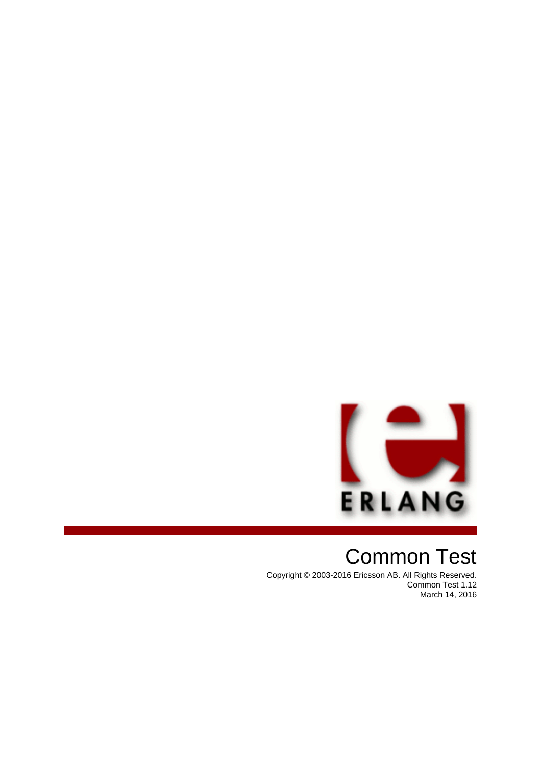

# Common Test

Copyright © 2003-2016 Ericsson AB. All Rights Reserved. Common Test 1.12 March 14, 2016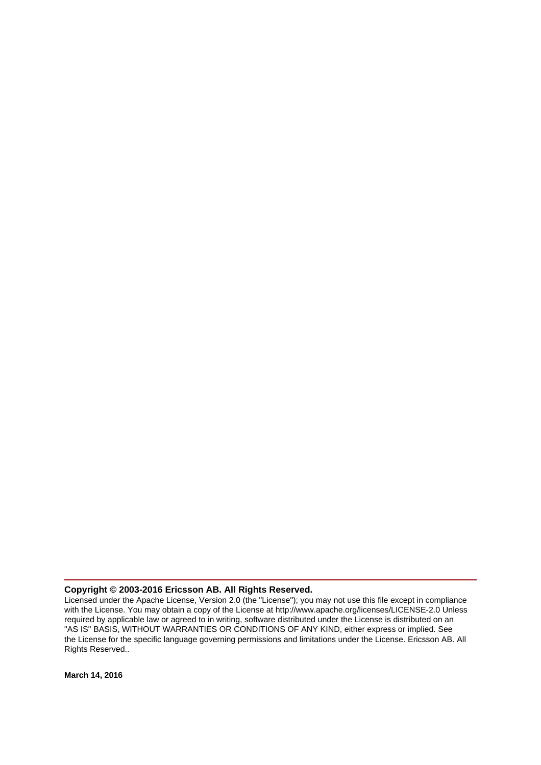#### **Copyright © 2003-2016 Ericsson AB. All Rights Reserved.**

Licensed under the Apache License, Version 2.0 (the "License"); you may not use this file except in compliance with the License. You may obtain a copy of the License at http://www.apache.org/licenses/LICENSE-2.0 Unless required by applicable law or agreed to in writing, software distributed under the License is distributed on an "AS IS" BASIS, WITHOUT WARRANTIES OR CONDITIONS OF ANY KIND, either express or implied. See the License for the specific language governing permissions and limitations under the License. Ericsson AB. All Rights Reserved..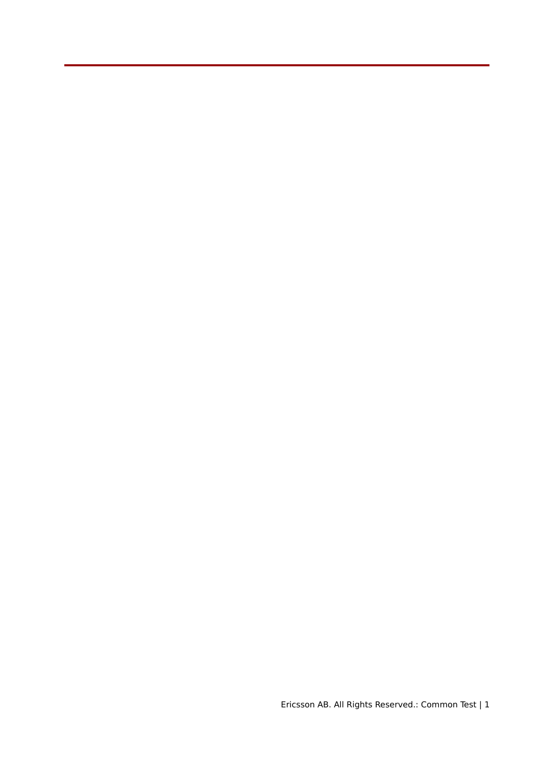Ericsson AB. All Rights Reserved.: Common Test | 1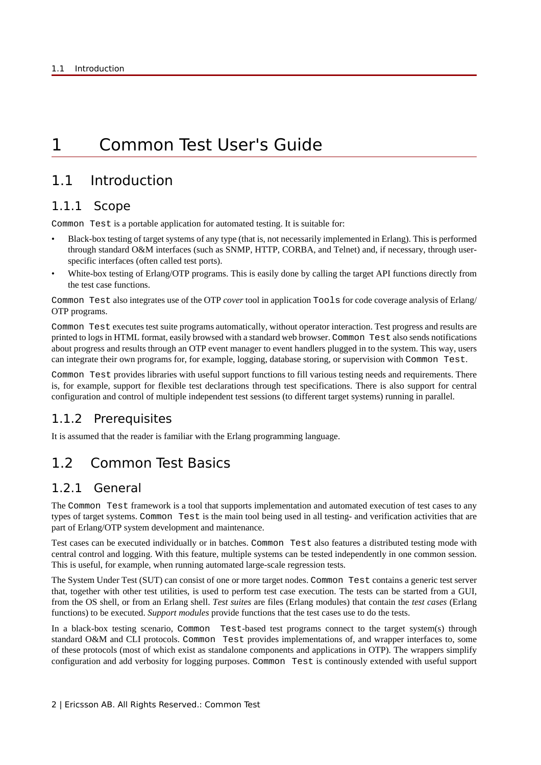# 1 Common Test User's Guide

# 1.1 Introduction

### 1.1.1 Scope

Common Test is a portable application for automated testing. It is suitable for:

- Black-box testing of target systems of any type (that is, not necessarily implemented in Erlang). This is performed through standard O&M interfaces (such as SNMP, HTTP, CORBA, and Telnet) and, if necessary, through userspecific interfaces (often called test ports).
- White-box testing of Erlang/OTP programs. This is easily done by calling the target API functions directly from the test case functions.

Common Test also integrates use of the OTP *cover* tool in application Tools for code coverage analysis of Erlang/ OTP programs.

Common Test executes test suite programs automatically, without operator interaction. Test progress and results are printed to logs in HTML format, easily browsed with a standard web browser. Common Test also sends notifications about progress and results through an OTP event manager to event handlers plugged in to the system. This way, users can integrate their own programs for, for example, logging, database storing, or supervision with Common Test.

Common Test provides libraries with useful support functions to fill various testing needs and requirements. There is, for example, support for flexible test declarations through test specifications. There is also support for central configuration and control of multiple independent test sessions (to different target systems) running in parallel.

# 1.1.2 Prerequisites

It is assumed that the reader is familiar with the Erlang programming language.

# 1.2 Common Test Basics

### 1.2.1 General

The Common Test framework is a tool that supports implementation and automated execution of test cases to any types of target systems. Common Test is the main tool being used in all testing- and verification activities that are part of Erlang/OTP system development and maintenance.

Test cases can be executed individually or in batches. Common Test also features a distributed testing mode with central control and logging. With this feature, multiple systems can be tested independently in one common session. This is useful, for example, when running automated large-scale regression tests.

The System Under Test (SUT) can consist of one or more target nodes. Common Test contains a generic test server that, together with other test utilities, is used to perform test case execution. The tests can be started from a GUI, from the OS shell, or from an Erlang shell. *Test suites* are files (Erlang modules) that contain the *test cases* (Erlang functions) to be executed. *Support modules* provide functions that the test cases use to do the tests.

In a black-box testing scenario, Common Test-based test programs connect to the target system(s) through standard O&M and CLI protocols. Common Test provides implementations of, and wrapper interfaces to, some of these protocols (most of which exist as standalone components and applications in OTP). The wrappers simplify configuration and add verbosity for logging purposes. Common Test is continously extended with useful support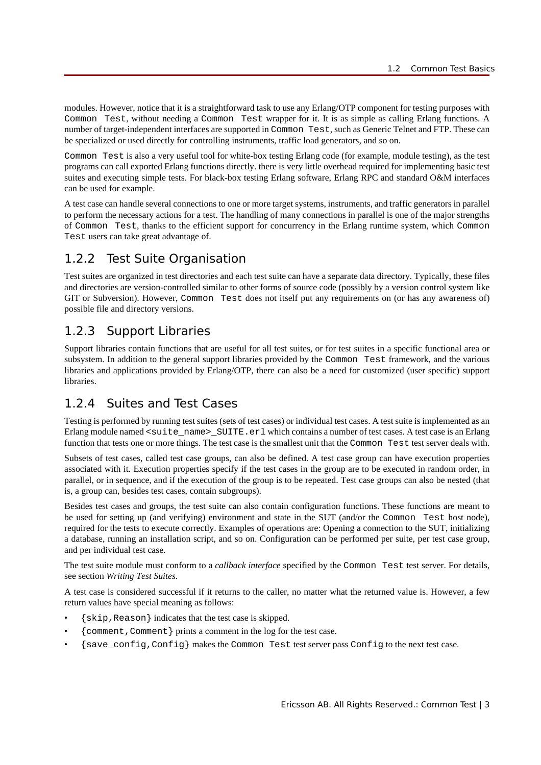modules. However, notice that it is a straightforward task to use any Erlang/OTP component for testing purposes with Common Test, without needing a Common Test wrapper for it. It is as simple as calling Erlang functions. A number of target-independent interfaces are supported in Common Test, such as Generic Telnet and FTP. These can be specialized or used directly for controlling instruments, traffic load generators, and so on.

Common Test is also a very useful tool for white-box testing Erlang code (for example, module testing), as the test programs can call exported Erlang functions directly. there is very little overhead required for implementing basic test suites and executing simple tests. For black-box testing Erlang software, Erlang RPC and standard O&M interfaces can be used for example.

A test case can handle several connections to one or more target systems, instruments, and traffic generators in parallel to perform the necessary actions for a test. The handling of many connections in parallel is one of the major strengths of Common Test, thanks to the efficient support for concurrency in the Erlang runtime system, which Common Test users can take great advantage of.

### 1.2.2 Test Suite Organisation

Test suites are organized in test directories and each test suite can have a separate data directory. Typically, these files and directories are version-controlled similar to other forms of source code (possibly by a version control system like GIT or Subversion). However, Common Test does not itself put any requirements on (or has any awareness of) possible file and directory versions.

# 1.2.3 Support Libraries

Support libraries contain functions that are useful for all test suites, or for test suites in a specific functional area or subsystem. In addition to the general support libraries provided by the Common Test framework, and the various libraries and applications provided by Erlang/OTP, there can also be a need for customized (user specific) support libraries.

### 1.2.4 Suites and Test Cases

Testing is performed by running test suites (sets of test cases) or individual test cases. A test suite is implemented as an Erlang module named <suite\_name>\_SUITE.erl which contains a number of test cases. A test case is an Erlang function that tests one or more things. The test case is the smallest unit that the Common Test test server deals with.

Subsets of test cases, called test case groups, can also be defined. A test case group can have execution properties associated with it. Execution properties specify if the test cases in the group are to be executed in random order, in parallel, or in sequence, and if the execution of the group is to be repeated. Test case groups can also be nested (that is, a group can, besides test cases, contain subgroups).

Besides test cases and groups, the test suite can also contain configuration functions. These functions are meant to be used for setting up (and verifying) environment and state in the SUT (and/or the Common Test host node), required for the tests to execute correctly. Examples of operations are: Opening a connection to the SUT, initializing a database, running an installation script, and so on. Configuration can be performed per suite, per test case group, and per individual test case.

The test suite module must conform to a *callback interface* specified by the Common Test test server. For details, see section *Writing Test Suites*.

A test case is considered successful if it returns to the caller, no matter what the returned value is. However, a few return values have special meaning as follows:

- {skip,Reason} indicates that the test case is skipped.
- {comment,Comment} prints a comment in the log for the test case.
- {save\_config,Config} makes the Common Test test server pass Config to the next test case.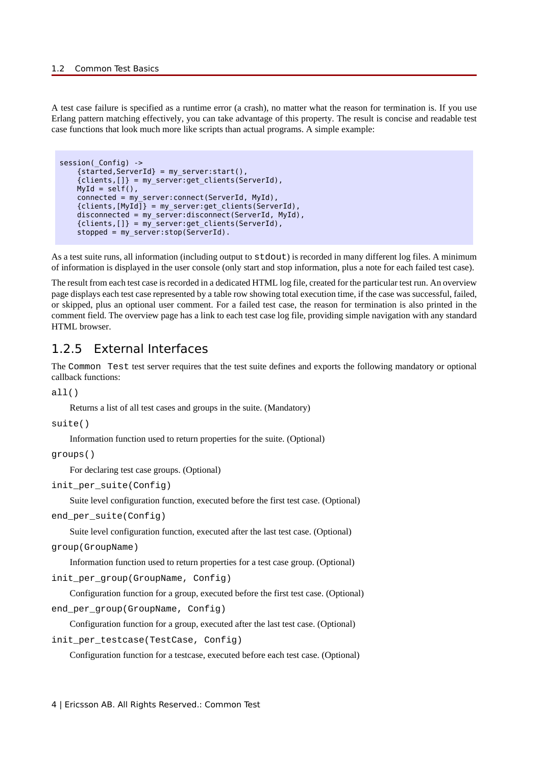A test case failure is specified as a runtime error (a crash), no matter what the reason for termination is. If you use Erlang pattern matching effectively, you can take advantage of this property. The result is concise and readable test case functions that look much more like scripts than actual programs. A simple example:

```
 session(_Config) ->
     {started,ServerId} = my_server:start(),
     {clients,[]} = my_server:get_clients(ServerId),
    MyId = self(),
     connected = my_server:connect(ServerId, MyId),
    {clients, [MyId]} = my server:get clients(ServerId) disconnected = my_server:disconnect(ServerId, MyId),
     {clients,[]} = my_server:get_clients(ServerId),
     stopped = my_server:stop(ServerId).
```
As a test suite runs, all information (including output to stdout) is recorded in many different log files. A minimum of information is displayed in the user console (only start and stop information, plus a note for each failed test case).

The result from each test case is recorded in a dedicated HTML log file, created for the particular test run. An overview page displays each test case represented by a table row showing total execution time, if the case was successful, failed, or skipped, plus an optional user comment. For a failed test case, the reason for termination is also printed in the comment field. The overview page has a link to each test case log file, providing simple navigation with any standard HTML browser.

### 1.2.5 External Interfaces

The Common Test test server requires that the test suite defines and exports the following mandatory or optional callback functions:

 $all()$ 

Returns a list of all test cases and groups in the suite. (Mandatory)

suite()

Information function used to return properties for the suite. (Optional)

groups()

For declaring test case groups. (Optional)

```
init_per_suite(Config)
```
Suite level configuration function, executed before the first test case. (Optional)

```
end_per_suite(Config)
```
Suite level configuration function, executed after the last test case. (Optional)

```
group(GroupName)
```
Information function used to return properties for a test case group. (Optional)

```
init_per_group(GroupName, Config)
```
Configuration function for a group, executed before the first test case. (Optional)

```
end_per_group(GroupName, Config)
```
Configuration function for a group, executed after the last test case. (Optional)

```
init_per_testcase(TestCase, Config)
```
Configuration function for a testcase, executed before each test case. (Optional)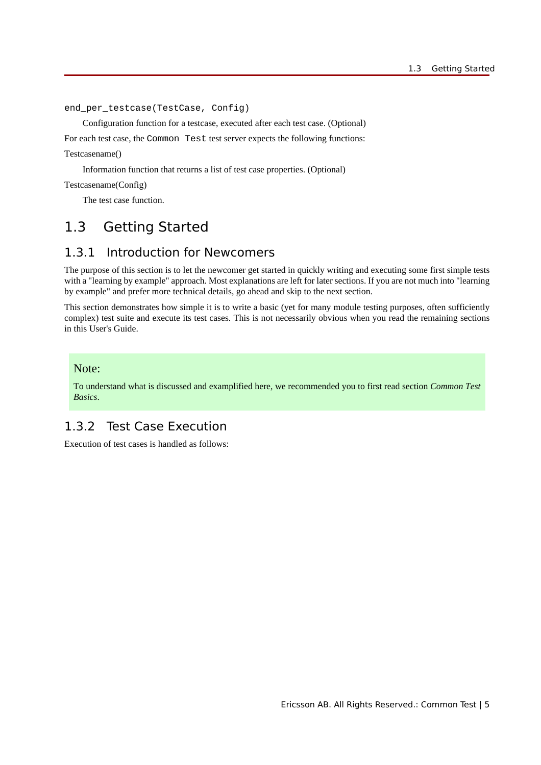end per testcase(TestCase, Config)

Configuration function for a testcase, executed after each test case. (Optional)

For each test case, the Common Test test server expects the following functions:

Testcasename()

Information function that returns a list of test case properties. (Optional)

Testcasename(Config)

The test case function.

# 1.3 Getting Started

### 1.3.1 Introduction for Newcomers

The purpose of this section is to let the newcomer get started in quickly writing and executing some first simple tests with a "learning by example" approach. Most explanations are left for later sections. If you are not much into "learning by example" and prefer more technical details, go ahead and skip to the next section.

This section demonstrates how simple it is to write a basic (yet for many module testing purposes, often sufficiently complex) test suite and execute its test cases. This is not necessarily obvious when you read the remaining sections in this User's Guide.

#### Note:

To understand what is discussed and examplified here, we recommended you to first read section *Common Test Basics*.

### 1.3.2 Test Case Execution

Execution of test cases is handled as follows: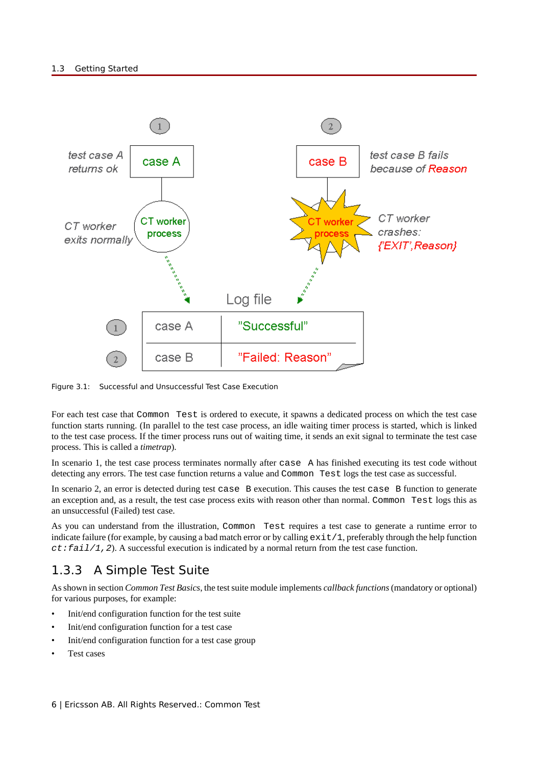

Figure 3.1: Successful and Unsuccessful Test Case Execution

For each test case that Common Test is ordered to execute, it spawns a dedicated process on which the test case function starts running. (In parallel to the test case process, an idle waiting timer process is started, which is linked to the test case process. If the timer process runs out of waiting time, it sends an exit signal to terminate the test case process. This is called a *timetrap*).

In scenario 1, the test case process terminates normally after case A has finished executing its test code without detecting any errors. The test case function returns a value and Common Test logs the test case as successful.

In scenario 2, an error is detected during test case B execution. This causes the test case B function to generate an exception and, as a result, the test case process exits with reason other than normal. Common Test logs this as an unsuccessful (Failed) test case.

As you can understand from the illustration, Common Test requires a test case to generate a runtime error to indicate failure (for example, by causing a bad match error or by calling  $\epsilon \times i$ ), preferably through the help function  $ct:fail/1,2$ ). A successful execution is indicated by a normal return from the test case function.

### 1.3.3 A Simple Test Suite

As shown in section *Common Test Basics*, the test suite module implements *callback functions* (mandatory or optional) for various purposes, for example:

- Init/end configuration function for the test suite
- Init/end configuration function for a test case
- Init/end configuration function for a test case group
- Test cases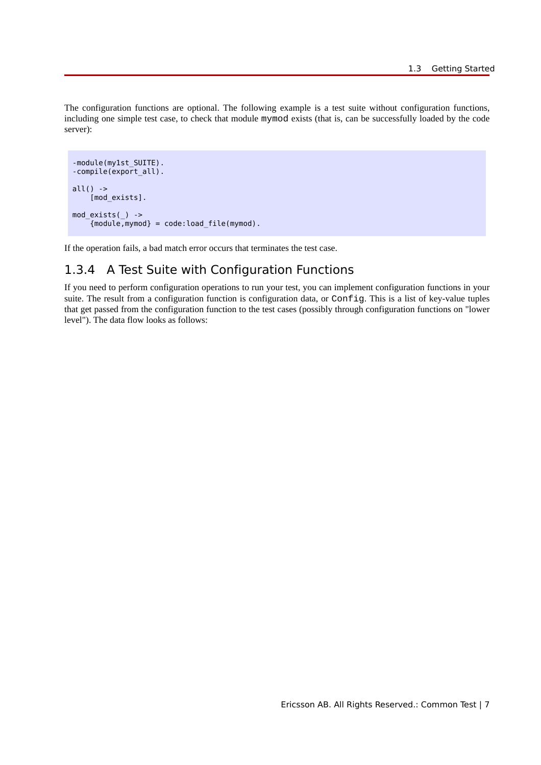The configuration functions are optional. The following example is a test suite without configuration functions, including one simple test case, to check that module mymod exists (that is, can be successfully loaded by the code server):

```
 -module(my1st_SUITE).
 -compile(export_all).
all() ->
     [mod_exists].
mod\_exists(\_) ->
    {model}, mymod} = code: load file(mymod).
```
If the operation fails, a bad match error occurs that terminates the test case.

### 1.3.4 A Test Suite with Configuration Functions

If you need to perform configuration operations to run your test, you can implement configuration functions in your suite. The result from a configuration function is configuration data, or Config. This is a list of key-value tuples that get passed from the configuration function to the test cases (possibly through configuration functions on "lower level"). The data flow looks as follows: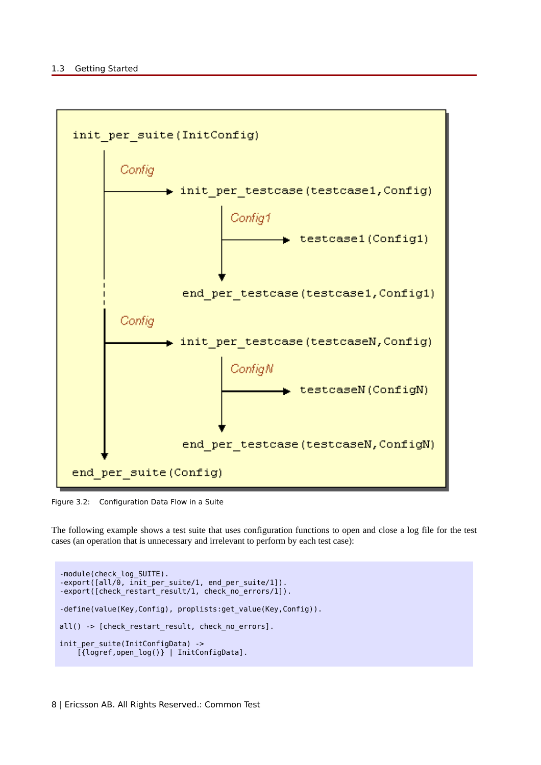

Figure 3.2: Configuration Data Flow in a Suite

The following example shows a test suite that uses configuration functions to open and close a log file for the test cases (an operation that is unnecessary and irrelevant to perform by each test case):

```
 -module(check_log_SUITE).
-export([all/0, init_per_suite/1, end_per_suite/1]).
-export([check_restart_result/1, check_no_errors/1]).
-define(value(Key,Config), proplists:get value(Key,Config)).
 all() -> [check_restart_result, check_no_errors].
 init_per_suite(InitConfigData) ->
     [{logref,open_log()} | InitConfigData].
```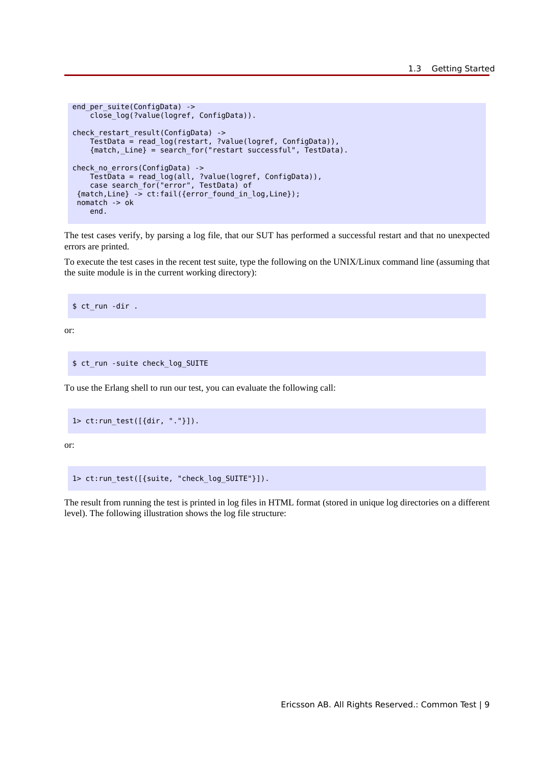```
end per suite(ConfigData) ->
     close_log(?value(logref, ConfigData)).
 check_restart_result(ConfigData) ->
 TestData = read_log(restart, ?value(logref, ConfigData)),
 {match,_Line} = search_for("restart successful", TestData).
check no errors(ConfigData) ->
     TestData = read_log(all, ?value(logref, ConfigData)),
    case search for("error", TestData) of
  {match,Line} -> ct:fail({error_found_in_log,Line});
  nomatch -> ok
     end.
```
The test cases verify, by parsing a log file, that our SUT has performed a successful restart and that no unexpected errors are printed.

To execute the test cases in the recent test suite, type the following on the UNIX/Linux command line (assuming that the suite module is in the current working directory):

```
 $ ct_run -dir .
```
or:

\$ ct run -suite check log SUITE

To use the Erlang shell to run our test, you can evaluate the following call:

```
 1> ct:run_test([{dir, "."}]).
```
or:

```
 1> ct:run_test([{suite, "check_log_SUITE"}]).
```
The result from running the test is printed in log files in HTML format (stored in unique log directories on a different level). The following illustration shows the log file structure: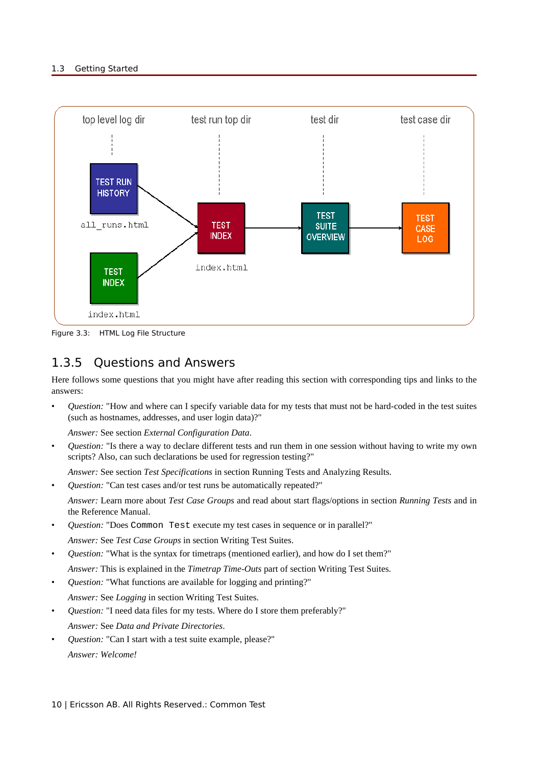

Figure 3.3: HTML Log File Structure

### 1.3.5 Questions and Answers

Here follows some questions that you might have after reading this section with corresponding tips and links to the answers:

• *Question:* "How and where can I specify variable data for my tests that must not be hard-coded in the test suites (such as hostnames, addresses, and user login data)?"

*Answer:* See section *External Configuration Data*.

• *Question:* "Is there a way to declare different tests and run them in one session without having to write my own scripts? Also, can such declarations be used for regression testing?"

*Answer:* See section *Test Specifications* in section Running Tests and Analyzing Results.

• *Question:* "Can test cases and/or test runs be automatically repeated?"

*Answer:* Learn more about *Test Case Groups* and read about start flags/options in section *Running Tests* and in the Reference Manual.

• *Question:* "Does Common Test execute my test cases in sequence or in parallel?"

*Answer:* See *Test Case Groups* in section Writing Test Suites.

- *Question:* "What is the syntax for timetraps (mentioned earlier), and how do I set them?" *Answer:* This is explained in the *Timetrap Time-Outs* part of section Writing Test Suites.
- *Question:* "What functions are available for logging and printing?"

*Answer:* See *Logging* in section Writing Test Suites.

- *Question:* "I need data files for my tests. Where do I store them preferably?" *Answer:* See *Data and Private Directories*.
- *Question:* "Can I start with a test suite example, please?" *Answer: Welcome!*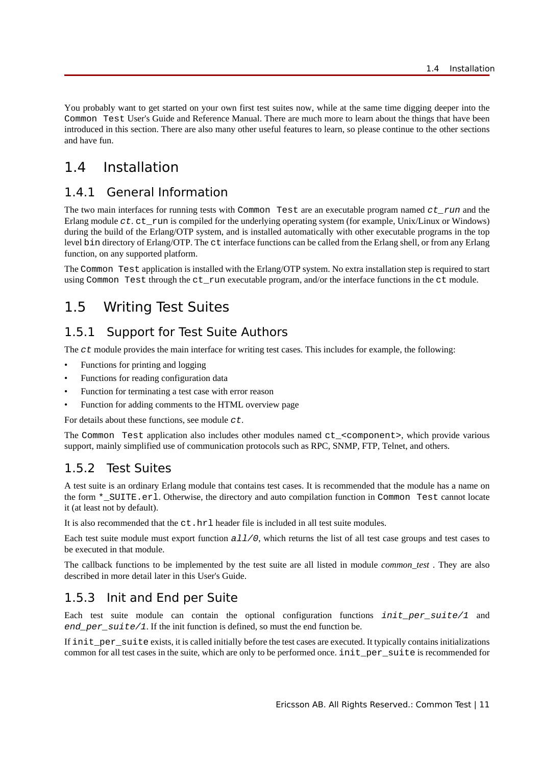You probably want to get started on your own first test suites now, while at the same time digging deeper into the Common Test User's Guide and Reference Manual. There are much more to learn about the things that have been introduced in this section. There are also many other useful features to learn, so please continue to the other sections and have fun.

# 1.4 Installation

### 1.4.1 General Information

The two main interfaces for running tests with Common Test are an executable program named  $ct\_run$  and the Erlang module  $ct$ .  $ct$ <sub>run</sub> is compiled for the underlying operating system (for example, Unix/Linux or Windows) during the build of the Erlang/OTP system, and is installed automatically with other executable programs in the top level bin directory of Erlang/OTP. The ct interface functions can be called from the Erlang shell, or from any Erlang function, on any supported platform.

The Common Test application is installed with the Erlang/OTP system. No extra installation step is required to start using Common Test through the ct\_run executable program, and/or the interface functions in the ct module.

# 1.5 Writing Test Suites

### 1.5.1 Support for Test Suite Authors

The  $ct$  module provides the main interface for writing test cases. This includes for example, the following:

- Functions for printing and logging
- Functions for reading configuration data
- Function for terminating a test case with error reason
- Function for adding comments to the HTML overview page

For details about these functions, see module  $ct$ .

The Common Test application also includes other modules named  $ct$  < component>, which provide various support, mainly simplified use of communication protocols such as RPC, SNMP, FTP, Telnet, and others.

# 1.5.2 Test Suites

A test suite is an ordinary Erlang module that contains test cases. It is recommended that the module has a name on the form \*\_SUITE.erl. Otherwise, the directory and auto compilation function in Common Test cannot locate it (at least not by default).

It is also recommended that the  $ct$ .hrl header file is included in all test suite modules.

Each test suite module must export function  $a11/0$ , which returns the list of all test case groups and test cases to be executed in that module.

The callback functions to be implemented by the test suite are all listed in module *common\_test* . They are also described in more detail later in this User's Guide.

### 1.5.3 Init and End per Suite

Each test suite module can contain the optional configuration functions  $init\_per\_suit/1$  and end\_per\_suite/1. If the init function is defined, so must the end function be.

If  $init$  per suite exists, it is called initially before the test cases are executed. It typically contains initializations common for all test cases in the suite, which are only to be performed once. init per suite is recommended for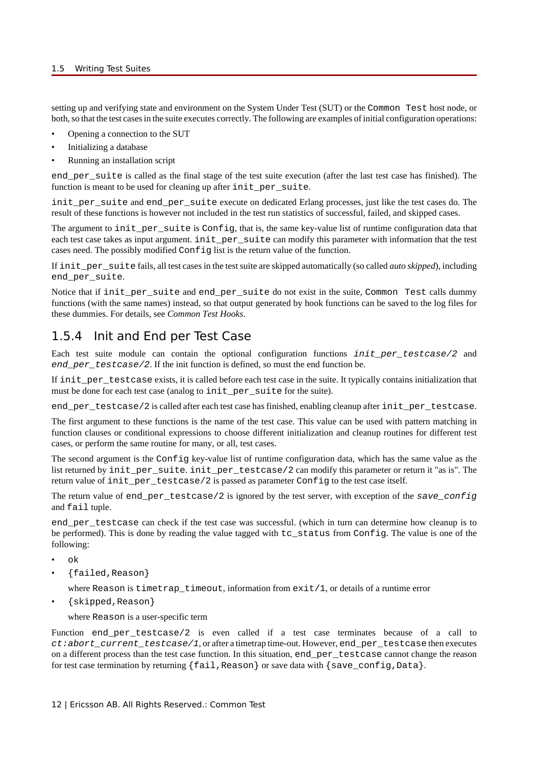setting up and verifying state and environment on the System Under Test (SUT) or the Common Test host node, or both, so that the test cases in the suite executes correctly. The following are examples of initial configuration operations:

- Opening a connection to the SUT
- Initializing a database
- Running an installation script

end\_per\_suite is called as the final stage of the test suite execution (after the last test case has finished). The function is meant to be used for cleaning up after init\_per\_suite.

init\_per\_suite and end\_per\_suite execute on dedicated Erlang processes, just like the test cases do. The result of these functions is however not included in the test run statistics of successful, failed, and skipped cases.

The argument to init\_per\_suite is Config, that is, the same key-value list of runtime configuration data that each test case takes as input argument. init\_per\_suite can modify this parameter with information that the test cases need. The possibly modified Config list is the return value of the function.

If init\_per\_suite fails, all test cases in the test suite are skipped automatically (so called *auto skipped*), including end\_per\_suite.

Notice that if init\_per\_suite and end\_per\_suite do not exist in the suite, Common Test calls dummy functions (with the same names) instead, so that output generated by hook functions can be saved to the log files for these dummies. For details, see *Common Test Hooks*.

### 1.5.4 Init and End per Test Case

Each test suite module can contain the optional configuration functions init per testcase/2 and end per testcase/2. If the init function is defined, so must the end function be.

If init\_per\_testcase exists, it is called before each test case in the suite. It typically contains initialization that must be done for each test case (analog to init\_per\_suite for the suite).

end\_per\_testcase/2 is called after each test case has finished, enabling cleanup after init\_per\_testcase.

The first argument to these functions is the name of the test case. This value can be used with pattern matching in function clauses or conditional expressions to choose different initialization and cleanup routines for different test cases, or perform the same routine for many, or all, test cases.

The second argument is the Config key-value list of runtime configuration data, which has the same value as the list returned by init\_per\_suite. init\_per\_testcase/2 can modify this parameter or return it "as is". The return value of init\_per\_testcase/2 is passed as parameter Config to the test case itself.

The return value of end\_per\_testcase/2 is ignored by the test server, with exception of the save\_config and fail tuple.

end per testcase can check if the test case was successful. (which in turn can determine how cleanup is to be performed). This is done by reading the value tagged with tc\_status from Config. The value is one of the following:

- ok
- {failed,Reason}

where Reason is timetrap\_timeout, information from  $exit/1$ , or details of a runtime error

• {skipped,Reason}

where Reason is a user-specific term

Function end\_per\_testcase/2 is even called if a test case terminates because of a call to ct:abort\_current\_testcase/1, or after a timetrap time-out. However, end\_per\_testcase then executes on a different process than the test case function. In this situation, end\_per\_testcase cannot change the reason for test case termination by returning  $\{fail, Reason\}$  or save data with  $\{save\_config,Data\}$ .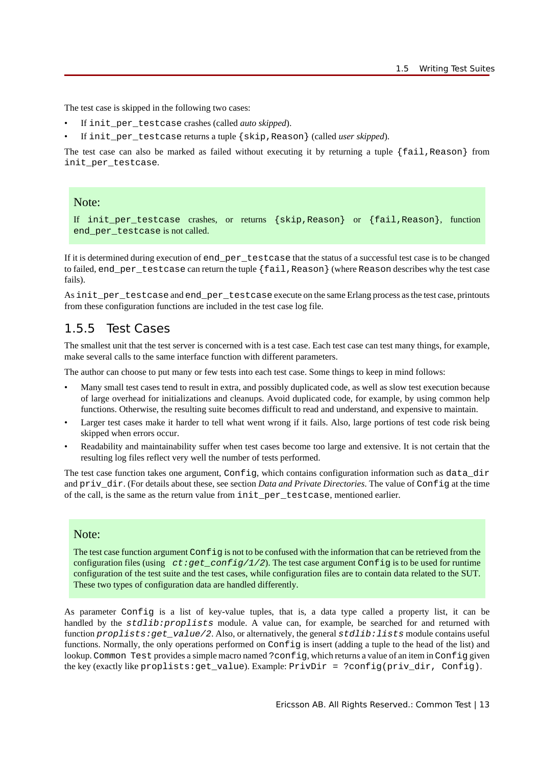The test case is skipped in the following two cases:

- If init\_per\_testcase crashes (called *auto skipped*).
- If init per testcase returns a tuple {skip, Reason} (called *user skipped*).

The test case can also be marked as failed without executing it by returning a tuple  $\{\text{fail},\text{Reason}\}$  from init\_per\_testcase.

#### Note:

If init\_per\_testcase crashes, or returns {skip,Reason} or {fail,Reason}, function end\_per\_testcase is not called.

If it is determined during execution of end\_per\_testcase that the status of a successful test case is to be changed to failed, end\_per\_testcase can return the tuple {fail, Reason } (where Reason describes why the test case fails).

As init\_per\_testcase and end\_per\_testcase execute on the same Erlang process as the test case, printouts from these configuration functions are included in the test case log file.

### 1.5.5 Test Cases

The smallest unit that the test server is concerned with is a test case. Each test case can test many things, for example, make several calls to the same interface function with different parameters.

The author can choose to put many or few tests into each test case. Some things to keep in mind follows:

- Many small test cases tend to result in extra, and possibly duplicated code, as well as slow test execution because of large overhead for initializations and cleanups. Avoid duplicated code, for example, by using common help functions. Otherwise, the resulting suite becomes difficult to read and understand, and expensive to maintain.
- Larger test cases make it harder to tell what went wrong if it fails. Also, large portions of test code risk being skipped when errors occur.
- Readability and maintainability suffer when test cases become too large and extensive. It is not certain that the resulting log files reflect very well the number of tests performed.

The test case function takes one argument, Config, which contains configuration information such as data\_dir and priv\_dir. (For details about these, see section *Data and Private Directories*. The value of Config at the time of the call, is the same as the return value from init\_per\_testcase, mentioned earlier.

#### Note:

The test case function argument  $\text{Config}$  is not to be confused with the information that can be retrieved from the configuration files (using  $ct:get\ conflict/1/2)$ . The test case argument Config is to be used for runtime configuration of the test suite and the test cases, while configuration files are to contain data related to the SUT. These two types of configuration data are handled differently.

As parameter Config is a list of key-value tuples, that is, a data type called a property list, it can be handled by the stdlib: proplists module. A value can, for example, be searched for and returned with function proplists:get\_value/2. Also, or alternatively, the general stdlib: lists module contains useful functions. Normally, the only operations performed on Config is insert (adding a tuple to the head of the list) and lookup. Common Test provides a simple macro named ?config, which returns a value of an item in Config given the key (exactly like proplists:get\_value). Example: PrivDir = ?config(priv\_dir, Config).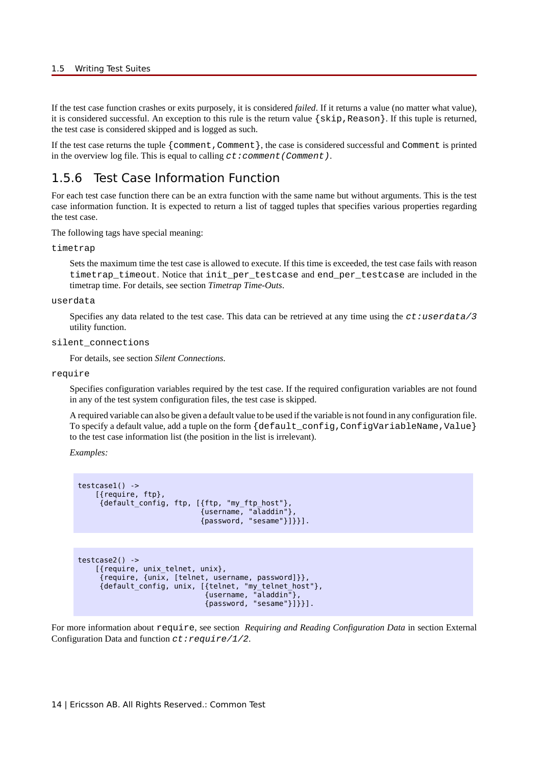If the test case function crashes or exits purposely, it is considered *failed*. If it returns a value (no matter what value), it is considered successful. An exception to this rule is the return value  $\{skip$  skip, Reason $\}$ . If this tuple is returned, the test case is considered skipped and is logged as such.

If the test case returns the tuple  $\{\text{comment},\text{Comment}\}$ , the case is considered successful and Comment is printed in the overview log file. This is equal to calling  $ct:comment(Comment)$ .

### 1.5.6 Test Case Information Function

For each test case function there can be an extra function with the same name but without arguments. This is the test case information function. It is expected to return a list of tagged tuples that specifies various properties regarding the test case.

The following tags have special meaning:

timetrap

Sets the maximum time the test case is allowed to execute. If this time is exceeded, the test case fails with reason timetrap timeout. Notice that init per testcase and end per testcase are included in the timetrap time. For details, see section *Timetrap Time-Outs*.

userdata

Specifies any data related to the test case. This data can be retrieved at any time using the  $ct:userdata/3$ utility function.

silent connections

For details, see section *Silent Connections*.

require

Specifies configuration variables required by the test case. If the required configuration variables are not found in any of the test system configuration files, the test case is skipped.

A required variable can also be given a default value to be used if the variable is not found in any configuration file. To specify a default value, add a tuple on the form {default\_config,ConfigVariableName,Value} to the test case information list (the position in the list is irrelevant).

*Examples:*

```
 testcase1() -> 
   [{require, ftp},
     {default_config, ftp, [{ftp, "my_ftp_host"},
 {username, "aladdin"},
\{ {\sf password, \ "sesame"} \} \} \} \,.
```

```
 testcase2() -> 
     [{require, unix_telnet, unix},
      {require, {unix, [telnet, username, password]}},
      {default_config, unix, [{telnet, "my_telnet_host"},
 {username, "aladdin"},
\{ {\sf password, \ "sesame"} \} \} \} \,.
```
For more information about require, see section *Requiring and Reading Configuration Data* in section External Configuration Data and function  $ct:require/1/2$ .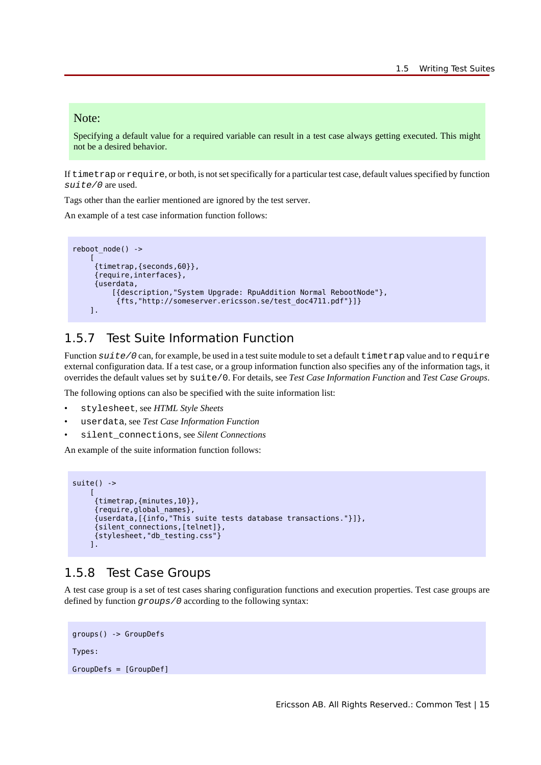#### Note:

Specifying a default value for a required variable can result in a test case always getting executed. This might not be a desired behavior.

If timetrap or require, or both, is not set specifically for a particular test case, default values specified by function suite/0 are used.

Tags other than the earlier mentioned are ignored by the test server.

An example of a test case information function follows:

```
reboot node() ->
    \sqrt{ } {timetrap,{seconds,60}},
      {require,interfaces},
      {userdata,
           [{description,"System Upgrade: RpuAddition Normal RebootNode"},
           {fts,"http://someserver.ericsson.se/test_doc4711.pdf"}]} 
     ].
```
### 1.5.7 Test Suite Information Function

Function  $suit/0$  can, for example, be used in a test suite module to set a default timetrap value and to require external configuration data. If a test case, or a group information function also specifies any of the information tags, it overrides the default values set by suite/0. For details, see *Test Case Information Function* and *Test Case Groups*.

The following options can also be specified with the suite information list:

- stylesheet, see *HTML Style Sheets*
- userdata, see *Test Case Information Function*
- silent\_connections, see *Silent Connections*

An example of the suite information function follows:

```
suit() ->
    \Gamma {timetrap,{minutes,10}},
      {require,global_names},
      {userdata,[{info,"This suite tests database transactions."}]},
      {silent_connections,[telnet]},
      {stylesheet,"db_testing.css"}
    \overline{1}.
```
### 1.5.8 Test Case Groups

A test case group is a set of test cases sharing configuration functions and execution properties. Test case groups are defined by function groups/0 according to the following syntax:

```
 groups() -> GroupDefs
 Types:
 GroupDefs = [GroupDef]
```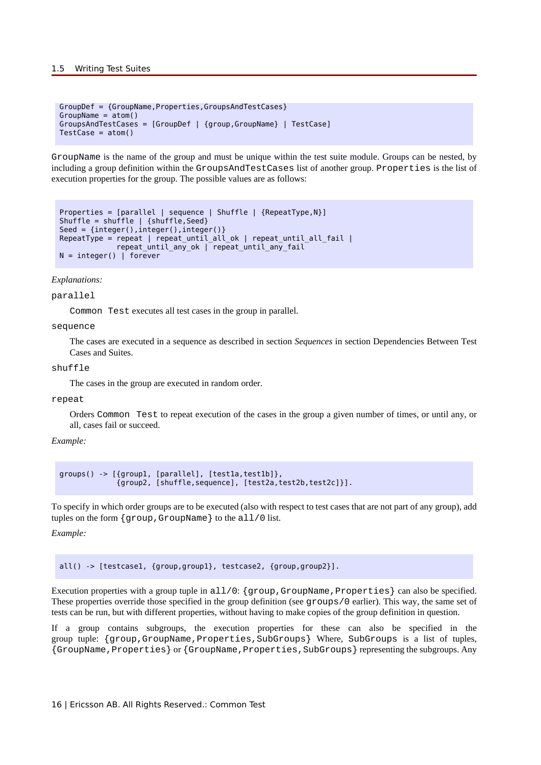```
 GroupDef = {GroupName,Properties,GroupsAndTestCases}
GroupName = atom() GroupsAndTestCases = [GroupDef | {group,GroupName} | TestCase]
TestCase = atom()
```
GroupName is the name of the group and must be unique within the test suite module. Groups can be nested, by including a group definition within the GroupsAndTestCases list of another group. Properties is the list of execution properties for the group. The possible values are as follows:

```
Properties = [parallel | sequence | Shuffle | {RepeatType, N}]
Shuffle = shuffle | {shifte,Seed}Seed = {integer(),integer(),integer()}
RepeatType = repeat | repeat_until_all_ok | repeat_until_all_fail |
             repeat until any ok | repeat until any fail
N = integer() | forever
```
#### *Explanations:*

#### parallel

Common Test executes all test cases in the group in parallel.

#### sequence

The cases are executed in a sequence as described in section *Sequences* in section Dependencies Between Test Cases and Suites.

#### shuffle

The cases in the group are executed in random order.

repeat

Orders Common Test to repeat execution of the cases in the group a given number of times, or until any, or all, cases fail or succeed.

*Example:*

 groups() -> [{group1, [parallel], [test1a,test1b]}, {group2, [shuffle,sequence], [test2a,test2b,test2c]}].

To specify in which order groups are to be executed (also with respect to test cases that are not part of any group), add tuples on the form {group, GroupName} to the all/0 list.

*Example:*

all() -> [testcase1, {group,group1}, testcase2, {group,group2}].

Execution properties with a group tuple in  $all/0$ : {group, GroupName, Properties} can also be specified. These properties override those specified in the group definition (see groups/0 earlier). This way, the same set of tests can be run, but with different properties, without having to make copies of the group definition in question.

If a group contains subgroups, the execution properties for these can also be specified in the group tuple: {group,GroupName,Properties,SubGroups} Where, SubGroups is a list of tuples, {GroupName,Properties} or {GroupName,Properties,SubGroups} representing the subgroups. Any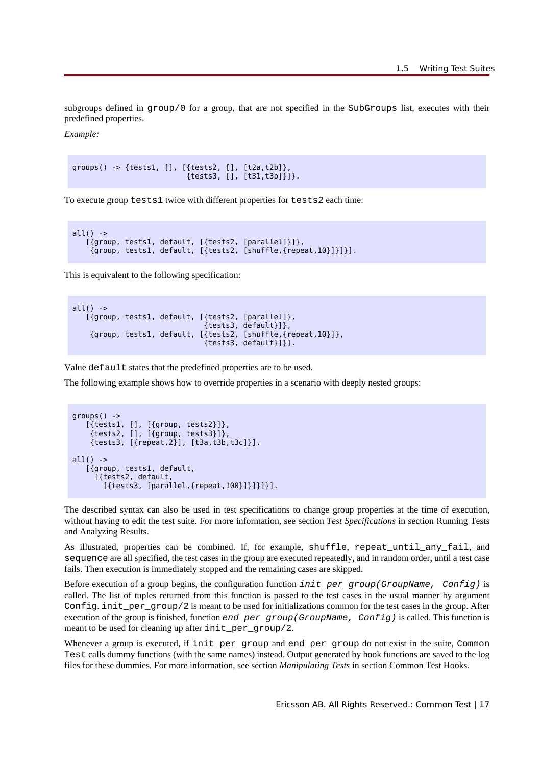subgroups defined in group/0 for a group, that are not specified in the SubGroups list, executes with their predefined properties.

*Example:*

```
 groups() -> {tests1, [], [{tests2, [], [t2a,t2b]},
                            {tests3, [], [t31,t3b]}]}.
```
To execute group tests1 twice with different properties for tests2 each time:

```
all() ->
    [{group, tests1, default, [{tests2, [parallel]}]},
     {group, tests1, default, [{tests2, [shuffle,{repeat,10}]}]}].
```
This is equivalent to the following specification:

```
all() ->
    [{group, tests1, default, [{tests2, [parallel]},
                                {tests3, default}]},
     {group, tests1, default, [{tests2, [shuffle,{repeat,10}]},
                                {tests3, default}]}].
```
Value default states that the predefined properties are to be used.

The following example shows how to override properties in a scenario with deeply nested groups:

```
 groups() ->
     [{tests1, [], [{group, tests2}]},
 {tests2, [], [{group, tests3}]},
 {tests3, [{repeat,2}], [t3a,t3b,t3c]}].
all() ->
     [{group, tests1, default, 
      [{tests2, default,
        [{tests3, [parallel,{repeat,100}]}]}]}].
```
The described syntax can also be used in test specifications to change group properties at the time of execution, without having to edit the test suite. For more information, see section *Test Specifications* in section Running Tests and Analyzing Results.

As illustrated, properties can be combined. If, for example, shuffle, repeat\_until\_any\_fail, and sequence are all specified, the test cases in the group are executed repeatedly, and in random order, until a test case fails. Then execution is immediately stopped and the remaining cases are skipped.

Before execution of a group begins, the configuration function  $init\_per\_group(GroupName, Config)$  is called. The list of tuples returned from this function is passed to the test cases in the usual manner by argument Config. init\_per\_group/2 is meant to be used for initializations common for the test cases in the group. After execution of the group is finished, function end per group(GroupName, Config) is called. This function is meant to be used for cleaning up after init\_per\_group/2.

Whenever a group is executed, if init\_per\_group and end\_per\_group do not exist in the suite, Common Test calls dummy functions (with the same names) instead. Output generated by hook functions are saved to the log files for these dummies. For more information, see section *Manipulating Tests* in section Common Test Hooks.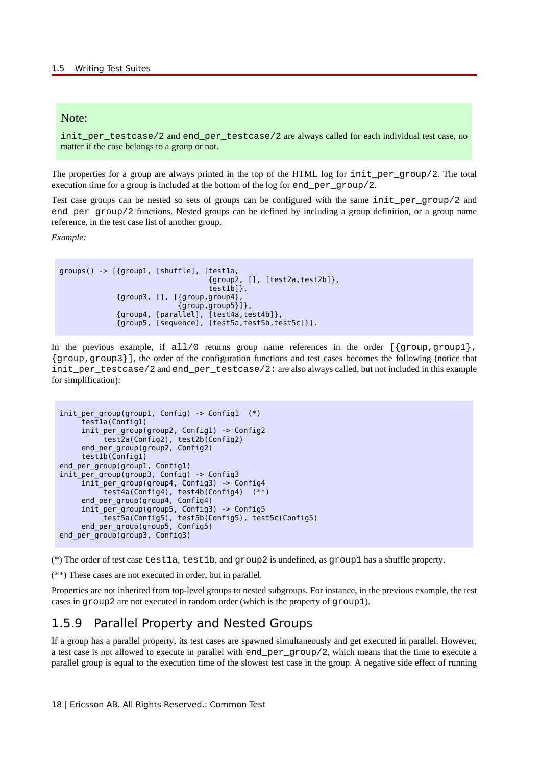#### Note:

init\_per\_testcase/2 and end\_per\_testcase/2 are always called for each individual test case, no matter if the case belongs to a group or not.

The properties for a group are always printed in the top of the HTML log for init\_per\_group/2. The total execution time for a group is included at the bottom of the log for end  $per$  group/2.

Test case groups can be nested so sets of groups can be configured with the same init per group/2 and end per group/2 functions. Nested groups can be defined by including a group definition, or a group name reference, in the test case list of another group.

*Example:*

```
 groups() -> [{group1, [shuffle], [test1a,
                                   {group2, [], [test2a,test2b]},
                                  test1b]},
              {group3, [], [{group,group4},
\{group, group5\}]\} , \{group, group5\} {group4, [parallel], [test4a,test4b]},
              {group5, [sequence], [test5a,test5b,test5c]}].
```
In the previous example, if  $all/0$  returns group name references in the order  $\{\{\text{group},\text{group}\},\text{group}\}$ , {group,group3}], the order of the configuration functions and test cases becomes the following (notice that init per testcase/2 and end per testcase/2: are also always called, but not included in this example for simplification):

```
init per group(group1, Config) -> Config1 (*) test1a(Config1)
      init_per_group(group2, Config1) -> Config2
           test2a(Config2), test2b(Config2)
      end_per_group(group2, Config2)
      test1b(Config1)
 end_per_group(group1, Config1) 
init per group(group3, Config) -> Config3
     init per group(group4, Config3) -> Config4
           test4a(Config4), test4b(Config4) (**)
      end_per_group(group4, Config4)
      init_per_group(group5, Config3) -> Config5
           test5a(Config5), test5b(Config5), test5c(Config5)
      end_per_group(group5, Config5)
 end_per_group(group3, Config3)
```
(\*) The order of test case test1a, test1b, and group2 is undefined, as group1 has a shuffle property.

(\*\*) These cases are not executed in order, but in parallel.

Properties are not inherited from top-level groups to nested subgroups. For instance, in the previous example, the test cases in group2 are not executed in random order (which is the property of group1).

### 1.5.9 Parallel Property and Nested Groups

If a group has a parallel property, its test cases are spawned simultaneously and get executed in parallel. However, a test case is not allowed to execute in parallel with end\_per\_group/2, which means that the time to execute a parallel group is equal to the execution time of the slowest test case in the group. A negative side effect of running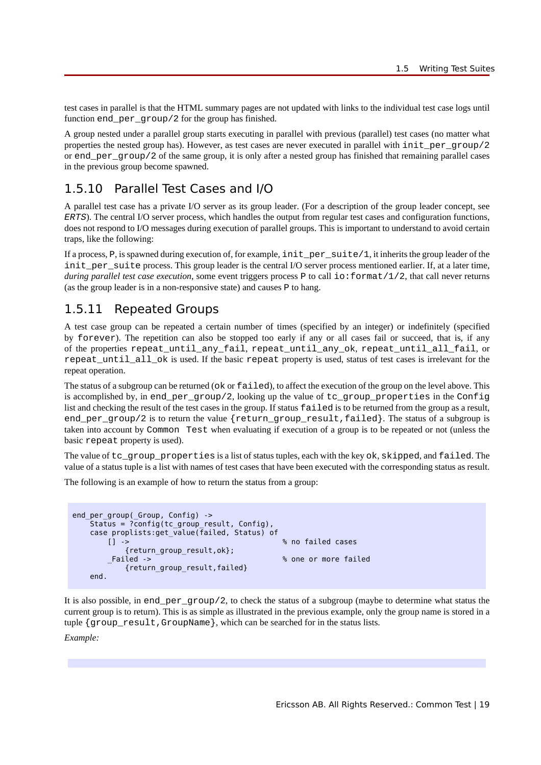test cases in parallel is that the HTML summary pages are not updated with links to the individual test case logs until function end per group/2 for the group has finished.

A group nested under a parallel group starts executing in parallel with previous (parallel) test cases (no matter what properties the nested group has). However, as test cases are never executed in parallel with init\_per\_group/2 or end  $per\ qroup/2$  of the same group, it is only after a nested group has finished that remaining parallel cases in the previous group become spawned.

### 1.5.10 Parallel Test Cases and I/O

A parallel test case has a private I/O server as its group leader. (For a description of the group leader concept, see ERTS). The central I/O server process, which handles the output from regular test cases and configuration functions, does not respond to I/O messages during execution of parallel groups. This is important to understand to avoid certain traps, like the following:

If a process, P, is spawned during execution of, for example, init\_per\_suite/1, it inherits the group leader of the init per suite process. This group leader is the central I/O server process mentioned earlier. If, at a later time, *during parallel test case execution*, some event triggers process P to call io:format/1/2, that call never returns (as the group leader is in a non-responsive state) and causes P to hang.

### 1.5.11 Repeated Groups

A test case group can be repeated a certain number of times (specified by an integer) or indefinitely (specified by forever). The repetition can also be stopped too early if any or all cases fail or succeed, that is, if any of the properties repeat\_until\_any\_fail, repeat\_until\_any\_ok, repeat\_until\_all\_fail, or repeat\_until\_all\_ok is used. If the basic repeat property is used, status of test cases is irrelevant for the repeat operation.

The status of a subgroup can be returned (ok or failed), to affect the execution of the group on the level above. This is accomplished by, in end\_per\_group/2, looking up the value of tc\_group\_properties in the Config list and checking the result of the test cases in the group. If status failed is to be returned from the group as a result, end\_per\_group/2 is to return the value {return\_group\_result, failed}. The status of a subgroup is taken into account by Common Test when evaluating if execution of a group is to be repeated or not (unless the basic repeat property is used).

The value of tc\_group\_properties is a list of status tuples, each with the key ok, skipped, and failed. The value of a status tuple is a list with names of test cases that have been executed with the corresponding status as result.

The following is an example of how to return the status from a group:

```
end per group( Group, Config) ->
        \overline{S}tatus = ?config(tc group result, Config),
        case proplists:get value(failed, Status) of
                \begin{bmatrix} 1 & -5 & 0 & 0 \\ 0 & -5 & 0 & 0 \\ 0 & 0 & 0 & 0 \\ 0 & 0 & 0 & 0 \\ 0 & 0 & 0 & 0 \\ 0 & 0 & 0 & 0 \\ 0 & 0 & 0 & 0 \\ 0 & 0 & 0 & 0 \\ 0 & 0 & 0 & 0 \\ 0 & 0 & 0 & 0 \\ 0 & 0 & 0 & 0 \\ 0 & 0 & 0 & 0 \\ 0 & 0 & 0 & 0 & 0 \\ 0 & 0 & 0 & 0 & 0 \\ 0 & 0 & 0 & 0 & 0 \\ 0 & 0 & 0 & 0 & 0 \\ 0 & 0 & 0 &  {return_group_result,ok};
                                                                                                   % one or more failed
                         {return_group_result,failed}
         end.
```
It is also possible, in end\_per\_group/2, to check the status of a subgroup (maybe to determine what status the current group is to return). This is as simple as illustrated in the previous example, only the group name is stored in a tuple  $\{\text{group result},\text{GroupName}\}$ , which can be searched for in the status lists.

*Example:*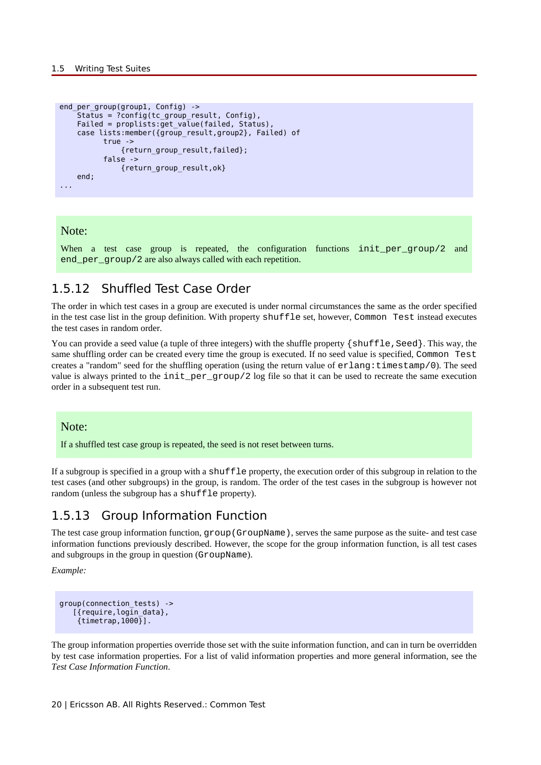```
 end_per_group(group1, Config) ->
    \overline{S}tatus = ?config(tc group result, Config),
    Failed = proplists: get_value(failed, Status)
     case lists:member({group_result,group2}, Failed) of
            true ->
                {return_group_result,failed};
           false ->
                {return_group_result,ok}
     end; 
 ...
```
#### Note:

When a test case group is repeated, the configuration functions init\_per\_group/2 and end\_per\_group/2 are also always called with each repetition.

### 1.5.12 Shuffled Test Case Order

The order in which test cases in a group are executed is under normal circumstances the same as the order specified in the test case list in the group definition. With property shuffle set, however, Common Test instead executes the test cases in random order.

You can provide a seed value (a tuple of three integers) with the shuffle property  $\{\text{shuffle},\text{Seed}\}$ . This way, the same shuffling order can be created every time the group is executed. If no seed value is specified, Common Test creates a "random" seed for the shuffling operation (using the return value of erlang:timestamp/0). The seed value is always printed to the init\_per\_group/2 log file so that it can be used to recreate the same execution order in a subsequent test run.

#### Note:

If a shuffled test case group is repeated, the seed is not reset between turns.

If a subgroup is specified in a group with a shuffle property, the execution order of this subgroup in relation to the test cases (and other subgroups) in the group, is random. The order of the test cases in the subgroup is however not random (unless the subgroup has a shuffle property).

### 1.5.13 Group Information Function

The test case group information function, group(GroupName), serves the same purpose as the suite- and test case information functions previously described. However, the scope for the group information function, is all test cases and subgroups in the group in question (GroupName).

*Example:*

```
 group(connection_tests) ->
   [{require, login_data},
     {timetrap,1000}].
```
The group information properties override those set with the suite information function, and can in turn be overridden by test case information properties. For a list of valid information properties and more general information, see the *Test Case Information Function*.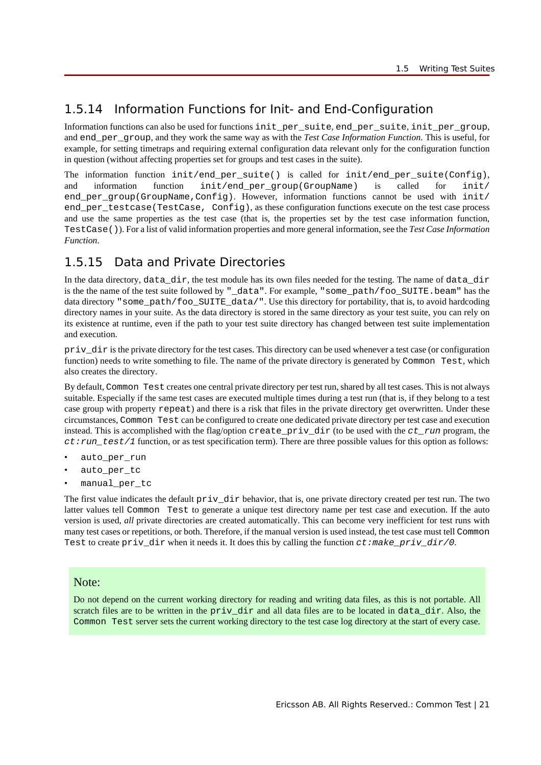## 1.5.14 Information Functions for Init- and End-Configuration

Information functions can also be used for functions init\_per\_suite, end\_per\_suite, init\_per\_group, and end\_per\_group, and they work the same way as with the *Test Case Information Function*. This is useful, for example, for setting timetraps and requiring external configuration data relevant only for the configuration function in question (without affecting properties set for groups and test cases in the suite).

The information function init/end per suite() is called for init/end per suite(Config), and information function init/end per group(GroupName) is called for init/ end\_per\_group(GroupName,Config). However, information functions cannot be used with init/ end\_per\_testcase(TestCase, Config), as these configuration functions execute on the test case process and use the same properties as the test case (that is, the properties set by the test case information function, TestCase()). For a list of valid information properties and more general information, see the *Test Case Information Function*.

### 1.5.15 Data and Private Directories

In the data directory, data\_dir, the test module has its own files needed for the testing. The name of data\_dir is the the name of the test suite followed by "\_data". For example, "some\_path/foo\_SUITE.beam" has the data directory "some\_path/foo\_SUITE\_data/". Use this directory for portability, that is, to avoid hardcoding directory names in your suite. As the data directory is stored in the same directory as your test suite, you can rely on its existence at runtime, even if the path to your test suite directory has changed between test suite implementation and execution.

priv\_dir is the private directory for the test cases. This directory can be used whenever a test case (or configuration function) needs to write something to file. The name of the private directory is generated by Common Test, which also creates the directory.

By default, Common Test creates one central private directory per test run, shared by all test cases. This is not always suitable. Especially if the same test cases are executed multiple times during a test run (that is, if they belong to a test case group with property repeat) and there is a risk that files in the private directory get overwritten. Under these circumstances, Common Test can be configured to create one dedicated private directory per test case and execution instead. This is accomplished with the flag/option create\_priv\_dir (to be used with the ct\_run program, the ct:run\_test/1 function, or as test specification term). There are three possible values for this option as follows:

- auto per run
- auto\_per\_tc
- manual per tc

The first value indicates the default priv\_dir behavior, that is, one private directory created per test run. The two latter values tell Common Test to generate a unique test directory name per test case and execution. If the auto version is used, *all* private directories are created automatically. This can become very inefficient for test runs with many test cases or repetitions, or both. Therefore, if the manual version is used instead, the test case must tell Common Test to create priv dir when it needs it. It does this by calling the function  $ct:$  make priv  $dir/0$ .

#### Note:

Do not depend on the current working directory for reading and writing data files, as this is not portable. All scratch files are to be written in the priv\_dir and all data files are to be located in data\_dir. Also, the Common Test server sets the current working directory to the test case log directory at the start of every case.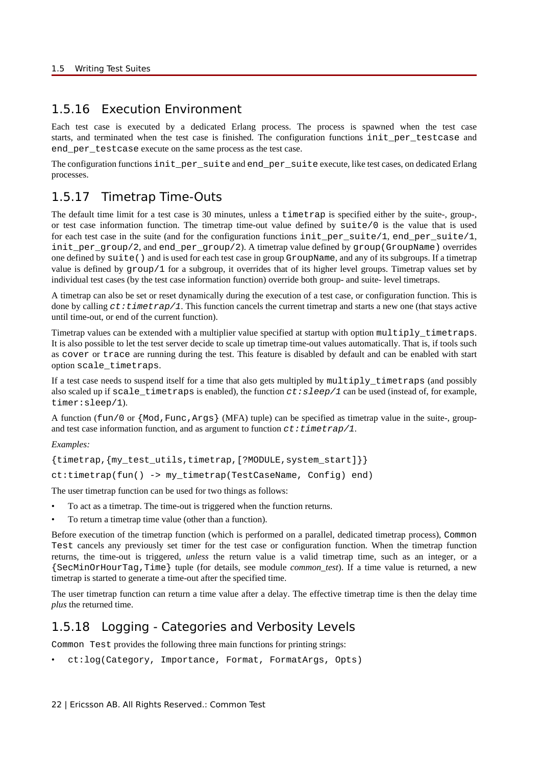### 1.5.16 Execution Environment

Each test case is executed by a dedicated Erlang process. The process is spawned when the test case starts, and terminated when the test case is finished. The configuration functions init\_per\_testcase and end per testcase execute on the same process as the test case.

The configuration functions init\_per\_suite and end\_per\_suite execute, like test cases, on dedicated Erlang processes.

### 1.5.17 Timetrap Time-Outs

The default time limit for a test case is 30 minutes, unless a timetrap is specified either by the suite-, group-, or test case information function. The timetrap time-out value defined by suite/0 is the value that is used for each test case in the suite (and for the configuration functions init per suite/1, end per suite/1, init per group/2, and end per  $qroup/2$ ). A timetrap value defined by  $qroup(GroupName)$  overrides one defined by suite() and is used for each test case in group GroupName, and any of its subgroups. If a timetrap value is defined by group/1 for a subgroup, it overrides that of its higher level groups. Timetrap values set by individual test cases (by the test case information function) override both group- and suite- level timetraps.

A timetrap can also be set or reset dynamically during the execution of a test case, or configuration function. This is done by calling  $ct:timetrap/1$ . This function cancels the current timetrap and starts a new one (that stays active until time-out, or end of the current function).

Timetrap values can be extended with a multiplier value specified at startup with option multiply\_timetraps. It is also possible to let the test server decide to scale up timetrap time-out values automatically. That is, if tools such as cover or trace are running during the test. This feature is disabled by default and can be enabled with start option scale\_timetraps.

If a test case needs to suspend itself for a time that also gets multipled by multiply\_timetraps (and possibly also scaled up if scale timetraps is enabled), the function  $ct:sleep/1$  can be used (instead of, for example, timer:sleep/1).

A function ( $fun/0$  or  ${Mod$ , Func, Args  ${MFA}$ ) tuple) can be specified as timetrap value in the suite-, groupand test case information function, and as argument to function  $ct:timetrap/1$ .

*Examples:*

{timetrap,{my\_test\_utils,timetrap,[?MODULE,system\_start]}}

ct:timetrap(fun() -> my\_timetrap(TestCaseName, Config) end)

The user timetrap function can be used for two things as follows:

- To act as a timetrap. The time-out is triggered when the function returns.
- To return a timetrap time value (other than a function).

Before execution of the timetrap function (which is performed on a parallel, dedicated timetrap process), Common Test cancels any previously set timer for the test case or configuration function. When the timetrap function returns, the time-out is triggered, *unless* the return value is a valid timetrap time, such as an integer, or a {SecMinOrHourTag,Time} tuple (for details, see module *common\_test*). If a time value is returned, a new timetrap is started to generate a time-out after the specified time.

The user timetrap function can return a time value after a delay. The effective timetrap time is then the delay time *plus* the returned time.

### 1.5.18 Logging - Categories and Verbosity Levels

Common Test provides the following three main functions for printing strings:

• ct:log(Category, Importance, Format, FormatArgs, Opts)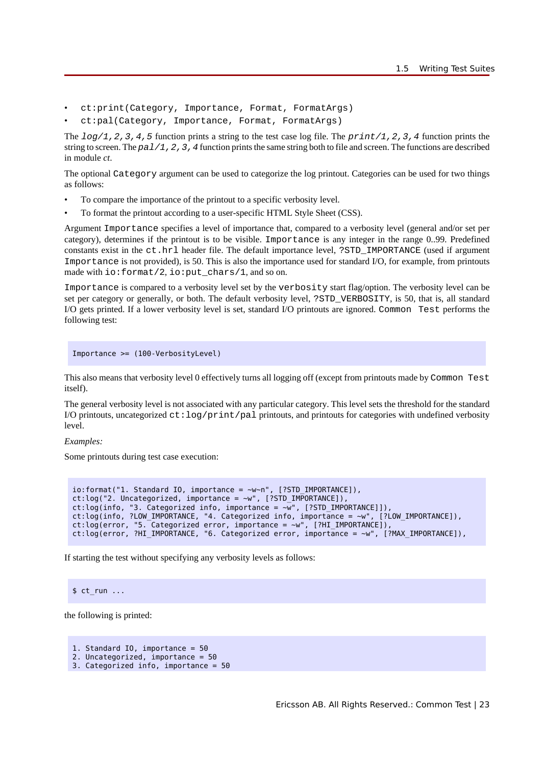- ct:print(Category, Importance, Format, FormatArgs)
- ct:pal(Category, Importance, Format, FormatArgs)

The  $log/1, 2, 3, 4, 5$  function prints a string to the test case log file. The  $print/1, 2, 3, 4$  function prints the string to screen. The pal/1,2,3,4 function prints the same string both to file and screen. The functions are described in module *ct*.

The optional Category argument can be used to categorize the log printout. Categories can be used for two things as follows:

- To compare the importance of the printout to a specific verbosity level.
- To format the printout according to a user-specific HTML Style Sheet (CSS).

Argument Importance specifies a level of importance that, compared to a verbosity level (general and/or set per category), determines if the printout is to be visible. Importance is any integer in the range 0..99. Predefined constants exist in the ct.hrl header file. The default importance level, ?STD\_IMPORTANCE (used if argument Importance is not provided), is 50. This is also the importance used for standard I/O, for example, from printouts made with io: format/2, io: put\_chars/1, and so on.

Importance is compared to a verbosity level set by the verbosity start flag/option. The verbosity level can be set per category or generally, or both. The default verbosity level, ?STD\_VERBOSITY, is 50, that is, all standard I/O gets printed. If a lower verbosity level is set, standard I/O printouts are ignored. Common Test performs the following test:

Importance >= (100-VerbosityLevel)

This also means that verbosity level 0 effectively turns all logging off (except from printouts made by Common Test itself).

The general verbosity level is not associated with any particular category. This level sets the threshold for the standard I/O printouts, uncategorized  $ct:$ log/print/pal printouts, and printouts for categories with undefined verbosity level.

*Examples:*

Some printouts during test case execution:

```
 io:format("1. Standard IO, importance = ~w~n", [?STD_IMPORTANCE]),
 ct:log("2. Uncategorized, importance = ~w", [?STD_IMPORTANCE]),
ct:log(int6, "3. Categoricaling in 6, importance = ~w", [?STD_IMPORTANCE]]), ct:log(info, ?LOW_IMPORTANCE, "4. Categorized info, importance = ~w", [?LOW_IMPORTANCE]),
ct:log(error, "5. Categorized error, importance = \sim w", [?HI_IMPORTANCE]),
ct:log(error, ?HIIMPORTANCE, "6. Categorical error, importance = ~w", [?MAX IMPORTANCE]),
```
If starting the test without specifying any verbosity levels as follows:

 $$ ct run ...$ 

the following is printed:

```
 1. Standard IO, importance = 50
```

```
 2. Uncategorized, importance = 50
```

```
 3. Categorized info, importance = 50
```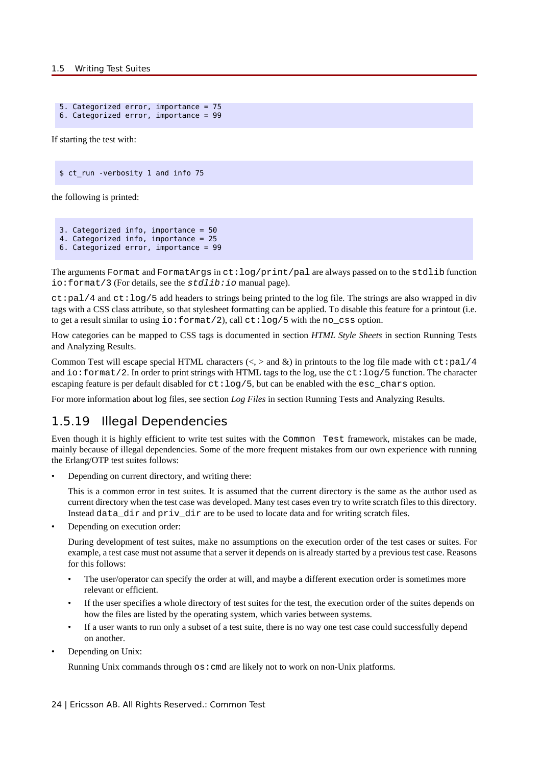```
 5. Categorized error, importance = 75
 6. Categorized error, importance = 99
```
If starting the test with:

```
 $ ct_run -verbosity 1 and info 75
```
the following is printed:

```
 3. Categorized info, importance = 50
 4. Categorized info, importance = 25
 6. Categorized error, importance = 99
```
The arguments Format and FormatArgs in ct:log/print/pal are always passed on to the stdlib function io:format/3 (For details, see the stdlib:io manual page).

 $ct:pal/4$  and  $ct:Log/5$  add headers to strings being printed to the log file. The strings are also wrapped in div tags with a CSS class attribute, so that stylesheet formatting can be applied. To disable this feature for a printout (i.e. to get a result similar to using  $i \circ$ : format/2), call  $ct$ :  $\log/5$  with the no css option.

How categories can be mapped to CSS tags is documented in section *HTML Style Sheets* in section Running Tests and Analyzing Results.

Common Test will escape special HTML characters  $(<, >$  and  $\&$ ) in printouts to the log file made with  $ct:$  pal/4 and io: format/2. In order to print strings with HTML tags to the log, use the  $ct:log/5$  function. The character escaping feature is per default disabled for  $ct:log/5$ , but can be enabled with the esc\_chars option.

For more information about log files, see section *Log Files* in section Running Tests and Analyzing Results.

### 1.5.19 Illegal Dependencies

Even though it is highly efficient to write test suites with the Common Test framework, mistakes can be made, mainly because of illegal dependencies. Some of the more frequent mistakes from our own experience with running the Erlang/OTP test suites follows:

• Depending on current directory, and writing there:

This is a common error in test suites. It is assumed that the current directory is the same as the author used as current directory when the test case was developed. Many test cases even try to write scratch files to this directory. Instead data\_dir and priv\_dir are to be used to locate data and for writing scratch files.

Depending on execution order:

During development of test suites, make no assumptions on the execution order of the test cases or suites. For example, a test case must not assume that a server it depends on is already started by a previous test case. Reasons for this follows:

- The user/operator can specify the order at will, and maybe a different execution order is sometimes more relevant or efficient.
- If the user specifies a whole directory of test suites for the test, the execution order of the suites depends on how the files are listed by the operating system, which varies between systems.
- If a user wants to run only a subset of a test suite, there is no way one test case could successfully depend on another.
- Depending on Unix:

Running Unix commands through  $\circ s:$  cmd are likely not to work on non-Unix platforms.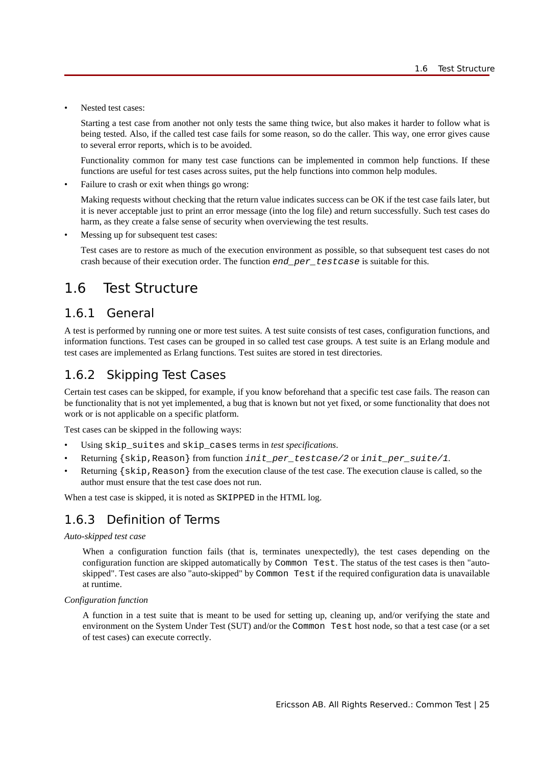Nested test cases:

Starting a test case from another not only tests the same thing twice, but also makes it harder to follow what is being tested. Also, if the called test case fails for some reason, so do the caller. This way, one error gives cause to several error reports, which is to be avoided.

Functionality common for many test case functions can be implemented in common help functions. If these functions are useful for test cases across suites, put the help functions into common help modules.

Failure to crash or exit when things go wrong:

Making requests without checking that the return value indicates success can be OK if the test case fails later, but it is never acceptable just to print an error message (into the log file) and return successfully. Such test cases do harm, as they create a false sense of security when overviewing the test results.

Messing up for subsequent test cases:

Test cases are to restore as much of the execution environment as possible, so that subsequent test cases do not crash because of their execution order. The function end\_per\_testcase is suitable for this.

### 1.6 Test Structure

### 1.6.1 General

A test is performed by running one or more test suites. A test suite consists of test cases, configuration functions, and information functions. Test cases can be grouped in so called test case groups. A test suite is an Erlang module and test cases are implemented as Erlang functions. Test suites are stored in test directories.

### 1.6.2 Skipping Test Cases

Certain test cases can be skipped, for example, if you know beforehand that a specific test case fails. The reason can be functionality that is not yet implemented, a bug that is known but not yet fixed, or some functionality that does not work or is not applicable on a specific platform.

Test cases can be skipped in the following ways:

- Using skip\_suites and skip\_cases terms in *test specifications*.
- Returning {skip, Reason} from function init\_per\_testcase/2 or init\_per\_suite/1.
- Returning {skip, Reason} from the execution clause of the test case. The execution clause is called, so the author must ensure that the test case does not run.

When a test case is skipped, it is noted as SKIPPED in the HTML log.

### 1.6.3 Definition of Terms

#### *Auto-skipped test case*

When a configuration function fails (that is, terminates unexpectedly), the test cases depending on the configuration function are skipped automatically by Common Test. The status of the test cases is then "autoskipped". Test cases are also "auto-skipped" by Common Test if the required configuration data is unavailable at runtime.

#### *Configuration function*

A function in a test suite that is meant to be used for setting up, cleaning up, and/or verifying the state and environment on the System Under Test (SUT) and/or the Common Test host node, so that a test case (or a set of test cases) can execute correctly.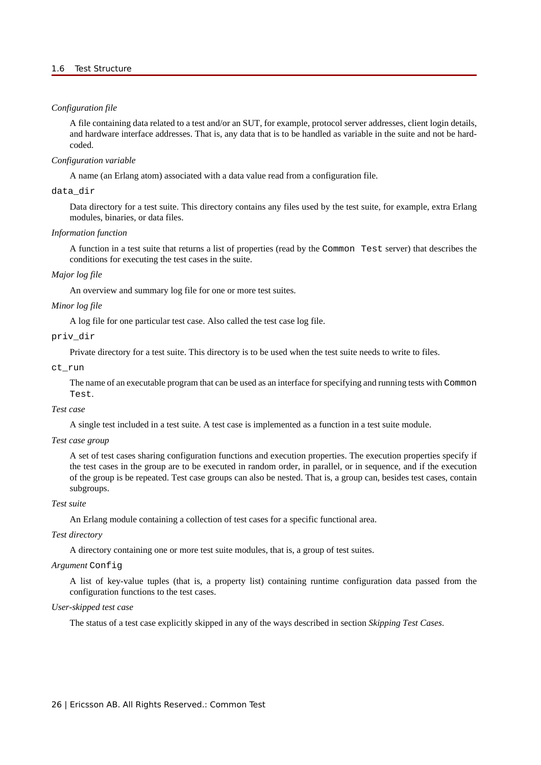#### 1.6 Test Structure

#### *Configuration file*

A file containing data related to a test and/or an SUT, for example, protocol server addresses, client login details, and hardware interface addresses. That is, any data that is to be handled as variable in the suite and not be hardcoded.

#### *Configuration variable*

A name (an Erlang atom) associated with a data value read from a configuration file.

#### data\_dir

Data directory for a test suite. This directory contains any files used by the test suite, for example, extra Erlang modules, binaries, or data files.

#### *Information function*

A function in a test suite that returns a list of properties (read by the Common Test server) that describes the conditions for executing the test cases in the suite.

#### *Major log file*

An overview and summary log file for one or more test suites.

#### *Minor log file*

A log file for one particular test case. Also called the test case log file.

#### priv\_dir

Private directory for a test suite. This directory is to be used when the test suite needs to write to files.

#### ct\_run

The name of an executable program that can be used as an interface for specifying and running tests with Common Test.

#### *Test case*

A single test included in a test suite. A test case is implemented as a function in a test suite module.

#### *Test case group*

A set of test cases sharing configuration functions and execution properties. The execution properties specify if the test cases in the group are to be executed in random order, in parallel, or in sequence, and if the execution of the group is be repeated. Test case groups can also be nested. That is, a group can, besides test cases, contain subgroups.

#### *Test suite*

An Erlang module containing a collection of test cases for a specific functional area.

#### *Test directory*

A directory containing one or more test suite modules, that is, a group of test suites.

#### *Argument* Config

A list of key-value tuples (that is, a property list) containing runtime configuration data passed from the configuration functions to the test cases.

#### *User-skipped test case*

The status of a test case explicitly skipped in any of the ways described in section *Skipping Test Cases*.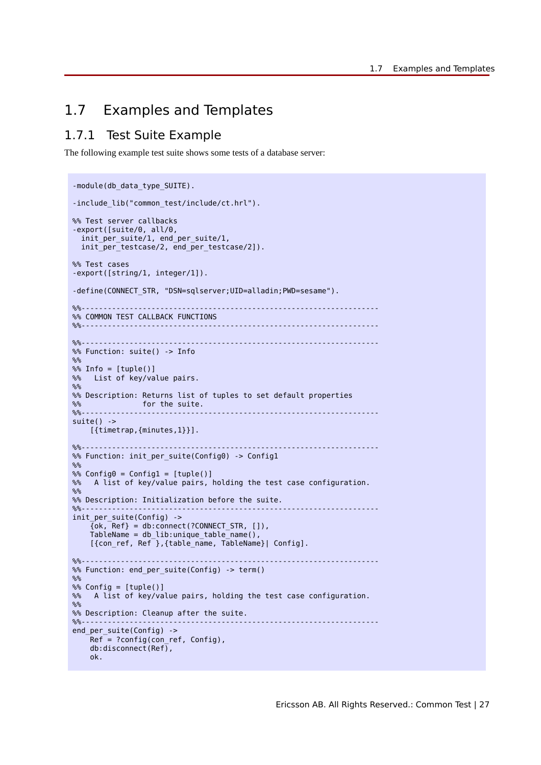# 1.7 Examples and Templates

### 1.7.1 Test Suite Example

The following example test suite shows some tests of a database server:

```
-module(db data type SUITE).
 -include_lib("common_test/include/ct.hrl").
 %% Test server callbacks
 -export([suite/0, all/0, 
   init_per_suite/1, end_per_suite/1,
  init per testcase/2, end per testcase/2]).
 %% Test cases
 -export([string/1, integer/1]).
-define(CONNECT STR, "DSN=sqlserver;UID=alladin;PWD=sesame").
 %%--------------------------------------------------------------------
 %% COMMON TEST CALLBACK FUNCTIONS
 %%--------------------------------------------------------------------
 %%--------------------------------------------------------------------
 %% Function: suite() -> Info
%% Info = [tuple()] %% List of key/value pairs.
چو
%% Description: Returns list of tuples to set default properties<br>%% Sesay for the suite.
 %% for the suite.
                                    %%--------------------------------------------------------------------
suit() ->
      [{timetrap,{minutes,1}}]. 
 %%--------------------------------------------------------------------
 %% Function: init_per_suite(Config0) -> Config1
% 2<sup>6</sup>%% Config0 = Config1 = [tuple()]
 %% A list of key/value pairs, holding the test case configuration.
% %% Description: Initialization before the suite.
 %%--------------------------------------------------------------------
 init_per_suite(Config) -> 
     \overline{\text{6}}k, \overline{\text{Ref}} = db:connect(?CONNECT_STR, []),
     TableName = db lib:unique table name(),
     [{con_ref, Ref<sup>-</sup>}, {table_name, TableName}| Config].
 %%--------------------------------------------------------------------
 %% Function: end_per_suite(Config) -> term()
% %% Config = [tuple()]
 %% A list of key/value pairs, holding the test case configuration.
22 %% Description: Cleanup after the suite.
 %%--------------------------------------------------------------------
 end_per_suite(Config) -> 
    Ref = ?config(con_ref, Config),db:disconnect(Ref), ok.
```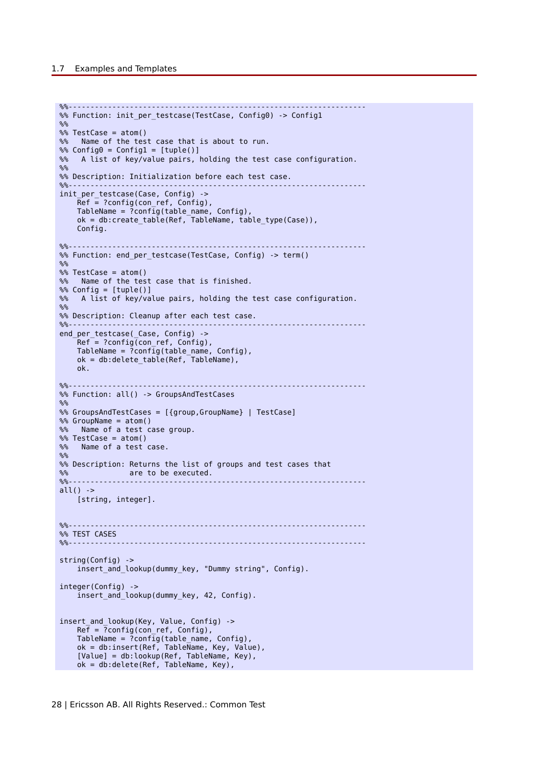```
 %%--------------------------------------------------------------------
 %% Function: init_per_testcase(TestCase, Config0) -> Config1
% %% TestCase = atom()
 %% Name of the test case that is about to run.
%% Config0 = Config1 = [tuple()] %% A list of key/value pairs, holding the test case configuration.
 %%
%% Description: Initialization before each test case.
 %%--------------------------------------------------------------------
 init_per_testcase(Case, Config) ->
    Ref = ?config(con_ref, Config),TableName = ?config(table_name, Config),
     ok = db:create_table(Ref, TableName, table_type(Case)),
     Config.
 %%--------------------------------------------------------------------
%% Function: end per testcase(TestCase, Config) -> term()
 %%
 %% TestCase = atom()
 %% Name of the test case that is finished.
 %% Config = [tuple()]
 %% A list of key/value pairs, holding the test case configuration.
 %%
 %% Description: Cleanup after each test case.
 %%--------------------------------------------------------------------
end per testcase( Case, Config) ->
    Ref = ?config(con-ref, Config), TableName = ?config(table_name, Config),
     ok = db:delete_table(Ref, TableName), 
     ok. 
 %%--------------------------------------------------------------------
 %% Function: all() -> GroupsAndTestCases
 %%
 %% GroupsAndTestCases = [{group,GroupName} | TestCase]
 %% GroupName = atom()
%% Name of a test case group.
 %% TestCase = atom()
 %% Name of a test case.
%%% Description: Returns the list of groups and test cases that<br>%% are to be executed.
       Executed. are to be executed.
% - - - - - - - - -all() ->
     [string, integer]. 
 %%--------------------------------------------------------------------
 %% TEST CASES
 %%--------------------------------------------------------------------
 string(Config) -> 
     insert_and_lookup(dummy_key, "Dummy string", Config).
 integer(Config) -> 
     insert_and_lookup(dummy_key, 42, Config).
insert and lookup(Key, Value, Config) ->
    Ref = 7config(con_ref, Config),
 TableName = ?config(table_name, Config),
 ok = db:insert(Ref, TableName, Key, Value),
     [Value] = db:lookup(Ref, TableName, Key),
     ok = db:delete(Ref, TableName, Key),
```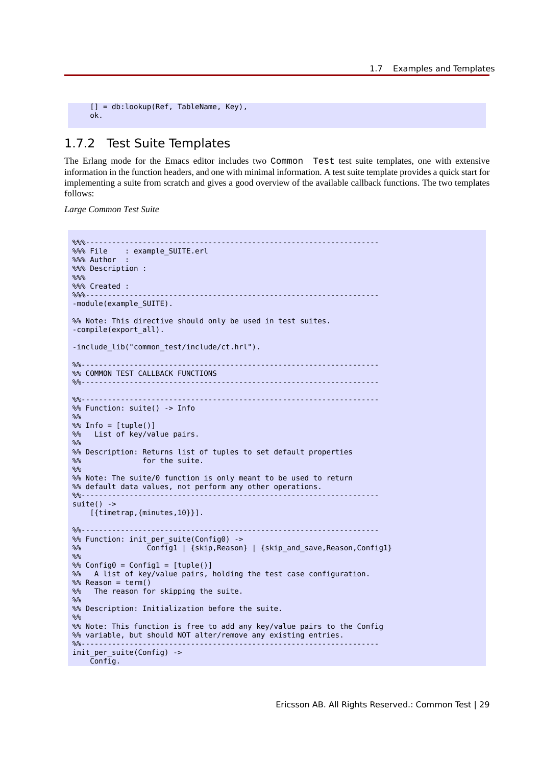$[$ ] = db:lookup(Ref, TableName, Key), ok.

### 1.7.2 Test Suite Templates

The Erlang mode for the Emacs editor includes two Common Test test suite templates, one with extensive information in the function headers, and one with minimal information. A test suite template provides a quick start for implementing a suite from scratch and gives a good overview of the available callback functions. The two templates follows:

*Large Common Test Suite*

```
 %%%-------------------------------------------------------------------
 %%% File : example_SUITE.erl
 %%% Author : 
%% Description :
%% %%% Created : 
 %%%-------------------------------------------------------------------
 -module(example_SUITE).
 %% Note: This directive should only be used in test suites.
 -compile(export_all).
-include lib("common test/include/ct.hrl").
 %%--------------------------------------------------------------------
 %% COMMON TEST CALLBACK FUNCTIONS
 %%--------------------------------------------------------------------
 %%--------------------------------------------------------------------
 %% Function: suite() -> Info
%% Info = [tuple()] %% List of key/value pairs.
 %%
%% Description: Returns list of tuples to set default properties<br>%% for the suite.
                  for the suite.
% \frac{1}{6} %% Note: The suite/0 function is only meant to be used to return
 %% default data values, not perform any other operations.
 %%--------------------------------------------------------------------
suit() ->
      [{timetrap,{minutes,10}}].
\frac{96}{60}--------
 %% Function: init_per_suite(Config0) ->
                   Config1 | {skip, Reason} | {skip and save, Reason, Config1}
% %% Config0 = Config1 = [tuple()]
 %% A list of key/value pairs, holding the test case configuration.
 %% Reason = term()
     The reason for skipping the suite.
 %%
 %% Description: Initialization before the suite.
 %%
 %% Note: This function is free to add any key/value pairs to the Config
%% variable, but should NOT alter/remove any existing entries.
 %%--------------------------------------------------------------------
 init_per_suite(Config) ->
      Config.
```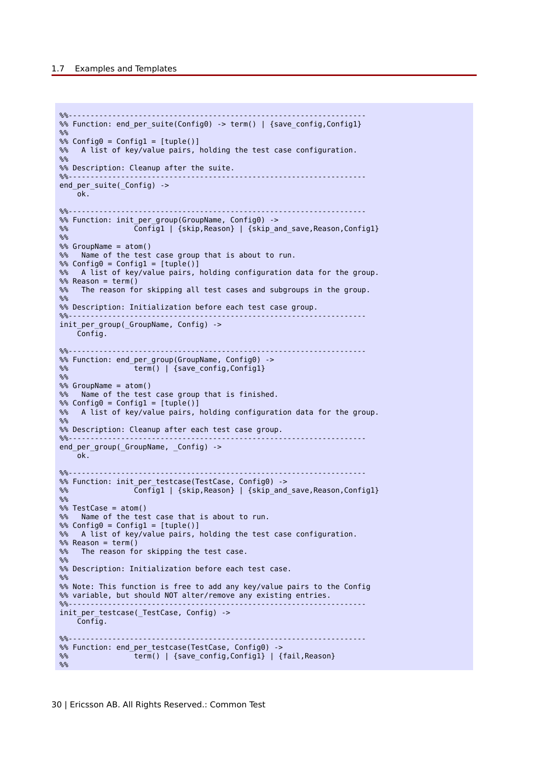```
 %%--------------------------------------------------------------------
%% Function: end per suite(Config0) -> term() | {save config,Config1}
 %%
 %% Config0 = Config1 = [tuple()]
 %% A list of key/value pairs, holding the test case configuration.
 %%
 %% Description: Cleanup after the suite.
                                               %%--------------------------------------------------------------------
end per suite( Config) ->
     ok.
 %%--------------------------------------------------------------------
 %% Function: init_per_group(GroupName, Config0) ->
% Config1 | {skip, Reason} | {skip_and_save, Reason, Config1}
 %%
%% GroupName = atom()<br>%% Name of the test
     Name of the test case group that is about to run.
 %% Config0 = Config1 = [tuple()]
 %% A list of key/value pairs, holding configuration data for the group.
 %% Reason = term()
 %% The reason for skipping all test cases and subgroups in the group.
 %%
 %% Description: Initialization before each test case group.
 %%--------------------------------------------------------------------
 init_per_group(_GroupName, Config) ->
      Config.
 %%--------------------------------------------------------------------
 %% Function: end_per_group(GroupName, Config0) ->
 %% term() | {save_config,Config1}
 %%
 %% GroupName = atom()
 %% Name of the test case group that is finished.
%% Config0 = Config1 = [tuple()]
 %% A list of key/value pairs, holding configuration data for the group.
 %%
 %% Description: Cleanup after each test case group.
 %%--------------------------------------------------------------------
 end_per_group(_GroupName, _Config) ->
     ok.
 %%--------------------------------------------------------------------
 %% Function: init_per_testcase(TestCase, Config0) ->
                  Config1 | {skip,Reason} | {skip_and_save,Reason,Config1}
 %%
 %% TestCase = atom()
 %% Name of the test case that is about to run.
%% Config0 = Config1 = [tuple()]
 %% A list of key/value pairs, holding the test case configuration.
 %% Reason = term()
 %% The reason for skipping the test case.
 %%
 %% Description: Initialization before each test case.
% %% Note: This function is free to add any key/value pairs to the Config
 %% variable, but should NOT alter/remove any existing entries.
 %%--------------------------------------------------------------------
 init_per_testcase(_TestCase, Config) ->
      Config.
 %%--------------------------------------------------------------------
%% Function: end_per_testcase(TestCase, Config0) -><br>ferm() | {save_config_Config1} | {i
                  \boxed{\mathsf{term}}() | {save_config, Config1} | {fail, Reason}
% <sub>8</sub>
```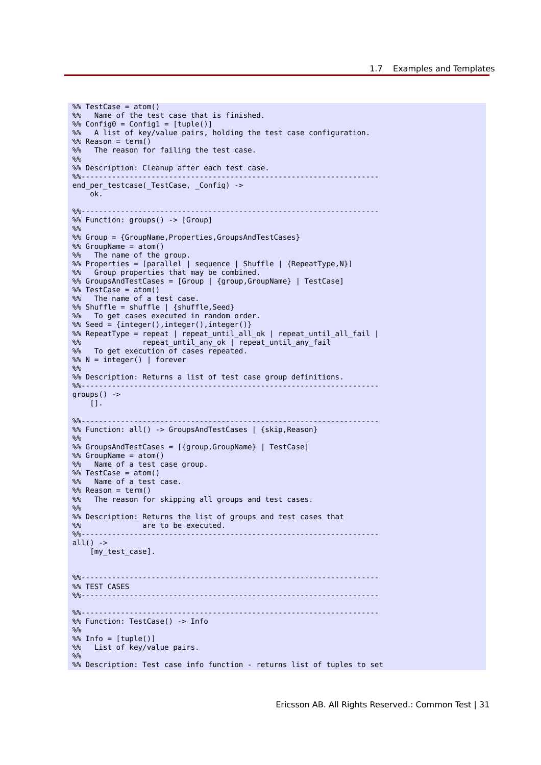```
 %% TestCase = atom()
%% Name of the test case that is finished.
 %% Config0 = Config1 = [tuple()]
 %% A list of key/value pairs, holding the test case configuration.
 %% Reason = term()
 %% The reason for failing the test case.
22 %% Description: Cleanup after each test case.
 %%--------------------------------------------------------------------
end per testcase( TestCase, Config) ->
     ok.
 %%--------------------------------------------------------------------
 %% Function: groups() -> [Group]
 %%
 %% Group = {GroupName,Properties,GroupsAndTestCases}
%% GroupName = atom()<br>%% The name of the
     The name of the group.
%% Properties = [parallel | sequence | Shuffle | {RepeatType, N}]
 %% Group properties that may be combined.
 %% GroupsAndTestCases = [Group | {group,GroupName} | TestCase]
 %% TestCase = atom()
 %% The name of a test case.
 %% Shuffle = shuffle | {shuffle,Seed}
 %% To get cases executed in random order.
 %% Seed = {integer(),integer(),integer()}
%% RepeatType = repeat | repeat_until_all_ok | repeat_until_all_fail | %% | repeat until any fail | %
                 repeat_until_any_ok | repeat_until_any_fail
%% To get execution of cases repeated.
 %% N = integer() | forever
% %% Description: Returns a list of test case group definitions.
                  %%--------------------------------------------------------------------
qroups() ->
    \Box %%--------------------------------------------------------------------
 %% Function: all() -> GroupsAndTestCases | {skip,Reason}
%S^{\circ} %% GroupsAndTestCases = [{group,GroupName} | TestCase]
 %% GroupName = atom()
 %% Name of a test case group.
 %% TestCase = atom()
 %% Name of a test case.
 %% Reason = term()
 %% The reason for skipping all groups and test cases.
%%% Description: Returns the list of groups and test cases that<br>%% are to be executed.
 %% are to be executed.
                                       %%--------------------------------------------------------------------
all() ->
      [my_test_case].
 %%--------------------------------------------------------------------
 %% TEST CASES
 %%--------------------------------------------------------------------
 %%--------------------------------------------------------------------
 %% Function: TestCase() -> Info
%S %% Info = [tuple()]
    List of key/value pairs.
 %%
 %% Description: Test case info function - returns list of tuples to set
```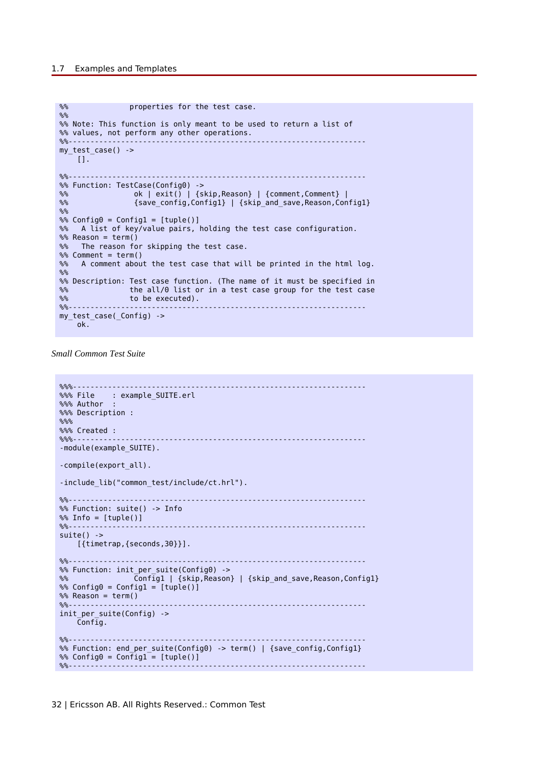```
 %% properties for the test case.
 %%
 %% Note: This function is only meant to be used to return a list of
%% values, not perform any other operations.
 %%--------------------------------------------------------------------
 my_test_case() -> 
    \Box %%--------------------------------------------------------------------
 %% Function: TestCase(Config0) ->
 %% ok | exit() | {skip,Reason} | {comment,Comment} |
 %% {save_config,Config1} | {skip_and_save,Reason,Config1}
 %%
%% Config0 = Config1 = [tuple()]
 %% A list of key/value pairs, holding the test case configuration.
 %% Reason = term()
 %% The reason for skipping the test case.
 %% Comment = term()
%% A comment about the test case that will be printed in the html log.
 %%
 %% Description: Test case function. (The name of it must be specified in
 %% the all/0 list or in a test case group for the test case
 %% to be executed).
 %%--------------------------------------------------------------------
 my_test_case(_Config) -> 
     ok.
```
*Small Common Test Suite*

```
 %%%-------------------------------------------------------------------
 %%% File : example_SUITE.erl
 %%% Author : 
%% Description :
 %%%
%%% Created :<br>%%%----------
 %%%-------------------------------------------------------------------
 -module(example_SUITE).
 -compile(export_all).
-include lib("common test/include/ct.hrl").
 %%--------------------------------------------------------------------
 %% Function: suite() -> Info
%% Info = [tuple()]\n% %%--------------------------------------------------------------------
suit() ->
     [{timetrap,{seconds,30}}].
 %%--------------------------------------------------------------------
 %% Function: init_per_suite(Config0) ->
                 Config1 | {skip, Reason} | {skip_and_save, Reason, Config1}
%% Config0 = Config1 = [tuple()] %% Reason = term()
 %%--------------------------------------------------------------------
init per suite(Config) ->
    \overline{\text{Confia}}.
 %%--------------------------------------------------------------------
 %% Function: end_per_suite(Config0) -> term() | {save_config,Config1}
 %% Config0 = Config1 = [tuple()]
 %%--------------------------------------------------------------------
```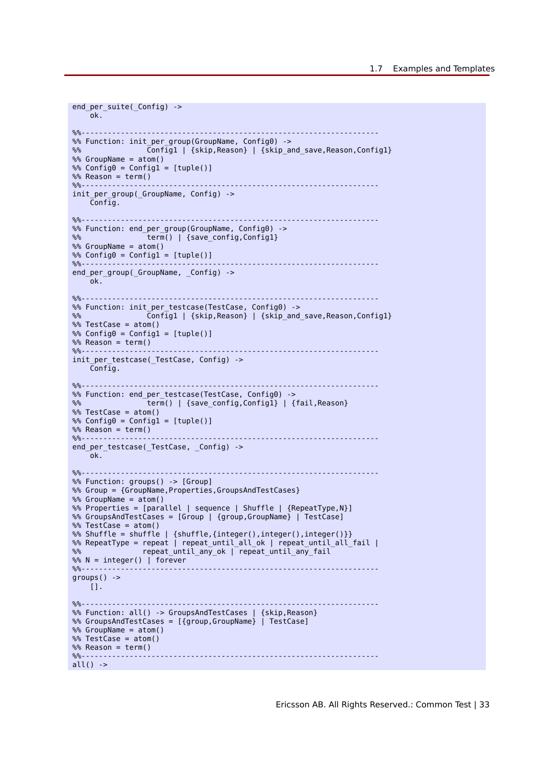```
 end_per_suite(_Config) ->
      ok.
 %%--------------------------------------------------------------------
 %% Function: init_per_group(GroupName, Config0) ->
 %% Config1 | {skip,Reason} | {skip_and_save,Reason,Config1}
 %% GroupName = atom()
%% Config0 = Config1 = [tuple()]
% Reason = term()
 %%--------------------------------------------------------------------
 init_per_group(_GroupName, Config) ->
      Config.
 %%--------------------------------------------------------------------
 %% Function: end_per_group(GroupName, Config0) ->
 %% term() | {save_config,Config1}
 %% GroupName = atom()
 %% Config0 = Config1 = [tuple()]
                                           %%--------------------------------------------------------------------
 end_per_group(_GroupName, _Config) ->
     ok.
 %%--------------------------------------------------------------------
 %% Function: init_per_testcase(TestCase, Config0) ->
%% Config1 | {skip, Reason} | {skip_and_save, Reason, Config1}
 %% TestCase = atom()
%% Config0 = Config1 = [tuple()]
%% Reason = term()<br>%%-----------------
                                              %%--------------------------------------------------------------------
 init_per_testcase(_TestCase, Config) ->
      Config.
 %%--------------------------------------------------------------------
%% Function: end_per_testcase(TestCase, Config0) -><br>%% ferm() | {save config,Config1} | {1}
                   term() | {save_config,Config1} | {fail, Reason}
 %% TestCase = atom()
%% Config0 = Config1 = [tuple()]
 %% Reason = term()
 %%--------------------------------------------------------------------
 end_per_testcase(_TestCase, _Config) ->
     ok.
 %%--------------------------------------------------------------------
 %% Function: groups() -> [Group]
%% Group = {GroupName, Properties, GroupsAndTestCases}
 %% GroupName = atom()
%% Properties = [parallel | sequence | Shuffle | {RepeatType, N}]
 %% GroupsAndTestCases = [Group | {group,GroupName} | TestCase]
 %% TestCase = atom()
%% Shuffle = shuffle | {shuffle, {integer(), integer(), integer()}}
%% RepeatType = repeat | repeat_until_all_ok | repeat_until_all_fail |
 %% repeat_until_any_ok | repeat_until_any_fail
%% N = integer() | forever<br>%%-------------------------
 %%--------------------------------------------------------------------
groups() \rightarrow\Box %%--------------------------------------------------------------------
 %% Function: all() -> GroupsAndTestCases | {skip,Reason}
 %% GroupsAndTestCases = [{group,GroupName} | TestCase]
 %% GroupName = atom()
 %% TestCase = atom()
%% Reason = term()
                                  %%--------------------------------------------------------------------
all() ->
```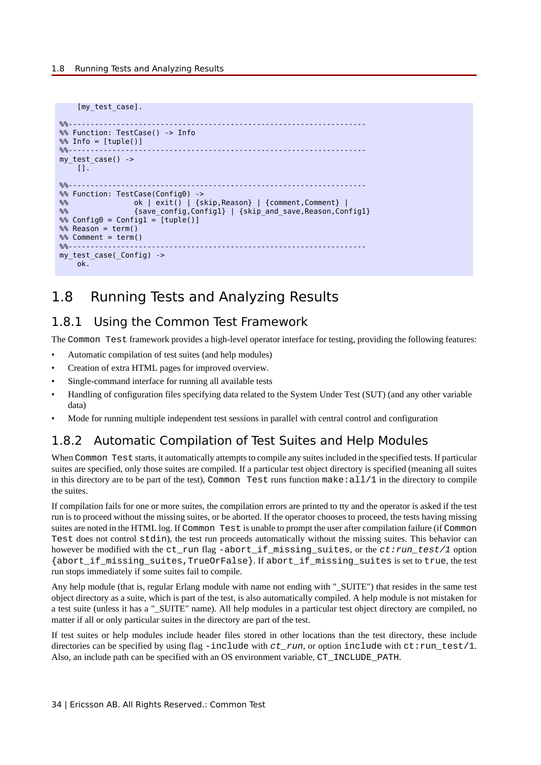```
 [my_test_case].
```

```
 %%--------------------------------------------------------------------
 %% Function: TestCase() -> Info
% Info = [tuple()] %%--------------------------------------------------------------------
 my_test_case() -> 
      [].
 %%--------------------------------------------------------------------
 %% Function: TestCase(Config0) ->
%         ok | exit() | {skip,Reason} | {comment,Comment} |<br>%           {save config,Config1} | {skip and save,Reason,Con
                       %% {save_config,Config1} | {skip_and_save,Reason,Config1}
%% Config0 = Config1 = [tuple()]
 %% Reason = term()
%% Comment = term()
 %%--------------------------------------------------------------------
my test case( Config) ->
      ok.
```
# 1.8 Running Tests and Analyzing Results

### 1.8.1 Using the Common Test Framework

The Common Test framework provides a high-level operator interface for testing, providing the following features:

- Automatic compilation of test suites (and help modules)
- Creation of extra HTML pages for improved overview.
- Single-command interface for running all available tests
- Handling of configuration files specifying data related to the System Under Test (SUT) (and any other variable data)
- Mode for running multiple independent test sessions in parallel with central control and configuration

### 1.8.2 Automatic Compilation of Test Suites and Help Modules

When Common Test starts, it automatically attempts to compile any suites included in the specified tests. If particular suites are specified, only those suites are compiled. If a particular test object directory is specified (meaning all suites in this directory are to be part of the test), Common Test runs function make: $all/1$  in the directory to compile the suites.

If compilation fails for one or more suites, the compilation errors are printed to tty and the operator is asked if the test run is to proceed without the missing suites, or be aborted. If the operator chooses to proceed, the tests having missing suites are noted in the HTML log. If Common Test is unable to prompt the user after compilation failure (if Common Test does not control stdin), the test run proceeds automatically without the missing suites. This behavior can however be modified with the ct\_run flag -abort\_if\_missing\_suites, or the *ct*:run\_test/1 option {abort if missing suites, TrueOrFalse}. If abort if missing suites is set to true, the test run stops immediately if some suites fail to compile.

Any help module (that is, regular Erlang module with name not ending with "\_SUITE") that resides in the same test object directory as a suite, which is part of the test, is also automatically compiled. A help module is not mistaken for a test suite (unless it has a "\_SUITE" name). All help modules in a particular test object directory are compiled, no matter if all or only particular suites in the directory are part of the test.

If test suites or help modules include header files stored in other locations than the test directory, these include directories can be specified by using flag -include with  $ct\_run$ , or option include with  $ct:run\_test/1$ . Also, an include path can be specified with an OS environment variable, CT\_INCLUDE\_PATH.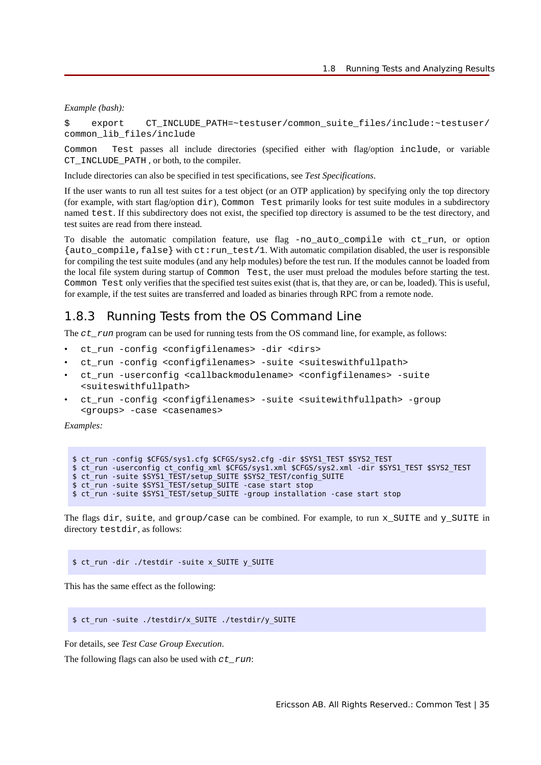*Example (bash):*

\$ export CT\_INCLUDE\_PATH=~testuser/common\_suite\_files/include:~testuser/ common\_lib\_files/include

Common Test passes all include directories (specified either with flag/option include, or variable CT\_INCLUDE\_PATH , or both, to the compiler.

Include directories can also be specified in test specifications, see *Test Specifications*.

If the user wants to run all test suites for a test object (or an OTP application) by specifying only the top directory (for example, with start flag/option dir), Common Test primarily looks for test suite modules in a subdirectory named test. If this subdirectory does not exist, the specified top directory is assumed to be the test directory, and test suites are read from there instead.

To disable the automatic compilation feature, use flag -no\_auto\_compile with ct\_run, or option {auto\_compile,false} with ct:run\_test/1. With automatic compilation disabled, the user is responsible for compiling the test suite modules (and any help modules) before the test run. If the modules cannot be loaded from the local file system during startup of Common Test, the user must preload the modules before starting the test. Common Test only verifies that the specified test suites exist (that is, that they are, or can be, loaded). This is useful, for example, if the test suites are transferred and loaded as binaries through RPC from a remote node.

## 1.8.3 Running Tests from the OS Command Line

The  $ct$  run program can be used for running tests from the OS command line, for example, as follows:

- ct\_run -config <configfilenames> -dir <dirs>
- ct\_run -config <configfilenames> -suite <suiteswithfullpath>
- ct\_run -userconfig <callbackmodulename> <configfilenames> -suite <suiteswithfullpath>
- ct\_run -config <configfilenames> -suite <suitewithfullpath> -group <groups> -case <casenames>

*Examples:*

```
 $ ct_run -config $CFGS/sys1.cfg $CFGS/sys2.cfg -dir $SYS1_TEST $SYS2_TEST
 $ ct_run -userconfig ct_config_xml $CFGS/sys1.xml $CFGS/sys2.xml -dir $SYS1_TEST $SYS2_TEST
 $ ct_run -suite $SYS1_TEST/setup_SUITE $SYS2_TEST/config_SUITE
 $ ct_run -suite $SYS1_TEST/setup_SUITE -case start stop
 $ ct_run -suite $SYS1_TEST/setup_SUITE -group installation -case start stop
```
The flags dir, suite, and group/case can be combined. For example, to run x\_SUITE and y\_SUITE in directory testdir, as follows:

\$ ct\_run -dir ./testdir -suite x\_SUITE y\_SUITE

This has the same effect as the following:

\$ ct\_run -suite ./testdir/x\_SUITE ./testdir/y\_SUITE

For details, see *Test Case Group Execution*.

The following flags can also be used with  $ct$ <sub>\_run</sub>: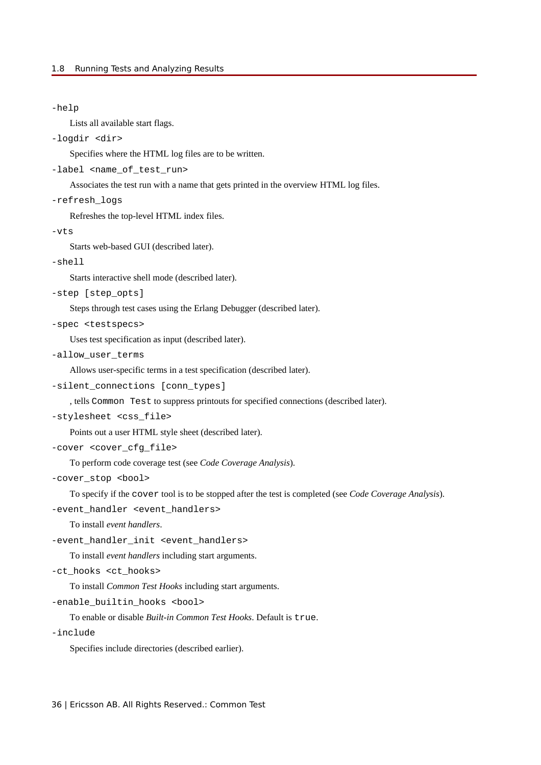#### -help

Lists all available start flags.

```
-logdir <dir>
```
Specifies where the HTML log files are to be written.

```
-label <name_of_test_run>
```
Associates the test run with a name that gets printed in the overview HTML log files.

```
-refresh_logs
```
Refreshes the top-level HTML index files.

```
-vts
```
Starts web-based GUI (described later).

#### -shell

Starts interactive shell mode (described later).

```
-step [step_opts]
```
Steps through test cases using the Erlang Debugger (described later).

```
-spec <testspecs>
```
Uses test specification as input (described later).

```
-allow_user_terms
```
Allows user-specific terms in a test specification (described later).

```
-silent_connections [conn_types]
```
, tells Common Test to suppress printouts for specified connections (described later).

```
-stylesheet <css_file>
```
Points out a user HTML style sheet (described later).

```
-cover <cover cfg file>
```
To perform code coverage test (see *Code Coverage Analysis*).

```
-cover_stop <bool>
```
To specify if the cover tool is to be stopped after the test is completed (see *Code Coverage Analysis*).

-event\_handler <event\_handlers>

To install *event handlers*.

-event handler init <event handlers>

To install *event handlers* including start arguments.

```
-ct_hooks <ct_hooks>
```
To install *Common Test Hooks* including start arguments.

-enable builtin hooks <bool>

To enable or disable *Built-in Common Test Hooks*. Default is true.

-include

Specifies include directories (described earlier).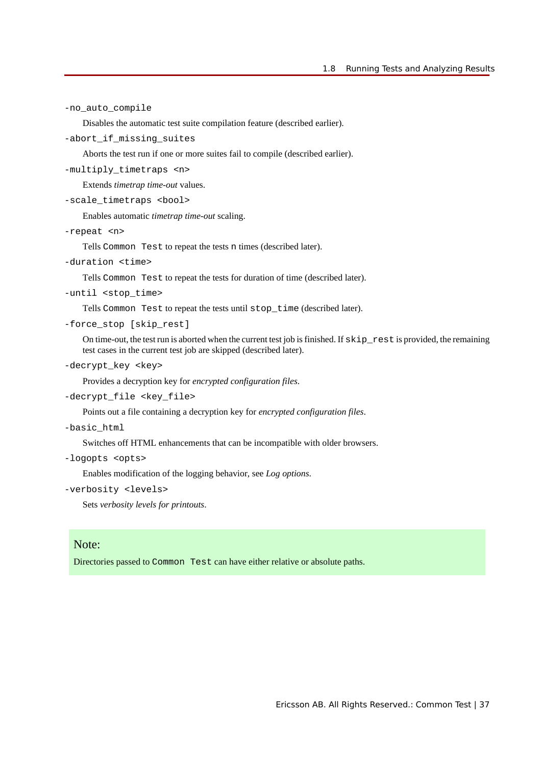-no\_auto\_compile

Disables the automatic test suite compilation feature (described earlier).

-abort\_if\_missing\_suites

Aborts the test run if one or more suites fail to compile (described earlier).

```
-multiply_timetraps <n>
```
Extends *timetrap time-out* values.

```
-scale_timetraps <bool>
```
Enables automatic *timetrap time-out* scaling.

```
-repeat <n>
```
Tells Common Test to repeat the tests n times (described later).

-duration <time>

Tells Common Test to repeat the tests for duration of time (described later).

```
-until <stop_time>
```
Tells Common Test to repeat the tests until stop\_time (described later).

```
-force_stop [skip_rest]
```
On time-out, the test run is aborted when the current test job is finished. If skip\_rest is provided, the remaining test cases in the current test job are skipped (described later).

```
-decrypt_key <key>
```
Provides a decryption key for *encrypted configuration files*.

```
-decrypt_file <key_file>
```
Points out a file containing a decryption key for *encrypted configuration files*.

#### -basic\_html

Switches off HTML enhancements that can be incompatible with older browsers.

```
-logopts <opts>
```
Enables modification of the logging behavior, see *Log options*.

```
-verbosity <levels>
```
Sets *verbosity levels for printouts*.

### Note:

Directories passed to Common Test can have either relative or absolute paths.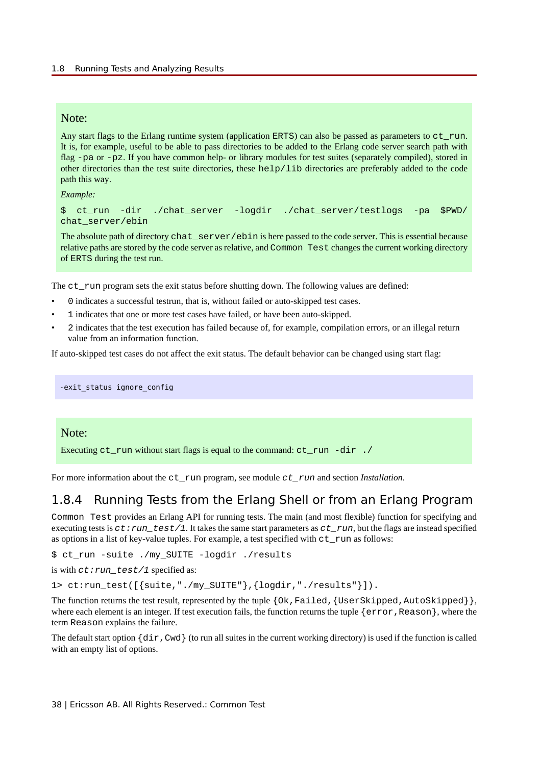### Note:

Any start flags to the Erlang runtime system (application ERTS) can also be passed as parameters to  $ct$  run. It is, for example, useful to be able to pass directories to be added to the Erlang code server search path with flag -pa or -pz. If you have common help- or library modules for test suites (separately compiled), stored in other directories than the test suite directories, these help/lib directories are preferably added to the code path this way.

*Example:*

```
$ ct_run -dir ./chat_server -logdir ./chat_server/testlogs -pa $PWD/
chat_server/ebin
```
The absolute path of directory chat server/ebin is here passed to the code server. This is essential because relative paths are stored by the code server as relative, and Common Test changes the current working directory of ERTS during the test run.

The ct\_run program sets the exit status before shutting down. The following values are defined:

- 0 indicates a successful testrun, that is, without failed or auto-skipped test cases.
- 1 indicates that one or more test cases have failed, or have been auto-skipped.
- 2 indicates that the test execution has failed because of, for example, compilation errors, or an illegal return value from an information function.

If auto-skipped test cases do not affect the exit status. The default behavior can be changed using start flag:

-exit\_status ignore\_config

### Note:

Executing  $ct$  run without start flags is equal to the command:  $ct$  run -dir ./

For more information about the  $ct$  run program, see module  $ct$  run and section *Installation*.

## 1.8.4 Running Tests from the Erlang Shell or from an Erlang Program

Common Test provides an Erlang API for running tests. The main (and most flexible) function for specifying and executing tests is  $ct:run\_test/1$ . It takes the same start parameters as  $ct\_run$ , but the flags are instead specified as options in a list of key-value tuples. For example, a test specified with ct\_run as follows:

\$ ct run -suite ./my SUITE -logdir ./results

is with  $ct:run\_test/1$  specified as:

1> ct:run\_test([{suite,"./my\_SUITE"},{logdir,"./results"}]).

The function returns the test result, represented by the tuple  $\{Ok, Failed, \{Userskipped, AutoSkipped\}\},\$ where each element is an integer. If test execution fails, the function returns the tuple  $\{error, Reason\}$ , where the term Reason explains the failure.

The default start option  $\{dir, Cwd\}$  (to run all suites in the current working directory) is used if the function is called with an empty list of options.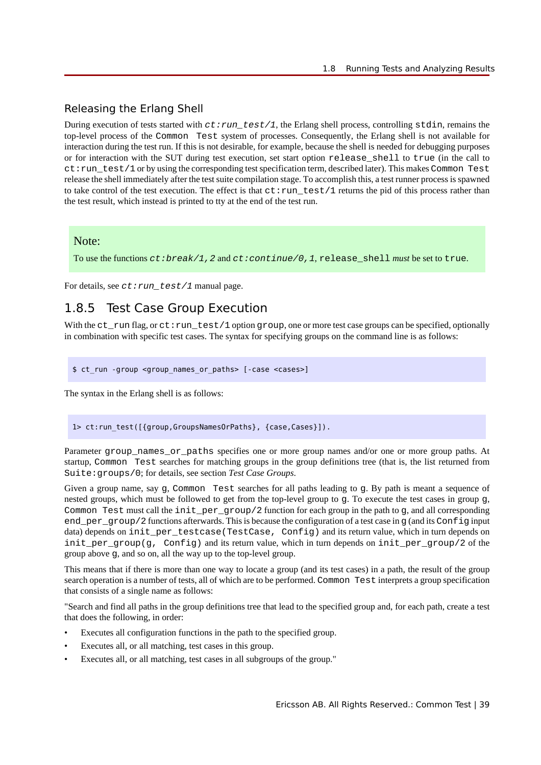### Releasing the Erlang Shell

During execution of tests started with  $ct:run$   $test/1$ , the Erlang shell process, controlling stdin, remains the top-level process of the Common Test system of processes. Consequently, the Erlang shell is not available for interaction during the test run. If this is not desirable, for example, because the shell is needed for debugging purposes or for interaction with the SUT during test execution, set start option release\_shell to true (in the call to ct:run\_test/1 or by using the corresponding test specification term, described later). This makes Common Test release the shell immediately after the test suite compilation stage. To accomplish this, a test runner process is spawned to take control of the test execution. The effect is that  $ct:run_test/1$  returns the pid of this process rather than the test result, which instead is printed to tty at the end of the test run.

#### Note:

To use the functions ct:break/1,2 and ct:continue/0,1, release\_shell *must* be set to true.

For details, see  $ct:run$   $test/1$  manual page.

## 1.8.5 Test Case Group Execution

With the ct\_run flag, or ct:run\_test/1 option group, one or more test case groups can be specified, optionally in combination with specific test cases. The syntax for specifying groups on the command line is as follows:

```
 $ ct_run -group <group_names_or_paths> [-case <cases>]
```
The syntax in the Erlang shell is as follows:

```
 1> ct:run_test([{group,GroupsNamesOrPaths}, {case,Cases}]).
```
Parameter group\_names\_or\_paths specifies one or more group names and/or one or more group paths. At startup, Common Test searches for matching groups in the group definitions tree (that is, the list returned from Suite:groups/0; for details, see section *Test Case Groups*.

Given a group name, say g, Common Test searches for all paths leading to g. By path is meant a sequence of nested groups, which must be followed to get from the top-level group to g. To execute the test cases in group g, Common Test must call the init\_per\_group/2 function for each group in the path to g, and all corresponding end\_per\_group/2 functions afterwards. This is because the configuration of a test case in g (and its Config input data) depends on init per testcase(TestCase, Config) and its return value, which in turn depends on init per group(g, Config) and its return value, which in turn depends on init per group/2 of the group above g, and so on, all the way up to the top-level group.

This means that if there is more than one way to locate a group (and its test cases) in a path, the result of the group search operation is a number of tests, all of which are to be performed. Common Test interprets a group specification that consists of a single name as follows:

"Search and find all paths in the group definitions tree that lead to the specified group and, for each path, create a test that does the following, in order:

- Executes all configuration functions in the path to the specified group.
- Executes all, or all matching, test cases in this group.
- Executes all, or all matching, test cases in all subgroups of the group."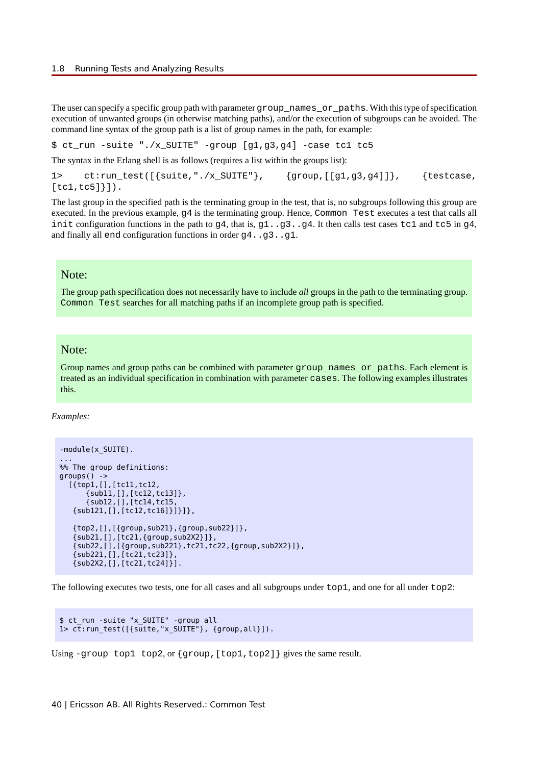The user can specify a specific group path with parameter group names or paths. With this type of specification execution of unwanted groups (in otherwise matching paths), and/or the execution of subgroups can be avoided. The command line syntax of the group path is a list of group names in the path, for example:

 $$ ct run -suit: "./x SUITE" -group [q1,q3,q4] -case tcl tcf"$ 

The syntax in the Erlang shell is as follows (requires a list within the groups list):

1> ct:run\_test( $[\{\text{suit}, \text{"./x_SUITE"}\}, \{\text{group}, [\text{g1},g3,g4]]\}, \{\text{testcase}, \text{g1,1}\}]$  $[tc1, tc5]]$ .

The last group in the specified path is the terminating group in the test, that is, no subgroups following this group are executed. In the previous example, g4 is the terminating group. Hence, Common Test executes a test that calls all init configuration functions in the path to g4, that is, g1..g3..g4. It then calls test cases tc1 and tc5 in g4, and finally all end configuration functions in order  $q4 \dots q3 \dots q1$ .

#### Note:

The group path specification does not necessarily have to include *all* groups in the path to the terminating group. Common Test searches for all matching paths if an incomplete group path is specified.

#### Note:

Group names and group paths can be combined with parameter group\_names\_or\_paths. Each element is treated as an individual specification in combination with parameter cases. The following examples illustrates this.

#### *Examples:*

```
 -module(x_SUITE).
 ...
 %% The group definitions: 
groups() -> [{top1,[],[tc11,tc12,
        {sub11,[],[tc12,tc13]},
        {sub12,[],[tc14,tc15,
    {sub121,[],[tc12,tc16]}]}]},
    {top2,[],[{group,sub21},{group,sub22}]},
     {sub21,[],[tc21,{group,sub2X2}]},
     {sub22,[],[{group,sub221},tc21,tc22,{group,sub2X2}]},
     {sub221,[],[tc21,tc23]},
    {sub2X2,[],[tc21,tc24]}].
```
The following executes two tests, one for all cases and all subgroups under top1, and one for all under top2:

```
 $ ct_run -suite "x_SUITE" -group all
1> c\bar{t}: run_test([{suite, "x_SUITE"}, {group, all}]).
```
Using -group top1 top2, or {group,[top1,top2]} gives the same result.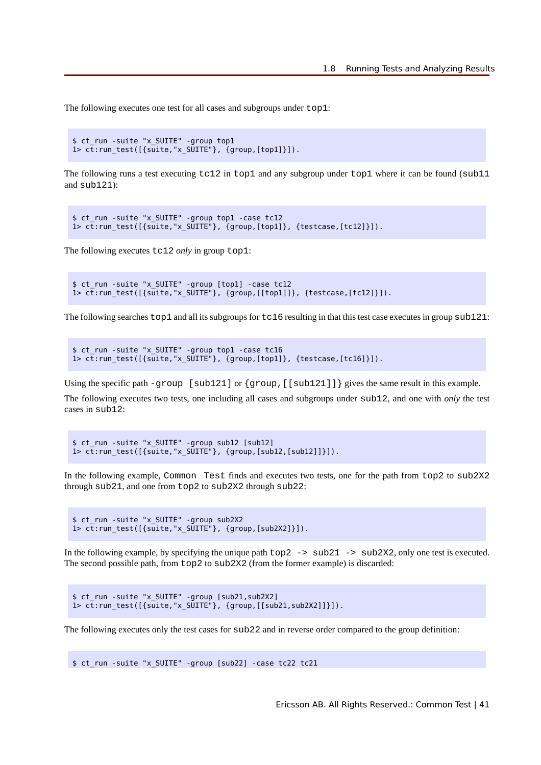The following executes one test for all cases and subgroups under top1:

```
 $ ct_run -suite "x_SUITE" -group top1
 1> ct:run_test([{suite,"x_SUITE"}, {group,[top1]}]).
```
The following runs a test executing tc12 in top1 and any subgroup under top1 where it can be found (sub11 and sub121):

```
 $ ct_run -suite "x_SUITE" -group top1 -case tc12
1> c\bar{t}:run_test([{suite,"x_SUITE"}, {group,[top1]}, {testcase,[tc12]}]).
```
The following executes tc12 *only* in group top1:

```
 $ ct_run -suite "x_SUITE" -group [top1] -case tc12
1> c\bar{t}:run_test([{suite,"x_SUITE"}, {group,[[top1]]}, {testcase,[tc12]}]).
```
The following searches top1 and all its subgroups for tc16 resulting in that this test case executes in group sub121:

```
$ ct run -suite "x_SUITE" -group top1 -case tc16
1> ct:run test([{suite,"x SUITE"}, {group,[top1]}, {testcase,[tc16]}]).
```
Using the specific path  $-\text{group}$  [sub121] or  $\{\text{group}$ , [[sub121]]} gives the same result in this example.

The following executes two tests, one including all cases and subgroups under sub12, and one with *only* the test cases in sub12:

```
 $ ct_run -suite "x_SUITE" -group sub12 [sub12]
1> c\bar{t}: run_test([{suite, "x_SUITE"}, {group, [sub12, [sub12]]}]).
```
In the following example, Common Test finds and executes two tests, one for the path from top2 to sub2X2 through sub21, and one from top2 to sub2X2 through sub22:

 \$ ct\_run -suite "x\_SUITE" -group sub2X2 1> ct:run\_test([{suite,"x\_SUITE"}, {group,[sub2X2]}]).

In the following example, by specifying the unique path top  $2 \rightarrow sub21 \rightarrow sub2X2$ , only one test is executed. The second possible path, from  $top2$  to  $sub2X2$  (from the former example) is discarded:

```
 $ ct_run -suite "x_SUITE" -group [sub21,sub2X2]
 1> ct:run_test([{suite,"x_SUITE"}, {group,[[sub21,sub2X2]]}]).
```
The following executes only the test cases for sub22 and in reverse order compared to the group definition:

\$ ct\_run -suite "x\_SUITE" -group [sub22] -case tc22 tc21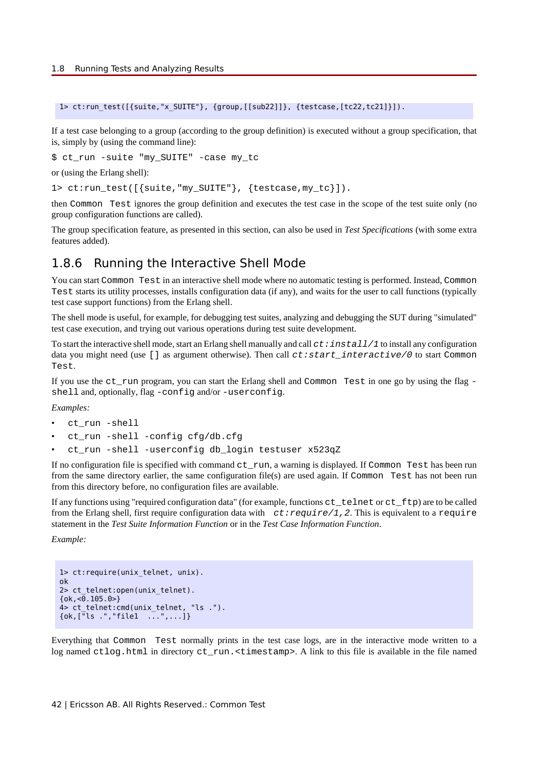1> ct:run\_test([{suite,"x\_SUITE"}, {group,[[sub22]]}, {testcase,[tc22,tc21]}]).

If a test case belonging to a group (according to the group definition) is executed without a group specification, that is, simply by (using the command line):

\$ ct\_run -suite "my\_SUITE" -case my\_tc

or (using the Erlang shell):

1> ct:run\_test([{suite,"my\_SUITE"}, {testcase,my\_tc}]).

then Common Test ignores the group definition and executes the test case in the scope of the test suite only (no group configuration functions are called).

The group specification feature, as presented in this section, can also be used in *Test Specifications* (with some extra features added).

## 1.8.6 Running the Interactive Shell Mode

You can start Common Test in an interactive shell mode where no automatic testing is performed. Instead, Common Test starts its utility processes, installs configuration data (if any), and waits for the user to call functions (typically test case support functions) from the Erlang shell.

The shell mode is useful, for example, for debugging test suites, analyzing and debugging the SUT during "simulated" test case execution, and trying out various operations during test suite development.

To start the interactive shell mode, start an Erlang shell manually and call  $ct:install/1$  to install any configuration data you might need (use [] as argument otherwise). Then call  $ct:start\_interactive/0$  to start Common Test.

If you use the ct\_run program, you can start the Erlang shell and Common Test in one go by using the flag shell and, optionally, flag -config and/or -userconfig.

*Examples:*

- ct run -shell
- ct\_run -shell -config cfg/db.cfg
- ct\_run -shell -userconfig db\_login testuser x523qZ

If no configuration file is specified with command ct\_run, a warning is displayed. If Common Test has been run from the same directory earlier, the same configuration file(s) are used again. If Common Test has not been run from this directory before, no configuration files are available.

If any functions using "required configuration data" (for example, functions ct\_telnet or ct\_ftp) are to be called from the Erlang shell, first require configuration data with  $ct:require/1,2$ . This is equivalent to a require statement in the *Test Suite Information Function* or in the *Test Case Information Function*.

*Example:*

```
 1> ct:require(unix_telnet, unix).
 ok
 2> ct_telnet:open(unix_telnet).
 {ok,<0.105.0>}
 4> ct_telnet:cmd(unix_telnet, "ls .").
 {ok,["ls .","file1 ...",...]}
```
Everything that Common Test normally prints in the test case logs, are in the interactive mode written to a log named ctlog.html in directory ct\_run.<timestamp>. A link to this file is available in the file named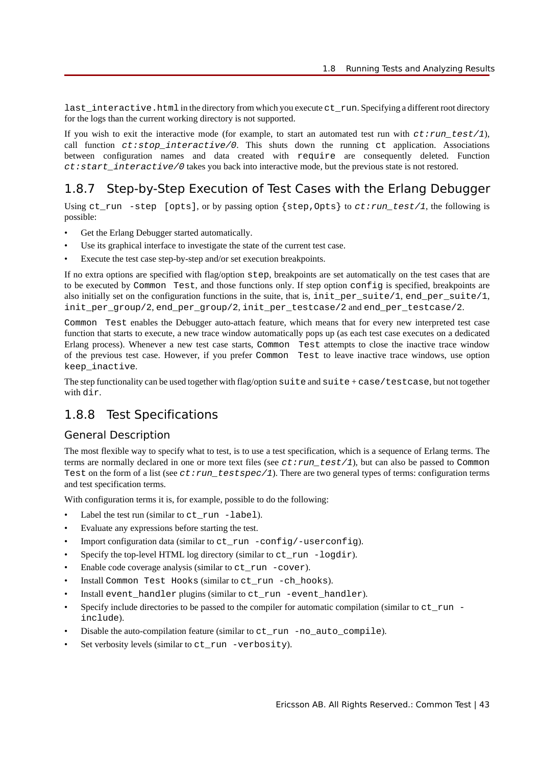last interactive.html in the directory from which you execute ct\_run. Specifying a different root directory for the logs than the current working directory is not supported.

If you wish to exit the interactive mode (for example, to start an automated test run with  $ct: run_test/1$ ), call function  $ct:stop$  interactive/0. This shuts down the running  $ct$  application. Associations between configuration names and data created with require are consequently deleted. Function ct:start\_interactive/0 takes you back into interactive mode, but the previous state is not restored.

## 1.8.7 Step-by-Step Execution of Test Cases with the Erlang Debugger

Using  $ct_run$  -step [opts], or by passing option {step, Opts} to  $ct:run\_test/1$ , the following is possible:

- Get the Erlang Debugger started automatically.
- Use its graphical interface to investigate the state of the current test case.
- Execute the test case step-by-step and/or set execution breakpoints.

If no extra options are specified with flag/option step, breakpoints are set automatically on the test cases that are to be executed by Common Test, and those functions only. If step option config is specified, breakpoints are also initially set on the configuration functions in the suite, that is, init\_per\_suite/1, end\_per\_suite/1, init per group/2, end per group/2, init per testcase/2 and end per testcase/2.

Common Test enables the Debugger auto-attach feature, which means that for every new interpreted test case function that starts to execute, a new trace window automatically pops up (as each test case executes on a dedicated Erlang process). Whenever a new test case starts, Common Test attempts to close the inactive trace window of the previous test case. However, if you prefer Common Test to leave inactive trace windows, use option keep\_inactive.

The step functionality can be used together with flag/option suite and suite + case/testcase, but not together with dir.

## 1.8.8 Test Specifications

### General Description

The most flexible way to specify what to test, is to use a test specification, which is a sequence of Erlang terms. The terms are normally declared in one or more text files (see  $ct: run\_test/1$ ), but can also be passed to Common Test on the form of a list (see ct:run testspec/1). There are two general types of terms: configuration terms and test specification terms.

With configuration terms it is, for example, possible to do the following:

- Label the test run (similar to  $ct$  run -label).
- Evaluate any expressions before starting the test.
- Import configuration data (similar to ct\_run -config/-userconfig).
- Specify the top-level HTML log directory (similar to ct\_run -logdir).
- Enable code coverage analysis (similar to ct\_run -cover).
- Install Common Test Hooks (similar to ct\_run -ch\_hooks).
- Install event handler plugins (similar to ct\_run -event handler).
- Specify include directories to be passed to the compiler for automatic compilation (similar to  $ct$ \_run include).
- Disable the auto-compilation feature (similar to ct\_run -no\_auto\_compile).
- Set verbosity levels (similar to ct\_run -verbosity).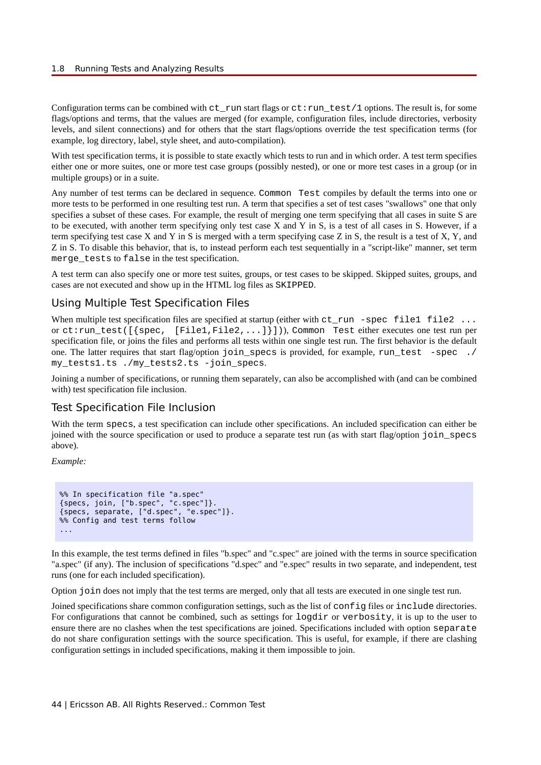Configuration terms can be combined with  $ct$  run start flags or  $ct:run$   $test/1$  options. The result is, for some flags/options and terms, that the values are merged (for example, configuration files, include directories, verbosity levels, and silent connections) and for others that the start flags/options override the test specification terms (for example, log directory, label, style sheet, and auto-compilation).

With test specification terms, it is possible to state exactly which tests to run and in which order. A test term specifies either one or more suites, one or more test case groups (possibly nested), or one or more test cases in a group (or in multiple groups) or in a suite.

Any number of test terms can be declared in sequence. Common Test compiles by default the terms into one or more tests to be performed in one resulting test run. A term that specifies a set of test cases "swallows" one that only specifies a subset of these cases. For example, the result of merging one term specifying that all cases in suite S are to be executed, with another term specifying only test case X and Y in S, is a test of all cases in S. However, if a term specifying test case X and Y in S is merged with a term specifying case Z in S, the result is a test of X, Y, and Z in S. To disable this behavior, that is, to instead perform each test sequentially in a "script-like" manner, set term merge\_tests to false in the test specification.

A test term can also specify one or more test suites, groups, or test cases to be skipped. Skipped suites, groups, and cases are not executed and show up in the HTML log files as SKIPPED.

## Using Multiple Test Specification Files

When multiple test specification files are specified at startup (either with  $ct\_run$  -spec file1 file2 ... or ct:run test( $[\{\text{spec}, [\text{File1}, \text{File2},...]\}]$ )), Common Test either executes one test run per specification file, or joins the files and performs all tests within one single test run. The first behavior is the default one. The latter requires that start flag/option join specs is provided, for example, run test -spec ./ my tests1.ts ./my tests2.ts -join specs.

Joining a number of specifications, or running them separately, can also be accomplished with (and can be combined with) test specification file inclusion.

### Test Specification File Inclusion

With the term specs, a test specification can include other specifications. An included specification can either be joined with the source specification or used to produce a separate test run (as with start flag/option join\_specs above).

*Example:*

```
 %% In specification file "a.spec"
 {specs, join, ["b.spec", "c.spec"]}.
 {specs, separate, ["d.spec", "e.spec"]}.
 %% Config and test terms follow
  ...
```
In this example, the test terms defined in files "b.spec" and "c.spec" are joined with the terms in source specification "a.spec" (if any). The inclusion of specifications "d.spec" and "e.spec" results in two separate, and independent, test runs (one for each included specification).

Option join does not imply that the test terms are merged, only that all tests are executed in one single test run.

Joined specifications share common configuration settings, such as the list of config files or include directories. For configurations that cannot be combined, such as settings for logdir or verbosity, it is up to the user to ensure there are no clashes when the test specifications are joined. Specifications included with option separate do not share configuration settings with the source specification. This is useful, for example, if there are clashing configuration settings in included specifications, making it them impossible to join.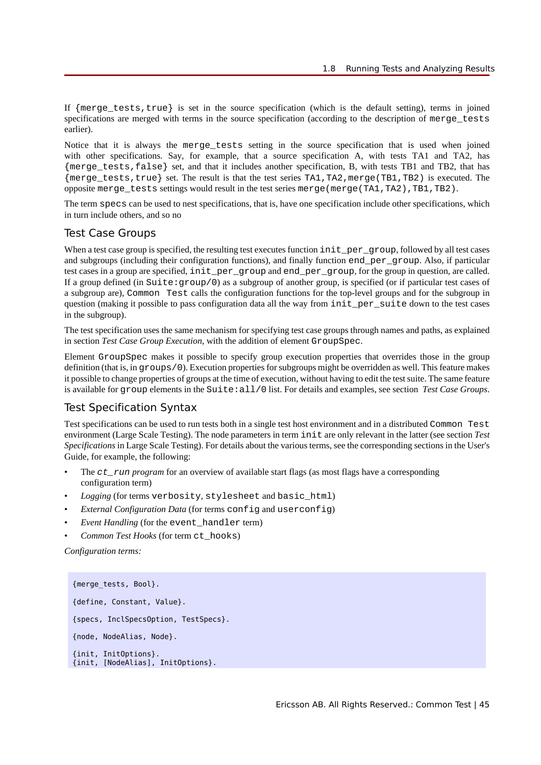If  ${me^{\pi}}$  tests, true} is set in the source specification (which is the default setting), terms in joined specifications are merged with terms in the source specification (according to the description of merge tests earlier).

Notice that it is always the merge tests setting in the source specification that is used when joined with other specifications. Say, for example, that a source specification A, with tests TA1 and TA2, has {merge\_tests,false} set, and that it includes another specification, B, with tests TB1 and TB2, that has {merge\_tests,true} set. The result is that the test series TA1,TA2,merge(TB1,TB2) is executed. The opposite merge tests settings would result in the test series merge(merge(TA1,TA2),TB1,TB2).

The term specs can be used to nest specifications, that is, have one specification include other specifications, which in turn include others, and so no

### Test Case Groups

When a test case group is specified, the resulting test executes function  $init\_per\_group$ , followed by all test cases and subgroups (including their configuration functions), and finally function end\_per\_group. Also, if particular test cases in a group are specified, init\_per\_group and end\_per\_group, for the group in question, are called. If a group defined (in Suite:group/0) as a subgroup of another group, is specified (or if particular test cases of a subgroup are), Common Test calls the configuration functions for the top-level groups and for the subgroup in question (making it possible to pass configuration data all the way from  $init\_per\_suit$ e down to the test cases in the subgroup).

The test specification uses the same mechanism for specifying test case groups through names and paths, as explained in section *Test Case Group Execution*, with the addition of element GroupSpec.

Element GroupSpec makes it possible to specify group execution properties that overrides those in the group definition (that is, in groups/0). Execution properties for subgroups might be overridden as well. This feature makes it possible to change properties of groups at the time of execution, without having to edit the test suite. The same feature is available for group elements in the Suite:all/0 list. For details and examples, see section *Test Case Groups*.

### Test Specification Syntax

Test specifications can be used to run tests both in a single test host environment and in a distributed Common Test environment (Large Scale Testing). The node parameters in term init are only relevant in the latter (see section *Test Specifications* in Large Scale Testing). For details about the various terms, see the corresponding sections in the User's Guide, for example, the following:

- The ct<sub>run</sub> program for an overview of available start flags (as most flags have a corresponding configuration term)
- *Logging* (for terms verbosity, stylesheet and basic\_html)
- *External Configuration Data* (for terms config and userconfig)
- Event Handling (for the event handler term)
- *Common Test Hooks* (for term ct\_hooks)

*Configuration terms:*

```
 {merge_tests, Bool}.
 {define, Constant, Value}.
 {specs, InclSpecsOption, TestSpecs}.
 {node, NodeAlias, Node}.
 {init, InitOptions}.
 {init, [NodeAlias], InitOptions}.
```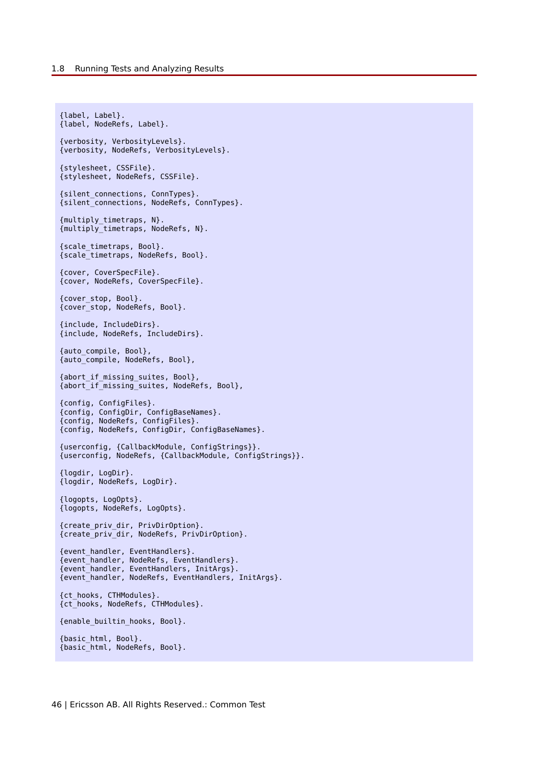```
 {label, Label}.
 {label, NodeRefs, Label}.
 {verbosity, VerbosityLevels}.
 {verbosity, NodeRefs, VerbosityLevels}.
 {stylesheet, CSSFile}.
 {stylesheet, NodeRefs, CSSFile}.
 {silent_connections, ConnTypes}.
 {silent_connections, NodeRefs, ConnTypes}.
 {multiply_timetraps, N}.
 {multiply_timetraps, NodeRefs, N}.
 {scale_timetraps, Bool}.
 {scale_timetraps, NodeRefs, Bool}.
 {cover, CoverSpecFile}.
 {cover, NodeRefs, CoverSpecFile}.
 {cover_stop, Bool}.
 {cover_stop, NodeRefs, Bool}.
 {include, IncludeDirs}.
 {include, NodeRefs, IncludeDirs}.
 {auto_compile, Bool},
 {auto_compile, NodeRefs, Bool},
 {abort_if_missing_suites, Bool},
 {abort_if_missing_suites, NodeRefs, Bool},
 {config, ConfigFiles}.
 {config, ConfigDir, ConfigBaseNames}.
 {config, NodeRefs, ConfigFiles}.
 {config, NodeRefs, ConfigDir, ConfigBaseNames}.
 {userconfig, {CallbackModule, ConfigStrings}}.
 {userconfig, NodeRefs, {CallbackModule, ConfigStrings}}.
 {logdir, LogDir}. 
 {logdir, NodeRefs, LogDir}.
 {logopts, LogOpts}.
 {logopts, NodeRefs, LogOpts}.
 {create_priv_dir, PrivDirOption}.
 {create_priv_dir, NodeRefs, PrivDirOption}.
 {event_handler, EventHandlers}.
 {event_handler, NodeRefs, EventHandlers}.
 {event_handler, EventHandlers, InitArgs}.
 {event_handler, NodeRefs, EventHandlers, InitArgs}.
 {ct_hooks, CTHModules}.
 {ct_hooks, NodeRefs, CTHModules}.
 {enable_builtin_hooks, Bool}.
 {basic_html, Bool}.
 {basic_html, NodeRefs, Bool}.
```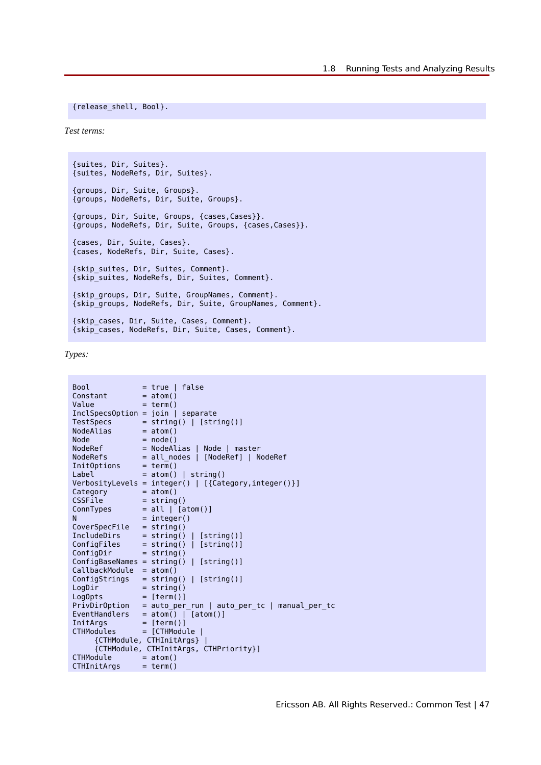{release\_shell, Bool}.

*Test terms:*

```
 {suites, Dir, Suites}. 
 {suites, NodeRefs, Dir, Suites}.
 {groups, Dir, Suite, Groups}.
 {groups, NodeRefs, Dir, Suite, Groups}.
 {groups, Dir, Suite, Groups, {cases,Cases}}.
 {groups, NodeRefs, Dir, Suite, Groups, {cases,Cases}}.
 {cases, Dir, Suite, Cases}. 
 {cases, NodeRefs, Dir, Suite, Cases}.
 {skip_suites, Dir, Suites, Comment}.
 {skip_suites, NodeRefs, Dir, Suites, Comment}.
 {skip_groups, Dir, Suite, GroupNames, Comment}.
 {skip_groups, NodeRefs, Dir, Suite, GroupNames, Comment}.
 {skip_cases, Dir, Suite, Cases, Comment}.
 {skip_cases, NodeRefs, Dir, Suite, Cases, Comment}.
```
*Types:*

```
Bool = true | false
Constant = atom()Value = term() InclSpecsOption = join | separate
TestSpecs = string() [string()]NodeAlias = atom()Node = node()<br>NodeRef = NodeAl
NodeRef = NodeAlias | Node | master<br>NodeRefs = all_nodes | [NodeRef] | N
               = all_nodes | [NodeRef] | NodeRef InitOptions = term()
Label = atom() | string()
VerbosityLevels = integer() | [{Categorical]Category = atom()
CSSFile = string()
ConnTypes = all | [atom()]N = integer()
 CoverSpecFile = string()
IncludeDirs = string() | [string()]ConfigFiles = string() | [string()ConfigDir = string()
 ConfigBaseNames = string() | [string()]
 CallbackModule = atom()
ConfigStringS = string() [string()]LogDir = string()
LogOps = [term()] PrivDirOption = auto_per_run | auto_per_tc | manual_per_tc
EventHandlers = atom() \begin{bmatrix} \text{latom()} \\ \text{InitArgs} \end{bmatrix}InitArgs = [term()]\nCTHModules = [CTHModu] CTHModules = [CTHModule |
      {CTHModule, CTHInitArgs} |
{CTHModule, CTHInitArgs, CTHPriority}]<br>CTHModule = atom()
             = atom()<br>= term()
CTHInitArgs
```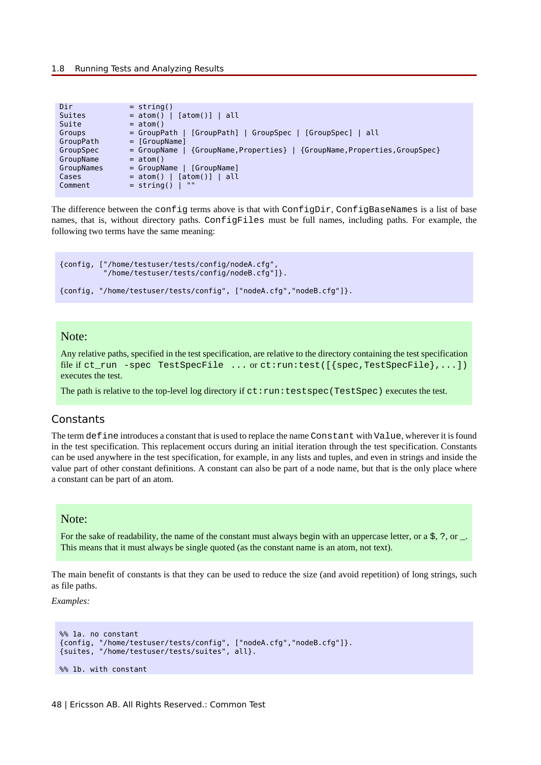| Dir        | $=$ string()                                                               |
|------------|----------------------------------------------------------------------------|
| Suites     | $=$ atom()   [atom()]   all                                                |
| Suite      | $=$ atom()                                                                 |
| Groups     | = GroupPath   [GroupPath]   GroupSpec   [GroupSpec]   all                  |
| GroupPath  | $=$ [GroupName]                                                            |
| GroupSpec  | = GroupName   {GroupName, Properties}   {GroupName, Properties, GroupSpec} |
| GroupName  | $=$ atom()                                                                 |
| GroupNames | $=$ GroupName   [GroupName]                                                |
| Cases      | $=$ atom()   $[$ atom()] $]$ all                                           |
| Comment    | $\mathbf{u}$<br>$=$ string()                                               |

The difference between the config terms above is that with ConfigDir, ConfigBaseNames is a list of base names, that is, without directory paths. ConfigFiles must be full names, including paths. For example, the following two terms have the same meaning:

```
 {config, ["/home/testuser/tests/config/nodeA.cfg",
           "/home/testuser/tests/config/nodeB.cfg"]}.
 {config, "/home/testuser/tests/config", ["nodeA.cfg","nodeB.cfg"]}.
```
### Note:

Any relative paths, specified in the test specification, are relative to the directory containing the test specification file if ct\_run -spec TestSpecFile ... or ct:run:test([{spec,TestSpecFile},...]) executes the test.

The path is relative to the top-level log directory if  $ct:run:testspec(TestSpec)$  executes the test.

### Constants

The term define introduces a constant that is used to replace the name Constant with Value, wherever it is found in the test specification. This replacement occurs during an initial iteration through the test specification. Constants can be used anywhere in the test specification, for example, in any lists and tuples, and even in strings and inside the value part of other constant definitions. A constant can also be part of a node name, but that is the only place where a constant can be part of an atom.

#### Note:

For the sake of readability, the name of the constant must always begin with an uppercase letter, or a  $\hat{S}$ , ?, or  $\hat{S}$ . This means that it must always be single quoted (as the constant name is an atom, not text).

The main benefit of constants is that they can be used to reduce the size (and avoid repetition) of long strings, such as file paths.

*Examples:*

```
 %% 1a. no constant
 {config, "/home/testuser/tests/config", ["nodeA.cfg","nodeB.cfg"]}.
 {suites, "/home/testuser/tests/suites", all}.
 %% 1b. with constant
```
48 | Ericsson AB. All Rights Reserved.: Common Test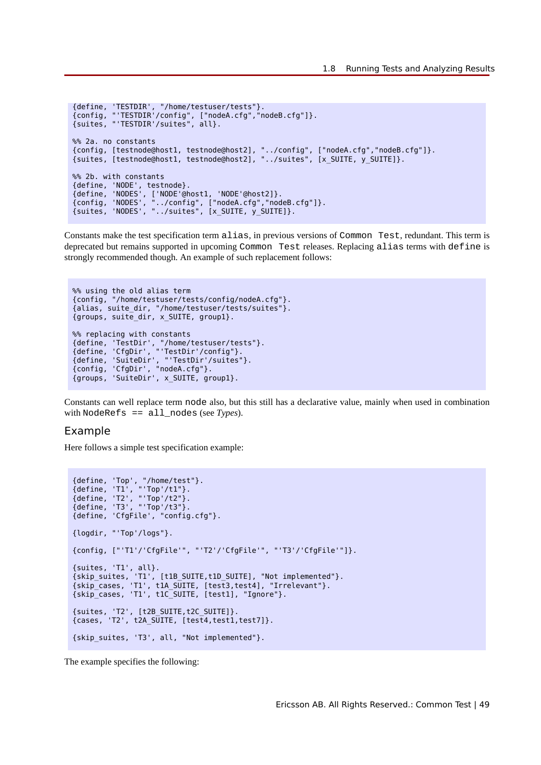```
 {define, 'TESTDIR', "/home/testuser/tests"}.
 {config, "'TESTDIR'/config", ["nodeA.cfg","nodeB.cfg"]}.
 {suites, "'TESTDIR'/suites", all}.
 %% 2a. no constants
 {config, [testnode@host1, testnode@host2], "../config", ["nodeA.cfg","nodeB.cfg"]}.
 {suites, [testnode@host1, testnode@host2], "../suites", [x_SUITE, y_SUITE]}.
 %% 2b. with constants
 {define, 'NODE', testnode}.
 {define, 'NODES', ['NODE'@host1, 'NODE'@host2]}.
 {config, 'NODES', "../config", ["nodeA.cfg","nodeB.cfg"]}.
 {suites, 'NODES', "../suites", [x_SUITE, y_SUITE]}.
```
Constants make the test specification term alias, in previous versions of Common Test, redundant. This term is deprecated but remains supported in upcoming Common Test releases. Replacing alias terms with define is strongly recommended though. An example of such replacement follows:

```
 %% using the old alias term
 {config, "/home/testuser/tests/config/nodeA.cfg"}.
 {alias, suite_dir, "/home/testuser/tests/suites"}.
 {groups, suite_dir, x_SUITE, group1}.
%% replacing with constants
 {define, 'TestDir', "/home/testuser/tests"}.
 {define, 'CfgDir', "'TestDir'/config"}.
 {define, 'SuiteDir', "'TestDir'/suites"}.
 {config, 'CfgDir', "nodeA.cfg"}.
 {groups, 'SuiteDir', x_SUITE, group1}.
```
Constants can well replace term node also, but this still has a declarative value, mainly when used in combination with NodeRefs == all\_nodes (see *Types*).

#### Example

Here follows a simple test specification example:

```
 {define, 'Top', "/home/test"}.
 {define, 'T1', "'Top'/t1"}.
 {define, 'T2', "'Top'/t2"}.
 {define, 'T3', "'Top'/t3"}.
 {define, 'CfgFile', "config.cfg"}.
 {logdir, "'Top'/logs"}.
 {config, ["'T1'/'CfgFile'", "'T2'/'CfgFile'", "'T3'/'CfgFile'"]}.
 {suites, 'T1', all}.
 {skip_suites, 'T1', [t1B_SUITE,t1D_SUITE], "Not implemented"}.
 {skip_cases, 'T1', t1A_SUITE, [test3,test4], "Irrelevant"}.
 {skip_cases, 'T1', t1C_SUITE, [test1], "Ignore"}.
 {suites, 'T2', [t2B_SUITE,t2C_SUITE]}.
 {cases, 'T2', t2A_SUITE, [test4,test1,test7]}.
 {skip_suites, 'T3', all, "Not implemented"}.
```
The example specifies the following: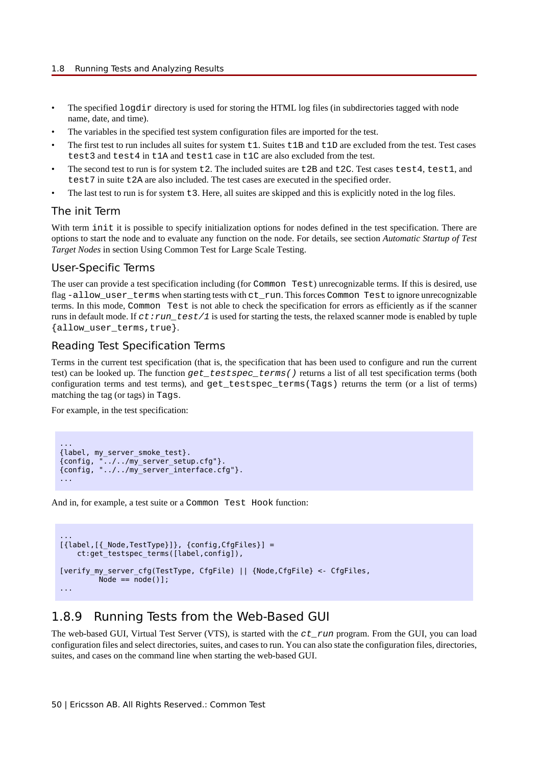- The specified logdir directory is used for storing the HTML log files (in subdirectories tagged with node name, date, and time).
- The variables in the specified test system configuration files are imported for the test.
- The first test to run includes all suites for system t1. Suites t1B and t1D are excluded from the test. Test cases test3 and test4 in t1A and test1 case in t1C are also excluded from the test.
- The second test to run is for system t2. The included suites are t2B and t2C. Test cases test4, test1, and test7 in suite t2A are also included. The test cases are executed in the specified order.
- The last test to run is for system t3. Here, all suites are skipped and this is explicitly noted in the log files.

### The init Term

With term init it is possible to specify initialization options for nodes defined in the test specification. There are options to start the node and to evaluate any function on the node. For details, see section *Automatic Startup of Test Target Nodes* in section Using Common Test for Large Scale Testing.

### User-Specific Terms

The user can provide a test specification including (for Common Test) unrecognizable terms. If this is desired, use flag -allow user terms when starting tests with ct\_run. This forces Common Test to ignore unrecognizable terms. In this mode, Common Test is not able to check the specification for errors as efficiently as if the scanner runs in default mode. If  $ct:run$   $test/1$  is used for starting the tests, the relaxed scanner mode is enabled by tuple {allow user terms, true}.

### Reading Test Specification Terms

Terms in the current test specification (that is, the specification that has been used to configure and run the current test) can be looked up. The function  $get\_testspec\_terms($  returns a list of all test specification terms (both configuration terms and test terms), and get\_testspec\_terms(Tags) returns the term (or a list of terms) matching the tag (or tags) in Tags.

For example, in the test specification:

```
 ...
 {label, my_server_smoke_test}.
 {config, "../../my_server_setup.cfg"}.
 {config, "../../my_server_interface.cfg"}.
 ...
```
And in, for example, a test suite or a Common Test Hook function:

```
 ...
 [{label,[{_Node,TestType}]}, {config,CfgFiles}] =
    ct:get_testspec_terms([label,config]),
[verify my server cfg(TestType, CfgFile) || {Node,CfgFile} <- CfgFiles,
         Node == node()];
 ...
```
## 1.8.9 Running Tests from the Web-Based GUI

The web-based GUI, Virtual Test Server (VTS), is started with the  $ct\_run$  program. From the GUI, you can load configuration files and select directories, suites, and cases to run. You can also state the configuration files, directories, suites, and cases on the command line when starting the web-based GUI.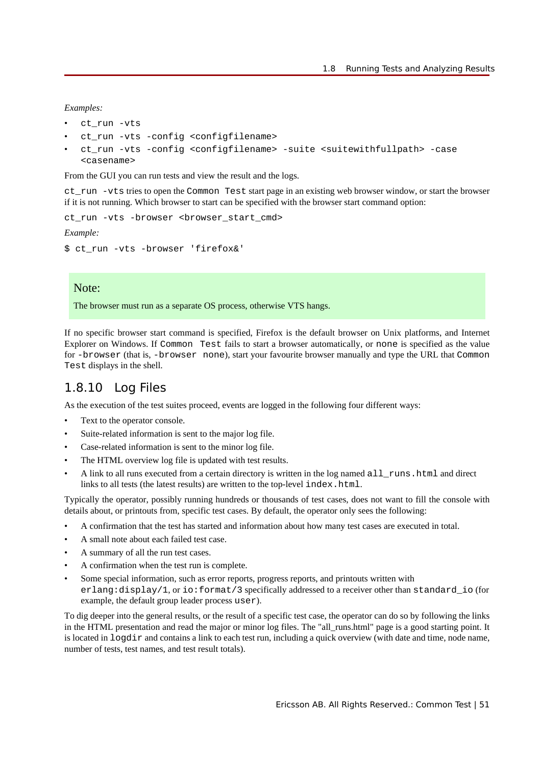*Examples:*

- ct\_run -vts
- ct\_run -vts -config <configfilename>

```
• ct_run -vts -config <configfilename> -suite <suitewithfullpath> -case
<casename>
```
From the GUI you can run tests and view the result and the logs.

ct\_run -vts tries to open the Common Test start page in an existing web browser window, or start the browser if it is not running. Which browser to start can be specified with the browser start command option:

```
ct_run -vts -browser <browser_start_cmd>
```
*Example:*

```
$ ct_run -vts -browser 'firefox&'
```
#### Note:

The browser must run as a separate OS process, otherwise VTS hangs.

If no specific browser start command is specified, Firefox is the default browser on Unix platforms, and Internet Explorer on Windows. If Common Test fails to start a browser automatically, or none is specified as the value for -browser (that is, -browser none), start your favourite browser manually and type the URL that Common Test displays in the shell.

## 1.8.10 Log Files

As the execution of the test suites proceed, events are logged in the following four different ways:

- Text to the operator console.
- Suite-related information is sent to the major log file.
- Case-related information is sent to the minor log file.
- The HTML overview log file is updated with test results.
- A link to all runs executed from a certain directory is written in the log named all runs.html and direct links to all tests (the latest results) are written to the top-level index.html.

Typically the operator, possibly running hundreds or thousands of test cases, does not want to fill the console with details about, or printouts from, specific test cases. By default, the operator only sees the following:

- A confirmation that the test has started and information about how many test cases are executed in total.
- A small note about each failed test case.
- A summary of all the run test cases.
- A confirmation when the test run is complete.
- Some special information, such as error reports, progress reports, and printouts written with erlang:display/1, or io:format/3 specifically addressed to a receiver other than standard\_io (for example, the default group leader process user).

To dig deeper into the general results, or the result of a specific test case, the operator can do so by following the links in the HTML presentation and read the major or minor log files. The "all\_runs.html" page is a good starting point. It is located in logdir and contains a link to each test run, including a quick overview (with date and time, node name, number of tests, test names, and test result totals).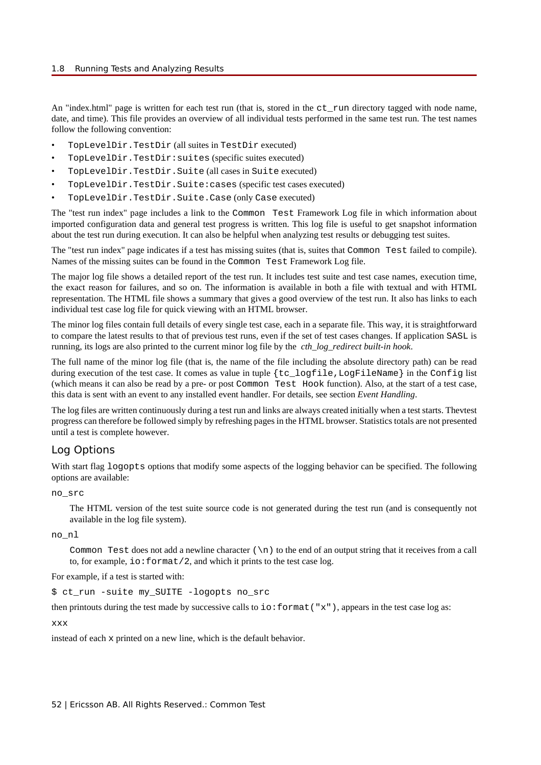An "index.html" page is written for each test run (that is, stored in the  $ct$  run directory tagged with node name, date, and time). This file provides an overview of all individual tests performed in the same test run. The test names follow the following convention:

- TopLevelDir.TestDir (all suites in TestDir executed)
- TopLevelDir.TestDir:suites (specific suites executed)
- TopLevelDir.TestDir.Suite (all cases in Suite executed)
- TopLevelDir.TestDir.Suite:cases (specific test cases executed)
- TopLevelDir.TestDir.Suite.Case (only Case executed)

The "test run index" page includes a link to the Common Test Framework Log file in which information about imported configuration data and general test progress is written. This log file is useful to get snapshot information about the test run during execution. It can also be helpful when analyzing test results or debugging test suites.

The "test run index" page indicates if a test has missing suites (that is, suites that Common Test failed to compile). Names of the missing suites can be found in the Common Test Framework Log file.

The major log file shows a detailed report of the test run. It includes test suite and test case names, execution time, the exact reason for failures, and so on. The information is available in both a file with textual and with HTML representation. The HTML file shows a summary that gives a good overview of the test run. It also has links to each individual test case log file for quick viewing with an HTML browser.

The minor log files contain full details of every single test case, each in a separate file. This way, it is straightforward to compare the latest results to that of previous test runs, even if the set of test cases changes. If application SASL is running, its logs are also printed to the current minor log file by the *cth\_log\_redirect built-in hook*.

The full name of the minor log file (that is, the name of the file including the absolute directory path) can be read during execution of the test case. It comes as value in tuple {tc\_logfile,LogFileName} in the Config list (which means it can also be read by a pre- or post Common Test Hook function). Also, at the start of a test case, this data is sent with an event to any installed event handler. For details, see section *Event Handling*.

The log files are written continuously during a test run and links are always created initially when a test starts. Thevtest progress can therefore be followed simply by refreshing pages in the HTML browser. Statistics totals are not presented until a test is complete however.

### Log Options

With start flag logopts options that modify some aspects of the logging behavior can be specified. The following options are available:

no\_src

The HTML version of the test suite source code is not generated during the test run (and is consequently not available in the log file system).

no\_nl

Common Test does not add a newline character  $(\nabla \cdot n)$  to the end of an output string that it receives from a call to, for example, io:format/2, and which it prints to the test case log.

For example, if a test is started with:

\$ ct run -suite my SUITE -logopts no src

then printouts during the test made by successive calls to  $\text{i} \circ \text{i}$  format ("x"), appears in the test case log as:

xxx

instead of each x printed on a new line, which is the default behavior.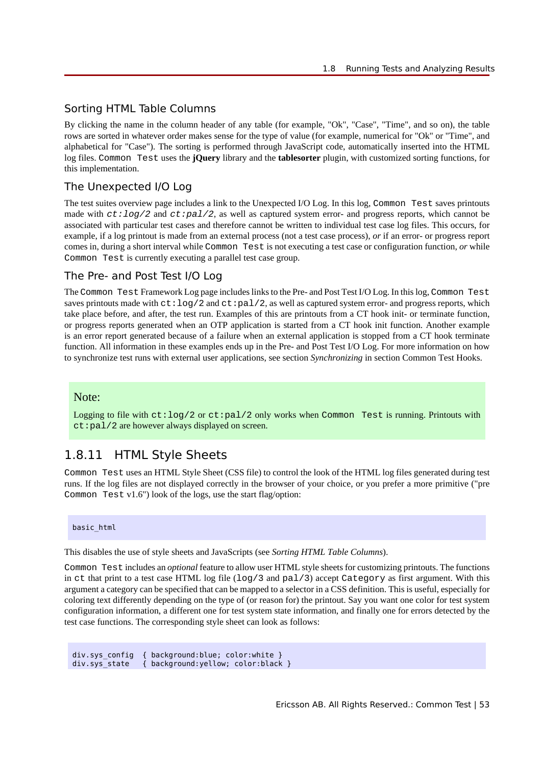### Sorting HTML Table Columns

By clicking the name in the column header of any table (for example, "Ok", "Case", "Time", and so on), the table rows are sorted in whatever order makes sense for the type of value (for example, numerical for "Ok" or "Time", and alphabetical for "Case"). The sorting is performed through JavaScript code, automatically inserted into the HTML log files. Common Test uses the **[jQuery](href)** library and the **[tablesorter](href)** plugin, with customized sorting functions, for this implementation.

### The Unexpected I/O Log

The test suites overview page includes a link to the Unexpected I/O Log. In this log, Common Test saves printouts made with  $ct:log/2$  and  $ct:pal/2$ , as well as captured system error- and progress reports, which cannot be associated with particular test cases and therefore cannot be written to individual test case log files. This occurs, for example, if a log printout is made from an external process (not a test case process), *or* if an error- or progress report comes in, during a short interval while Common Test is not executing a test case or configuration function, *or* while Common Test is currently executing a parallel test case group.

### The Pre- and Post Test I/O Log

The Common Test Framework Log page includes links to the Pre- and Post Test I/O Log. In this log, Common Test saves printouts made with  $ct:log/2$  and  $ct:poly/2$ , as well as captured system error- and progress reports, which take place before, and after, the test run. Examples of this are printouts from a CT hook init- or terminate function, or progress reports generated when an OTP application is started from a CT hook init function. Another example is an error report generated because of a failure when an external application is stopped from a CT hook terminate function. All information in these examples ends up in the Pre- and Post Test I/O Log. For more information on how to synchronize test runs with external user applications, see section *Synchronizing* in section Common Test Hooks.

#### Note:

Logging to file with  $ct:$   $log/2$  or  $ct:$   $val/2$  only works when Common Test is running. Printouts with  $ct:pal/2$  are however always displayed on screen.

## 1.8.11 HTML Style Sheets

Common Test uses an HTML Style Sheet (CSS file) to control the look of the HTML log files generated during test runs. If the log files are not displayed correctly in the browser of your choice, or you prefer a more primitive ("pre Common Test v1.6") look of the logs, use the start flag/option:

#### basic\_html

This disables the use of style sheets and JavaScripts (see *Sorting HTML Table Columns*).

Common Test includes an *optional* feature to allow user HTML style sheets for customizing printouts. The functions in ct that print to a test case HTML log file (log/3 and pal/3) accept Category as first argument. With this argument a category can be specified that can be mapped to a selector in a CSS definition. This is useful, especially for coloring text differently depending on the type of (or reason for) the printout. Say you want one color for test system configuration information, a different one for test system state information, and finally one for errors detected by the test case functions. The corresponding style sheet can look as follows:

```
div.sys_config { background:blue; color:white }<br>div.svs state { background:yellow; color:black
                         { background:yellow; color:black }
```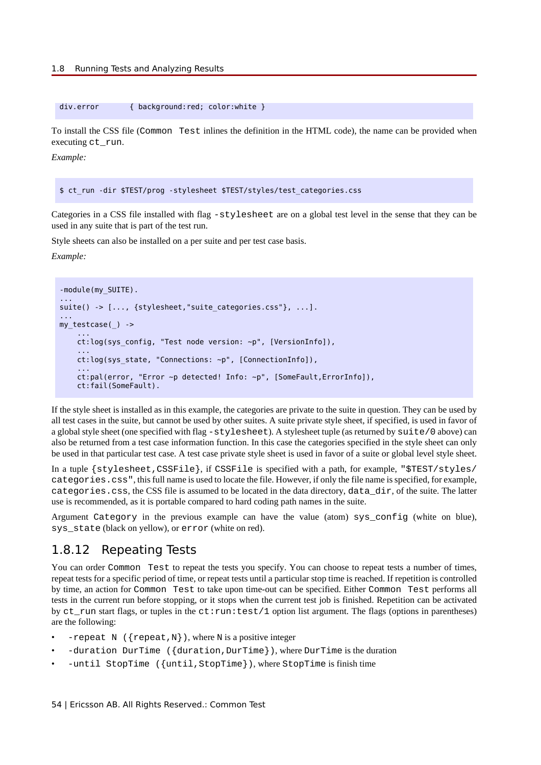```
 div.error { background:red; color:white }
```
To install the CSS file (Common Test inlines the definition in the HTML code), the name can be provided when executing ct\_run.

*Example:*

\$ ct\_run -dir \$TEST/prog -stylesheet \$TEST/styles/test\_categories.css

Categories in a CSS file installed with flag -stylesheet are on a global test level in the sense that they can be used in any suite that is part of the test run.

Style sheets can also be installed on a per suite and per test case basis.

*Example:*

```
 -module(my_SUITE).
 ...
 suite() -> [..., {stylesheet,"suite_categories.css"}, ...].
 ...
 my_testcase(_) ->
 ...
     ct:log(sys_config, "Test node version: ~p", [VersionInfo]),
 ...
     ct:log(sys_state, "Connections: ~p", [ConnectionInfo]),
 ...
     ct:pal(error, "Error ~p detected! Info: ~p", [SomeFault,ErrorInfo]),
     ct:fail(SomeFault).
```
If the style sheet is installed as in this example, the categories are private to the suite in question. They can be used by all test cases in the suite, but cannot be used by other suites. A suite private style sheet, if specified, is used in favor of a global style sheet (one specified with flag -stylesheet). A stylesheet tuple (as returned by suite/0 above) can also be returned from a test case information function. In this case the categories specified in the style sheet can only be used in that particular test case. A test case private style sheet is used in favor of a suite or global level style sheet.

In a tuple {stylesheet,CSSFile}, if CSSFile is specified with a path, for example, "\$TEST/styles/ categories.css", this full name is used to locate the file. However, if only the file name is specified, for example, categories.css, the CSS file is assumed to be located in the data directory, data\_dir, of the suite. The latter use is recommended, as it is portable compared to hard coding path names in the suite.

Argument Category in the previous example can have the value (atom) sys\_config (white on blue), sys state (black on yellow), or error (white on red).

### 1.8.12 Repeating Tests

You can order Common Test to repeat the tests you specify. You can choose to repeat tests a number of times, repeat tests for a specific period of time, or repeat tests until a particular stop time is reached. If repetition is controlled by time, an action for Common Test to take upon time-out can be specified. Either Common Test performs all tests in the current run before stopping, or it stops when the current test job is finished. Repetition can be activated by ct\_run start flags, or tuples in the ct:run:test/1 option list argument. The flags (options in parentheses) are the following:

- -repeat  $N$  ({repeat,  $N$ }), where N is a positive integer
- -duration DurTime ({duration,DurTime}), where DurTime is the duration
- -until StopTime ({until,StopTime}), where StopTime is finish time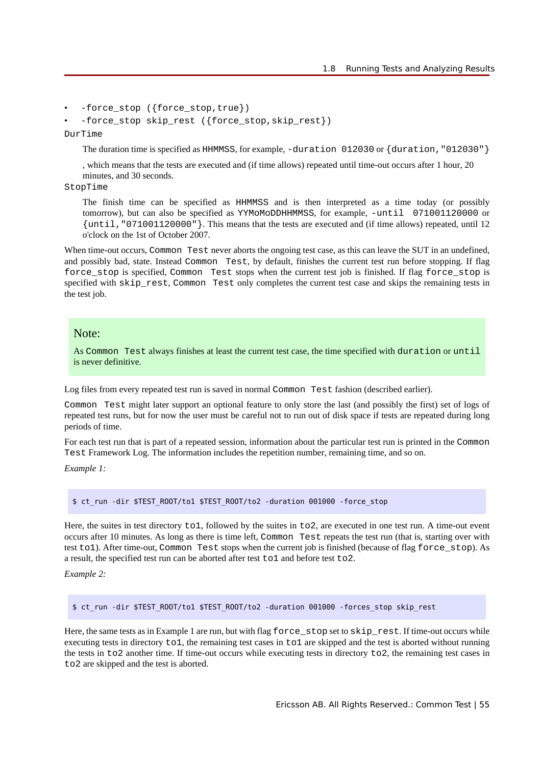• -force\_stop ({force\_stop,true})

```
• -force_stop skip_rest ({force_stop,skip_rest})
```
DurTime

The duration time is specified as HHMMSS, for example, -duration 012030 or {duration,"012030"}

, which means that the tests are executed and (if time allows) repeated until time-out occurs after 1 hour, 20 minutes, and 30 seconds.

StopTime

The finish time can be specified as HHMMSS and is then interpreted as a time today (or possibly tomorrow), but can also be specified as YYMoMoDDHHMMSS, for example, -until 071001120000 or {until,"071001120000"}. This means that the tests are executed and (if time allows) repeated, until 12 o'clock on the 1st of October 2007.

When time-out occurs, Common Test never aborts the ongoing test case, as this can leave the SUT in an undefined, and possibly bad, state. Instead Common Test, by default, finishes the current test run before stopping. If flag force\_stop is specified, Common Test stops when the current test job is finished. If flag force\_stop is specified with skip\_rest, Common Test only completes the current test case and skips the remaining tests in the test job.

#### Note:

As Common Test always finishes at least the current test case, the time specified with duration or until is never definitive.

Log files from every repeated test run is saved in normal Common Test fashion (described earlier).

Common Test might later support an optional feature to only store the last (and possibly the first) set of logs of repeated test runs, but for now the user must be careful not to run out of disk space if tests are repeated during long periods of time.

For each test run that is part of a repeated session, information about the particular test run is printed in the Common Test Framework Log. The information includes the repetition number, remaining time, and so on.

*Example 1:*

\$ ct\_run -dir \$TEST\_ROOT/to1 \$TEST\_ROOT/to2 -duration 001000 -force\_stop

Here, the suites in test directory to1, followed by the suites in to2, are executed in one test run. A time-out event occurs after 10 minutes. As long as there is time left, Common Test repeats the test run (that is, starting over with test to1). After time-out, Common Test stops when the current job is finished (because of flag force\_stop). As a result, the specified test run can be aborted after test to1 and before test to2.

*Example 2:*

\$ ct\_run -dir \$TEST\_ROOT/to1 \$TEST\_ROOT/to2 -duration 001000 -forces\_stop skip\_rest

Here, the same tests as in Example 1 are run, but with flag force\_stop set to skip\_rest. If time-out occurs while executing tests in directory to1, the remaining test cases in to1 are skipped and the test is aborted without running the tests in to2 another time. If time-out occurs while executing tests in directory to2, the remaining test cases in to2 are skipped and the test is aborted.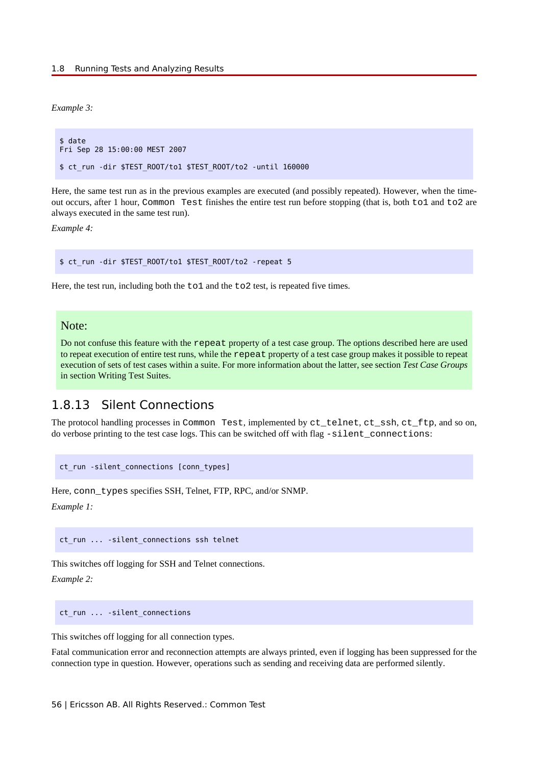*Example 3:*

```
 $ date
 Fri Sep 28 15:00:00 MEST 2007
 $ ct_run -dir $TEST_ROOT/to1 $TEST_ROOT/to2 -until 160000
```
Here, the same test run as in the previous examples are executed (and possibly repeated). However, when the timeout occurs, after 1 hour, Common Test finishes the entire test run before stopping (that is, both to1 and to2 are always executed in the same test run).

*Example 4:*

\$ ct\_run -dir \$TEST\_ROOT/to1 \$TEST\_ROOT/to2 -repeat 5

Here, the test run, including both the to1 and the to2 test, is repeated five times.

#### Note:

Do not confuse this feature with the repeat property of a test case group. The options described here are used to repeat execution of entire test runs, while the repeat property of a test case group makes it possible to repeat execution of sets of test cases within a suite. For more information about the latter, see section *Test Case Groups* in section Writing Test Suites.

## 1.8.13 Silent Connections

The protocol handling processes in Common Test, implemented by ct\_telnet, ct\_ssh, ct\_ftp, and so on, do verbose printing to the test case logs. This can be switched off with flag -silent\_connections:

```
ct run -silent connections [conn types]
```
Here, conn\_types specifies SSH, Telnet, FTP, RPC, and/or SNMP.

*Example 1:*

ct run ... -silent connections ssh telnet

This switches off logging for SSH and Telnet connections.

*Example 2:*

ct\_run ... -silent\_connections

This switches off logging for all connection types.

Fatal communication error and reconnection attempts are always printed, even if logging has been suppressed for the connection type in question. However, operations such as sending and receiving data are performed silently.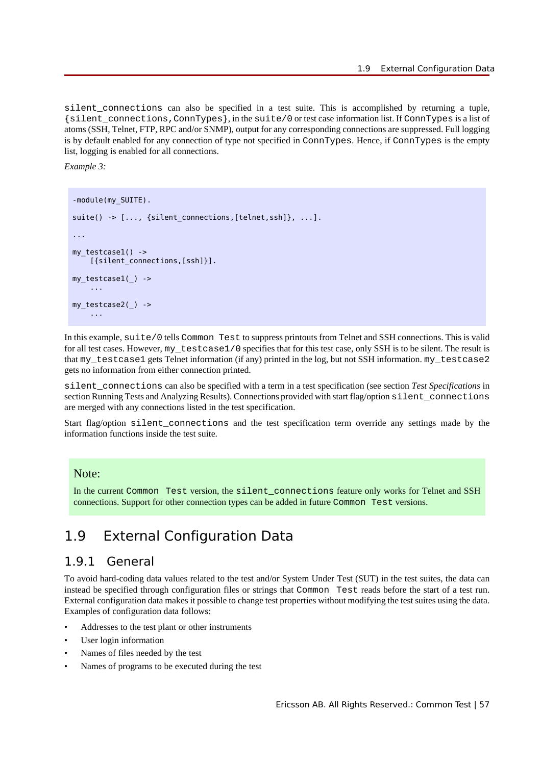silent connections can also be specified in a test suite. This is accomplished by returning a tuple, {silent\_connections,ConnTypes}, in the suite/0 or test case information list. If ConnTypes is a list of atoms (SSH, Telnet, FTP, RPC and/or SNMP), output for any corresponding connections are suppressed. Full logging is by default enabled for any connection of type not specified in ConnTypes. Hence, if ConnTypes is the empty list, logging is enabled for all connections.

*Example 3:*

```
 -module(my_SUITE).
suite() -> [..., {silent_connections, [telnet, ssh]}, ...].
 ...
my testcase1() ->
     [{silent_connections,[ssh]}].
 my_testcase1(_) ->
     ...
my testcase2() ->
     ...
```
In this example, suite/0 tells Common Test to suppress printouts from Telnet and SSH connections. This is valid for all test cases. However, my\_testcase1/0 specifies that for this test case, only SSH is to be silent. The result is that my\_testcase1 gets Telnet information (if any) printed in the log, but not SSH information. my\_testcase2 gets no information from either connection printed.

silent\_connections can also be specified with a term in a test specification (see section *Test Specifications* in section Running Tests and Analyzing Results). Connections provided with start flag/option silent\_connections are merged with any connections listed in the test specification.

Start flag/option silent connections and the test specification term override any settings made by the information functions inside the test suite.

### Note:

In the current Common Test version, the silent\_connections feature only works for Telnet and SSH connections. Support for other connection types can be added in future Common Test versions.

# 1.9 External Configuration Data

## 1.9.1 General

To avoid hard-coding data values related to the test and/or System Under Test (SUT) in the test suites, the data can instead be specified through configuration files or strings that Common Test reads before the start of a test run. External configuration data makes it possible to change test properties without modifying the test suites using the data. Examples of configuration data follows:

- Addresses to the test plant or other instruments
- User login information
- Names of files needed by the test
- Names of programs to be executed during the test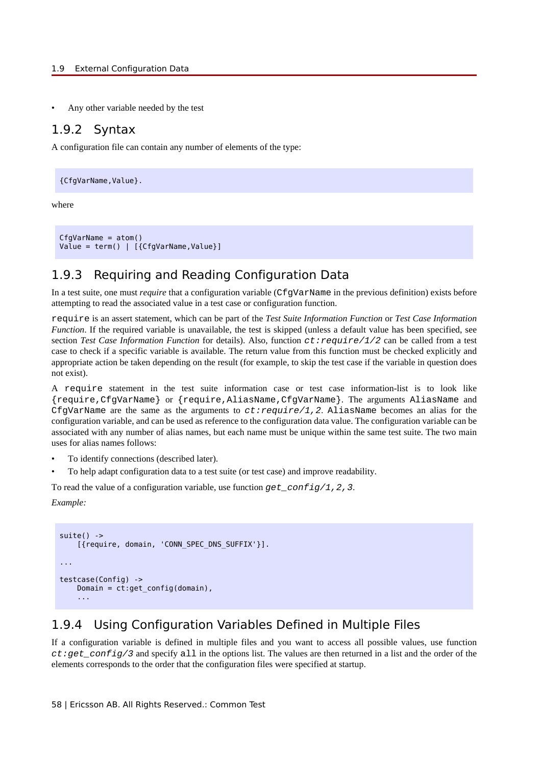• Any other variable needed by the test

## 1.9.2 Syntax

A configuration file can contain any number of elements of the type:

{CfgVarName,Value}.

where

```
CfavarName = atom()Value = term() | [{CfgVarName, Value}]
```
## 1.9.3 Requiring and Reading Configuration Data

In a test suite, one must *require* that a configuration variable (CfqVarName in the previous definition) exists before attempting to read the associated value in a test case or configuration function.

require is an assert statement, which can be part of the *Test Suite Information Function* or *Test Case Information Function*. If the required variable is unavailable, the test is skipped (unless a default value has been specified, see section *Test Case Information Function* for details). Also, function  $ct:require/1/2$  can be called from a test case to check if a specific variable is available. The return value from this function must be checked explicitly and appropriate action be taken depending on the result (for example, to skip the test case if the variable in question does not exist).

A require statement in the test suite information case or test case information-list is to look like {require,CfgVarName} or {require,AliasName,CfgVarName}. The arguments AliasName and CfgVarName are the same as the arguments to  $ct:require/1,2$ . AliasName becomes an alias for the configuration variable, and can be used as reference to the configuration data value. The configuration variable can be associated with any number of alias names, but each name must be unique within the same test suite. The two main uses for alias names follows:

- To identify connections (described later).
- To help adapt configuration data to a test suite (or test case) and improve readability.

To read the value of a configuration variable, use function  $get\_config/1,2,3$ .

*Example:*

```
suit() ->[{require, domain, 'CONN SPEC DNS SUFFIX'}].
 ...
 testcase(Config) ->
    Domain = ct:get config(domain),
      ...
```
## 1.9.4 Using Configuration Variables Defined in Multiple Files

If a configuration variable is defined in multiple files and you want to access all possible values, use function  $ct:get\_config/3$  and specify all in the options list. The values are then returned in a list and the order of the elements corresponds to the order that the configuration files were specified at startup.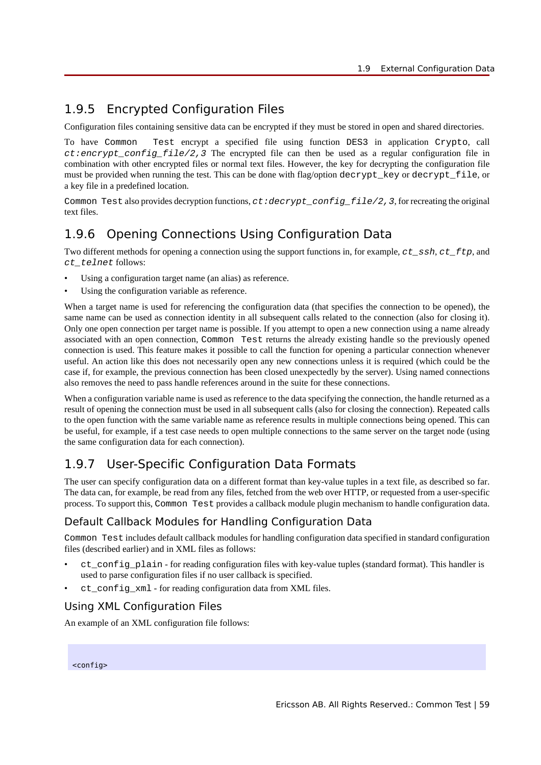# 1.9.5 Encrypted Configuration Files

Configuration files containing sensitive data can be encrypted if they must be stored in open and shared directories.

To have Common Test encrypt a specified file using function DES3 in application Crypto, call  $ct: encrypt\_config_file/2,3$  The encrypted file can then be used as a regular configuration file in combination with other encrypted files or normal text files. However, the key for decrypting the configuration file must be provided when running the test. This can be done with flag/option decrypt key or decrypt file, or a key file in a predefined location.

Common Test also provides decryption functions,  $ct:decrypt\_config\_file/2$ , 3, for recreating the original text files.

# 1.9.6 Opening Connections Using Configuration Data

Two different methods for opening a connection using the support functions in, for example,  $ct\_ssh$ ,  $ct\_ftp$ , and ct\_telnet follows:

- Using a configuration target name (an alias) as reference.
- Using the configuration variable as reference.

When a target name is used for referencing the configuration data (that specifies the connection to be opened), the same name can be used as connection identity in all subsequent calls related to the connection (also for closing it). Only one open connection per target name is possible. If you attempt to open a new connection using a name already associated with an open connection, Common Test returns the already existing handle so the previously opened connection is used. This feature makes it possible to call the function for opening a particular connection whenever useful. An action like this does not necessarily open any new connections unless it is required (which could be the case if, for example, the previous connection has been closed unexpectedly by the server). Using named connections also removes the need to pass handle references around in the suite for these connections.

When a configuration variable name is used as reference to the data specifying the connection, the handle returned as a result of opening the connection must be used in all subsequent calls (also for closing the connection). Repeated calls to the open function with the same variable name as reference results in multiple connections being opened. This can be useful, for example, if a test case needs to open multiple connections to the same server on the target node (using the same configuration data for each connection).

# 1.9.7 User-Specific Configuration Data Formats

The user can specify configuration data on a different format than key-value tuples in a text file, as described so far. The data can, for example, be read from any files, fetched from the web over HTTP, or requested from a user-specific process. To support this, Common Test provides a callback module plugin mechanism to handle configuration data.

## Default Callback Modules for Handling Configuration Data

Common Test includes default callback modules for handling configuration data specified in standard configuration files (described earlier) and in XML files as follows:

- ct\_config\_plain for reading configuration files with key-value tuples (standard format). This handler is used to parse configuration files if no user callback is specified.
- ct\_config\_xml for reading configuration data from XML files.

## Using XML Configuration Files

An example of an XML configuration file follows:

<config>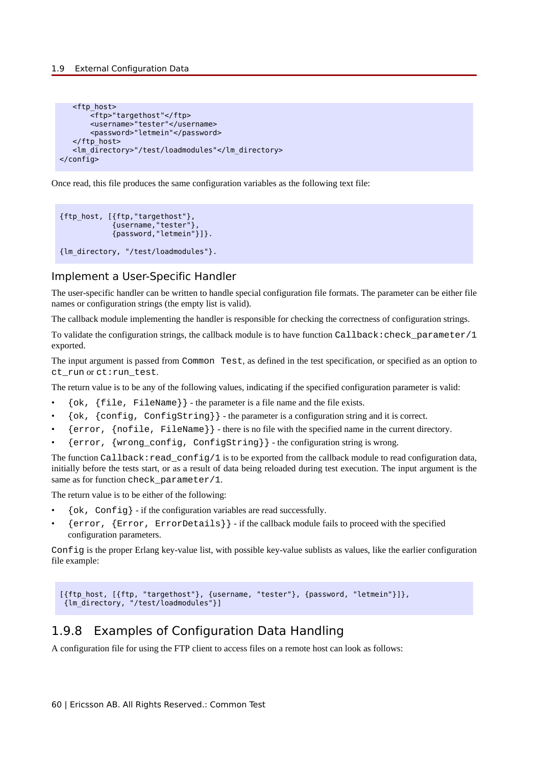```
 <ftp_host>
        <ftp>"targethost"</ftp>
        <username>"tester"</username>
        <password>"letmein"</password>
    </ftp_host>
    <lm_directory>"/test/loadmodules"</lm_directory>
\lt/config>
```
Once read, this file produces the same configuration variables as the following text file:

```
 {ftp_host, [{ftp,"targethost"},
 {username,"tester"},
 {password,"letmein"}]}.
 {lm_directory, "/test/loadmodules"}.
```
## Implement a User-Specific Handler

The user-specific handler can be written to handle special configuration file formats. The parameter can be either file names or configuration strings (the empty list is valid).

The callback module implementing the handler is responsible for checking the correctness of configuration strings.

To validate the configuration strings, the callback module is to have function Callback:check\_parameter/1 exported.

The input argument is passed from Common Test, as defined in the test specification, or specified as an option to ct run or ct:run test.

The return value is to be any of the following values, indicating if the specified configuration parameter is valid:

- $\{ok, \{\text{file}, \text{FileName}\}\}\$  the parameter is a file name and the file exists.
- {ok, {config, ConfigString}} the parameter is a configuration string and it is correct.
- {error, {nofile, FileName}} there is no file with the specified name in the current directory.
- {error, {wrong\_config, ConfigString}} the configuration string is wrong.

The function Callback: read config/1 is to be exported from the callback module to read configuration data, initially before the tests start, or as a result of data being reloaded during test execution. The input argument is the same as for function check parameter/1.

The return value is to be either of the following:

- $\{ok, Config\}$  if the configuration variables are read successfully.
- $\{error, \text{Error}, \text{Error}$   $\{error\}$  : if the callback module fails to proceed with the specified configuration parameters.

Config is the proper Erlang key-value list, with possible key-value sublists as values, like the earlier configuration file example:

```
[{ftp_host, [{ftp, "targethost"}, {username, "tester"}, {password, "letmein"}]},
 {lm_directory, "/test/loadmodules"}]
```
## 1.9.8 Examples of Configuration Data Handling

A configuration file for using the FTP client to access files on a remote host can look as follows: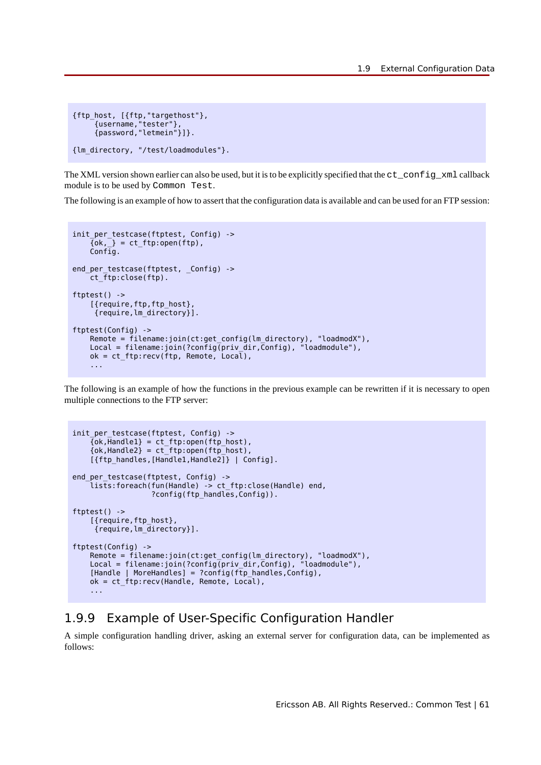```
 {ftp_host, [{ftp,"targethost"},
 {username,"tester"},
 {password,"letmein"}]}.
 {lm_directory, "/test/loadmodules"}.
```
The XML version shown earlier can also be used, but it is to be explicitly specified that the ct\_config\_xml callback module is to be used by Common Test.

The following is an example of how to assert that the configuration data is available and can be used for an FTP session:

```
 init_per_testcase(ftptest, Config) ->
\{ \mathsf{ok}, \_\} = \mathsf{ct}\_\mathsf{ftp:open}(\mathsf{ftp}), Config.
 end_per_testcase(ftptest, _Config) ->
      ct_ftp:close(ftp).
 ftptest() ->
     [{require, ftp, ftp_host},
       {require,lm_directory}].
 ftptest(Config) ->
     Remote = filename:join(ct:get config(lm directory), "loadmodX"),
      Local = filename:join(?config(priv_dir,Config), "loadmodule"),
     ok = ct ftp:recv(ftp, Remote, Local),
      ...
```
The following is an example of how the functions in the previous example can be rewritten if it is necessary to open multiple connections to the FTP server:

```
init per testcase(ftptest, Config) ->
    \{ok, \overline{H} \text{ and } \text{le1}\} = ct_ftp: open(ftp_{\text{most}}),\{ok, Handle2\} = ct_{fp:open}(ftp_{host}),[{ftp_handles,[Handle1,Handle2]} | Config].
end per testcase(ftptest, Config) ->
     lists:foreach(fun(Handle) -> ct_ftp:close(Handle) end, 
                    ?config(ftp_handles,Config)).
 ftptest() ->
     [{require,ftp_host},
      {require,lm_directory}].
 ftptest(Config) ->
     Remote = filename:join(ct:get_config(lm_directory), "loadmodX"),
    Local = filename:join(?config(priv_dir,Config), "loadmodule"),
     [Handle | MoreHandles] = ?config(ftp_handles,Config),
     ok = ct_ftp:recv(Handle, Remote, Local),
     ...
```
## 1.9.9 Example of User-Specific Configuration Handler

A simple configuration handling driver, asking an external server for configuration data, can be implemented as follows: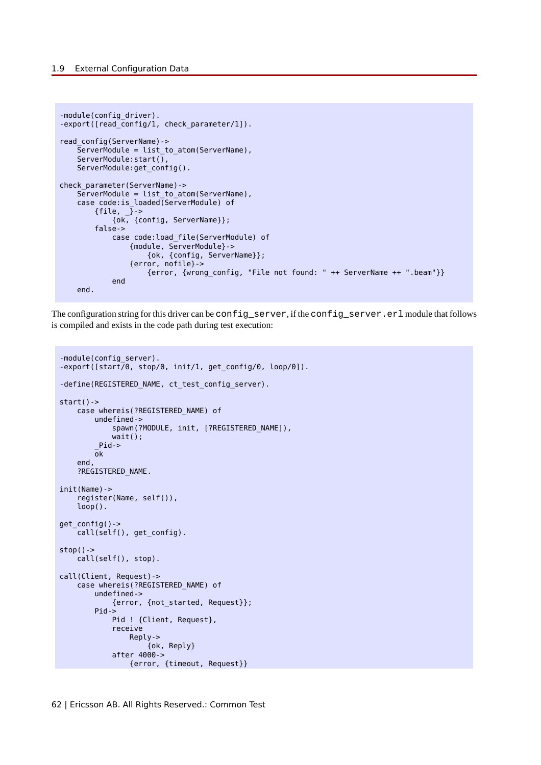```
-module(config driver).
-export([read_config/1, check_parameter/1]).
 read_config(ServerName)->
     ServerModule = list_to_atom(ServerName),
    ServerModule:start()
    ServerModule:get config().
 check_parameter(ServerName)->
 ServerModule = list_to_atom(ServerName),
 case code:is_loaded(ServerModule) of
         {file, \overline{\phantom{a}}}->
              {ok, {config, ServerName}};
          false->
              case code:load_file(ServerModule) of
                  {module, ServerModule}->
                      {ok, {config, ServerName}};
                  {error, nofile}->
                      {error, {wrong_config, "File not found: " ++ ServerName ++ ".beam"}}
              end
     end.
```
The configuration string for this driver can be config\_server, if the config\_server.erl module that follows is compiled and exists in the code path during test execution:

```
 -module(config_server).
 -export([start/0, stop/0, init/1, get_config/0, loop/0]).
 -define(REGISTERED_NAME, ct_test_config_server).
 start()->
     case whereis(?REGISTERED_NAME) of
         undefined->
             spawn(?MODULE, init, [?REGISTERED_NAME]),
             wait();
          _Pid->
         ok
     end,
     ?REGISTERED_NAME.
 init(Name)->
     register(Name, self()),
     loop().
get config()->
     call(self(), get_config).
 stop()->
     call(self(), stop).
 call(Client, Request)->
     case whereis(?REGISTERED_NAME) of
         undefined->
             {error, {not_started, Request}};
         Pid->
            Pid ! {Client, Request},
             receive
                 Reply->
                      {ok, Reply}
             after 4000->
                  {error, {timeout, Request}}
```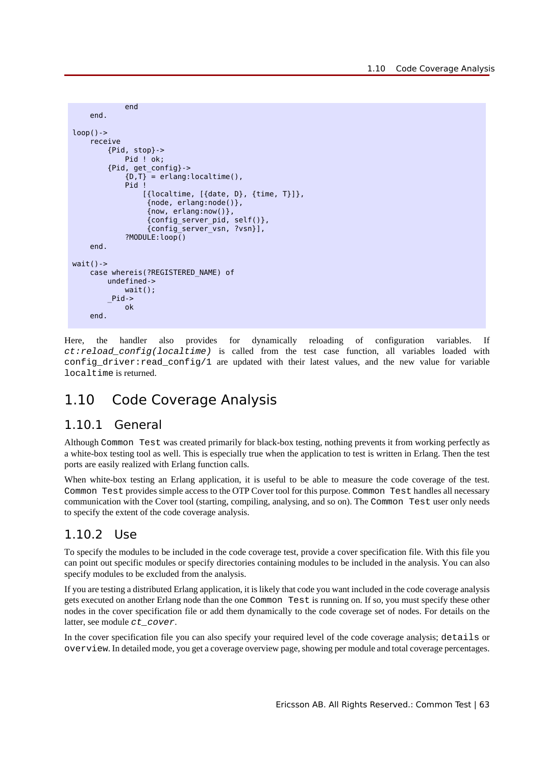```
 end
      end.
 loop()->
      receive
           {Pid, stop}->
               Pid ! ok;
           {Pid, get_config}->
              {D, T} = erlang: localtime(),
              Pid !
                    [{localtime, [{date, D}, {time, T}]},
                      {node, erlang:node()},
                     {now, erlang:now()},
                     {config_server_pid, self()},
                      {config_server_vsn, ?vsn}],
                ?MODULE:loop()
      end.
 wait()->
      case whereis(?REGISTERED_NAME) of
           undefined->
               wait();
           Pid-ok a bosan da barang <mark>ok</mark>
      end.
```
Here, the handler also provides for dynamically reloading of configuration variables. If ct:reload\_config(localtime) is called from the test case function, all variables loaded with config\_driver: read\_config/1 are updated with their latest values, and the new value for variable localtime is returned.

# 1.10 Code Coverage Analysis

## 1.10.1 General

Although Common Test was created primarily for black-box testing, nothing prevents it from working perfectly as a white-box testing tool as well. This is especially true when the application to test is written in Erlang. Then the test ports are easily realized with Erlang function calls.

When white-box testing an Erlang application, it is useful to be able to measure the code coverage of the test. Common Test provides simple access to the OTP Cover tool for this purpose. Common Test handles all necessary communication with the Cover tool (starting, compiling, analysing, and so on). The Common Test user only needs to specify the extent of the code coverage analysis.

## 1.10.2 Use

To specify the modules to be included in the code coverage test, provide a cover specification file. With this file you can point out specific modules or specify directories containing modules to be included in the analysis. You can also specify modules to be excluded from the analysis.

If you are testing a distributed Erlang application, it is likely that code you want included in the code coverage analysis gets executed on another Erlang node than the one Common Test is running on. If so, you must specify these other nodes in the cover specification file or add them dynamically to the code coverage set of nodes. For details on the latter, see module ct\_cover.

In the cover specification file you can also specify your required level of the code coverage analysis; details or overview. In detailed mode, you get a coverage overview page, showing per module and total coverage percentages.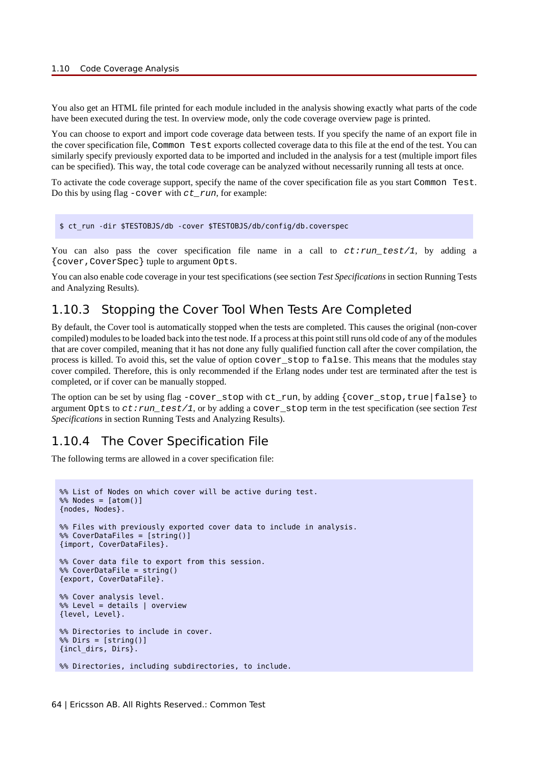You also get an HTML file printed for each module included in the analysis showing exactly what parts of the code have been executed during the test. In overview mode, only the code coverage overview page is printed.

You can choose to export and import code coverage data between tests. If you specify the name of an export file in the cover specification file, Common Test exports collected coverage data to this file at the end of the test. You can similarly specify previously exported data to be imported and included in the analysis for a test (multiple import files can be specified). This way, the total code coverage can be analyzed without necessarily running all tests at once.

To activate the code coverage support, specify the name of the cover specification file as you start Common Test. Do this by using flag -cover with  $ct\_run$ , for example:

\$ ct\_run -dir \$TESTOBJS/db -cover \$TESTOBJS/db/config/db.coverspec

You can also pass the cover specification file name in a call to  $ct: run\_test/1$ , by adding a {cover,CoverSpec} tuple to argument Opts.

You can also enable code coverage in your test specifications (see section *Test Specifications* in section Running Tests and Analyzing Results).

## 1.10.3 Stopping the Cover Tool When Tests Are Completed

By default, the Cover tool is automatically stopped when the tests are completed. This causes the original (non-cover compiled) modules to be loaded back into the test node. If a process at this point still runs old code of any of the modules that are cover compiled, meaning that it has not done any fully qualified function call after the cover compilation, the process is killed. To avoid this, set the value of option cover\_stop to false. This means that the modules stay cover compiled. Therefore, this is only recommended if the Erlang nodes under test are terminated after the test is completed, or if cover can be manually stopped.

The option can be set by using flag -cover\_stop with ct\_run, by adding {cover\_stop,true|false} to argument Opts to ct:run\_test/1, or by adding a cover\_stop term in the test specification (see section *Test Specifications* in section Running Tests and Analyzing Results).

## 1.10.4 The Cover Specification File

The following terms are allowed in a cover specification file:

```
%% List of Nodes on which cover will be active during test.
% Nodes = [atom()] {nodes, Nodes}. 
 %% Files with previously exported cover data to include in analysis.
 %% CoverDataFiles = [string()]
 {import, CoverDataFiles}.
%% Cover data file to export from this session.
 %% CoverDataFile = string()
 {export, CoverDataFile}.
 %% Cover analysis level.
 %% Level = details | overview
 {level, Level}. 
 %% Directories to include in cover.
%% Dirs = [string()] {incl_dirs, Dirs}.
 %% Directories, including subdirectories, to include.
```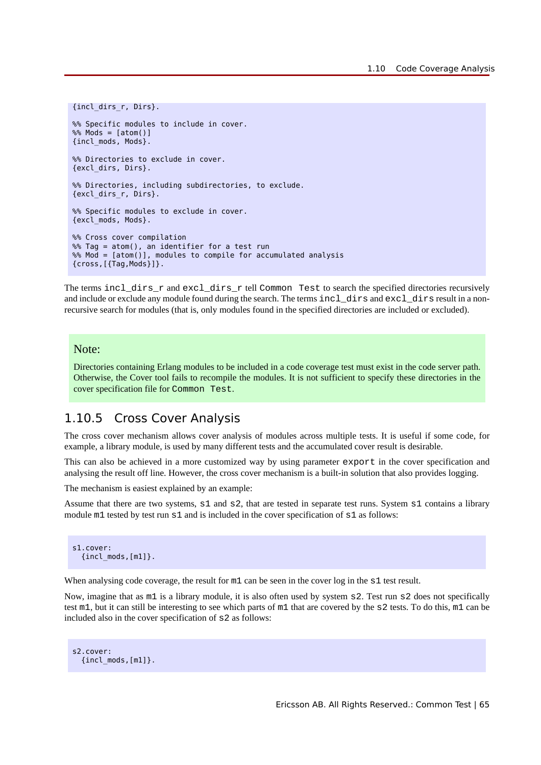```
 {incl_dirs_r, Dirs}.
 %% Specific modules to include in cover.
%% Mods = [atom()] {incl_mods, Mods}.
 %% Directories to exclude in cover.
 {excl_dirs, Dirs}.
 %% Directories, including subdirectories, to exclude.
 {excl_dirs_r, Dirs}.
 %% Specific modules to exclude in cover.
 {excl_mods, Mods}.
 %% Cross cover compilation
 %% Tag = atom(), an identifier for a test run
 %% Mod = [atom()], modules to compile for accumulated analysis
 {cross,[{Tag,Mods}]}.
```
The terms incl\_dirs\_r and excl\_dirs\_r tell Common Test to search the specified directories recursively and include or exclude any module found during the search. The terms incl\_dirs and excl\_dirs result in a nonrecursive search for modules (that is, only modules found in the specified directories are included or excluded).

#### Note:

Directories containing Erlang modules to be included in a code coverage test must exist in the code server path. Otherwise, the Cover tool fails to recompile the modules. It is not sufficient to specify these directories in the cover specification file for Common Test.

## 1.10.5 Cross Cover Analysis

The cross cover mechanism allows cover analysis of modules across multiple tests. It is useful if some code, for example, a library module, is used by many different tests and the accumulated cover result is desirable.

This can also be achieved in a more customized way by using parameter export in the cover specification and analysing the result off line. However, the cross cover mechanism is a built-in solution that also provides logging.

The mechanism is easiest explained by an example:

Assume that there are two systems, s1 and s2, that are tested in separate test runs. System s1 contains a library module m1 tested by test run s1 and is included in the cover specification of s1 as follows:

```
 s1.cover:
  \{incl mods,[m1]\}.
```
When analysing code coverage, the result for  $m_1$  can be seen in the cover log in the  $s_1$  test result.

Now, imagine that as m1 is a library module, it is also often used by system s2. Test run s2 does not specifically test m1, but it can still be interesting to see which parts of m1 that are covered by the s2 tests. To do this, m1 can be included also in the cover specification of s2 as follows:

```
 s2.cover:
   {incl_mods,[m1]}.
```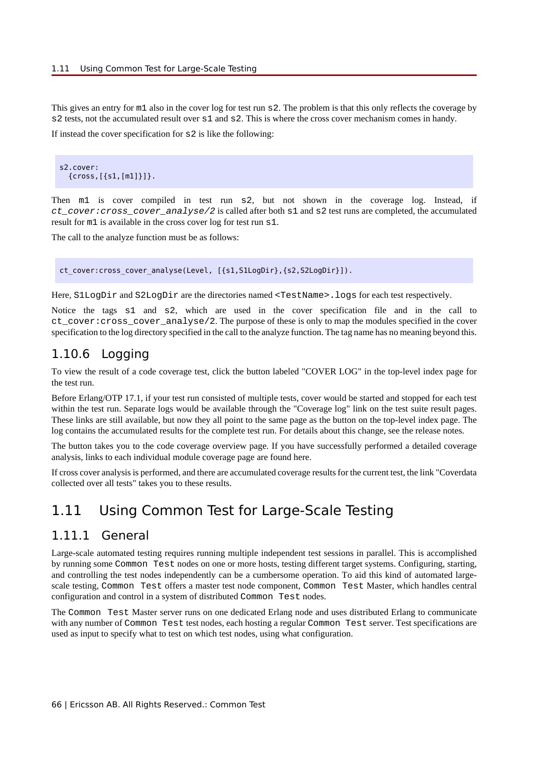This gives an entry for m1 also in the cover log for test run s2. The problem is that this only reflects the coverage by s2 tests, not the accumulated result over s1 and s2. This is where the cross cover mechanism comes in handy.

If instead the cover specification for s2 is like the following:

```
 s2.cover:
   {cross,[{s1,[m1]}]}.
```
Then m1 is cover compiled in test run s2, but not shown in the coverage log. Instead, if ct cover: cross cover analyse/2 is called after both s1 and s2 test runs are completed, the accumulated result for m1 is available in the cross cover log for test run s1.

The call to the analyze function must be as follows:

ct cover:cross cover analyse(Level, [{s1,S1LogDir},{s2,S2LogDir}]).

Here, S1LogDir and S2LogDir are the directories named <TestName>.logs for each test respectively.

Notice the tags s1 and s2, which are used in the cover specification file and in the call to ct\_cover:cross\_cover\_analyse/2. The purpose of these is only to map the modules specified in the cover specification to the log directory specified in the call to the analyze function. The tag name has no meaning beyond this.

## 1.10.6 Logging

To view the result of a code coverage test, click the button labeled "COVER LOG" in the top-level index page for the test run.

Before Erlang/OTP 17.1, if your test run consisted of multiple tests, cover would be started and stopped for each test within the test run. Separate logs would be available through the "Coverage log" link on the test suite result pages. These links are still available, but now they all point to the same page as the button on the top-level index page. The log contains the accumulated results for the complete test run. For details about this change, see the release notes.

The button takes you to the code coverage overview page. If you have successfully performed a detailed coverage analysis, links to each individual module coverage page are found here.

If cross cover analysis is performed, and there are accumulated coverage results for the current test, the link "Coverdata collected over all tests" takes you to these results.

# 1.11 Using Common Test for Large-Scale Testing

## 1.11.1 General

Large-scale automated testing requires running multiple independent test sessions in parallel. This is accomplished by running some Common Test nodes on one or more hosts, testing different target systems. Configuring, starting, and controlling the test nodes independently can be a cumbersome operation. To aid this kind of automated largescale testing, Common Test offers a master test node component, Common Test Master, which handles central configuration and control in a system of distributed Common Test nodes.

The Common Test Master server runs on one dedicated Erlang node and uses distributed Erlang to communicate with any number of Common Test test nodes, each hosting a regular Common Test server. Test specifications are used as input to specify what to test on which test nodes, using what configuration.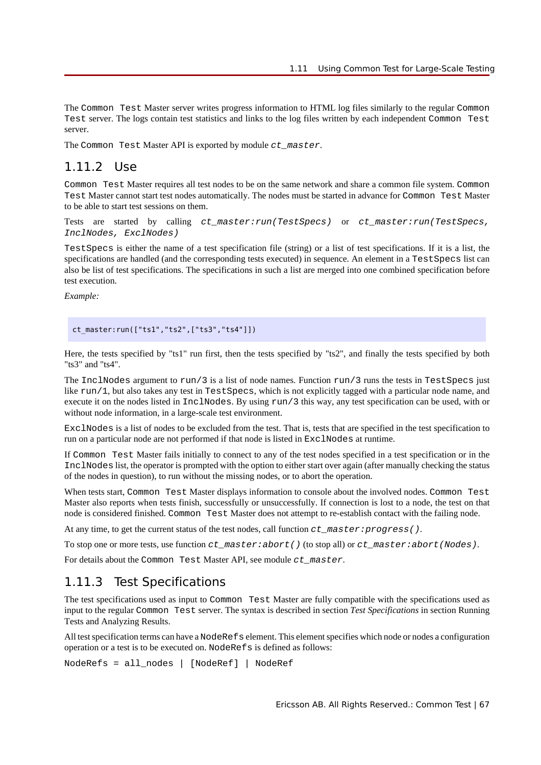The Common Test Master server writes progress information to HTML log files similarly to the regular Common Test server. The logs contain test statistics and links to the log files written by each independent Common Test server.

The Common Test Master API is exported by module  $ct$  master.

## 1.11.2 Use

Common Test Master requires all test nodes to be on the same network and share a common file system. Common Test Master cannot start test nodes automatically. The nodes must be started in advance for Common Test Master to be able to start test sessions on them.

Tests are started by calling ct\_master:run(TestSpecs) or ct\_master:run(TestSpecs, InclNodes, ExclNodes)

TestSpecs is either the name of a test specification file (string) or a list of test specifications. If it is a list, the specifications are handled (and the corresponding tests executed) in sequence. An element in a TestSpecs list can also be list of test specifications. The specifications in such a list are merged into one combined specification before test execution.

*Example:*

```
 ct_master:run(["ts1","ts2",["ts3","ts4"]])
```
Here, the tests specified by "ts1" run first, then the tests specified by "ts2", and finally the tests specified by both "ts3" and "ts4".

The InclNodes argument to run/3 is a list of node names. Function run/3 runs the tests in TestSpecs just like run/1, but also takes any test in TestSpecs, which is not explicitly tagged with a particular node name, and execute it on the nodes listed in InclNodes. By using run/3 this way, any test specification can be used, with or without node information, in a large-scale test environment.

ExclNodes is a list of nodes to be excluded from the test. That is, tests that are specified in the test specification to run on a particular node are not performed if that node is listed in ExclNodes at runtime.

If Common Test Master fails initially to connect to any of the test nodes specified in a test specification or in the InclNodes list, the operator is prompted with the option to either start over again (after manually checking the status of the nodes in question), to run without the missing nodes, or to abort the operation.

When tests start, Common Test Master displays information to console about the involved nodes. Common Test Master also reports when tests finish, successfully or unsuccessfully. If connection is lost to a node, the test on that node is considered finished. Common Test Master does not attempt to re-establish contact with the failing node.

At any time, to get the current status of the test nodes, call function  $ct\_master:progress()$ .

To stop one or more tests, use function  $ct\_master:abort($  (to stop all) or  $ct\_master:abort(Nodes).$ 

For details about the Common Test Master API, see module ct\_master.

## 1.11.3 Test Specifications

The test specifications used as input to Common Test Master are fully compatible with the specifications used as input to the regular Common Test server. The syntax is described in section *Test Specifications* in section Running Tests and Analyzing Results.

All test specification terms can have a NodeRefs element. This element specifies which node or nodes a configuration operation or a test is to be executed on. NodeRefs is defined as follows:

```
NodeRefs = all_nodes | [NodeRef] | NodeRef
```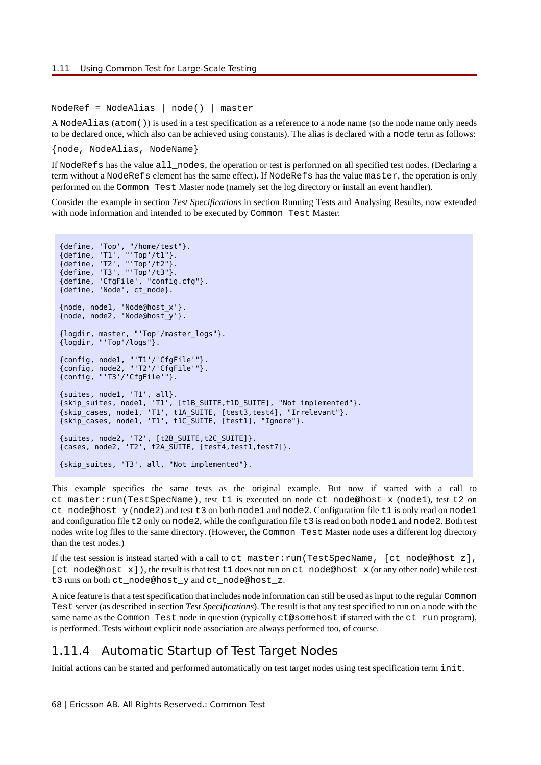#### NodeRef = NodeAlias | node() | master

A NodeAlias (atom()) is used in a test specification as a reference to a node name (so the node name only needs to be declared once, which also can be achieved using constants). The alias is declared with a node term as follows:

{node, NodeAlias, NodeName}

If NodeRefs has the value all\_nodes, the operation or test is performed on all specified test nodes. (Declaring a term without a NodeRefs element has the same effect). If NodeRefs has the value master, the operation is only performed on the Common Test Master node (namely set the log directory or install an event handler).

Consider the example in section *Test Specifications* in section Running Tests and Analysing Results, now extended with node information and intended to be executed by Common Test Master:

```
 {define, 'Top', "/home/test"}.
 {define, 'T1', "'Top'/t1"}.
 {define, 'T2', "'Top'/t2"}.
 {define, 'T3', "'Top'/t3"}.
 {define, 'CfgFile', "config.cfg"}.
 {define, 'Node', ct_node}.
 {node, node1, 'Node@host_x'}.
 {node, node2, 'Node@host_y'}.
 {logdir, master, "'Top'/master_logs"}.
 {logdir, "'Top'/logs"}.
 {config, node1, "'T1'/'CfgFile'"}.
 {config, node2, "'T2'/'CfgFile'"}.
 {config, "'T3'/'CfgFile'"}.
 {suites, node1, 'T1', all}.
 {skip_suites, node1, 'T1', [t1B_SUITE,t1D_SUITE], "Not implemented"}.
 {skip_cases, node1, 'T1', t1A_SUITE, [test3,test4], "Irrelevant"}.
 {skip_cases, node1, 'T1', t1C_SUITE, [test1], "Ignore"}.
 {suites, node2, 'T2', [t2B_SUITE,t2C_SUITE]}.
 {cases, node2, 'T2', t2A_SUITE, [test4,test1,test7]}.
 {skip_suites, 'T3', all, "Not implemented"}.
```
This example specifies the same tests as the original example. But now if started with a call to ct\_master:run(TestSpecName), test t1 is executed on node ct\_node@host\_x (node1), test t2 on ct\_node@host\_y (node2) and test t3 on both node1 and node2. Configuration file t1 is only read on node1 and configuration file t2 only on node2, while the configuration file t3 is read on both node1 and node2. Both test nodes write log files to the same directory. (However, the Common Test Master node uses a different log directory than the test nodes.)

If the test session is instead started with a call to ct\_master:run(TestSpecName, [ct\_node@host\_z], [ct\_node@host\_x]), the result is that test t1 does not run on ct\_node@host\_x (or any other node) while test t3 runs on both ct\_node@host\_y and ct\_node@host\_z.

A nice feature is that a test specification that includes node information can still be used as input to the regular Common Test server (as described in section *Test Specifications*). The result is that any test specified to run on a node with the same name as the Common Test node in question (typically ct@somehost if started with the ct\_run program), is performed. Tests without explicit node association are always performed too, of course.

## 1.11.4 Automatic Startup of Test Target Nodes

Initial actions can be started and performed automatically on test target nodes using test specification term init.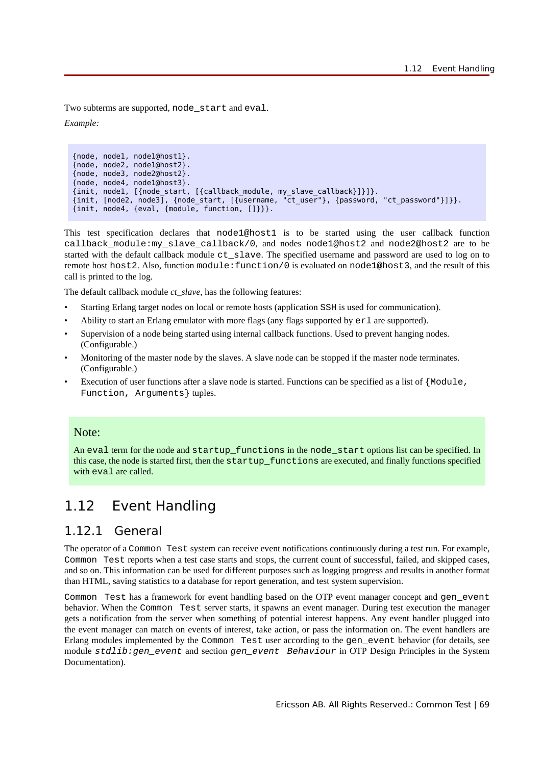Two subterms are supported, node start and eval.

*Example:*

```
 {node, node1, node1@host1}.
 {node, node2, node1@host2}.
 {node, node3, node2@host2}.
 {node, node4, node1@host3}.
 {init, node1, [{node_start, [{callback_module, my_slave_callback}]}]}.
 {init, [node2, node3], {node_start, [{username, "ct_user"}, {password, "ct_password"}]}}.
 {init, node4, {eval, {module, function, []}}}.
```
This test specification declares that node1@host1 is to be started using the user callback function callback module:my slave callback/0, and nodes node1@host2 and node2@host2 are to be started with the default callback module ct\_slave. The specified username and password are used to log on to remote host host2. Also, function module:function/0 is evaluated on node1@host3, and the result of this call is printed to the log.

The default callback module *ct\_slave*, has the following features:

- Starting Erlang target nodes on local or remote hosts (application SSH is used for communication).
- Ability to start an Erlang emulator with more flags (any flags supported by  $er1$  are supported).
- Supervision of a node being started using internal callback functions. Used to prevent hanging nodes. (Configurable.)
- Monitoring of the master node by the slaves. A slave node can be stopped if the master node terminates. (Configurable.)
- Execution of user functions after a slave node is started. Functions can be specified as a list of  $\{$ Module, Function, Arguments} tuples.

### Note:

An eval term for the node and startup\_functions in the node\_start options list can be specified. In this case, the node is started first, then the startup\_functions are executed, and finally functions specified with eval are called.

# 1.12 Event Handling

## 1.12.1 General

The operator of a Common Test system can receive event notifications continuously during a test run. For example, Common Test reports when a test case starts and stops, the current count of successful, failed, and skipped cases, and so on. This information can be used for different purposes such as logging progress and results in another format than HTML, saving statistics to a database for report generation, and test system supervision.

Common Test has a framework for event handling based on the OTP event manager concept and gen\_event behavior. When the Common Test server starts, it spawns an event manager. During test execution the manager gets a notification from the server when something of potential interest happens. Any event handler plugged into the event manager can match on events of interest, take action, or pass the information on. The event handlers are Erlang modules implemented by the Common Test user according to the gen\_event behavior (for details, see module stdlib: gen\_event and section gen\_event Behaviour in OTP Design Principles in the System Documentation).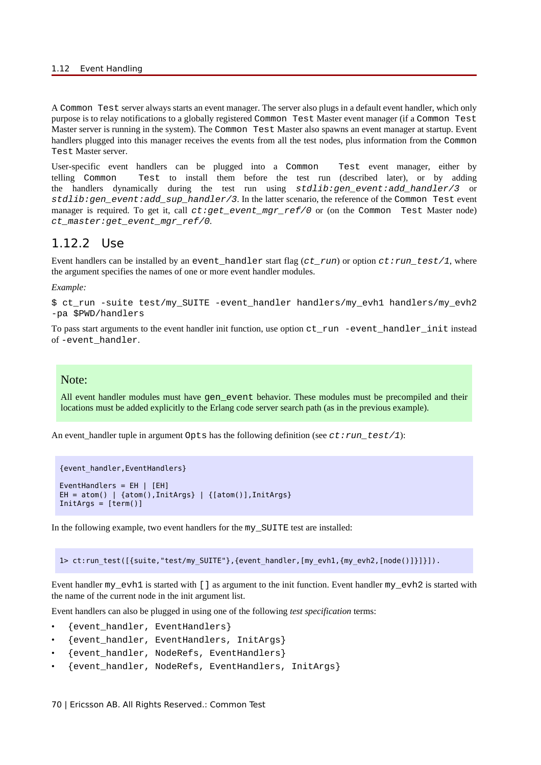A Common Test server always starts an event manager. The server also plugs in a default event handler, which only purpose is to relay notifications to a globally registered Common Test Master event manager (if a Common Test Master server is running in the system). The Common Test Master also spawns an event manager at startup. Event handlers plugged into this manager receives the events from all the test nodes, plus information from the Common Test Master server.

User-specific event handlers can be plugged into a Common Test event manager, either by telling Common Test to install them before the test run (described later), or by adding the handlers dynamically during the test run using stdlib:gen\_event:add\_handler/3 or  $stdlib:gen\_event:add\_sup\_handler/3$ . In the latter scenario, the reference of the Common Test event manager is required. To get it, call  $ct:get\_event\_mgr\_ref/0$  or (on the Common Test Master node) ct\_master:get\_event\_mgr\_ref/0.

## 1.12.2 Use

Event handlers can be installed by an event\_handler start flag  $(ct$ \_run) or option  $ct:run\_test/1$ , where the argument specifies the names of one or more event handler modules.

*Example:*

```
$ ct_run -suite test/my_SUITE -event_handler handlers/my_evh1 handlers/my_evh2
-pa $PWD/handlers
```
To pass start arguments to the event handler init function, use option ct\_run -event\_handler\_init instead of -event\_handler.

#### Note:

All event handler modules must have gen event behavior. These modules must be precompiled and their locations must be added explicitly to the Erlang code server search path (as in the previous example).

An event\_handler tuple in argument  $Opts$  has the following definition (see  $ct:run_test/1$ ):

```
 {event_handler,EventHandlers}
 EventHandlers = EH | [EH]
EH = atom() | {atom()}, InitArgs} | {[atom()]}, InitArgs}
 InitArgs = [term()]
```
In the following example, two event handlers for the my\_SUITE test are installed:

1> ct:run test([{suite,"test/my SUITE"},{event handler,[my evh1,{my evh2,[node()]}]}]).

Event handler my\_evh1 is started with [] as argument to the init function. Event handler my\_evh2 is started with the name of the current node in the init argument list.

Event handlers can also be plugged in using one of the following *test specification* terms:

- {event\_handler, EventHandlers}
- {event\_handler, EventHandlers, InitArgs}
- {event\_handler, NodeRefs, EventHandlers}
- {event\_handler, NodeRefs, EventHandlers, InitArgs}

70 | Ericsson AB. All Rights Reserved.: Common Test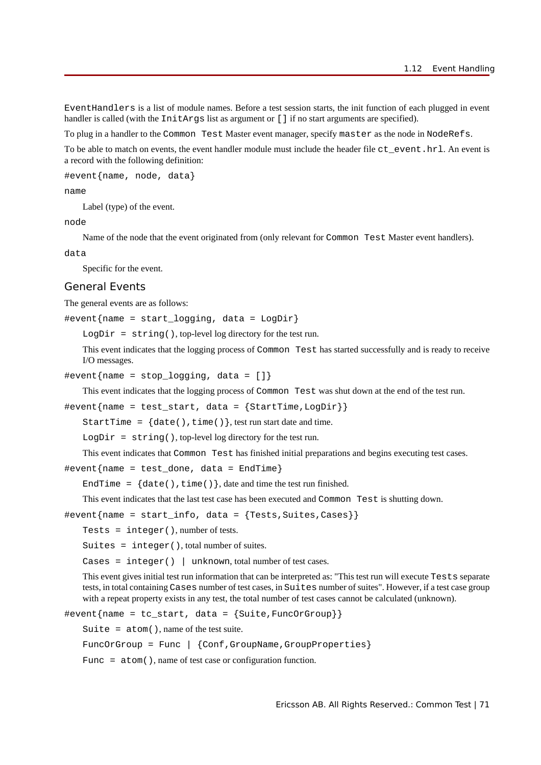EventHandlers is a list of module names. Before a test session starts, the init function of each plugged in event handler is called (with the InitArgs list as argument or  $[]$  if no start arguments are specified).

To plug in a handler to the Common Test Master event manager, specify master as the node in NodeRefs.

To be able to match on events, the event handler module must include the header file  $ct$  event.hrl. An event is a record with the following definition:

#event{name, node, data}

name

Label (type) of the event.

node

Name of the node that the event originated from (only relevant for Common Test Master event handlers).

data

Specific for the event.

### General Events

The general events are as follows:

#event{name = start\_logging, data = LogDir}

LogDir =  $string($ ), top-level log directory for the test run.

This event indicates that the logging process of Common Test has started successfully and is ready to receive I/O messages.

```
#event{name = stop_logging, data = [ ]}
```
This event indicates that the logging process of Common Test was shut down at the end of the test run.

#event{name = test\_start, data = {StartTime, LogDir}}

StartTime =  $\{date()$ , time(), test run start date and time.

LogDir =  $string()$ , top-level log directory for the test run.

This event indicates that Common Test has finished initial preparations and begins executing test cases.

```
#event{name = test_done, data = EndTime}
```
EndTime =  $\{date()$ , time(), date and time the test run finished.

This event indicates that the last test case has been executed and Common Test is shutting down.

 $\{$ vert = start\_info, data = {Tests, Suites, Cases}\}

Tests = integer(), number of tests.

Suites =  $integer()$ , total number of suites.

Cases =  $integer()$  | unknown, total number of test cases.

This event gives initial test run information that can be interpreted as: "This test run will execute Tests separate tests, in total containing Cases number of test cases, in Suites number of suites". However, if a test case group with a repeat property exists in any test, the total number of test cases cannot be calculated (unknown).

#event{name = tc start, data = {Suite, FuncOrGroup}}

Suite = atom(), name of the test suite.

FuncOrGroup = Func | {Conf,GroupName,GroupProperties}

Func =  $atom()$ , name of test case or configuration function.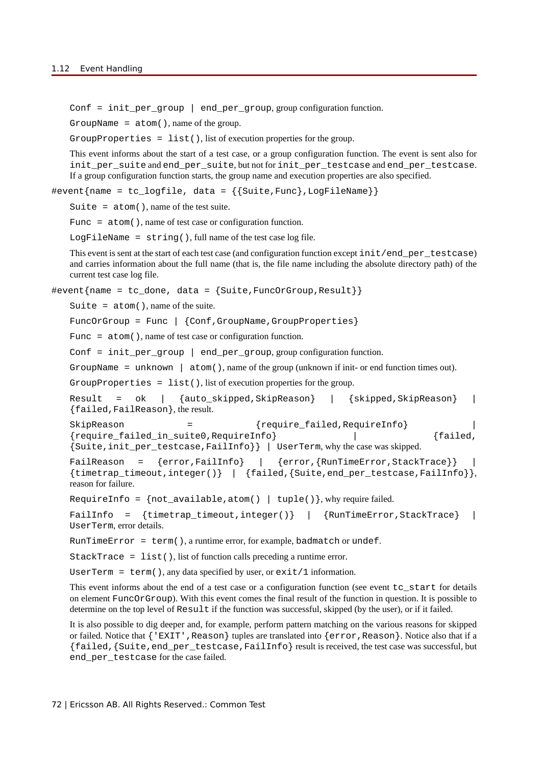Conf = init per group | end per group, group configuration function.

GroupName = atom(), name of the group.

GroupProperties = list(), list of execution properties for the group.

This event informs about the start of a test case, or a group configuration function. The event is sent also for init per suite and end per suite, but not for init per testcase and end per testcase. If a group configuration function starts, the group name and execution properties are also specified.

#event{name = tc\_logfile, data = {{Suite,Func},LogFileName}}

Suite =  $atom()$ , name of the test suite.

Func =  $atom()$ , name of test case or configuration function.

LogFileName =  $string()$ , full name of the test case  $log$  file.

This event is sent at the start of each test case (and configuration function except init/end\_per\_testcase) and carries information about the full name (that is, the file name including the absolute directory path) of the current test case log file.

#event{name = tc\_done, data = {Suite,FuncOrGroup,Result}}

Suite =  $atom()$ , name of the suite.

FuncOrGroup = Func | {Conf, GroupName, GroupProperties}

Func =  $atom()$ , name of test case or configuration function.

Conf = init per group | end per group, group configuration function.

GroupName = unknown | atom(), name of the group (unknown if init- or end function times out).

GroupProperties = list(), list of execution properties for the group.

Result = ok | {auto\_skipped,SkipReason} | {skipped,SkipReason} | {failed,FailReason}, the result.

SkipReason = {require\_failed,RequireInfo} {require failed in suite0, RequireInfo} | | {failed, {Suite,init\_per\_testcase,FailInfo}} | UserTerm, why the case was skipped.

```
FailReason = {error,FailInfo} | {error,{RunTimeError,StackTrace}}
{timetrap_timeout,integer()} | {failed,{Suite,end_per_testcase,FailInfo}},
reason for failure.
```
RequireInfo =  $\{not\}$  available,atom()  $|$  tuple(), why require failed.

FailInfo = {timetrap\_timeout,integer()} | {RunTimeError,StackTrace} | UserTerm, error details.

RunTimeError = term(), a runtime error, for example, badmatch or undef.

StackTrace = list(), list of function calls preceding a runtime error.

UserTerm =  $term()$ , any data specified by user, or  $exit/1$  information.

This event informs about the end of a test case or a configuration function (see event tc\_start for details on element FuncOrGroup). With this event comes the final result of the function in question. It is possible to determine on the top level of Result if the function was successful, skipped (by the user), or if it failed.

It is also possible to dig deeper and, for example, perform pattern matching on the various reasons for skipped or failed. Notice that  $\{^{\prime}$  EXIT', Reason uples are translated into  $\{error, Reason\}$ . Notice also that if a {failed,{Suite,end\_per\_testcase,FailInfo} result is received, the test case was successful, but end per testcase for the case failed.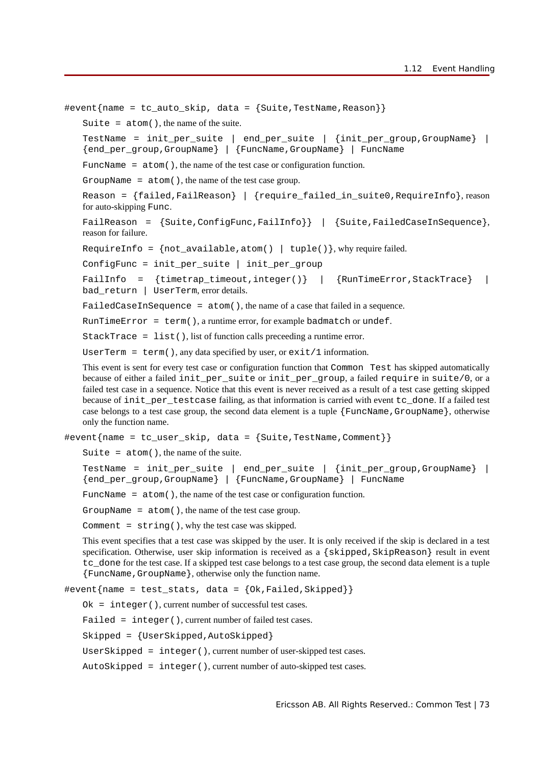```
#event{name = tc auto skip, data = {Suite,TestName,Reason}}
```
Suite =  $atom()$ , the name of the suite.

TestName = init\_per\_suite | end\_per\_suite | {init\_per\_group,GroupName} | {end\_per\_group,GroupName} | {FuncName,GroupName} | FuncName

FuncName = atom(), the name of the test case or configuration function.

GroupName =  $atom()$ , the name of the test case group.

Reason =  ${failRed, Failure}$  |  ${required}$ ,  ${required}$  |  ${required}$   ${right}$   ${right}$ for auto-skipping Func.

FailReason = {Suite,ConfigFunc,FailInfo}} | {Suite,FailedCaseInSequence}, reason for failure.

RequireInfo =  ${not_available,atom() | tuple()}, why require failed.$ 

ConfigFunc = init\_per\_suite | init\_per\_group

FailInfo =  $\{$ timetrap\_timeout,integer() $\}$  |  $\{$  RunTimeError, StackTrace $\}$  | bad\_return | UserTerm, error details.

FailedCaseInSequence = atom(), the name of a case that failed in a sequence.

RunTimeError =  $term()$ , a runtime error, for example badmatch or undef.

StackTrace = list(), list of function calls preceeding a runtime error.

UserTerm =  $term()$ , any data specified by user, or  $exit/1$  information.

This event is sent for every test case or configuration function that Common Test has skipped automatically because of either a failed init\_per\_suite or init\_per\_group, a failed require in suite/0, or a failed test case in a sequence. Notice that this event is never received as a result of a test case getting skipped because of init\_per\_testcase failing, as that information is carried with event tc\_done. If a failed test case belongs to a test case group, the second data element is a tuple {FuncName,GroupName}, otherwise only the function name.

```
#event{name = tc_user_skip, data = {Suite,TestName,Comment}}
```
Suite =  $atom()$ , the name of the suite.

```
TestName = init_per_suite | end_per_suite | {init_per_group,GroupName} |
{end_per_group,GroupName} | {FuncName,GroupName} | FuncName
```
FuncName = atom(), the name of the test case or configuration function.

GroupName = atom(), the name of the test case group.

Comment =  $string($ ), why the test case was skipped.

This event specifies that a test case was skipped by the user. It is only received if the skip is declared in a test specification. Otherwise, user skip information is received as a  $\{skip$  skipped, SkipReason $\}$  result in event tc\_done for the test case. If a skipped test case belongs to a test case group, the second data element is a tuple {FuncName,GroupName}, otherwise only the function name.

#event{name = test stats, data = {Ok,Failed,Skipped}}

 $Ok = inter(<sub>1</sub>, current number of successful test cases.$ 

Failed = integer(), current number of failed test cases.

Skipped = {UserSkipped,AutoSkipped}

UserSkipped = integer(), current number of user-skipped test cases.

AutoSkipped = integer(), current number of auto-skipped test cases.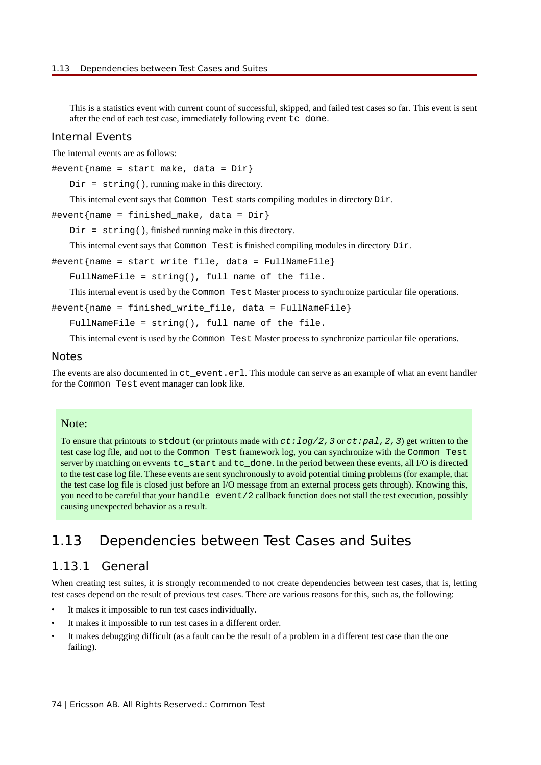This is a statistics event with current count of successful, skipped, and failed test cases so far. This event is sent after the end of each test case, immediately following event tc\_done.

### Internal Events

The internal events are as follows:

#event{name = start\_make, data =  $Dir$ }

 $Dir = string($ , running make in this directory.

This internal event says that Common Test starts compiling modules in directory Dir.

#event{name = finished\_make, data =  $Dir$ }

Dir = string(), finished running make in this directory.

This internal event says that Common Test is finished compiling modules in directory Dir.

#event{name = start\_write\_file, data = FullNameFile}

FullNameFile = string(), full name of the file.

This internal event is used by the Common Test Master process to synchronize particular file operations.

```
#event{name = finished_write_file, data = FullNameFile}
```
FullNameFile = string(), full name of the file.

This internal event is used by the Common Test Master process to synchronize particular file operations.

### Notes

The events are also documented in  $ct$ \_event.erl. This module can serve as an example of what an event handler for the Common Test event manager can look like.

### Note:

To ensure that printouts to stdout (or printouts made with  $ct:$   $log/2$ , 3 or  $ct:$   $pal$ , 2, 3) get written to the test case log file, and not to the Common Test framework log, you can synchronize with the Common Test server by matching on evvents tc\_start and tc\_done. In the period between these events, all I/O is directed to the test case log file. These events are sent synchronously to avoid potential timing problems (for example, that the test case log file is closed just before an I/O message from an external process gets through). Knowing this, you need to be careful that your handle\_event/2 callback function does not stall the test execution, possibly causing unexpected behavior as a result.

# 1.13 Dependencies between Test Cases and Suites

## 1.13.1 General

When creating test suites, it is strongly recommended to not create dependencies between test cases, that is, letting test cases depend on the result of previous test cases. There are various reasons for this, such as, the following:

- It makes it impossible to run test cases individually.
- It makes it impossible to run test cases in a different order.
- It makes debugging difficult (as a fault can be the result of a problem in a different test case than the one failing).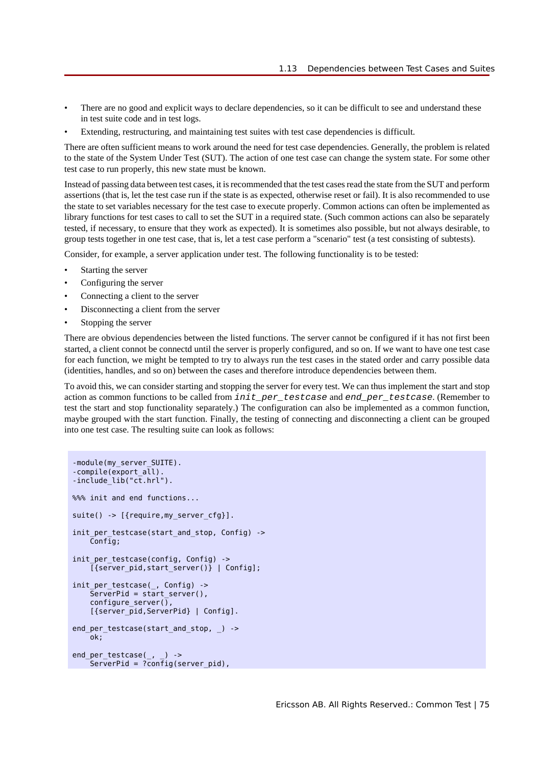- There are no good and explicit ways to declare dependencies, so it can be difficult to see and understand these in test suite code and in test logs.
- Extending, restructuring, and maintaining test suites with test case dependencies is difficult.

There are often sufficient means to work around the need for test case dependencies. Generally, the problem is related to the state of the System Under Test (SUT). The action of one test case can change the system state. For some other test case to run properly, this new state must be known.

Instead of passing data between test cases, it is recommended that the test cases read the state from the SUT and perform assertions (that is, let the test case run if the state is as expected, otherwise reset or fail). It is also recommended to use the state to set variables necessary for the test case to execute properly. Common actions can often be implemented as library functions for test cases to call to set the SUT in a required state. (Such common actions can also be separately tested, if necessary, to ensure that they work as expected). It is sometimes also possible, but not always desirable, to group tests together in one test case, that is, let a test case perform a "scenario" test (a test consisting of subtests).

Consider, for example, a server application under test. The following functionality is to be tested:

- Starting the server
- Configuring the server
- Connecting a client to the server
- Disconnecting a client from the server
- Stopping the server

There are obvious dependencies between the listed functions. The server cannot be configured if it has not first been started, a client connot be connectd until the server is properly configured, and so on. If we want to have one test case for each function, we might be tempted to try to always run the test cases in the stated order and carry possible data (identities, handles, and so on) between the cases and therefore introduce dependencies between them.

To avoid this, we can consider starting and stopping the server for every test. We can thus implement the start and stop action as common functions to be called from init per testcase and end per testcase. (Remember to test the start and stop functionality separately.) The configuration can also be implemented as a common function, maybe grouped with the start function. Finally, the testing of connecting and disconnecting a client can be grouped into one test case. The resulting suite can look as follows:

```
-module(my_server_SUITE).
-compile(export all).
 -include_lib("ct.hrl").
%%% init and end functions...
suite() -> [{require.my server cfg}].
init per testcase(start and stop, Config) \rightarrow Config;
init per testcase(config, Config) ->
    [{server pid,start server()} | Config];
init per testcase(, Config) \rightarrowServerPid = start server(),
    configure server().
     [{server_pid,ServerPid} | Config].
end per testcase(start and stop, ) ->
     ok;
end per testcase( , ) ->
    ServerPid = ?config(server pid),
```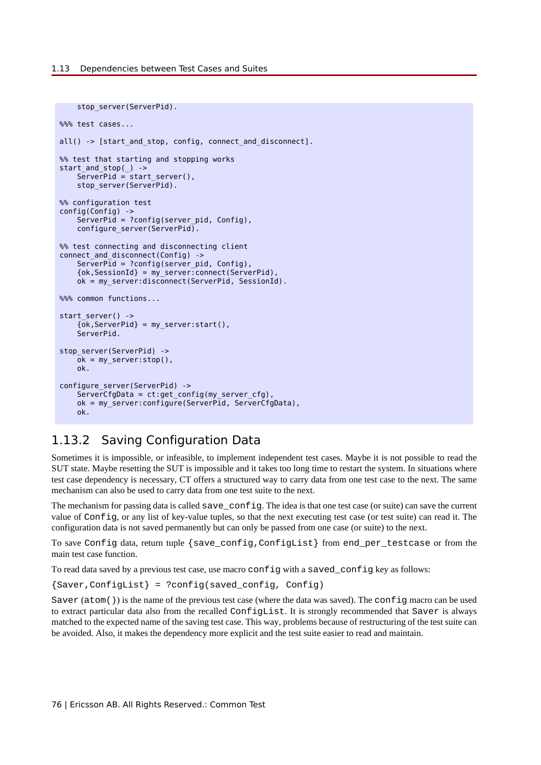```
stop_server(ServerPid).
%% test cases...
all() -> [start and stop, config, connect and disconnect].
 %% test that starting and stopping works
start and stop( ) -\geqServerPid = start server(),
    stop_server(ServerPid).
 %% configuration test
 config(Config) ->
     ServerPid = ?config(server_pid, Config),
     configure_server(ServerPid).
 %% test connecting and disconnecting client
connect and disconnect(Config) ->
    ServerPid = ?config(server pid, Config),
     {ok,SessionId} = my_server:connect(ServerPid),
     ok = my_server:disconnect(ServerPid, SessionId).
%%% common functions...
start server() ->
    \{\overline{ok}, \overline{ServerPid}\} = my\_server: start(),
     ServerPid.
stop server(ServerPid) ->
     ok = my_server:stop(),
     ok.
 configure_server(ServerPid) ->
    ServerCfgData = ct:get config(my server cfg),
     ok = my_server:configure(ServerPid, ServerCfgData),
     ok.
```
# 1.13.2 Saving Configuration Data

Sometimes it is impossible, or infeasible, to implement independent test cases. Maybe it is not possible to read the SUT state. Maybe resetting the SUT is impossible and it takes too long time to restart the system. In situations where test case dependency is necessary, CT offers a structured way to carry data from one test case to the next. The same mechanism can also be used to carry data from one test suite to the next.

The mechanism for passing data is called save\_config. The idea is that one test case (or suite) can save the current value of Config, or any list of key-value tuples, so that the next executing test case (or test suite) can read it. The configuration data is not saved permanently but can only be passed from one case (or suite) to the next.

To save Config data, return tuple {save\_config,ConfigList} from end\_per\_testcase or from the main test case function.

To read data saved by a previous test case, use macro config with a saved\_config key as follows:

 ${Saver, ConfigList} = ?config(saved\_config, Config)$ 

Saver (atom()) is the name of the previous test case (where the data was saved). The config macro can be used to extract particular data also from the recalled ConfigList. It is strongly recommended that Saver is always matched to the expected name of the saving test case. This way, problems because of restructuring of the test suite can be avoided. Also, it makes the dependency more explicit and the test suite easier to read and maintain.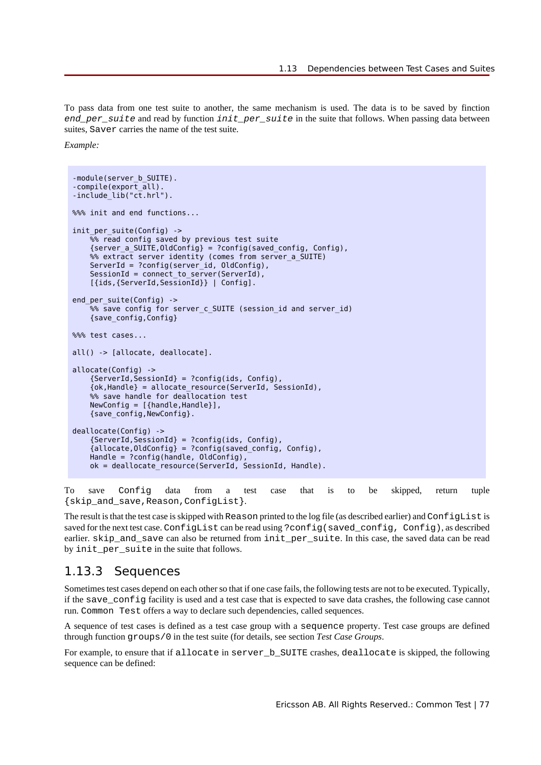To pass data from one test suite to another, the same mechanism is used. The data is to be saved by finction end per suite and read by function init per suite in the suite that follows. When passing data between suites, Saver carries the name of the test suite.

*Example:*

```
-module(server b SUITE).
-complete(export all).
-include lib("ct.hrl").
 %%% init and end functions...
 init_per_suite(Config) ->
    %% read config saved by previous test suite
    {server a SUITE, OldConfig} = ?config(saved config, Config),
     %% extract server identity (comes from server_a_SUITE)
     ServerId = ?config(server_id, OldConfig),
    SessionId = connect to server(ServerId),
     [{ids,{ServerId,SessionId}} | Config].
 end_per_suite(Config) ->
    %% save config for server c SUITE (session_id and server_id)
     {save_config,Config}
 %%% test cases...
 all() -> [allocate, deallocate].
 allocate(Config) ->
    {ServerId, SessionId} = ?config(ids, Config), {ok,Handle} = allocate_resource(ServerId, SessionId),
    % save handle for deallocation test
    NewConfig = [{handle,Handle}],
     {save_config,NewConfig}.
 deallocate(Config) ->
    {ServerId, SessionId} = ?config(ids, Config),{allocate, OldConfig} = ?config(saved confiq, Confiq),
     Handle = ?config(handle, OldConfig),
    ok = deallocate resource(ServerId, SessionId, Handle).
```
To save Config data from a test case that is to be skipped, return tuple {skip\_and\_save,Reason,ConfigList}.

The result is that the test case is skipped with Reason printed to the log file (as described earlier) and ConfigList is saved for the next test case. ConfigList can be read using ?config(saved\_config, Config), as described earlier. skip\_and\_save can also be returned from init\_per\_suite. In this case, the saved data can be read by init\_per\_suite in the suite that follows.

## 1.13.3 Sequences

Sometimes test cases depend on each other so that if one case fails, the following tests are not to be executed. Typically, if the save\_config facility is used and a test case that is expected to save data crashes, the following case cannot run. Common Test offers a way to declare such dependencies, called sequences.

A sequence of test cases is defined as a test case group with a sequence property. Test case groups are defined through function groups/0 in the test suite (for details, see section *Test Case Groups*.

For example, to ensure that if allocate in server b SUITE crashes, deallocate is skipped, the following sequence can be defined: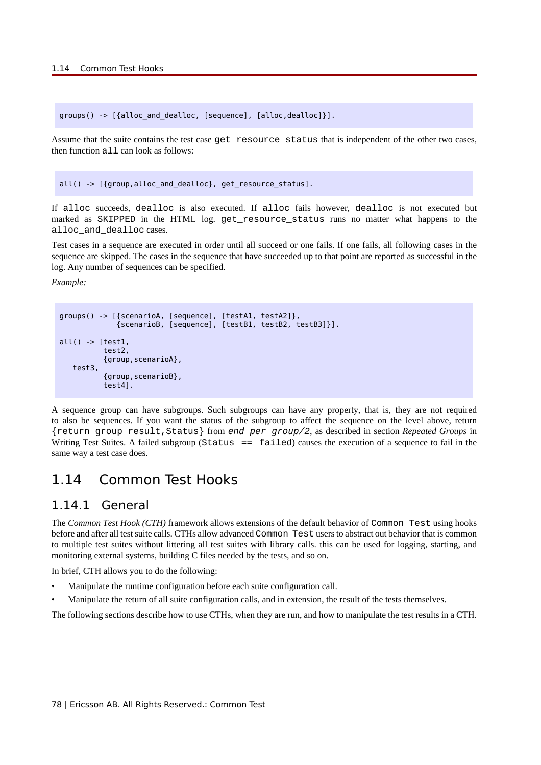groups() -> [{alloc and dealloc, [sequence], [alloc,dealloc]}].

Assume that the suite contains the test case get resource status that is independent of the other two cases, then function all can look as follows:

all() -> [{group,alloc\_and\_dealloc}, get\_resource\_status].

If alloc succeeds, dealloc is also executed. If alloc fails however, dealloc is not executed but marked as SKIPPED in the HTML log. get resource status runs no matter what happens to the alloc\_and\_dealloc cases.

Test cases in a sequence are executed in order until all succeed or one fails. If one fails, all following cases in the sequence are skipped. The cases in the sequence that have succeeded up to that point are reported as successful in the log. Any number of sequences can be specified.

*Example:*

```
 groups() -> [{scenarioA, [sequence], [testA1, testA2]}, 
               {scenarioB, [sequence], [testB1, testB2, testB3]}].
all() -> [test1,
            test2, 
            {group,scenarioA}, 
    test3, 
            {group,scenarioB}, 
            test4].
```
A sequence group can have subgroups. Such subgroups can have any property, that is, they are not required to also be sequences. If you want the status of the subgroup to affect the sequence on the level above, return {return\_group\_result,Status} from end\_per\_group/2, as described in section *Repeated Groups* in Writing Test Suites. A failed subgroup (Status == failed) causes the execution of a sequence to fail in the same way a test case does.

# 1.14 Common Test Hooks

## 1.14.1 General

The *Common Test Hook (CTH)* framework allows extensions of the default behavior of Common Test using hooks before and after all test suite calls. CTHs allow advanced Common Test users to abstract out behavior that is common to multiple test suites without littering all test suites with library calls. this can be used for logging, starting, and monitoring external systems, building C files needed by the tests, and so on.

In brief, CTH allows you to do the following:

- Manipulate the runtime configuration before each suite configuration call.
- Manipulate the return of all suite configuration calls, and in extension, the result of the tests themselves.

The following sections describe how to use CTHs, when they are run, and how to manipulate the test results in a CTH.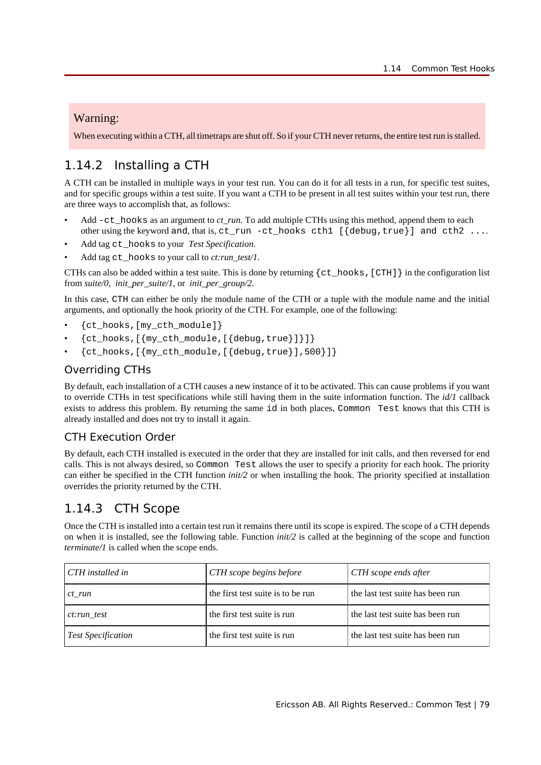## Warning:

When executing within a CTH, all timetraps are shut off. So if your CTH never returns, the entire test run is stalled.

# 1.14.2 Installing a CTH

A CTH can be installed in multiple ways in your test run. You can do it for all tests in a run, for specific test suites, and for specific groups within a test suite. If you want a CTH to be present in all test suites within your test run, there are three ways to accomplish that, as follows:

- Add -ct\_hooks as an argument to *ct\_run*. To add multiple CTHs using this method, append them to each other using the keyword and, that is,  $ct$  run -ct hooks cth1 [{debug,true}] and cth2 ...
- Add tag ct\_hooks to your *Test Specification*.
- Add tag ct\_hooks to your call to *ct:run\_test/1*.

CTHs can also be added within a test suite. This is done by returning  $\{\text{ct\_books},[\text{CH}]\}\$  in the configuration list from *suite/0*, *init\_per\_suite/1*, or *init\_per\_group/2*.

In this case, CTH can either be only the module name of the CTH or a tuple with the module name and the initial arguments, and optionally the hook priority of the CTH. For example, one of the following:

- {ct\_hooks,[my\_cth\_module]}
- $\{ct\text{ hooks},[\{my\text{ cth}\text{ module},[\{debug,true\}]\}]$
- ${ct\_books,[{my\_cth\_module,[{debug,true}]}],500}]$

## Overriding CTHs

By default, each installation of a CTH causes a new instance of it to be activated. This can cause problems if you want to override CTHs in test specifications while still having them in the suite information function. The *id/1* callback exists to address this problem. By returning the same id in both places, Common Test knows that this CTH is already installed and does not try to install it again.

## CTH Execution Order

By default, each CTH installed is executed in the order that they are installed for init calls, and then reversed for end calls. This is not always desired, so Common Test allows the user to specify a priority for each hook. The priority can either be specified in the CTH function *init/2* or when installing the hook. The priority specified at installation overrides the priority returned by the CTH.

# 1.14.3 CTH Scope

Once the CTH is installed into a certain test run it remains there until its scope is expired. The scope of a CTH depends on when it is installed, see the following table. Function  $\frac{init}{2}$  is called at the beginning of the scope and function *terminate/1* is called when the scope ends.

| CTH installed in          | CTH scope begins before           | CTH scope ends after             |
|---------------------------|-----------------------------------|----------------------------------|
| ct run                    | the first test suite is to be run | the last test suite has been run |
| ct:run test               | the first test suite is run       | the last test suite has been run |
| <b>Test Specification</b> | the first test suite is run       | the last test suite has been run |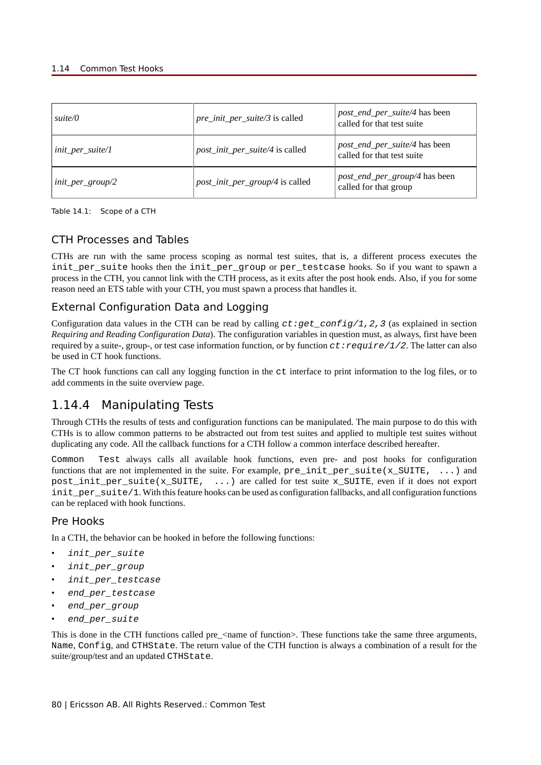| suite/0              | pre_init_per_suite/3 is called         | post_end_per_suite/4 has been<br>called for that test suite   |
|----------------------|----------------------------------------|---------------------------------------------------------------|
| init per suite/1     | <i>post_init_per_suite/4</i> is called | post_end_per_suite/4 has been<br>called for that test suite   |
| $init\_per\_group/2$ | <i>post_init_per_group/4</i> is called | <i>post_end_per_group/4</i> has been<br>called for that group |

Table 14.1: Scope of a CTH

## CTH Processes and Tables

CTHs are run with the same process scoping as normal test suites, that is, a different process executes the init per suite hooks then the init per group or per testcase hooks. So if you want to spawn a process in the CTH, you cannot link with the CTH process, as it exits after the post hook ends. Also, if you for some reason need an ETS table with your CTH, you must spawn a process that handles it.

## External Configuration Data and Logging

Configuration data values in the CTH can be read by calling  $ct:get\ contiq/1,2,3$  (as explained in section *Requiring and Reading Configuration Data*). The configuration variables in question must, as always, first have been required by a suite-, group-, or test case information function, or by function  $ct:require/1/2$ . The latter can also be used in CT hook functions.

The CT hook functions can call any logging function in the ct interface to print information to the log files, or to add comments in the suite overview page.

# 1.14.4 Manipulating Tests

Through CTHs the results of tests and configuration functions can be manipulated. The main purpose to do this with CTHs is to allow common patterns to be abstracted out from test suites and applied to multiple test suites without duplicating any code. All the callback functions for a CTH follow a common interface described hereafter.

Common Test always calls all available hook functions, even pre- and post hooks for configuration functions that are not implemented in the suite. For example,  $pre\_init\_per\_suit(e(x\_SUITE, \ldots)$  and post\_init\_per\_suite(x\_SUITE, ...) are called for test suite x\_SUITE, even if it does not export init\_per\_suite/1. With this feature hooks can be used as configuration fallbacks, and all configuration functions can be replaced with hook functions.

## Pre Hooks

In a CTH, the behavior can be hooked in before the following functions:

- init per suite
- init\_per\_group
- init\_per\_testcase
- end\_per\_testcase
- end\_per\_group
- end\_per\_suite

This is done in the CTH functions called pre  $\langle$  -name of function $\rangle$ . These functions take the same three arguments, Name, Config, and CTHState. The return value of the CTH function is always a combination of a result for the suite/group/test and an updated CTHState.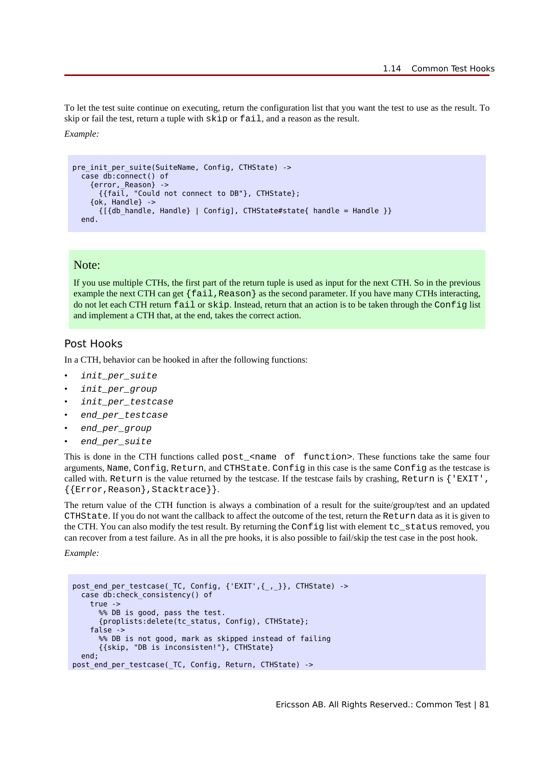To let the test suite continue on executing, return the configuration list that you want the test to use as the result. To skip or fail the test, return a tuple with skip or fail, and a reason as the result.

*Example:*

```
pre init per suite(SuiteName, Config, CTHState) ->
   case db:connect() of
     {error,_Reason} ->
       {{fail, "Could not connect to DB"}, CTHState};
     {ok, Handle} ->
       {[\{db \; handle, \; Handle\} \; | \; Config], \; CTHState\#state{\} \; handle = Handle } \} end.
```
### Note:

If you use multiple CTHs, the first part of the return tuple is used as input for the next CTH. So in the previous example the next CTH can get {fail, Reason} as the second parameter. If you have many CTHs interacting, do not let each CTH return fail or skip. Instead, return that an action is to be taken through the Config list and implement a CTH that, at the end, takes the correct action.

### Post Hooks

In a CTH, behavior can be hooked in after the following functions:

- init\_per\_suite
- init\_per\_group
- init per testcase
- end per testcase
- end\_per\_group
- end per suite

This is done in the CTH functions called post\_<name of function>. These functions take the same four arguments, Name, Config, Return, and CTHState. Config in this case is the same Config as the testcase is called with. Return is the value returned by the testcase. If the testcase fails by crashing, Return is {'EXIT', {{Error,Reason},Stacktrace}}.

The return value of the CTH function is always a combination of a result for the suite/group/test and an updated CTHState. If you do not want the callback to affect the outcome of the test, return the Return data as it is given to the CTH. You can also modify the test result. By returning the Config list with element tc\_status removed, you can recover from a test failure. As in all the pre hooks, it is also possible to fail/skip the test case in the post hook.

*Example:*

```
 post_end_per_testcase(_TC, Config, {'EXIT',{_,_}}, CTHState) ->
  case db:check_consistency() of
     true ->
       %% DB is good, pass the test.
       {proplists:delete(tc_status, Config), CTHState};
     false ->
       %% DB is not good, mark as skipped instead of failing
       {{skip, "DB is inconsisten!"}, CTHState}
  end;
post end per testcase( TC, Config, Return, CTHState) ->
```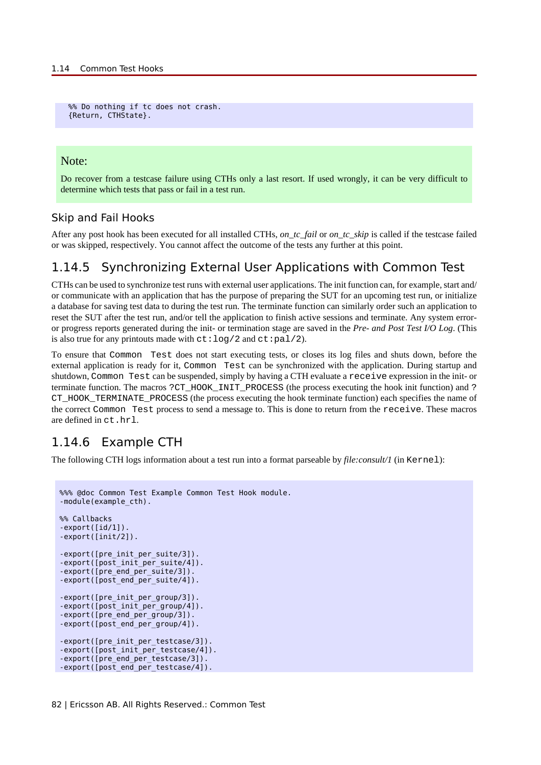```
 %% Do nothing if tc does not crash.
 {Return, CTHState}.
```
### Note:

Do recover from a testcase failure using CTHs only a last resort. If used wrongly, it can be very difficult to determine which tests that pass or fail in a test run.

### Skip and Fail Hooks

After any post hook has been executed for all installed CTHs, *on\_tc\_fail* or *on\_tc\_skip* is called if the testcase failed or was skipped, respectively. You cannot affect the outcome of the tests any further at this point.

## 1.14.5 Synchronizing External User Applications with Common Test

CTHs can be used to synchronize test runs with external user applications. The init function can, for example, start and/ or communicate with an application that has the purpose of preparing the SUT for an upcoming test run, or initialize a database for saving test data to during the test run. The terminate function can similarly order such an application to reset the SUT after the test run, and/or tell the application to finish active sessions and terminate. Any system erroror progress reports generated during the init- or termination stage are saved in the *Pre- and Post Test I/O Log*. (This is also true for any printouts made with  $ct:log/2$  and  $ct:pal/2$ ).

To ensure that Common Test does not start executing tests, or closes its log files and shuts down, before the external application is ready for it, Common Test can be synchronized with the application. During startup and shutdown, Common Test can be suspended, simply by having a CTH evaluate a receive expression in the init- or terminate function. The macros ?CT\_HOOK\_INIT\_PROCESS (the process executing the hook init function) and ? CT\_HOOK\_TERMINATE\_PROCESS (the process executing the hook terminate function) each specifies the name of the correct Common Test process to send a message to. This is done to return from the receive. These macros are defined in ct.hrl.

# 1.14.6 Example CTH

The following CTH logs information about a test run into a format parseable by *file:consult/1* (in Kernel):

```
%%% @doc Common Test Example Common Test Hook module.
 -module(example_cth).
 %% Callbacks
-export([id/1]) -export([init/2]).
 -export([pre_init_per_suite/3]).
-export([post_init_per_suite/4]).
 -export([pre_end_per_suite/3]).
 -export([post_end_per_suite/4]).
 -export([pre_init_per_group/3]).
-export([post_init_per_group/4]).
 -export([pre_end_per_group/3]).
-export([post_end_per_group/4]).
 -export([pre_init_per_testcase/3]).
 -export([post_init_per_testcase/4]).
 -export([pre_end_per_testcase/3]).
 -export([post_end_per_testcase/4]).
```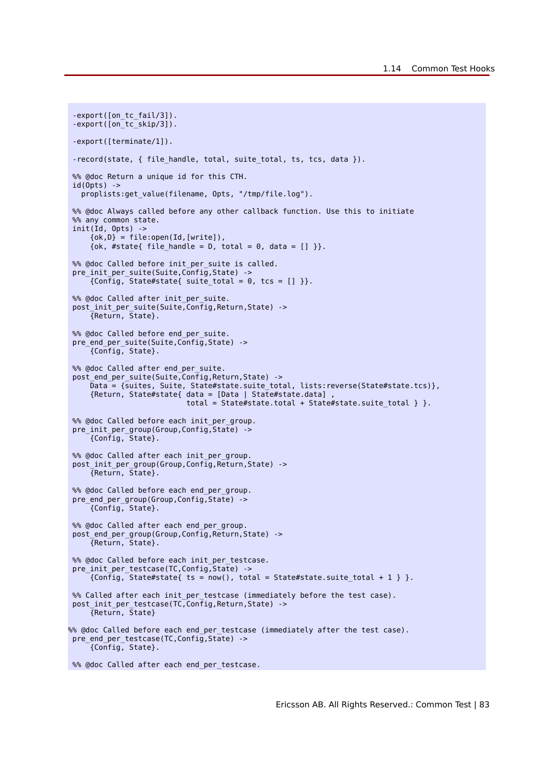```
-export([on tc fail/3]).
-export([on_tc_skip/3]).
 -export([terminate/1]).
 -record(state, { file_handle, total, suite_total, ts, tcs, data }).
 %% @doc Return a unique id for this CTH.
id(0pts) ->
   proplists:get_value(filename, Opts, "/tmp/file.log").
 %% @doc Always called before any other callback function. Use this to initiate
%% any common state.
 init(Id, Opts) ->
     \{ok, D\} = file:open(Id, [write]),
     {ok, #state{ file handle = D, total = 0, data = [] }}.
 %% @doc Called before init_per_suite is called. 
 pre_init_per_suite(Suite,Config,State) ->
     {Config, State#state{ suite_total = 0, tcs = [] }}.
%% @doc Called after init per suite.
 post_init_per_suite(Suite,Config,Return,State) ->
     {Return, State}.
%% @doc Called before end per suite.
 pre_end_per_suite(Suite,Config,State) ->
      {Config, State}.
 %% @doc Called after end_per_suite. 
 post_end_per_suite(Suite,Config,Return,State) ->
    Data = {suites, Suite, State#state.suite_total, lists:reverse(State#state.tcs)},
     {Return, State#state{ data = [Data | State#state.data]
                            total = State#state.total + State#state.suite_total } }.
%% @doc Called before each init per group.
 pre_init_per_group(Group,Config,State) ->
     {Config, State}.
 %% @doc Called after each init_per_group.
 post_init_per_group(Group,Config,Return,State) ->
 {Return, State}.
 %% @doc Called before each end_per_group. 
 pre_end_per_group(Group,Config,State) ->
     {Config, State}.
%% @doc Called after each end per group.
 post_end_per_group(Group,Config,Return,State) ->
      {Return, State}.
%% @doc Called before each init_per_testcase.
 pre_init_per_testcase(TC,Config,State) ->
     {Config, State#state{ ts = now(), total = State#state.suite_total + 1 } }.
 %% Called after each init_per_testcase (immediately before the test case).
 post_init_per_testcase(TC,Config,Return,State) ->
     {Return, State}
%% @doc Called before each end per testcase (immediately after the test case).
 pre_end_per_testcase(TC,Config,State) ->
      {Config, State}.
%% @doc Called after each end per testcase.
```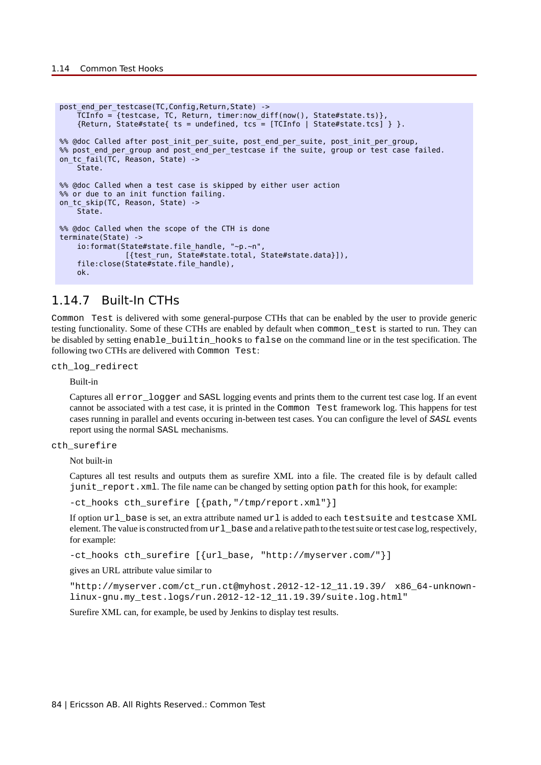```
post end per testcase(TC, Config, Return, State) ->
     TCInfo = {testcase, TC, Return, timer:now_diff(now(), State#state.ts)},
    {Return, State#state{ ts = undefined, tcs = [TCInfo | State#state.tcs] } }.
 %% @doc Called after post_init_per_suite, post_end_per_suite, post_init_per_group,
 %% post_end_per_group and post_end_per_testcase if the suite, group or test case failed.
 on_tc_fail(TC, Reason, State) ->
     State.
 %% @doc Called when a test case is skipped by either user action
 %% or due to an init function failing. 
 on_tc_skip(TC, Reason, State) ->
     State.
 %% @doc Called when the scope of the CTH is done
 terminate(State) ->
    io:format(State#state.file handle, "~p.~n"
                [{test_run, State#state.total, State#state.data}]),
     file:close(State#state.file_handle),
     ok.
```
## 1.14.7 Built-In CTHs

Common Test is delivered with some general-purpose CTHs that can be enabled by the user to provide generic testing functionality. Some of these CTHs are enabled by default when common\_test is started to run. They can be disabled by setting enable\_builtin\_hooks to false on the command line or in the test specification. The following two CTHs are delivered with Common Test:

cth\_log\_redirect

Built-in

Captures all error\_logger and SASL logging events and prints them to the current test case log. If an event cannot be associated with a test case, it is printed in the Common Test framework log. This happens for test cases running in parallel and events occuring in-between test cases. You can configure the level of SASL events report using the normal SASL mechanisms.

cth\_surefire

Not built-in

Captures all test results and outputs them as surefire XML into a file. The created file is by default called junit\_report.xml. The file name can be changed by setting option path for this hook, for example:

-ct\_hooks cth\_surefire [{path,"/tmp/report.xml"}]

If option url\_base is set, an extra attribute named url is added to each testsuite and testcase XML element. The value is constructed from  $ur1$  base and a relative path to the test suite or test case log, respectively, for example:

-ct hooks cth surefire [{url base, "http://myserver.com/"}]

gives an URL attribute value similar to

"http://myserver.com/ct\_run.ct@myhost.2012-12-12\_11.19.39/ x86\_64-unknownlinux-gnu.my\_test.logs/run.2012-12-12\_11.19.39/suite.log.html"

Surefire XML can, for example, be used by Jenkins to display test results.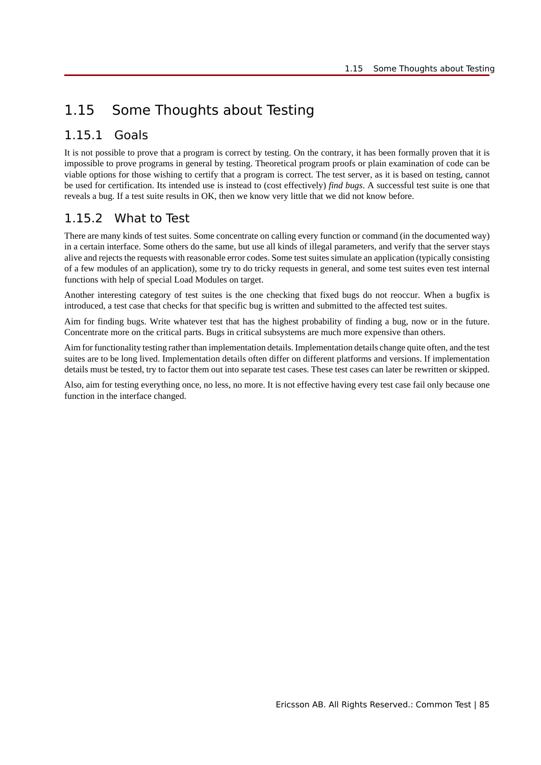# 1.15 Some Thoughts about Testing

# 1.15.1 Goals

It is not possible to prove that a program is correct by testing. On the contrary, it has been formally proven that it is impossible to prove programs in general by testing. Theoretical program proofs or plain examination of code can be viable options for those wishing to certify that a program is correct. The test server, as it is based on testing, cannot be used for certification. Its intended use is instead to (cost effectively) *find bugs*. A successful test suite is one that reveals a bug. If a test suite results in OK, then we know very little that we did not know before.

# 1.15.2 What to Test

There are many kinds of test suites. Some concentrate on calling every function or command (in the documented way) in a certain interface. Some others do the same, but use all kinds of illegal parameters, and verify that the server stays alive and rejects the requests with reasonable error codes. Some test suites simulate an application (typically consisting of a few modules of an application), some try to do tricky requests in general, and some test suites even test internal functions with help of special Load Modules on target.

Another interesting category of test suites is the one checking that fixed bugs do not reoccur. When a bugfix is introduced, a test case that checks for that specific bug is written and submitted to the affected test suites.

Aim for finding bugs. Write whatever test that has the highest probability of finding a bug, now or in the future. Concentrate more on the critical parts. Bugs in critical subsystems are much more expensive than others.

Aim for functionality testing rather than implementation details. Implementation details change quite often, and the test suites are to be long lived. Implementation details often differ on different platforms and versions. If implementation details must be tested, try to factor them out into separate test cases. These test cases can later be rewritten or skipped.

Also, aim for testing everything once, no less, no more. It is not effective having every test case fail only because one function in the interface changed.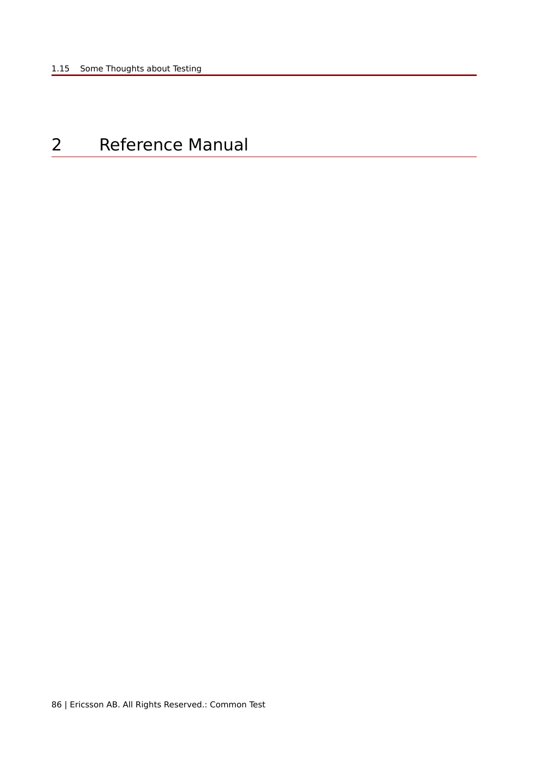# 2 Reference Manual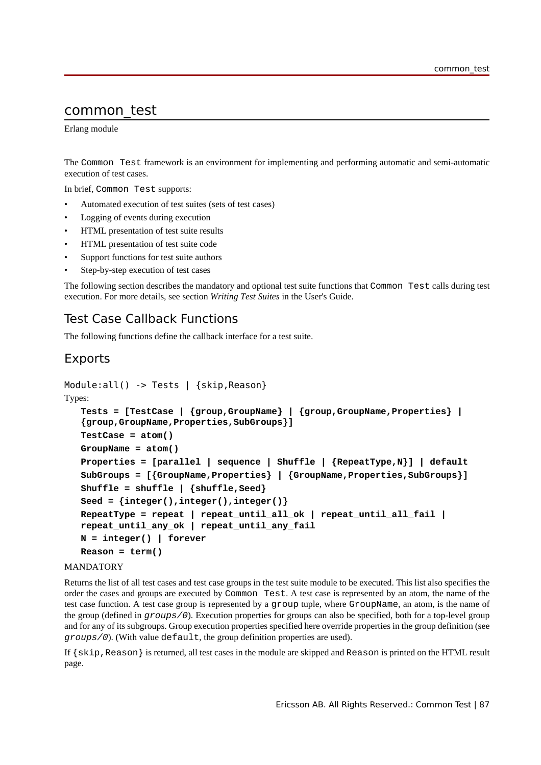## common\_test

Erlang module

The Common Test framework is an environment for implementing and performing automatic and semi-automatic execution of test cases.

In brief, Common Test supports:

- Automated execution of test suites (sets of test cases)
- Logging of events during execution
- HTML presentation of test suite results
- HTML presentation of test suite code
- Support functions for test suite authors
- Step-by-step execution of test cases

The following section describes the mandatory and optional test suite functions that Common Test calls during test execution. For more details, see section *Writing Test Suites* in the User's Guide.

## Test Case Callback Functions

The following functions define the callback interface for a test suite.

## Exports

```
Module:all() -> Tests | {skip, Reason}
Types:
   Tests = [TestCase | {group,GroupName} | {group,GroupName,Properties} |
   {group,GroupName,Properties,SubGroups}]
   TestCase = atom()
   GroupName = atom()
   Properties = [parallel | sequence | Shuffle | {RepeatType,N}] | default
   SubGroups = [{GroupName,Properties} | {GroupName,Properties,SubGroups}]
   Shuffle = shuffle | {shuffle,Seed}
   Seed = {integer(),integer(),integer()}
   RepeatType = repeat | repeat_until_all_ok | repeat_until_all_fail |
   repeat_until_any_ok | repeat_until_any_fail
  N = integer() | forever
   Reason = term()
```
### MANDATORY

Returns the list of all test cases and test case groups in the test suite module to be executed. This list also specifies the order the cases and groups are executed by Common Test. A test case is represented by an atom, the name of the test case function. A test case group is represented by a group tuple, where GroupName, an atom, is the name of the group (defined in groups/0). Execution properties for groups can also be specified, both for a top-level group and for any of its subgroups. Group execution properties specified here override properties in the group definition (see groups/0). (With value default, the group definition properties are used).

If {skip,Reason} is returned, all test cases in the module are skipped and Reason is printed on the HTML result page.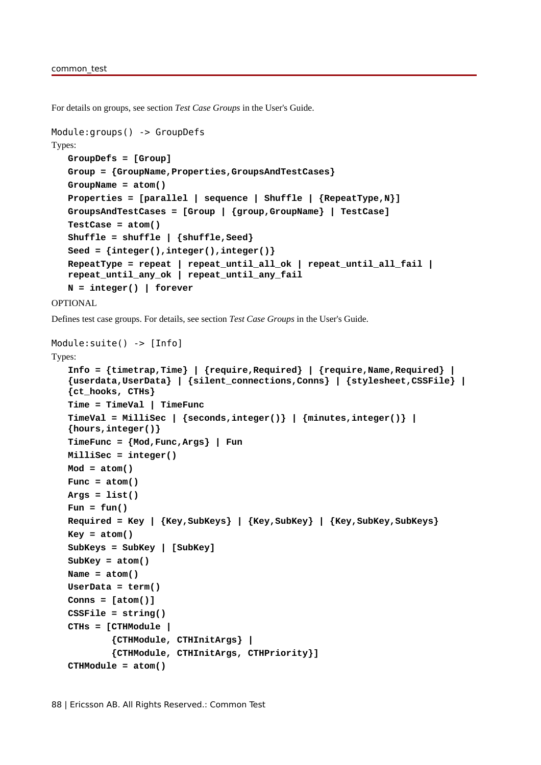For details on groups, see section *Test Case Groups* in the User's Guide.

```
Module:groups() -> GroupDefs
Types:
   GroupDefs = [Group]
   Group = {GroupName,Properties,GroupsAndTestCases}
   GroupName = atom()
   Properties = [parallel | sequence | Shuffle | {RepeatType,N}]
   GroupsAndTestCases = [Group | {group,GroupName} | TestCase]
   TestCase = atom()
   Shuffle = shuffle | {shuffle,Seed}
   Seed = {integer(),integer(),integer()}
   RepeatType = repeat | repeat_until_all_ok | repeat_until_all_fail |
   repeat_until_any_ok | repeat_until_any_fail
   N = integer() | forever
```
**OPTIONAL** 

Defines test case groups. For details, see section *Test Case Groups* in the User's Guide.

```
Module:suite() -> [Info]
```

```
Types:
```

```
Info = {timetrap,Time} | {require,Required} | {require,Name,Required} |
{userdata,UserData} | {silent_connections,Conns} | {stylesheet,CSSFile} |
{ct_hooks, CTHs}
Time = TimeVal | TimeFunc
TimeVal = MilliSec | {seconds,integer()} | {minutes,integer()} |
{hours,integer()}
TimeFunc = {Mod,Func,Args} | Fun
MilliSec = integer()
Mod = atom()
Func = atom()Args = list()
Fun = fun()Required = Key | {Key,SubKeys} | {Key,SubKey} | {Key,SubKey,SubKeys}
Key = atom()
SubKeys = SubKey | [SubKey]
SubKey = atom()
Name = atom()
UserData = term()
Conns = [atom()]
CSSFile = string()
CTHs = [CTHModule |
         {CTHModule, CTHInitArgs} |
         {CTHModule, CTHInitArgs, CTHPriority}]
CTHModule = atom()
```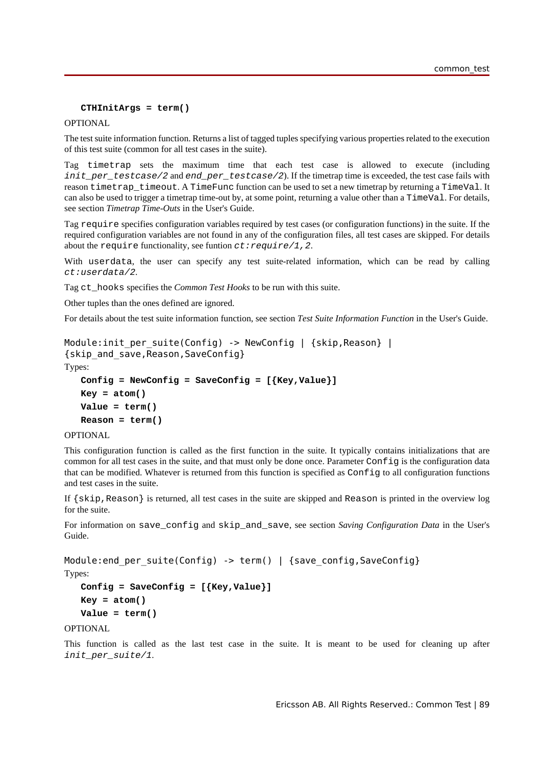#### **CTHInitArgs = term()**

### **OPTIONAL**

The test suite information function. Returns a list of tagged tuples specifying various properties related to the execution of this test suite (common for all test cases in the suite).

Tag timetrap sets the maximum time that each test case is allowed to execute (including  $init\_per\_testcase/2$  and end $\_per\_testcase/2$ ). If the timetrap time is exceeded, the test case fails with reason timetrap\_timeout. A TimeFunc function can be used to set a new timetrap by returning a TimeVal. It can also be used to trigger a timetrap time-out by, at some point, returning a value other than a TimeVal. For details, see section *Timetrap Time-Outs* in the User's Guide.

Tag require specifies configuration variables required by test cases (or configuration functions) in the suite. If the required configuration variables are not found in any of the configuration files, all test cases are skipped. For details about the require functionality, see funtion  $ct:require/1,2$ .

With userdata, the user can specify any test suite-related information, which can be read by calling ct:userdata/2.

Tag ct\_hooks specifies the *Common Test Hooks* to be run with this suite.

Other tuples than the ones defined are ignored.

For details about the test suite information function, see section *Test Suite Information Function* in the User's Guide.

```
Module: init per suite(Config) -> NewConfig | {skip, Reason} |
{skip_and_save,Reason,SaveConfig}
Types:
   Config = NewConfig = SaveConfig = [{Key,Value}]
   Key = atom()
   Value = term()
   Reason = term()
```
### OPTIONAL

This configuration function is called as the first function in the suite. It typically contains initializations that are common for all test cases in the suite, and that must only be done once. Parameter Config is the configuration data that can be modified. Whatever is returned from this function is specified as Config to all configuration functions and test cases in the suite.

If {skip,Reason} is returned, all test cases in the suite are skipped and Reason is printed in the overview log for the suite.

For information on save\_config and skip\_and\_save, see section *Saving Configuration Data* in the User's Guide.

```
Module:end_per_suite(Config) -> term() | {save_config, SaveConfig}
```
Types:

```
Config = SaveConfig = [{Key,Value}]
Key = atom()
Value = term()
```
### **OPTIONAL**

This function is called as the last test case in the suite. It is meant to be used for cleaning up after init\_per\_suite/1.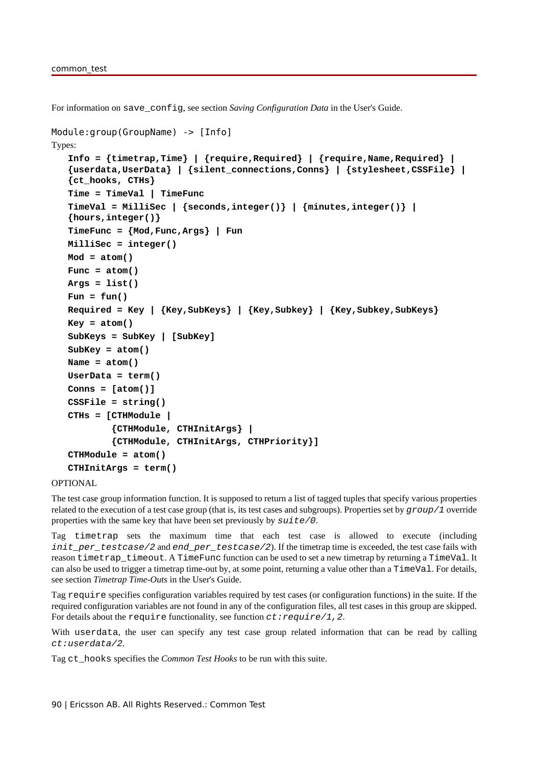```
Module:group(GroupName) -> [Info]
Types:
   Info = {timetrap,Time} | {require,Required} | {require,Name,Required} |
   {userdata,UserData} | {silent_connections,Conns} | {stylesheet,CSSFile} |
   {ct_hooks, CTHs}
   Time = TimeVal | TimeFunc
   TimeVal = MilliSec | {seconds,integer()} | {minutes,integer()} |
   {hours,integer()}
   TimeFunc = {Mod,Func,Args} | Fun
   MilliSec = integer()
   Mod = atom()
   Func = atom()Args = list()
   Fun = fun()
   Required = Key | {Key,SubKeys} | {Key,Subkey} | {Key,Subkey,SubKeys}
   Key = atom()
   SubKeys = SubKey | [SubKey]
   SubKey = atom()
   Name = atom()
   UserData = term()
   Conns = [atom()]
   CSSFile = string()
   CTHs = [CTHModule |
            {CTHModule, CTHInitArgs} |
            {CTHModule, CTHInitArgs, CTHPriority}]
   CTHModule = atom()
   CTHInitArgs = term()
```
For information on save\_config, see section *Saving Configuration Data* in the User's Guide.

### OPTIONAL

The test case group information function. It is supposed to return a list of tagged tuples that specify various properties related to the execution of a test case group (that is, its test cases and subgroups). Properties set by  $group/1$  override properties with the same key that have been set previously by suite/0.

Tag timetrap sets the maximum time that each test case is allowed to execute (including  $init\_per\_testcase/2$  and end $\_per\_testcase/2$ ). If the timetrap time is exceeded, the test case fails with reason timetrap timeout. A TimeFunc function can be used to set a new timetrap by returning a TimeVal. It can also be used to trigger a timetrap time-out by, at some point, returning a value other than a TimeVal. For details, see section *Timetrap Time-Outs* in the User's Guide.

Tag require specifies configuration variables required by test cases (or configuration functions) in the suite. If the required configuration variables are not found in any of the configuration files, all test cases in this group are skipped. For details about the require functionality, see function  $ct:require/1,2$ .

With userdata, the user can specify any test case group related information that can be read by calling ct:userdata/2.

Tag ct\_hooks specifies the *Common Test Hooks* to be run with this suite.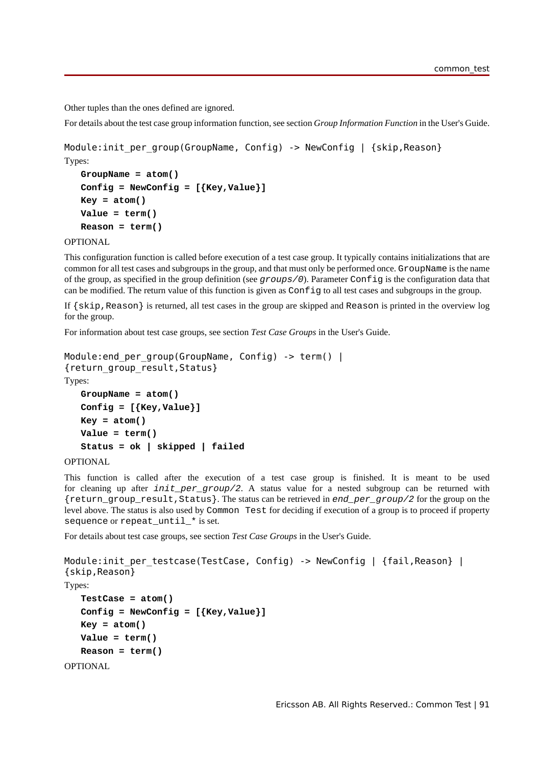Other tuples than the ones defined are ignored.

For details about the test case group information function, see section *Group Information Function* in the User's Guide.

```
Module:init per group(GroupName, Config) -> NewConfig | {skip,Reason}
Types:
   GroupName = atom()
   Config = NewConfig = [{Key,Value}]
```

```
Key = atom()
Value = term()
Reason = term()
```
OPTIONAL

This configuration function is called before execution of a test case group. It typically contains initializations that are common for all test cases and subgroups in the group, and that must only be performed once. GroupName is the name of the group, as specified in the group definition (see groups/0). Parameter Config is the configuration data that can be modified. The return value of this function is given as Config to all test cases and subgroups in the group.

If {skip,Reason} is returned, all test cases in the group are skipped and Reason is printed in the overview log for the group.

For information about test case groups, see section *Test Case Groups* in the User's Guide.

```
Module:end per group(GroupName, Config) -> term() |
{return_group_result,Status}
Types:
   GroupName = atom()
   Config = [{Key,Value}]
   Key = atom()
   Value = term()
   Status = ok | skipped | failed
```
### **OPTIONAL**

This function is called after the execution of a test case group is finished. It is meant to be used for cleaning up after *init* per  $qrow/2$ . A status value for a nested subgroup can be returned with {return group result, Status}. The status can be retrieved in end per group/2 for the group on the level above. The status is also used by Common Test for deciding if execution of a group is to proceed if property sequence or repeat\_until\_\* is set.

For details about test case groups, see section *Test Case Groups* in the User's Guide.

```
Module: init per testcase(TestCase, Config) -> NewConfig | {fail, Reason} |
{skip,Reason}
Types:
   TestCase = atom()
   Config = NewConfig = [{Key,Value}]
   Key = atom()Value = term()
   Reason = term()
OPTIONAL
```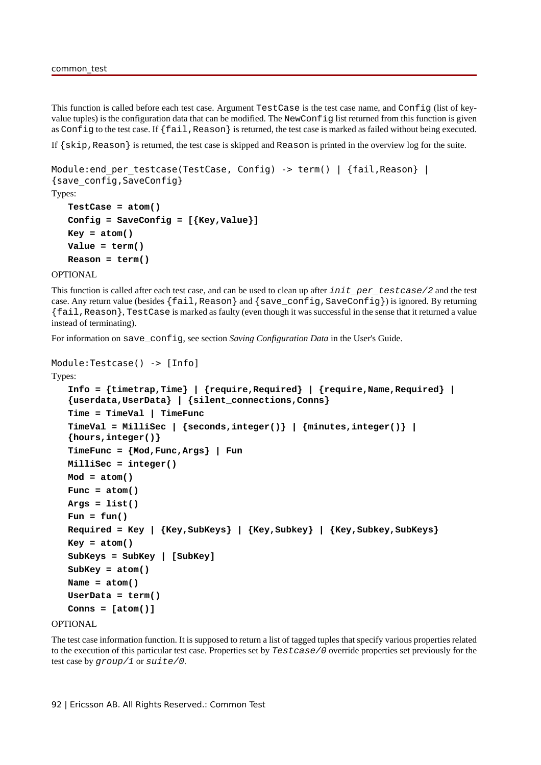This function is called before each test case. Argument TestCase is the test case name, and Config (list of keyvalue tuples) is the configuration data that can be modified. The NewConfig list returned from this function is given as Config to the test case. If  $\{fail, Reason\}$  is returned, the test case is marked as failed without being executed.

If {skip,Reason} is returned, the test case is skipped and Reason is printed in the overview log for the suite.

```
Module:end per testcase(TestCase, Config) -> term() | {fail,Reason} |
{save_config,SaveConfig}
```
Types:

```
TestCase = atom()
Config = SaveConfig = [{Key,Value}]
Key = atom()
Value = term()
Reason = term()
```
**OPTIONAL** 

This function is called after each test case, and can be used to clean up after  $init\_per\_testcase/2$  and the test case. Any return value (besides {fail,Reason} and {save\_config,SaveConfig}) is ignored. By returning {fail,Reason}, TestCase is marked as faulty (even though it was successful in the sense that it returned a value instead of terminating).

For information on save\_config, see section *Saving Configuration Data* in the User's Guide.

```
Module:Testcase() -> [Info]
Types:
   Info = {timetrap,Time} | {require,Required} | {require,Name,Required} |
   {userdata,UserData} | {silent_connections,Conns}
   Time = TimeVal | TimeFunc
   TimeVal = MilliSec | {seconds,integer()} | {minutes,integer()} |
   {hours,integer()}
   TimeFunc = {Mod,Func,Args} | Fun
   MilliSec = integer()
   Mod = atom()
   Func = atom()Args = list()
   Fun = fun()Required = Key | {Key,SubKeys} | {Key,Subkey} | {Key,Subkey,SubKeys}
   Key = atom()
   SubKeys = SubKey | [SubKey]
   SubKey = atom()
   Name = atom()
   UserData = term()
   Conns = [atom()]
```
### OPTIONAL

The test case information function. It is supposed to return a list of tagged tuples that specify various properties related to the execution of this particular test case. Properties set by Testcase/0 override properties set previously for the test case by group/1 or suite/0.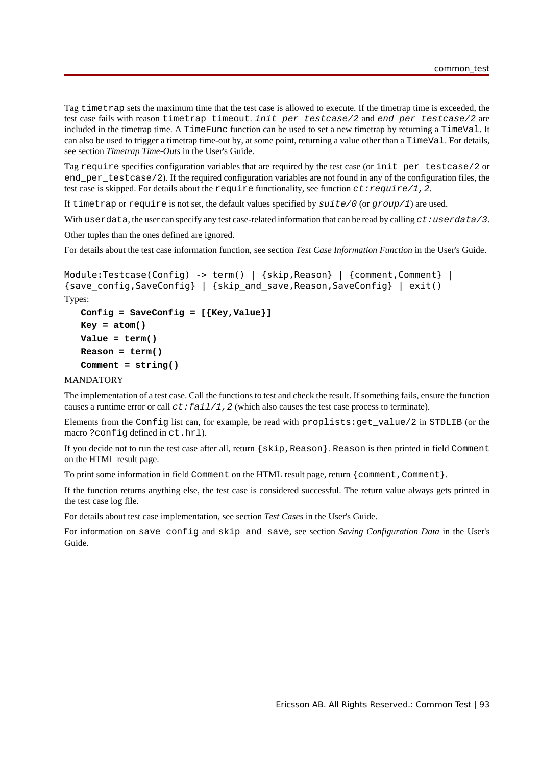Tag timetrap sets the maximum time that the test case is allowed to execute. If the timetrap time is exceeded, the test case fails with reason timetrap\_timeout. init\_per\_testcase/2 and end\_per\_testcase/2 are included in the timetrap time. A TimeFunc function can be used to set a new timetrap by returning a TimeVal. It can also be used to trigger a timetrap time-out by, at some point, returning a value other than a TimeVal. For details, see section *Timetrap Time-Outs* in the User's Guide.

Tag require specifies configuration variables that are required by the test case (or init\_per\_testcase/2 or end\_per\_testcase/2). If the required configuration variables are not found in any of the configuration files, the test case is skipped. For details about the require functionality, see function  $ct:require/1,2$ .

If timetrap or require is not set, the default values specified by  $suit(0$  (or  $group/1)$  are used.

With userdata, the user can specify any test case-related information that can be read by calling  $ct:userdata/3$ . Other tuples than the ones defined are ignored.

For details about the test case information function, see section *Test Case Information Function* in the User's Guide.

```
Module:Testcase(Config) -> term() | {skip,Reason} | {comment,Comment} |
{save_config,SaveConfig} | {skip_and_save,Reason,SaveConfig} | exit()
Types:
   Config = SaveConfig = [{Key,Value}]
```

```
Key = atom()Value = term()
Reason = term()
Comment = string()
```
### MANDATORY

The implementation of a test case. Call the functions to test and check the result. If something fails, ensure the function causes a runtime error or call  $ct:fail/1$ , 2 (which also causes the test case process to terminate).

Elements from the Config list can, for example, be read with proplists:get\_value/2 in STDLIB (or the macro ?config defined in ct.hrl).

If you decide not to run the test case after all, return  $\{skip, \}$ Reason $\}$ . Reason is then printed in field Comment on the HTML result page.

To print some information in field Comment on the HTML result page, return  $\{\text{comment},\text{Comment}\}.$ 

If the function returns anything else, the test case is considered successful. The return value always gets printed in the test case log file.

For details about test case implementation, see section *Test Cases* in the User's Guide.

For information on save\_config and skip\_and\_save, see section *Saving Configuration Data* in the User's Guide.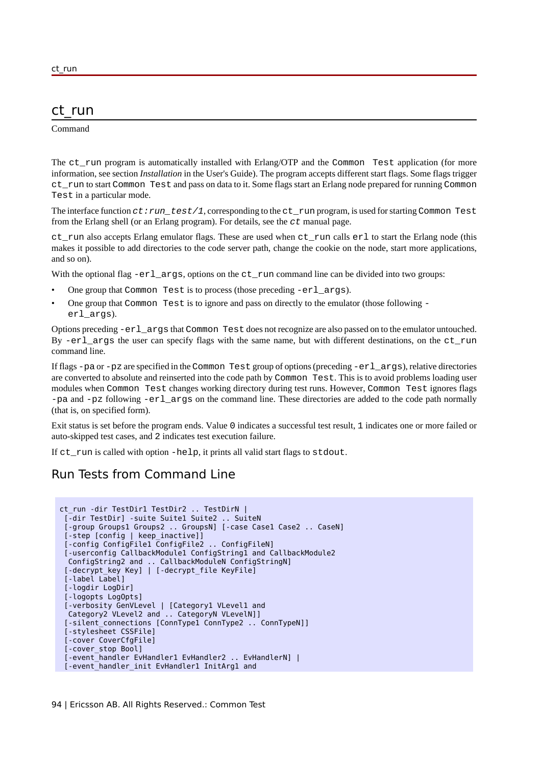## ct\_run

Command

The ct\_run program is automatically installed with Erlang/OTP and the Common Test application (for more information, see section *Installation* in the User's Guide). The program accepts different start flags. Some flags trigger ct\_run to start Common Test and pass on data to it. Some flags start an Erlang node prepared for running Common Test in a particular mode.

The interface function  $ct:run\_test/1$ , corresponding to the  $ct\_run$  program, is used for starting Common Test from the Erlang shell (or an Erlang program). For details, see the  $ct$  manual page.

ct\_run also accepts Erlang emulator flags. These are used when ct\_run calls erl to start the Erlang node (this makes it possible to add directories to the code server path, change the cookie on the node, start more applications, and so on).

With the optional flag  $-er1$  args, options on the ct run command line can be divided into two groups:

- One group that Common Test is to process (those preceding -erl\_args).
- One group that Common Test is to ignore and pass on directly to the emulator (those following erl args).

Options preceding -erl\_args that Common Test does not recognize are also passed on to the emulator untouched. By  $-erl$  args the user can specify flags with the same name, but with different destinations, on the  $ct$  run command line.

If flags -pa or -pz are specified in the Common Test group of options (preceding -erl\_args), relative directories are converted to absolute and reinserted into the code path by Common Test. This is to avoid problems loading user modules when Common Test changes working directory during test runs. However, Common Test ignores flags -pa and -pz following -erl\_args on the command line. These directories are added to the code path normally (that is, on specified form).

Exit status is set before the program ends. Value 0 indicates a successful test result, 1 indicates one or more failed or auto-skipped test cases, and 2 indicates test execution failure.

If ct\_run is called with option -help, it prints all valid start flags to stdout.

## Run Tests from Command Line

```
 ct_run -dir TestDir1 TestDir2 .. TestDirN |
  [-dir TestDir] -suite Suite1 Suite2 .. SuiteN
  [-group Groups1 Groups2 .. GroupsN] [-case Case1 Case2 .. CaseN]
 [-step [config | keep_inactive]]
 [-config ConfigFile1 ConfigFile2 .. ConfigFileN]
  [-userconfig CallbackModule1 ConfigString1 and CallbackModule2
   ConfigString2 and .. CallbackModuleN ConfigStringN]
   [-decrypt_key Key] | [-decrypt_file KeyFile]
  [-label Label]
   [-logdir LogDir]
   [-logopts LogOpts]
  [-verbosity GenVLevel | [Category1 VLevel1 and
  Category2 VLevel2 and .. CategoryN VLevelN]]
 [-silent connections [ConnType1 ConnType2 .. ConnTypeN]]
   [-stylesheet CSSFile]
  [-cover CoverCfgFile]
  [-cover_stop Bool]
  [-event_handler EvHandler1 EvHandler2 .. EvHandlerN] |
 [-event<sup>-</sup>handler init EvHandler1 InitArg1 and
```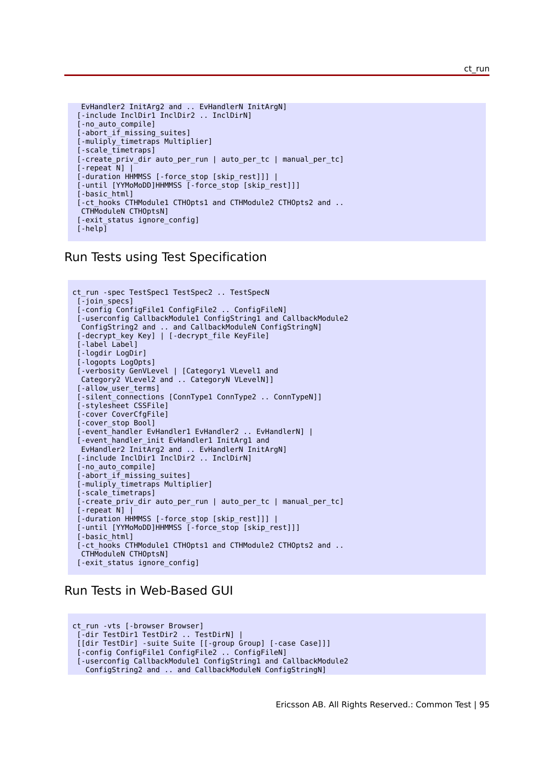```
 EvHandler2 InitArg2 and .. EvHandlerN InitArgN]
 [-include InclDir1 InclDir2 .. InclDirN]
 [-no_auto_compile]
 [-abort_if_missing_suites]
 [-muliply_timetraps Multiplier]
 [-scale_timetraps]
 [-create_priv_dir auto_per_run | auto_per_tc | manual_per_tc]
[-repeat N]
 [-duration HHMMSS [-force_stop [skip_rest]]] |
 [-until [YYMoMoDD]HHMMSS [-force_stop [skip_rest]]]
 [-basic_html]
 [-ct_hooks CTHModule1 CTHOpts1 and CTHModule2 CTHOpts2 and ..
 CTHModuleN CTHOptsN]
 [-exit_status ignore_config]
 [-help]
```
Run Tests using Test Specification

```
ct run -spec TestSpec1 TestSpec2 .. TestSpecN
  [-join_specs]
  [-config ConfigFile1 ConfigFile2 .. ConfigFileN]
  [-userconfig CallbackModule1 ConfigString1 and CallbackModule2
   ConfigString2 and .. and CallbackModuleN ConfigStringN]
 [-decrypt key Key] | [-decrypt file KeyFile]
 [-label Label]
  [-logdir LogDir]
   [-logopts LogOpts]
  [-verbosity GenVLevel | [Category1 VLevel1 and
   Category2 VLevel2 and .. CategoryN VLevelN]]
  [-allow_user_terms]
   [-silent_connections [ConnType1 ConnType2 .. ConnTypeN]]
  [-stylesheet CSSFile]
  [-cover CoverCfgFile]
  [-cover_stop Bool]
  [-event_handler EvHandler1 EvHandler2 .. EvHandlerN] |
  [-event_handler_init EvHandler1 InitArg1 and
  EvHandler2 InitArg2 and .. EvHandlerN InitArgN]
  [-include InclDir1 InclDir2 .. InclDirN]
 [-no auto compile]
  [-abort_if_missing_suites]
 [-muliply_timetraps Multiplier]
 [-scale_timetraps]
  [-create_priv_dir auto_per_run | auto_per_tc | manual_per_tc]
 [-repeat N] |
   [-duration HHMMSS [-force_stop [skip_rest]]] |
  [-until [YYMoMoDD]HHMMSS [-force_stop [skip_rest]]]
  [-basic_html]
 [-ct hooks CTHModule1 CTHOpts1 and CTHModule2 CTHOpts2 and ..
   CTHModuleN CTHOptsN]
  [-exit_status ignore_config]
```
Run Tests in Web-Based GUI

```
ct run -vts [-browser Browser]
 [-dir TestDir1 TestDir2 .. TestDirN] |
 [[dir TestDir] -suite Suite [[-group Group] [-case Case]]]
  [-config ConfigFile1 ConfigFile2 .. ConfigFileN]
 [-userconfig CallbackModule1 ConfigString1 and CallbackModule2
   ConfigString2 and .. and CallbackModuleN ConfigStringN]
```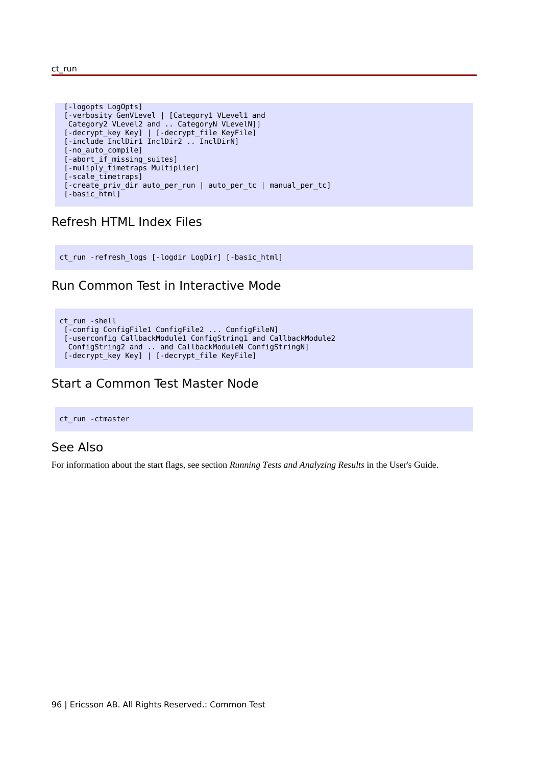```
 [-logopts LogOpts]
  [-verbosity GenVLevel | [Category1 VLevel1 and
  Category2 VLevel2 and .. CategoryN VLevelN]]
 [-decrypt_key Key] | [-decrypt_file KeyFile]
 [-include InclDir1 InclDir2 .. InclDirN]
 [-no_auto_compile]
 [-abort_if_missing_suites]
 [-muliply timetraps Multiplier]
 [-scale_timetraps]
 [-create priv dir auto per run | auto per tc | manual per tc]
 [-basic_html]
```
## Refresh HTML Index Files

ct\_run -refresh\_logs [-logdir LogDir] [-basic\_html]

Run Common Test in Interactive Mode

```
 ct_run -shell
  [-config ConfigFile1 ConfigFile2 ... ConfigFileN]
  [-userconfig CallbackModule1 ConfigString1 and CallbackModule2
  ConfigString2 and .. and CallbackModuleN ConfigStringN]
  [-decrypt_key Key] | [-decrypt_file KeyFile]
```
## Start a Common Test Master Node

ct\_run -ctmaster

## See Also

For information about the start flags, see section *Running Tests and Analyzing Results* in the User's Guide.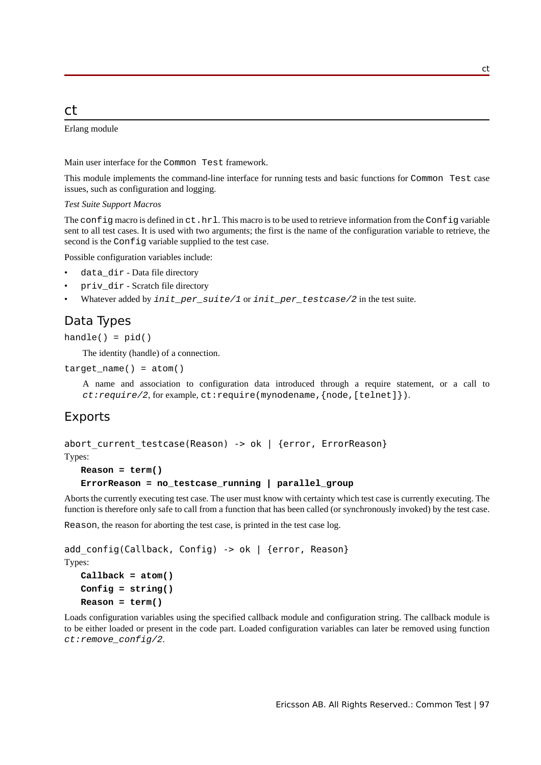## ct

Erlang module

Main user interface for the Common Test framework.

This module implements the command-line interface for running tests and basic functions for Common Test case issues, such as configuration and logging.

*Test Suite Support Macros*

The config macro is defined in ct.hrl. This macro is to be used to retrieve information from the Config variable sent to all test cases. It is used with two arguments; the first is the name of the configuration variable to retrieve, the second is the Config variable supplied to the test case.

Possible configuration variables include:

- data\_dir Data file directory
- priv dir Scratch file directory
- Whatever added by init\_per\_suite/1 or init\_per\_testcase/2 in the test suite.

# Data Types

 $handle() = pid()$ 

The identity (handle) of a connection.

 $target_name() = atom()$ 

A name and association to configuration data introduced through a require statement, or a call to  $ct:require/2$ , for example,  $ct:require(mynodename, {node, [telnet]})$ .

## Exports

```
abort current testcase(Reason) -> ok | {error, ErrorReason}
Types:
```

```
Reason = term()
```

```
ErrorReason = no_testcase_running | parallel_group
```
Aborts the currently executing test case. The user must know with certainty which test case is currently executing. The function is therefore only safe to call from a function that has been called (or synchronously invoked) by the test case.

Reason, the reason for aborting the test case, is printed in the test case log.

```
add config(Callback, Config) -> ok | {error, Reason}
Types:
   Callback = atom()
   Config = string()
   Reason = term()
```
Loads configuration variables using the specified callback module and configuration string. The callback module is to be either loaded or present in the code part. Loaded configuration variables can later be removed using function ct:remove\_config/2.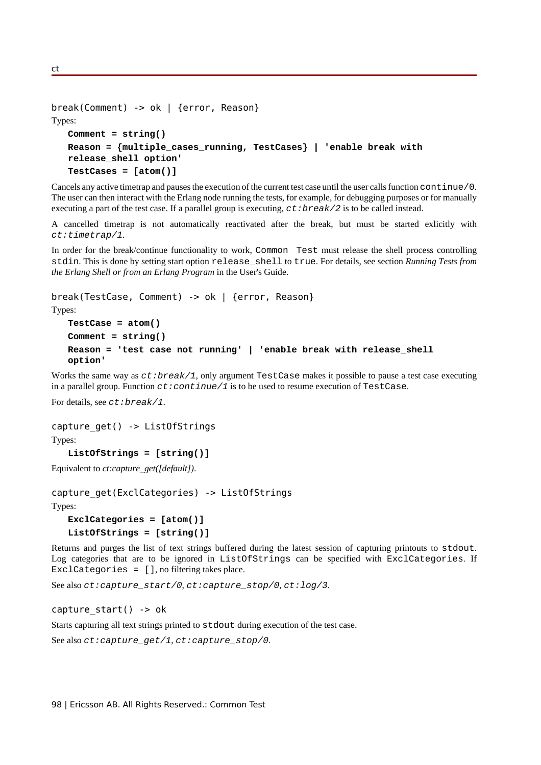```
break(Comment) -> ok | {error, Reason}
Types:
   Comment = string()
   Reason = {multiple_cases_running, TestCases} | 'enable break with
   release_shell option'
   TestCases = [atom()]
```
Cancels any active timetrap and pauses the execution of the current test case until the user calls function continue/0. The user can then interact with the Erlang node running the tests, for example, for debugging purposes or for manually executing a part of the test case. If a parallel group is executing,  $ct:break/2$  is to be called instead.

A cancelled timetrap is not automatically reactivated after the break, but must be started exlicitly with ct:timetrap/1.

In order for the break/continue functionality to work, Common Test must release the shell process controlling stdin. This is done by setting start option release\_shell to true. For details, see section *Running Tests from the Erlang Shell or from an Erlang Program* in the User's Guide.

break(TestCase, Comment) -> ok | {error, Reason}

Types:

```
TestCase = atom()
Comment = string()
Reason = 'test case not running' | 'enable break with release_shell
option'
```
Works the same way as  $ct:break/1$ , only argument TestCase makes it possible to pause a test case executing in a parallel group. Function  $ct:$  continue  $/1$  is to be used to resume execution of TestCase.

For details, see ct:break/1.

```
capture_get() -> ListOfStrings
Types:
   ListOfStrings = [string()]
```
Equivalent to *ct:capture\_get([default])*.

```
capture_get(ExclCategories) -> ListOfStrings
```
Types:

**ExclCategories = [atom()] ListOfStrings = [string()]**

Returns and purges the list of text strings buffered during the latest session of capturing printouts to stdout. Log categories that are to be ignored in ListOfStrings can be specified with ExclCategories. If ExclCategories = [], no filtering takes place.

See also ct:capture\_start/0, ct:capture\_stop/0, ct:log/3.

capture  $start() \rightarrow ok$ 

Starts capturing all text strings printed to stdout during execution of the test case.

See also ct:capture\_get/1, ct:capture\_stop/0.

98 | Ericsson AB. All Rights Reserved.: Common Test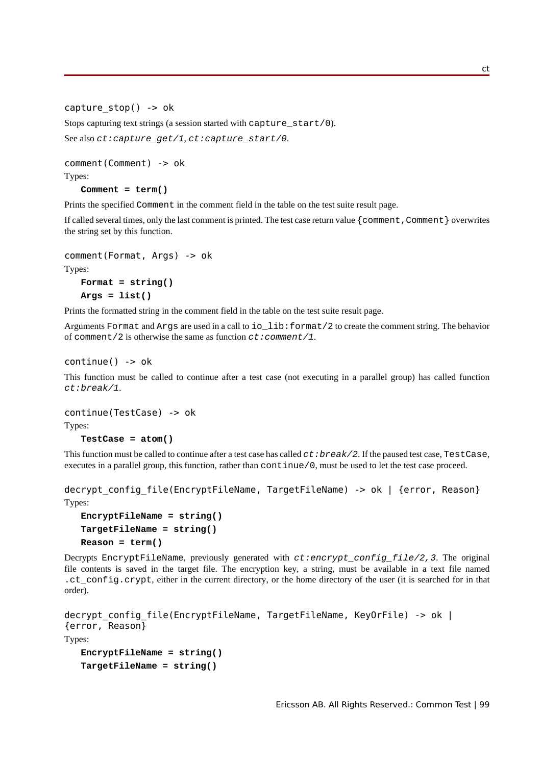### capture  $stop()$  ->  $ok$

Stops capturing text strings (a session started with capture\_start/0).

See also ct:capture\_get/1, ct:capture\_start/0.

comment(Comment) -> ok Types:

```
Comment = term()
```
Prints the specified Comment in the comment field in the table on the test suite result page.

If called several times, only the last comment is printed. The test case return value  $\{\text{comment},\text{Comment}\}$  overwrites the string set by this function.

```
comment(Format, Args) -> ok
```
Types:

```
Format = string()
Args = list()
```
Prints the formatted string in the comment field in the table on the test suite result page.

Arguments Format and Args are used in a call to io\_lib:format/2 to create the comment string. The behavior of comment/2 is otherwise the same as function  $ct:comment/1$ .

### continue() -> ok

This function must be called to continue after a test case (not executing in a parallel group) has called function ct:break/1.

```
continue(TestCase) -> ok
Types:
```
**TestCase = atom()**

This function must be called to continue after a test case has called  $ct:break/2$ . If the paused test case, TestCase, executes in a parallel group, this function, rather than continue/0, must be used to let the test case proceed.

```
decrypt_config_file(EncryptFileName, TargetFileName) -> ok | {error, Reason}
Types:
```

```
EncryptFileName = string()
TargetFileName = string()
Reason = term()
```
Decrypts EncryptFileName, previously generated with  $ct:$ encrypt config file/2,3. The original file contents is saved in the target file. The encryption key, a string, must be available in a text file named .ct\_config.crypt, either in the current directory, or the home directory of the user (it is searched for in that order).

```
decrypt config file(EncryptFileName, TargetFileName, KeyOrFile) -> ok |
{error, Reason}
Types:
   EncryptFileName = string()
   TargetFileName = string()
```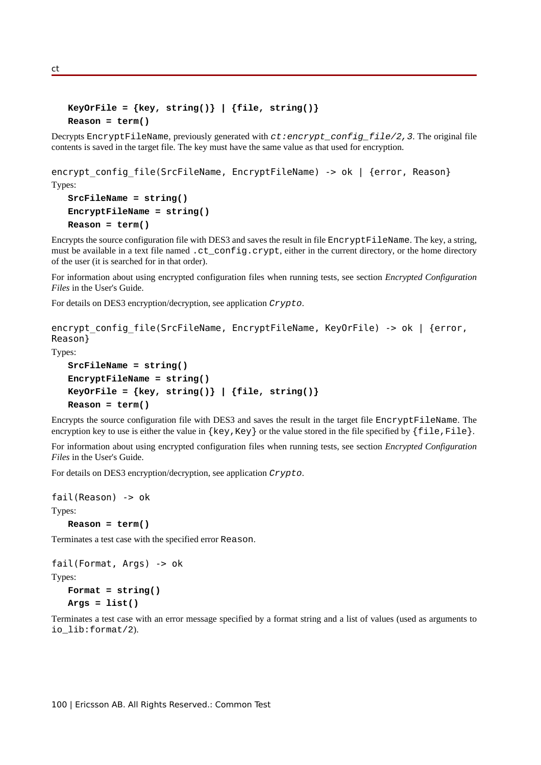```
KeyOrFile = {key, string() } | {file, string() }Reason = term()
```
Decrypts EncryptFileName, previously generated with  $ct:$  encrypt config file/2,3. The original file contents is saved in the target file. The key must have the same value as that used for encryption.

encrypt config file(SrcFileName, EncryptFileName) -> ok | {error, Reason} Types:

```
SrcFileName = string()
EncryptFileName = string()
Reason = term()
```
Encrypts the source configuration file with DES3 and saves the result in file EncryptFileName. The key, a string, must be available in a text file named .ct\_config.crypt, either in the current directory, or the home directory of the user (it is searched for in that order).

For information about using encrypted configuration files when running tests, see section *Encrypted Configuration Files* in the User's Guide.

For details on DES3 encryption/decryption, see application Crypto.

```
encrypt config file(SrcFileName, EncryptFileName, KeyOrFile) -> ok | {error,
Reason}
```
Types:

```
SrcFileName = string()
EncryptFileName = string()
KeyOrFile = {key, string() } | {file, string() }Reason = term()
```
Encrypts the source configuration file with DES3 and saves the result in the target file EncryptFileName. The encryption key to use is either the value in  $\{key,Key\}$  or the value stored in the file specified by  $\{file,File\}.$ 

For information about using encrypted configuration files when running tests, see section *Encrypted Configuration Files* in the User's Guide.

For details on DES3 encryption/decryption, see application Crypto.

```
fail(Reason) -> ok
Types:
```

```
Reason = term()
```
Terminates a test case with the specified error Reason.

```
fail(Format, Args) -> ok
Types:
   Format = string()
```
**Args = list()**

Terminates a test case with an error message specified by a format string and a list of values (used as arguments to io\_lib:format/2).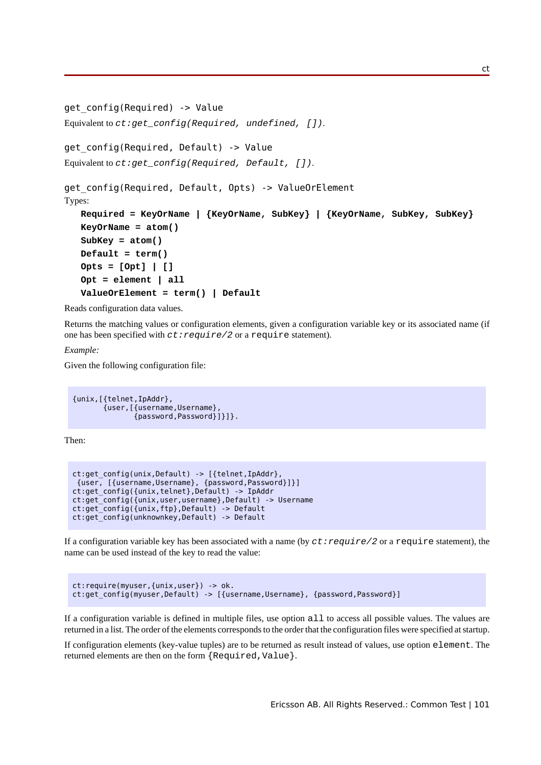```
get config(Required) -> Value
Equivalent to ct:get_config(Required, undefined, []).
```
get config(Required, Default) -> Value

Equivalent to ct:get\_config(Required, Default, []).

```
get config(Required, Default, Opts) -> ValueOrElement
Types:
  Required = KeyOrName | {KeyOrName, SubKey} | {KeyOrName, SubKey, SubKey}
  KeyOrName = atom()
   SubKey = atom()
  Default = term()
   Opts = [Opt] | []
   Opt = element | all
   ValueOrElement = term() | Default
```
Reads configuration data values.

Returns the matching values or configuration elements, given a configuration variable key or its associated name (if one has been specified with  $ct:require/2$  or a require statement).

*Example:*

Given the following configuration file:

```
 {unix,[{telnet,IpAddr},
        {user,[{username,Username},
               {password,Password}]}]}.
```
Then:

```
ct:get config(unix,Default) -> [{telnet,IpAddr},
 {user, [{username,Username}, {password,Password}]}]
 ct:get_config({unix,telnet},Default) -> IpAddr
 ct:get_config({unix,user,username},Default) -> Username
 ct:get_config({unix,ftp},Default) -> Default
 ct:get_config(unknownkey,Default) -> Default
```
If a configuration variable key has been associated with a name (by  $ct:require/2$  or a require statement), the name can be used instead of the key to read the value:

 ct:require(myuser,{unix,user}) -> ok. ct:get config(myuser,Default) -> [{username,Username}, {password,Password}]

If a configuration variable is defined in multiple files, use option all to access all possible values. The values are returned in a list. The order of the elements corresponds to the order that the configuration files were specified at startup.

If configuration elements (key-value tuples) are to be returned as result instead of values, use option element. The returned elements are then on the form {Required, Value}.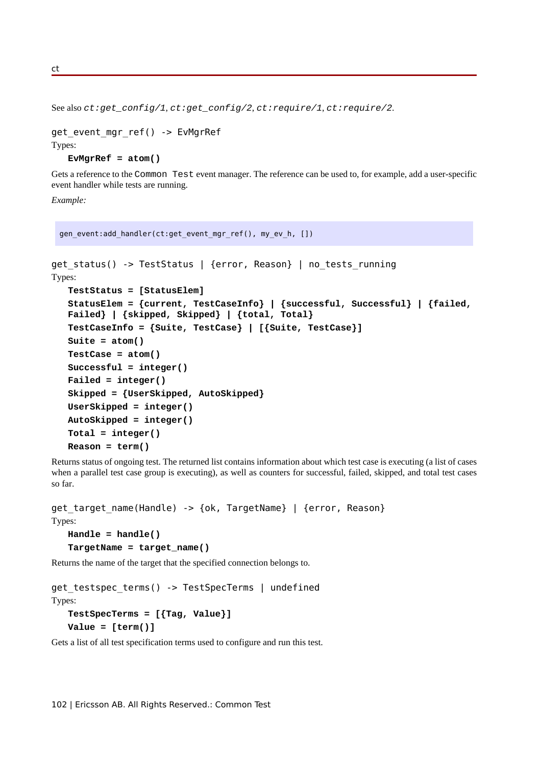See also  $ct:$  qet  $confiq/1, ct:$ qet  $config/2, ct:$ require/1,  $ct:$ require/2.

```
get event mgr ref() -> EvMgrRef
Types:
```
### **EvMgrRef = atom()**

Gets a reference to the Common Test event manager. The reference can be used to, for example, add a user-specific event handler while tests are running.

*Example:*

```
 gen_event:add_handler(ct:get_event_mgr_ref(), my_ev_h, [])
get_status() -> TestStatus | {error, Reason} | no_tests_running
Types:
   TestStatus = [StatusElem]
   StatusElem = {current, TestCaseInfo} | {successful, Successful} | {failed,
   Failed} | {skipped, Skipped} | {total, Total}
   TestCaseInfo = {Suite, TestCase} | [{Suite, TestCase}]
   Suite = atom()
   TestCase = atom()
   Successful = integer()
   Failed = integer()
   Skipped = {UserSkipped, AutoSkipped}
   UserSkipped = integer()
   AutoSkipped = integer()
   Total = integer()
   Reason = term()
```
Returns status of ongoing test. The returned list contains information about which test case is executing (a list of cases when a parallel test case group is executing), as well as counters for successful, failed, skipped, and total test cases so far.

```
get target name(Handle) -> {ok, TargetName} | {error, Reason}
Types:
```

```
Handle = handle()
TargetName = target_name()
```
Returns the name of the target that the specified connection belongs to.

```
get_testspec_terms() -> TestSpecTerms | undefined
Types:
   TestSpecTerms = [{Tag, Value}]
```

```
Value = [term()]
```
Gets a list of all test specification terms used to configure and run this test.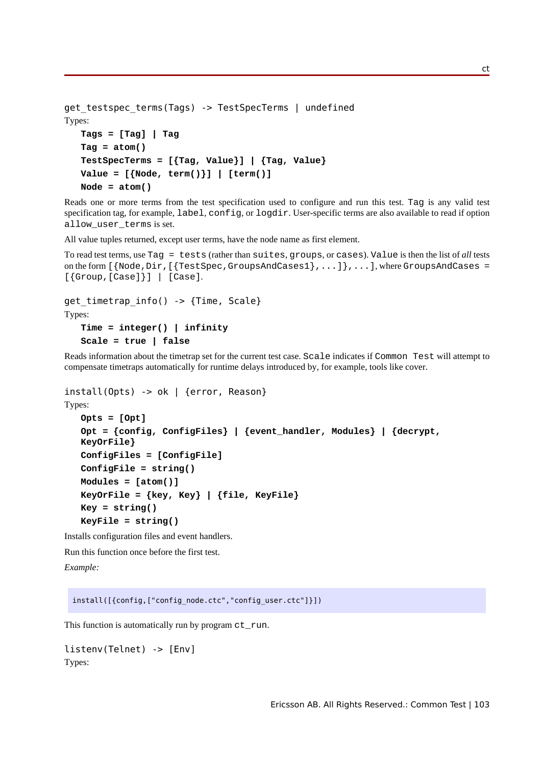```
get testspec terms(Tags) -> TestSpecTerms | undefined
Types:
   Tags = [Tag] | Tag
   Tag = atom()
   TestSpecTerms = [{Tag, Value}] | {Tag, Value}
  Value = [{Node, term()}] | [term()]
  Node = atom()
```
Reads one or more terms from the test specification used to configure and run this test. Tag is any valid test specification tag, for example, label, config, or logdir. User-specific terms are also available to read if option allow\_user\_terms is set.

All value tuples returned, except user terms, have the node name as first element.

```
To read test terms, use Tag = tests (rather than suites, groups, or cases). Value is then the list of all tests
on the form [\{Node,Dir, [\{TestSpec,GroupsAndCases1}\},...],...], where GroupsAndCases =
[\{Group,[Case]\}] [Case].
```

```
get_timetrap_info() -> {Time, Scale}
Types:
   Time = integer() | infinity
   Scale = true | false
```
Reads information about the timetrap set for the current test case. Scale indicates if Common Test will attempt to compensate timetraps automatically for runtime delays introduced by, for example, tools like cover.

```
install(Opts) -> ok | {error, Reason}
Types:
   Opts = [Opt]
   Opt = {config, ConfigFiles} | {event_handler, Modules} | {decrypt,
  KeyOrFile}
   ConfigFiles = [ConfigFile]
   ConfigFile = string()
  Modules = [atom()]
  KeyOrFile = {key, Key} | {file, KeyFile}
  Key = string()
  KeyFile = string()
```
Installs configuration files and event handlers.

Run this function once before the first test.

*Example:*

install([{config,["config\_node.ctc","config\_user.ctc"]}])

This function is automatically run by program ct\_run.

```
listenv(Telnet) -> [Env]
Types:
```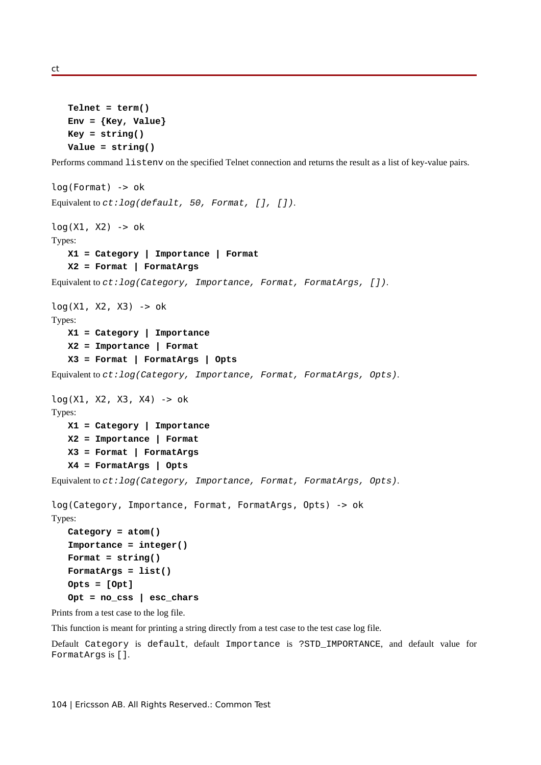```
Telnet = term()
Env = {Key, Value}
Key = string()
Value = string()
```
Performs command listenv on the specified Telnet connection and returns the result as a list of key-value pairs.

```
log(Format) -> ok
Equivalent to ct:log(detault, 50, Format, [], []).
log(X1, X2) -> ok
Types:
   X1 = Category | Importance | Format
   X2 = Format | FormatArgs
Equivalent to ct:log(Categorical), Importance, Format, FormatArgs, []).
log(X1, X2, X3) -> ok
Types:
   X1 = Category | Importance
   X2 = Importance | Format
   X3 = Format | FormatArgs | Opts
Equivalent to ct:log(Category, Importance, Format, FormatArgs, Opts).
log(X1, X2, X3, X4) -> ok
Types:
   X1 = Category | Importance
   X2 = Importance | Format
   X3 = Format | FormatArgs
   X4 = FormatArgs | Opts
Equivalent to ct:log(Category, Importance, Format, FormatArgs, Opts).
log(Category, Importance, Format, FormatArgs, Opts) -> ok
Types:
   Category = atom()
   Importance = integer()
   Format = string()
   FormatArgs = list()
   Opts = [Opt]
   Opt = no_css | esc_chars
```
Prints from a test case to the log file.

This function is meant for printing a string directly from a test case to the test case log file.

Default Category is default, default Importance is ?STD\_IMPORTANCE, and default value for FormatArgs is [].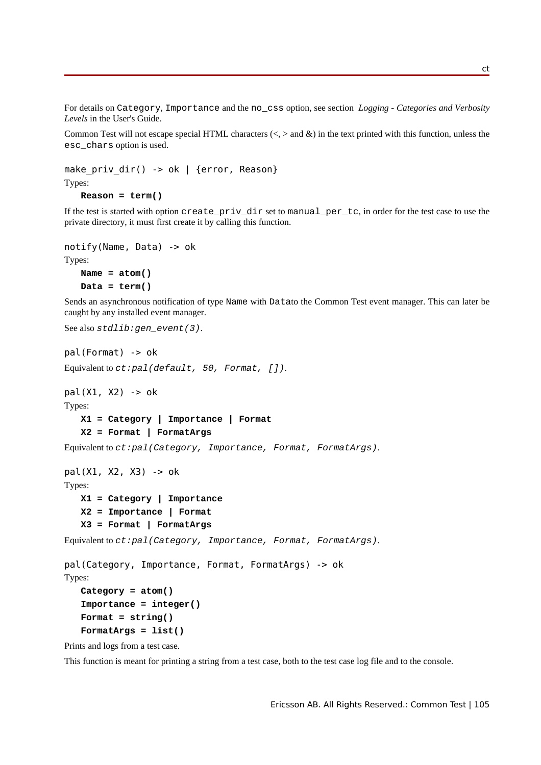For details on Category, Importance and the no\_css option, see section *Logging - Categories and Verbosity Levels* in the User's Guide.

Common Test will not escape special HTML characters  $(<, >$  and  $\&)$  in the text printed with this function, unless the esc\_chars option is used.

make priv dir() -> ok | {error, Reason} Types:

**Reason = term()**

If the test is started with option create\_priv\_dir set to manual\_per\_tc, in order for the test case to use the private directory, it must first create it by calling this function.

```
notify(Name, Data) -> ok
```
Types:

```
Name = atom()
Data = term()
```
Sends an asynchronous notification of type Name with Datato the Common Test event manager. This can later be caught by any installed event manager.

```
See also stdlib:gen_event(3).
pal(Format) -> ok
Equivalent to ct:pal(default, 50, Format, []).
pal(X1, X2) \rightarrow okTypes:
   X1 = Category | Importance | Format
   X2 = Format | FormatArgs
Equivalent to ct:pal(Category, Importance, Format, FormatArgs).
pal(X1, X2, X3) -> ok
Types:
   X1 = Category | Importance
   X2 = Importance | Format
   X3 = Format | FormatArgs
Equivalent to ct:pal(Category, Importance, Format, FormatArgs).
pal(Category, Importance, Format, FormatArgs) -> ok
Types:
   Category = atom()
   Importance = integer()
   Format = string()
   FormatArgs = list()
```
Prints and logs from a test case.

This function is meant for printing a string from a test case, both to the test case log file and to the console.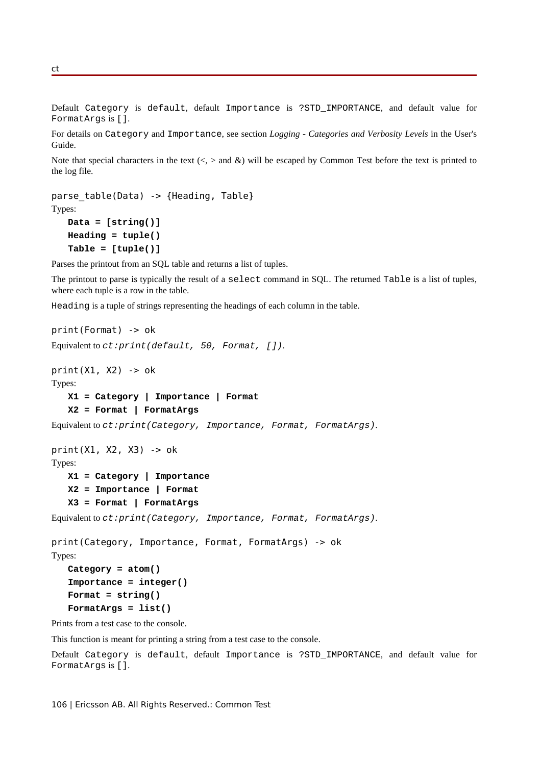Default Category is default, default Importance is ?STD\_IMPORTANCE, and default value for FormatArgs is [].

For details on Category and Importance, see section *Logging - Categories and Verbosity Levels* in the User's Guide.

Note that special characters in the text  $(<, >$  and  $\&$ ) will be escaped by Common Test before the text is printed to the log file.

```
parse table(Data) -> {Heading, Table}
Types:
   Data = [string()]
   Heading = tuple()
```
**Table = [tuple()]**

Parses the printout from an SQL table and returns a list of tuples.

The printout to parse is typically the result of a select command in SQL. The returned Table is a list of tuples, where each tuple is a row in the table.

Heading is a tuple of strings representing the headings of each column in the table.

```
print(Format) -> ok
Equivalent to ct:print(default, 50, Format, []).
print(X1, X2) -> ok
Types:
   X1 = Category | Importance | Format
   X2 = Format | FormatArgs
Equivalent to ct:print(Category, Importance, Format, FormatArgs).
print(X1, X2, X3) -> ok
Types:
   X1 = Category | Importance
   X2 = Importance | Format
   X3 = Format | FormatArgs
Equivalent to ct: print (Category, Importance, Format, FormatArgs).
print(Category, Importance, Format, FormatArgs) -> ok
Types:
   Category = atom()
   Importance = integer()
   Format = string()
   FormatArgs = list()
```
Prints from a test case to the console.

This function is meant for printing a string from a test case to the console.

```
Default Category is default, default Importance is ?STD_IMPORTANCE, and default value for
FormatArgs is [].
```
106 | Ericsson AB. All Rights Reserved.: Common Test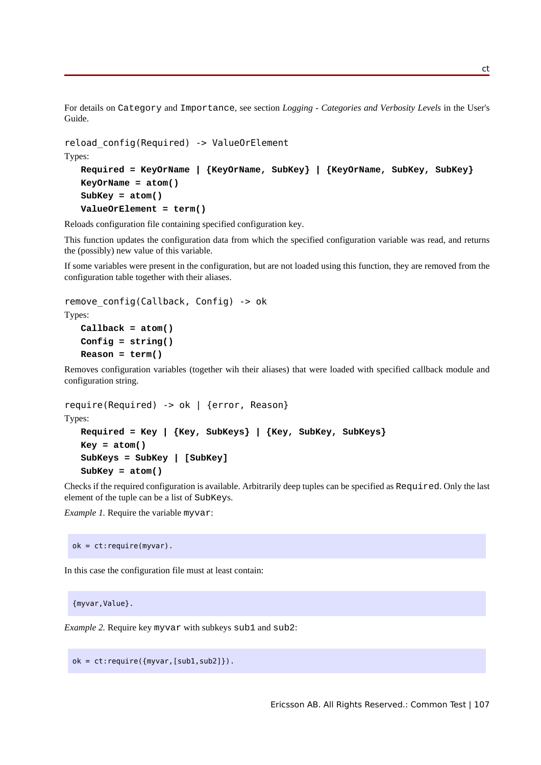For details on Category and Importance, see section *Logging - Categories and Verbosity Levels* in the User's Guide.

```
reload_config(Required) -> ValueOrElement
Types:
  Required = KeyOrName | {KeyOrName, SubKey} | {KeyOrName, SubKey, SubKey}
  KeyOrName = atom()
   SubKey = atom()
   ValueOrElement = term()
```
Reloads configuration file containing specified configuration key.

This function updates the configuration data from which the specified configuration variable was read, and returns the (possibly) new value of this variable.

If some variables were present in the configuration, but are not loaded using this function, they are removed from the configuration table together with their aliases.

```
remove_config(Callback, Config) -> ok
Types:
   Callback = atom()
   Config = string()
   Reason = term()
```
Removes configuration variables (together wih their aliases) that were loaded with specified callback module and configuration string.

```
require(Required) -> ok | {error, Reason}
Types:
  Required = Key | {Key, SubKeys} | {Key, SubKey, SubKeys}
  Key = atom()SubKeys = SubKey | [SubKey]
   SubKey = atom()
```
Checks if the required configuration is available. Arbitrarily deep tuples can be specified as Required. Only the last element of the tuple can be a list of SubKeys.

*Example 1.* Require the variable myvar:

```
 ok = ct:require(myvar).
```
In this case the configuration file must at least contain:

{myvar,Value}.

*Example 2.* Require key myvar with subkeys sub1 and sub2:

```
 ok = ct:require({myvar,[sub1,sub2]}).
```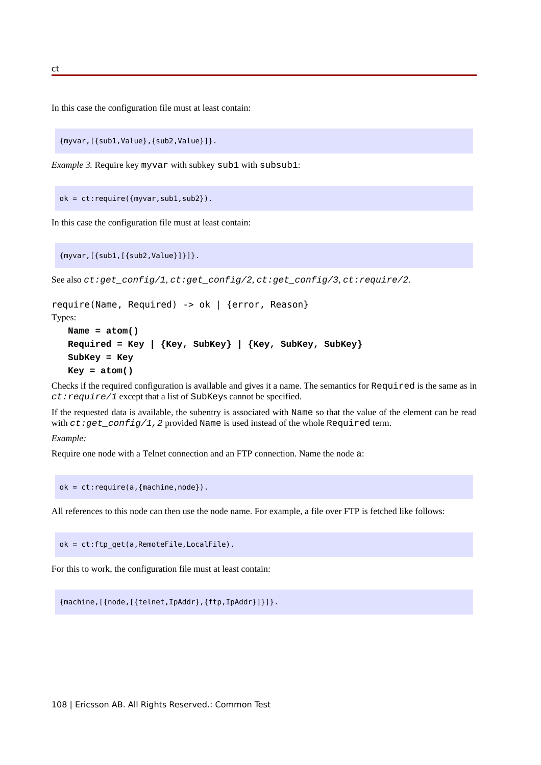In this case the configuration file must at least contain:

```
 {myvar,[{sub1,Value},{sub2,Value}]}.
```
*Example 3.* Require key myvar with subkey sub1 with subsub1:

```
ok = ct: require({myvar,sub1,sub2}).
```
In this case the configuration file must at least contain:

{myvar,[{sub1,[{sub2,Value}]}]}.

See also ct:get\_config/1, ct:get\_config/2, ct:get\_config/3, ct:require/2.

```
require(Name, Required) -> ok | {error, Reason}
```

```
Types:
```

```
Name = atom()
Required = Key | {Key, SubKey} | {Key, SubKey, SubKey}
SubKey = Key
Key = atom()
```
Checks if the required configuration is available and gives it a name. The semantics for Required is the same as in ct:require/1 except that a list of SubKeys cannot be specified.

If the requested data is available, the subentry is associated with Name so that the value of the element can be read with  $ct:get\ contiq/1,2$  provided Name is used instead of the whole Required term.

*Example:*

Require one node with a Telnet connection and an FTP connection. Name the node a:

 $ok = ct: require(a, {machine, node})$ .

All references to this node can then use the node name. For example, a file over FTP is fetched like follows:

ok = ct:ftp\_get(a,RemoteFile,LocalFile).

For this to work, the configuration file must at least contain:

{machine,[{node,[{telnet,IpAddr},{ftp,IpAddr}]}]}.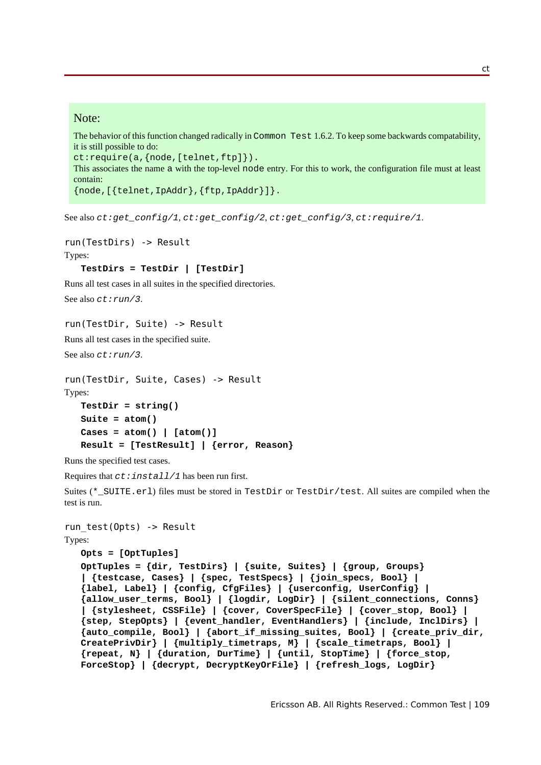### Note:

The behavior of this function changed radically in Common Test 1.6.2. To keep some backwards compatability, it is still possible to do: ct:require(a,{node,[telnet,ftp]}). This associates the name a with the top-level node entry. For this to work, the configuration file must at least contain:  ${node, [}$ telnet,IpAddr $},$ {ftp,IpAddr}]}.

See also ct:get\_config/1, ct:get\_config/2, ct:get\_config/3, ct:require/1.

run(TestDirs) -> Result Types:

**TestDirs = TestDir | [TestDir]**

Runs all test cases in all suites in the specified directories.

```
See also ct: run/3.
```
run(TestDir, Suite) -> Result

Runs all test cases in the specified suite.

```
See also ct: run/3.
```

```
run(TestDir, Suite, Cases) -> Result
Types:
   TestDir = string()
   Suite = atom()
   Cases = atom() | [atom()]
   Result = [TestResult] | {error, Reason}
```
Runs the specified test cases.

Requires that  $ct:install/1$  has been run first.

Suites (\*\_SUITE.erl) files must be stored in TestDir or TestDir/test. All suites are compiled when the test is run.

```
run test(Opts) -> Result
```

```
Types:
```

```
Opts = [OptTuples]
OptTuples = {dir, TestDirs} | {suite, Suites} | {group, Groups}
| {testcase, Cases} | {spec, TestSpecs} | {join_specs, Bool} |
{label, Label} | {config, CfgFiles} | {userconfig, UserConfig} |
{allow_user_terms, Bool} | {logdir, LogDir} | {silent_connections, Conns}
| {stylesheet, CSSFile} | {cover, CoverSpecFile} | {cover_stop, Bool} |
{step, StepOpts} | {event_handler, EventHandlers} | {include, InclDirs} |
{auto_compile, Bool} | {abort_if_missing_suites, Bool} | {create_priv_dir,
CreatePrivDir} | {multiply_timetraps, M} | {scale_timetraps, Bool} |
{repeat, N} | {duration, DurTime} | {until, StopTime} | {force_stop,
ForceStop} | {decrypt, DecryptKeyOrFile} | {refresh_logs, LogDir}
```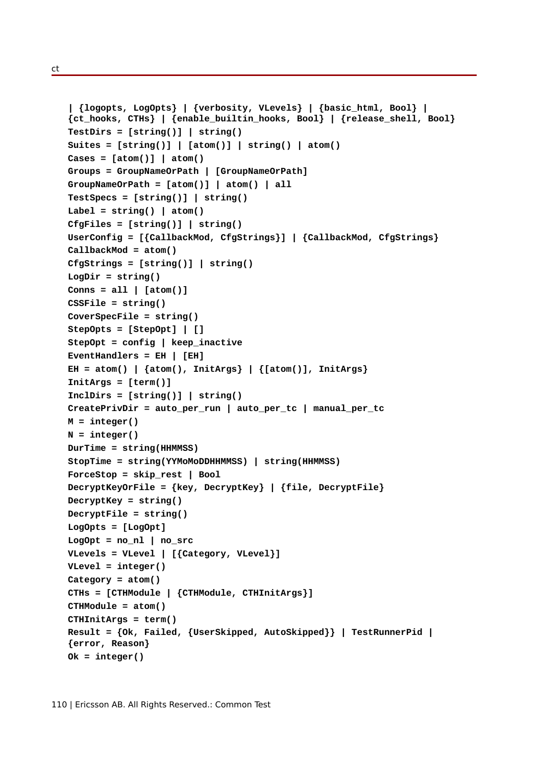```
ct
```

```
| {logopts, LogOpts} | {verbosity, VLevels} | {basic_html, Bool} |
{ct_hooks, CTHs} | {enable_builtin_hooks, Bool} | {release_shell, Bool}
TestDirs = [string()] | string()
Suites = [string() ] | [atom() ] | string() | atom()Cases = [atom()] | atom()
Groups = GroupNameOrPath | [GroupNameOrPath]
GroupNameOrPath = [atom()] | atom() | all
TestSpecs = [string()] | string()
Label = string() | atom()
CfgFiles = [string()] | string()
UserConfig = [{CallbackMod, CfgStrings}] | {CallbackMod, CfgStrings}
CallbackMod = atom()
CfgStrings = [string()] | string()
LogDir = string()
Conns = all | [atom()]
CSSFile = string()
CoverSpecFile = string()
StepOpts = [StepOpt] | []
StepOpt = config | keep_inactive
EventHandlers = EH | [EH]
EH = atom() \{atom(), IntArgs\} \{[atom(), IntArgs\}InitArgs = [term()]
InclDirs = [string()] | string()
CreatePrivDir = auto_per_run | auto_per_tc | manual_per_tc
M = integer()
N = integer()
DurTime = string(HHMMSS)
StopTime = string(YYMoMoDDHHMMSS) | string(HHMMSS)
ForceStop = skip_rest | Bool
DecryptKeyOrFile = {key, DecryptKey} | {file, DecryptFile}
DecryptKey = string()
DecryptFile = string()
LogOpts = [LogOpt]
LogOpt = no_nl | no_src
VLevels = VLevel | [{Category, VLevel}]
VLevel = integer()
Category = atom()
CTHs = [CTHModule | {CTHModule, CTHInitArgs}]
CTHModule = atom()
CTHInitArgs = term()
Result = {Ok, Failed, {UserSkipped, AutoSkipped}} | TestRunnerPid |
{error, Reason}
Ok = integer()
```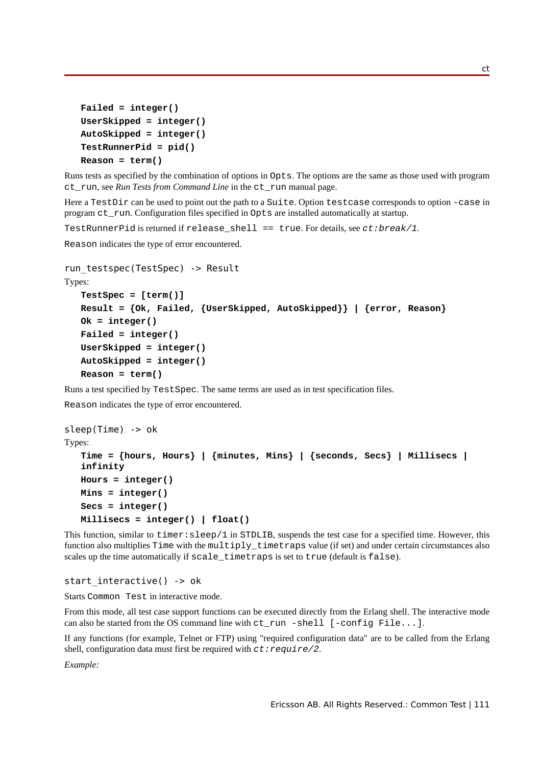```
Failed = integer()
UserSkipped = integer()
AutoSkipped = integer()
TestRunnerPid = pid()
Reason = term()
```
Runs tests as specified by the combination of options in Opts. The options are the same as those used with program ct\_run, see *Run Tests from Command Line* in the ct\_run manual page.

Here a TestDir can be used to point out the path to a Suite. Option testcase corresponds to option -case in program ct\_run. Configuration files specified in Opts are installed automatically at startup.

TestRunnerPid is returned if release\_shell == true. For details, see  $ct:break/1$ .

Reason indicates the type of error encountered.

```
run testspec(TestSpec) -> Result
Types:
   TestSpec = [term()]
   Result = {Ok, Failed, {UserSkipped, AutoSkipped}} | {error, Reason}
   Ok = integer()
   Failed = integer()
   UserSkipped = integer()
   AutoSkipped = integer()
   Reason = term()
```
Runs a test specified by TestSpec. The same terms are used as in test specification files.

Reason indicates the type of error encountered.

```
sleep(Time) -> ok
Types:
   Time = {hours, Hours} | {minutes, Mins} | {seconds, Secs} | Millisecs |
   infinity
  Hours = integer()
  Mins = integer()
   Secs = integer()
   Millisecs = integer() | float()
```
This function, similar to timer:sleep/1 in STDLIB, suspends the test case for a specified time. However, this function also multiplies Time with the multiply timetraps value (if set) and under certain circumstances also scales up the time automatically if scale timetraps is set to true (default is false).

### start interactive() -> ok

Starts Common Test in interactive mode.

From this mode, all test case support functions can be executed directly from the Erlang shell. The interactive mode can also be started from the OS command line with ct\_run -shell [-config File...].

If any functions (for example, Telnet or FTP) using "required configuration data" are to be called from the Erlang shell, configuration data must first be required with  $ct:require/2$ .

*Example:*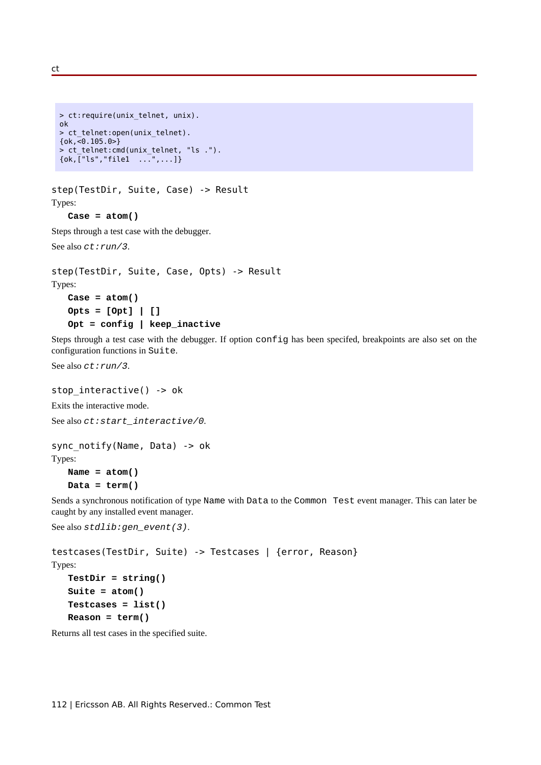```
 > ct:require(unix_telnet, unix).
 ok
> ct telnet:open(unix telnet).
 {ok,<0.105.0>}
 > ct_telnet:cmd(unix_telnet, "ls .").
 {ok,["ls","file1 ...",...]}
```

```
step(TestDir, Suite, Case) -> Result
Types:
   Case = atom()
```
Steps through a test case with the debugger.

See also  $ct:run/3$ .

```
step(TestDir, Suite, Case, Opts) -> Result
Types:
   Case = atom()
   Opts = [Opt] | []
   Opt = config | keep_inactive
```
Steps through a test case with the debugger. If option config has been specifed, breakpoints are also set on the configuration functions in Suite.

See also  $ct:run/3$ .

stop interactive() -> ok

Exits the interactive mode.

See also ct:start\_interactive/0.

sync notify(Name, Data) -> ok Types: **Name = atom()**

**Data = term()**

Sends a synchronous notification of type Name with Data to the Common Test event manager. This can later be caught by any installed event manager.

```
See also stdlib: gen_event(3).
```

```
testcases(TestDir, Suite) -> Testcases | {error, Reason}
Types:
   TestDir = string()
   Suite = atom()
   Testcases = list()
   Reason = term()
```
Returns all test cases in the specified suite.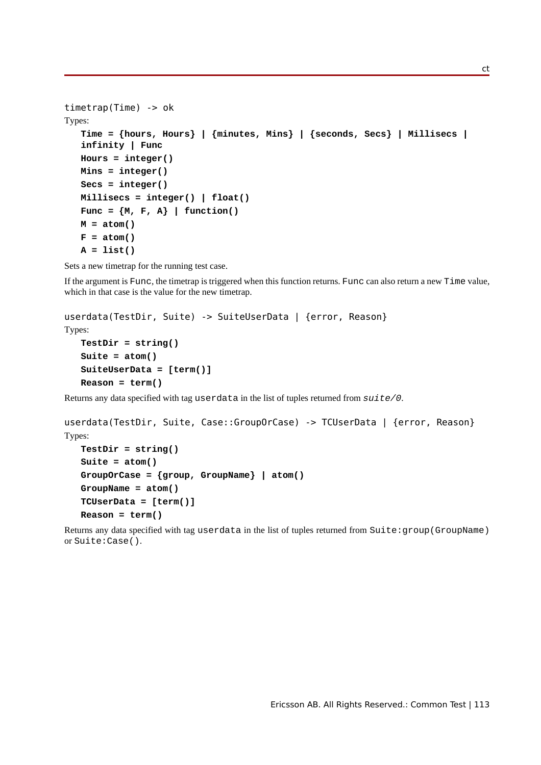```
timetrap(Time) -> ok
Types:
   Time = {hours, Hours} | {minutes, Mins} | {seconds, Secs} | Millisecs |
   infinity | Func
  Hours = integer()
  Mins = integer()
  Secs = integer()
  Millisecs = integer() | float()
  Func = \{M, F, A\} | function()
  M = atom()
  F = atom()A = list()
```
Sets a new timetrap for the running test case.

If the argument is Func, the timetrap is triggered when this function returns. Func can also return a new Time value, which in that case is the value for the new timetrap.

```
userdata(TestDir, Suite) -> SuiteUserData | {error, Reason}
Types:
   TestDir = string()
   Suite = atom()
   SuiteUserData = [term()]
   Reason = term()
```
Returns any data specified with tag userdata in the list of tuples returned from suite/0.

```
userdata(TestDir, Suite, Case::GroupOrCase) -> TCUserData | {error, Reason}
Types:
   TestDir = string()
   Suite = atom()
   GroupOrCase = {group, GroupName} | atom()
   GroupName = atom()
   TCUserData = [term()]
   Reason = term()
```
Returns any data specified with tag userdata in the list of tuples returned from Suite:group(GroupName) or Suite:Case().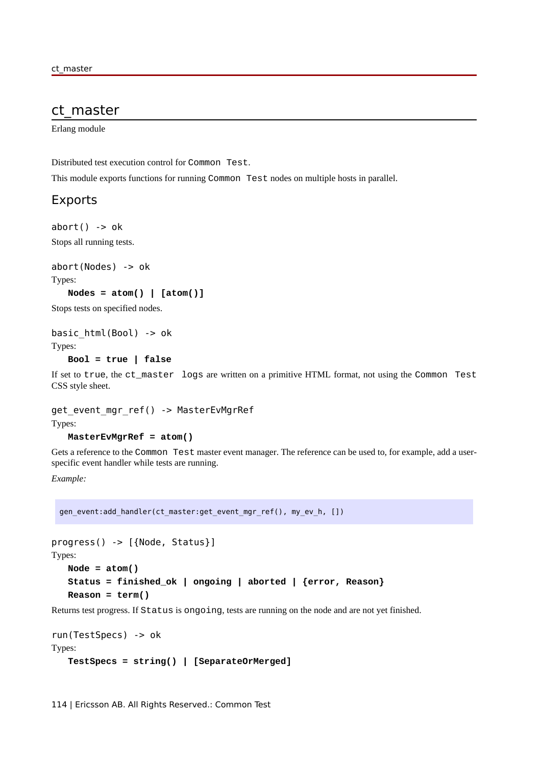## ct\_master

Erlang module

Distributed test execution control for Common Test.

This module exports functions for running Common Test nodes on multiple hosts in parallel.

## Exports

 $abort()$  ->  $ok$ 

Stops all running tests.

```
abort(Nodes) -> ok
Types:
```

```
Nodes = atom() | [atom()]
```
Stops tests on specified nodes.

```
basic html(Bool) -> ok
Types:
```

```
Bool = true | false
```
If set to true, the ct\_master logs are written on a primitive HTML format, not using the Common Test CSS style sheet.

```
get_event_mgr_ref() -> MasterEvMgrRef
Types:
```

```
MasterEvMgrRef = atom()
```
Gets a reference to the Common Test master event manager. The reference can be used to, for example, add a userspecific event handler while tests are running.

*Example:*

gen\_event:add\_handler(ct\_master:get\_event\_mgr\_ref(), my\_ev\_h, [])

```
progress() -> [{Node, Status}]
Types:
   Node = atom()
   Status = finished_ok | ongoing | aborted | {error, Reason}
   Reason = term()
```
Returns test progress. If Status is ongoing, tests are running on the node and are not yet finished.

```
run(TestSpecs) -> ok
Types:
   TestSpecs = string() | [SeparateOrMerged]
```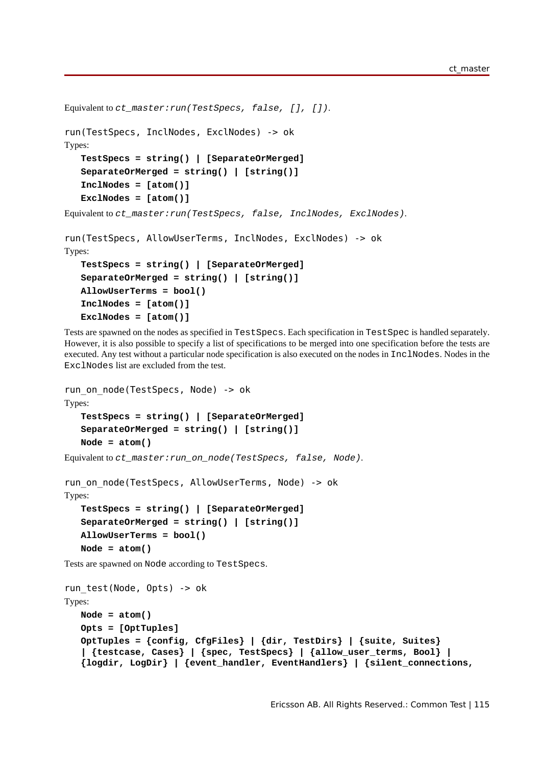```
Equivalent to ct_master: run(TestSpecs, false, [], []).
run(TestSpecs, InclNodes, ExclNodes) -> ok
Types:
   TestSpecs = string() | [SeparateOrMerged]
   SeparateOrMerged = string() | [string()]
   InclNodes = [atom()]
   ExclNodes = [atom()]
Equivalent to ct_master:run(TestSpecs, false, InclNodes, ExclNodes).
run(TestSpecs, AllowUserTerms, InclNodes, ExclNodes) -> ok
Types:
   TestSpecs = string() | [SeparateOrMerged]
   SeparateOrMerged = string() | [string()]
   AllowUserTerms = bool()
   InclNodes = [atom()]
   ExclNodes = [atom()]
```
Tests are spawned on the nodes as specified in TestSpecs. Each specification in TestSpec is handled separately. However, it is also possible to specify a list of specifications to be merged into one specification before the tests are executed. Any test without a particular node specification is also executed on the nodes in InclNodes. Nodes in the ExclNodes list are excluded from the test.

```
run on node(TestSpecs, Node) -> ok
Types:
   TestSpecs = string() | [SeparateOrMerged]
   SeparateOrMerged = string() | [string()]
   Node = atom()
Equivalent to ct_master:run_on_node(TestSpecs, false, Node).
```

```
run on node(TestSpecs, AllowUserTerms, Node) -> ok
```
Types:

```
TestSpecs = string() | [SeparateOrMerged]
SeparateOrMerged = string() | [string()]
AllowUserTerms = bool()
Node = atom()
```
Tests are spawned on Node according to TestSpecs.

```
run test(Node, Opts) -> ok
Types:
  Node = atom()
   Opts = [OptTuples]
   OptTuples = {config, CfgFiles} | {dir, TestDirs} | {suite, Suites}
   | {testcase, Cases} | {spec, TestSpecs} | {allow_user_terms, Bool} |
   {logdir, LogDir} | {event_handler, EventHandlers} | {silent_connections,
```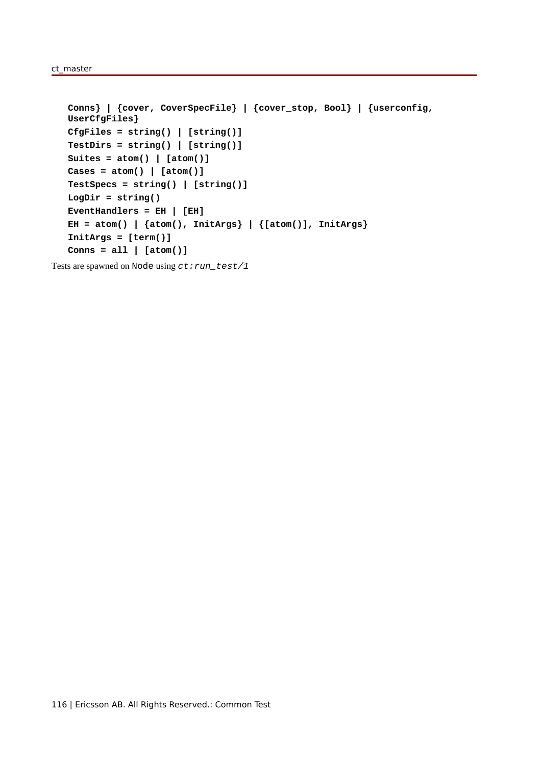```
Conns} | {cover, CoverSpecFile} | {cover_stop, Bool} | {userconfig,
UserCfgFiles}
CfgFiles = string() | [string()]
TestDirs = string() | [string()]
Suites = atom() | [atom()]
Cases = atom() | [atom()]
TestSpecs = string() | [string()]
LogDir = string()
EventHandlers = EH | [EH]
EH = atom() | {atom(), InitArgs} | {[atom()], InitArgs}
InitArgs = [term()]
Conns = all | [atom()]
```
Tests are spawned on Node using  $ct:run\_test/1$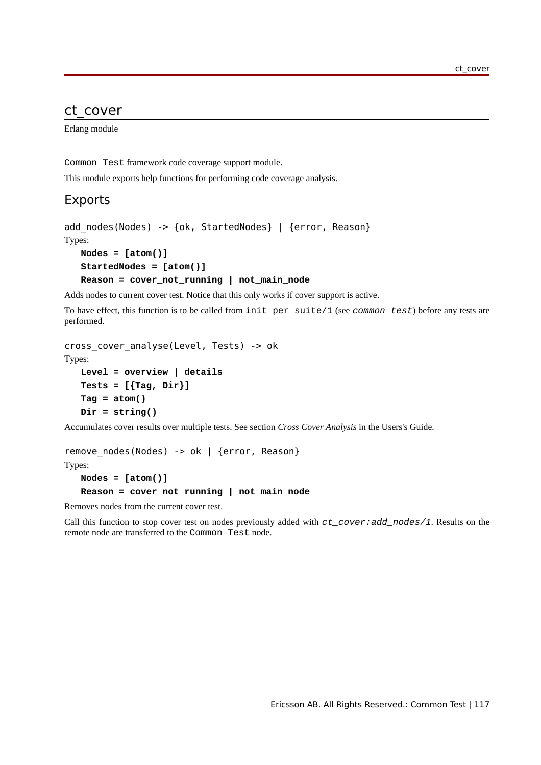### ct\_cover

Erlang module

Common Test framework code coverage support module.

This module exports help functions for performing code coverage analysis.

## Exports

```
add nodes(Nodes) -> {ok, StartedNodes} | {error, Reason}
Types:
   Nodes = [atom()]
   StartedNodes = [atom()]
   Reason = cover_not_running | not_main_node
```
Adds nodes to current cover test. Notice that this only works if cover support is active.

To have effect, this function is to be called from init\_per\_suite/1 (see *common\_test*) before any tests are performed.

```
cross cover analyse(Level, Tests) -> ok
```
Types:

```
Level = overview | details
Tests = [{Tag, Dir}]
Tag = atom()
Dir = string()
```
Accumulates cover results over multiple tests. See section *Cross Cover Analysis* in the Users's Guide.

```
remove nodes(Nodes) -> ok | {error, Reason}
Types:
   Nodes = [atom()]
```

```
Reason = cover_not_running | not_main_node
```
Removes nodes from the current cover test.

Call this function to stop cover test on nodes previously added with  $ct$  cover: add nodes/1. Results on the remote node are transferred to the Common Test node.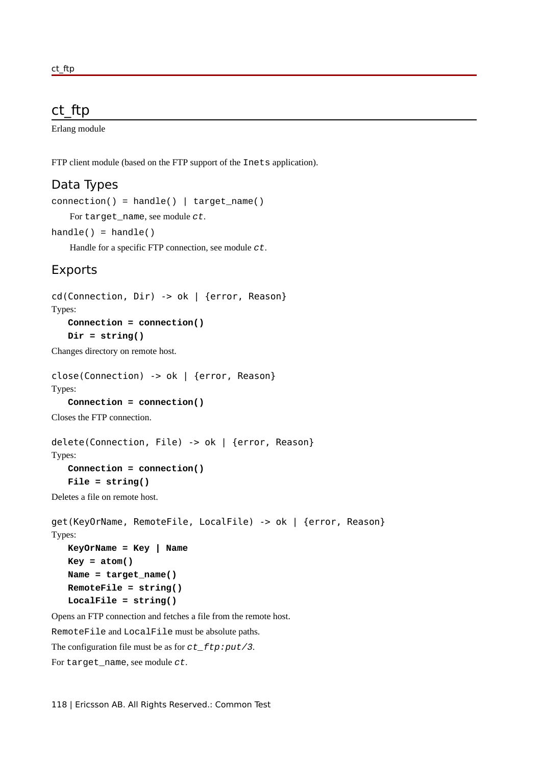# ct\_ftp

Erlang module

FTP client module (based on the FTP support of the Inets application).

# Data Types

```
connection() = handle() | target_name()
```
For target\_name, see module ct.

```
handle() = handle()
```
Handle for a specific FTP connection, see module  $ct$ .

# Exports

```
cd(Connection, Dir) -> ok | {error, Reason}
Types:
   Connection = connection()
```
**Dir = string()**

Changes directory on remote host.

```
close(Connection) -> ok | {error, Reason}
Types:
```

```
Connection = connection()
```
Closes the FTP connection.

```
delete(Connection, File) -> ok | {error, Reason}
Types:
   Connection = connection()
```
**File = string()**

Deletes a file on remote host.

```
get(KeyOrName, RemoteFile, LocalFile) -> ok | {error, Reason}
Types:
   KeyOrName = Key | Name
   Key = atom()
  Name = target_name()
   RemoteFile = string()
   LocalFile = string()
```
Opens an FTP connection and fetches a file from the remote host.

RemoteFile and LocalFile must be absolute paths.

The configuration file must be as for  $ct$   $ftp:put/3$ .

For target name, see module ct.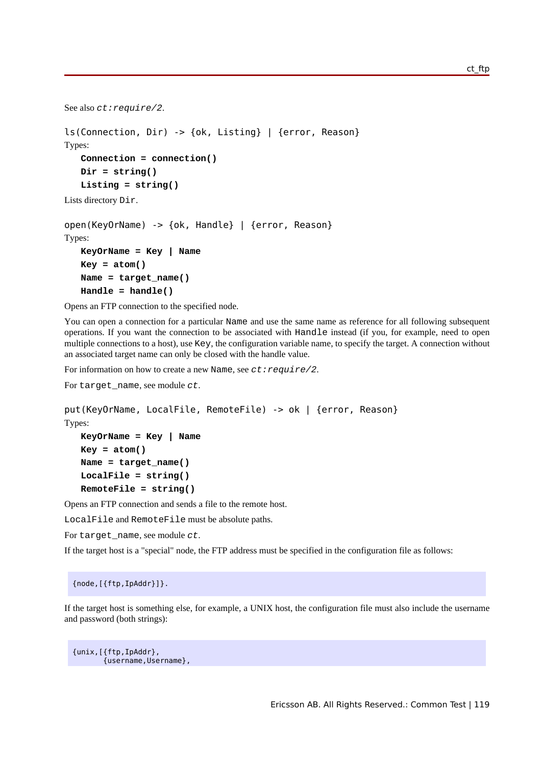```
ls(Connection, Dir) -> {ok, Listing} | {error, Reason}
Types:
   Connection = connection()
   Dir = string()
   Listing = string()
Lists directory Dir.
open(KeyOrName) -> {ok, Handle} | {error, Reason}
Types:
   KeyOrName = Key | Name
   Key = atom()
   Name = target_name()
   Handle = handle()
```
Opens an FTP connection to the specified node.

You can open a connection for a particular Name and use the same name as reference for all following subsequent operations. If you want the connection to be associated with Handle instead (if you, for example, need to open multiple connections to a host), use Key, the configuration variable name, to specify the target. A connection without an associated target name can only be closed with the handle value.

For information on how to create a new Name, see  $ct:require/2$ .

For target\_name, see module ct.

See also ct: require/2.

```
put(KeyOrName, LocalFile, RemoteFile) -> ok | {error, Reason}
Types:
```

```
KeyOrName = Key | Name
Key = atom()
Name = target_name()
LocalFile = string()
RemoteFile = string()
```
Opens an FTP connection and sends a file to the remote host.

LocalFile and RemoteFile must be absolute paths.

For target name, see module  $ct$ .

If the target host is a "special" node, the FTP address must be specified in the configuration file as follows:

```
 {node,[{ftp,IpAddr}]}.
```
If the target host is something else, for example, a UNIX host, the configuration file must also include the username and password (both strings):

```
 {unix,[{ftp,IpAddr},
        {username,Username},
```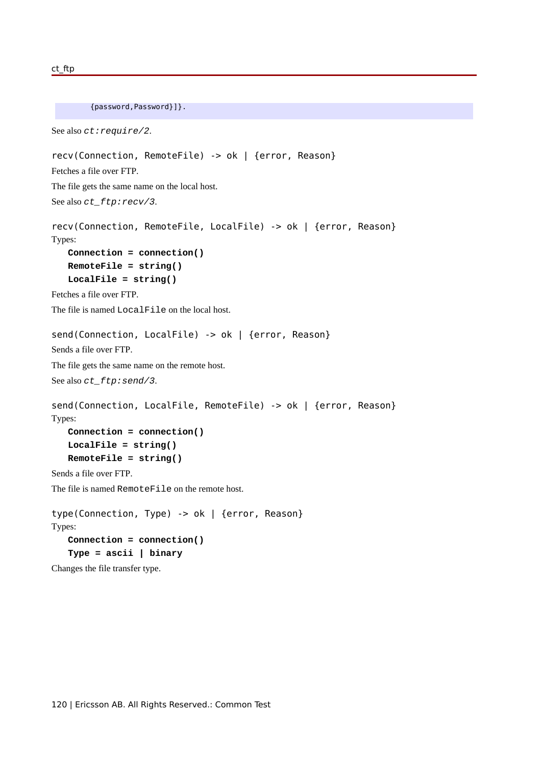ct\_ftp

{password,Password}]}.

See also ct:require/2.

recv(Connection, RemoteFile) -> ok | {error, Reason} Fetches a file over FTP. The file gets the same name on the local host. See also  $ct\_ftp:recv/3.$ recv(Connection, RemoteFile, LocalFile) -> ok | {error, Reason} Types: **Connection = connection() RemoteFile = string() LocalFile = string()** Fetches a file over FTP. The file is named LocalFile on the local host. send(Connection, LocalFile) -> ok | {error, Reason} Sends a file over FTP. The file gets the same name on the remote host. See also  $ct\_ftp:send/3$ . send(Connection, LocalFile, RemoteFile) -> ok | {error, Reason} Types: **Connection = connection() LocalFile = string() RemoteFile = string()** Sends a file over FTP. The file is named RemoteFile on the remote host. type(Connection, Type) -> ok | {error, Reason} Types:

**Connection = connection() Type = ascii | binary**

Changes the file transfer type.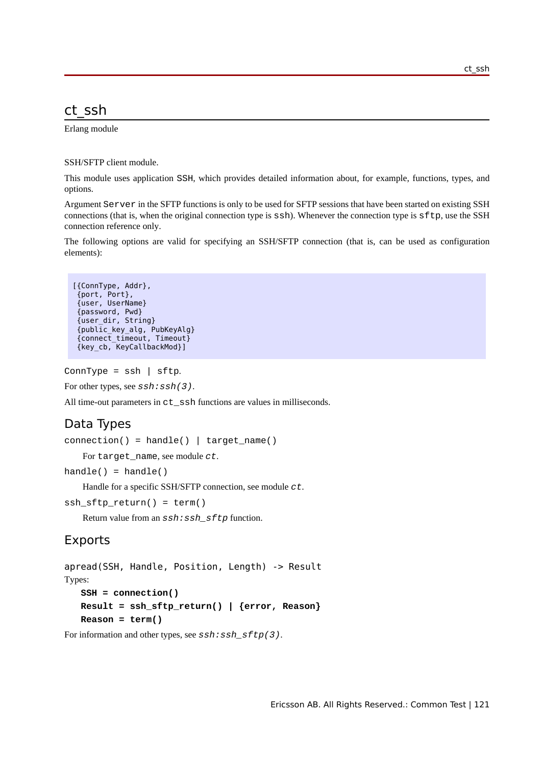# ct\_ssh

Erlang module

SSH/SFTP client module.

This module uses application SSH, which provides detailed information about, for example, functions, types, and options.

Argument Server in the SFTP functions is only to be used for SFTP sessions that have been started on existing SSH connections (that is, when the original connection type is ssh). Whenever the connection type is sftp, use the SSH connection reference only.

The following options are valid for specifying an SSH/SFTP connection (that is, can be used as configuration elements):

```
 [{ConnType, Addr},
  {port, Port},
  {user, UserName}
  {password, Pwd}
  {user_dir, String}
  {public_key_alg, PubKeyAlg}
  {connect_timeout, Timeout}
 {key cb, KeyCallbackMod}]
```

```
ConnType = \operatorname{ssh} | \operatorname{sttp}.
```
For other types, see  $\sin \sin \sin(3)$ .

All time-out parameters in ct\_ssh functions are values in milliseconds.

# Data Types

```
connection() = handle() | target name()
```
For target\_name, see module ct.

```
handle() = handle()
```
Handle for a specific SSH/SFTP connection, see module ct.

```
ssh_sftp_return() = term()
```
Return value from an ssh: ssh\_sftp function.

## Exports

```
apread(SSH, Handle, Position, Length) -> Result
```

```
Types:
```

```
SSH = connection()
Result = ssh_sftp_return() | {error, Reason}
Reason = term()
```
For information and other types, see  $ssh:ssh\_sftp(3)$ .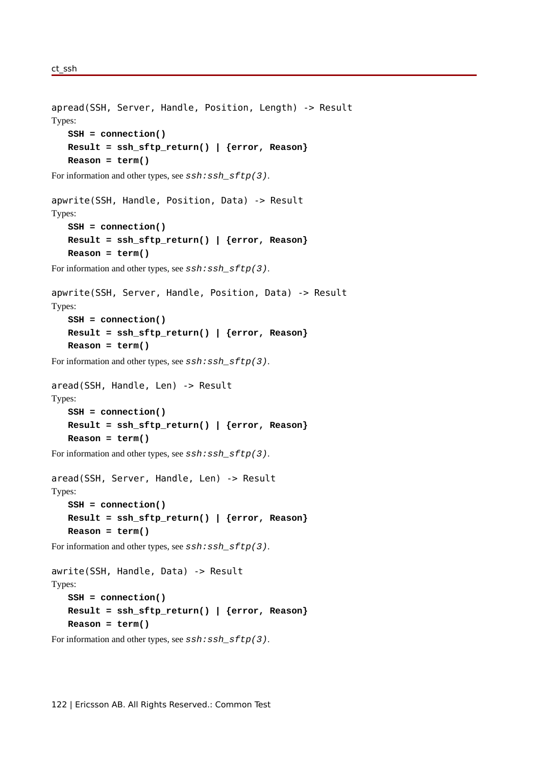```
apread(SSH, Server, Handle, Position, Length) -> Result
Types:
   SSH = connection()
   Result = ssh_sftp_return() | {error, Reason}
   Reason = term()
For information and other types, see ssh:ssh\_sftp(3).
apwrite(SSH, Handle, Position, Data) -> Result
Types:
   SSH = connection()
   Result = ssh_sftp_return() | {error, Reason}
   Reason = term()
For information and other types, see ssh:ssh\_sftp(3).
apwrite(SSH, Server, Handle, Position, Data) -> Result
Types:
   SSH = connection()
   Result = ssh_sftp_return() | {error, Reason}
   Reason = term()
For information and other types, see ssh:ssh\_sftp(3).
aread(SSH, Handle, Len) -> Result
Types:
   SSH = connection()
   Result = ssh_sftp_return() | {error, Reason}
   Reason = term()
For information and other types, see ssh:ssh\_sftp(3).
aread(SSH, Server, Handle, Len) -> Result
Types:
   SSH = connection()
   Result = ssh_sftp_return() | {error, Reason}
   Reason = term()
For information and other types, see ssh:ssh\_sftp(3).
awrite(SSH, Handle, Data) -> Result
Types:
   SSH = connection()
   Result = ssh_sftp_return() | {error, Reason}
   Reason = term()
For information and other types, see ssh:ssh\_sftp(3).
```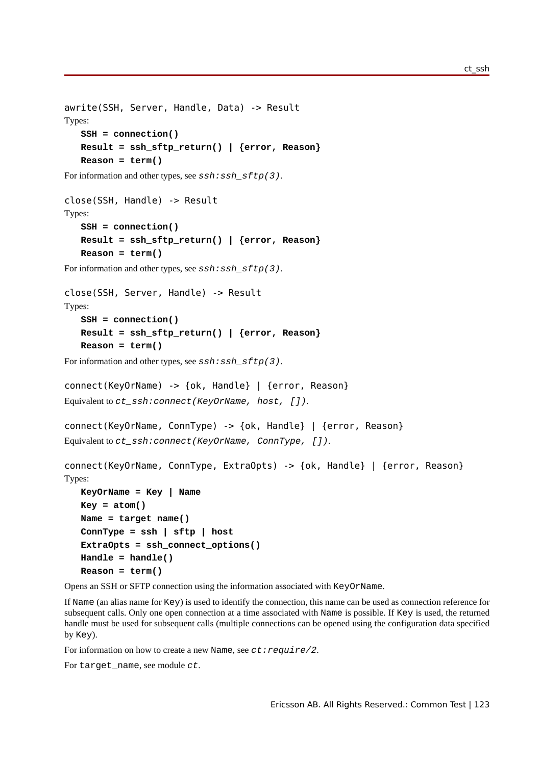```
awrite(SSH, Server, Handle, Data) -> Result
Types:
   SSH = connection()
   Result = ssh_sftp_return() | {error, Reason}
  Reason = term()
```

```
close(SSH, Handle) -> Result
Types:
   SSH = connection()
  Result = ssh_sftp_return() | {error, Reason}
  Reason = term()
```
For information and other types, see  $ssh:ssh\_sftp(3)$ .

```
close(SSH, Server, Handle) -> Result
Types:
```

```
SSH = connection()
Result = ssh_sftp_return() | {error, Reason}
Reason = term()
```
For information and other types, see  $ssh:ssh\_sftp(3)$ .

```
connect(KeyOrName) -> {ok, Handle} | {error, Reason}
Equivalent to ct_ssh:connect(KeyOrName, host, []).
```

```
connect(KeyOrName, ConnType) -> {ok, Handle} | {error, Reason}
Equivalent to ct_ssh:connect(KeyOrName, ConnType, []).
```
connect(KeyOrName, ConnType, ExtraOpts) -> {ok, Handle} | {error, Reason} Types:

```
KeyOrName = Key | Name
Key = atom()
Name = target_name()
ConnType = ssh | sftp | host
ExtraOpts = ssh_connect_options()
Handle = handle()
Reason = term()
```
Opens an SSH or SFTP connection using the information associated with KeyOrName.

If Name (an alias name for Key) is used to identify the connection, this name can be used as connection reference for subsequent calls. Only one open connection at a time associated with Name is possible. If Key is used, the returned handle must be used for subsequent calls (multiple connections can be opened using the configuration data specified by Key).

For information on how to create a new Name, see  $ct:require/2$ .

For target name, see module  $ct$ .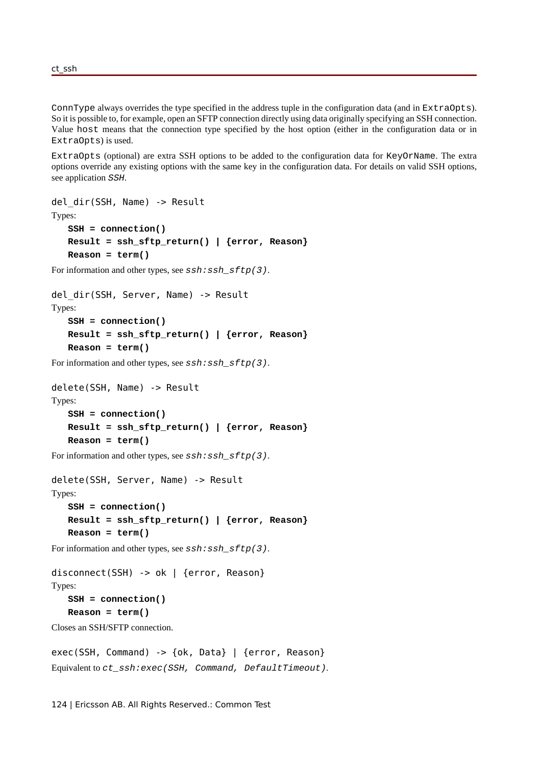ConnType always overrides the type specified in the address tuple in the configuration data (and in ExtraOpts). So it is possible to, for example, open an SFTP connection directly using data originally specifying an SSH connection.

Value host means that the connection type specified by the host option (either in the configuration data or in ExtraOpts) is used.

ExtraOpts (optional) are extra SSH options to be added to the configuration data for KeyOrName. The extra options override any existing options with the same key in the configuration data. For details on valid SSH options, see application SSH.

```
del_dir(SSH, Name) -> Result
Types:
   SSH = connection()
   Result = ssh_sftp_return() | {error, Reason}
   Reason = term()
For information and other types, see ssh:ssh\_sftp(3).
del dir(SSH, Server, Name) -> Result
Types:
   SSH = connection()
   Result = ssh_sftp_return() | {error, Reason}
   Reason = term()
For information and other types, see \sinh: \sinh \sinh \sinh.
delete(SSH, Name) -> Result
Types:
   SSH = connection()
   Result = ssh_sftp_return() | {error, Reason}
   Reason = term()
For information and other types, see \sinh: \sinh \sinh \sinh.
```

```
delete(SSH, Server, Name) -> Result
Types:
   SSH = connection()
   Result = ssh_sftp_return() | {error, Reason}
   Reason = term()
For information and other types, see \sinh: \sinh \sinh \sinh.
```
disconnect(SSH) -> ok | {error, Reason} Types:

**SSH = connection()**

```
Reason = term()
```
Closes an SSH/SFTP connection.

```
exec(SSH, Command) -> {ok, Data} | {error, Reason}
Equivalent to ct_ssh:exec(SSH, Command, DefaultTimeout).
```
124 | Ericsson AB. All Rights Reserved.: Common Test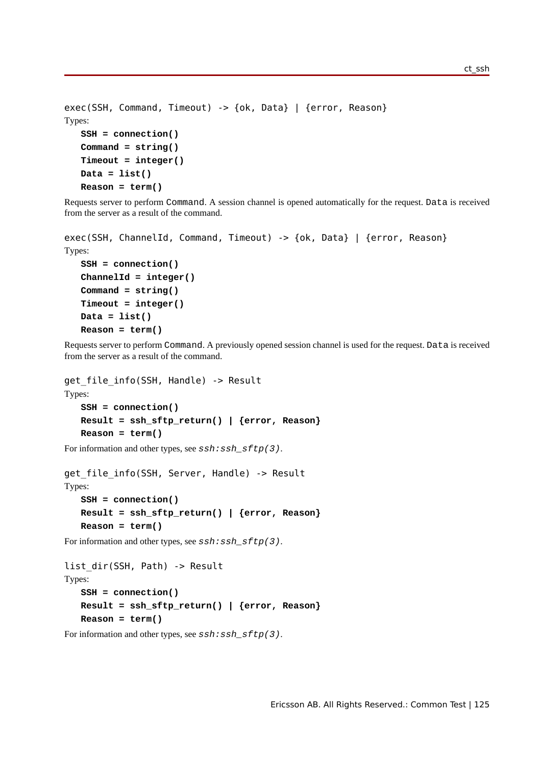```
exec(SSH, Command, Timeout) -> {ok, Data} | {error, Reason}
Types:
   SSH = connection()
   Command = string()
   Timeout = integer()
  Data = list()
  Reason = term()
```
Requests server to perform Command. A session channel is opened automatically for the request. Data is received from the server as a result of the command.

```
exec(SSH, ChannelId, Command, Timeout) -> {ok, Data} | {error, Reason}
```
Types:

```
SSH = connection()
ChannelId = integer()
Command = string()
Timeout = integer()
Data = list()
Reason = term()
```
Requests server to perform Command. A previously opened session channel is used for the request. Data is received from the server as a result of the command.

```
get_file_info(SSH, Handle) -> Result
Types:
   SSH = connection()
   Result = ssh_sftp_return() | {error, Reason}
   Reason = term()
```
For information and other types, see  $\sinh$ :  $\sinh$   $\sinh$   $\sinh$ .

```
get file info(SSH, Server, Handle) -> Result
Types:
   SSH = connection()
   Result = ssh_sftp_return() | {error, Reason}
   Reason = term()
```
For information and other types, see  $ssh:ssh\_sftp(3)$ .

```
list_dir(SSH, Path) -> Result
Types:
   SSH = connection()
   Result = ssh_sftp_return() | {error, Reason}
   Reason = term()
```
For information and other types, see  $\sinh$ :  $\sinh$   $\sinh$   $\sinh$ .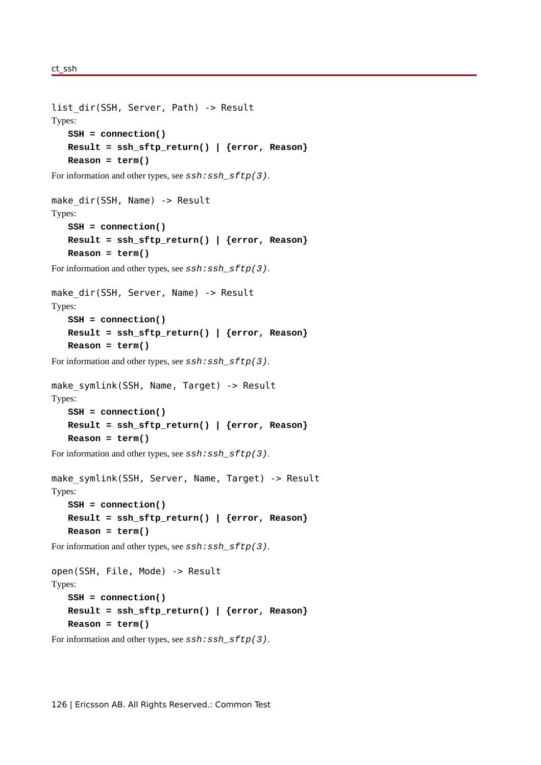```
list dir(SSH, Server, Path) -> Result
Types:
   SSH = connection()
   Result = ssh_sftp_return() | {error, Reason}
   Reason = term()
For information and other types, see ssh:ssh\_sftp(3).
make dir(SSH, Name) \rightarrow ResultTypes:
   SSH = connection()
   Result = ssh_sftp_return() | {error, Reason}
   Reason = term()
For information and other types, see ssh:ssh\_sftp(3).
make dir(SSH, Server, Name) -> Result
Types:
   SSH = connection()
   Result = ssh_sftp_return() | {error, Reason}
   Reason = term()
For information and other types, see ssh:ssh\_sftp(3).
make symlink(SSH, Name, Target) -> Result
Types:
   SSH = connection()
   Result = ssh_sftp_return() | {error, Reason}
   Reason = term()
For information and other types, see ssh:ssh\_sftp(3).
make symlink(SSH, Server, Name, Target) -> Result
Types:
   SSH = connection()
   Result = ssh_sftp_return() | {error, Reason}
   Reason = term()
For information and other types, see ssh:ssh\_sftp(3).
open(SSH, File, Mode) -> Result
Types:
   SSH = connection()
   Result = ssh_sftp_return() | {error, Reason}
   Reason = term()
For information and other types, see ssh:ssh\_sftp(3).
```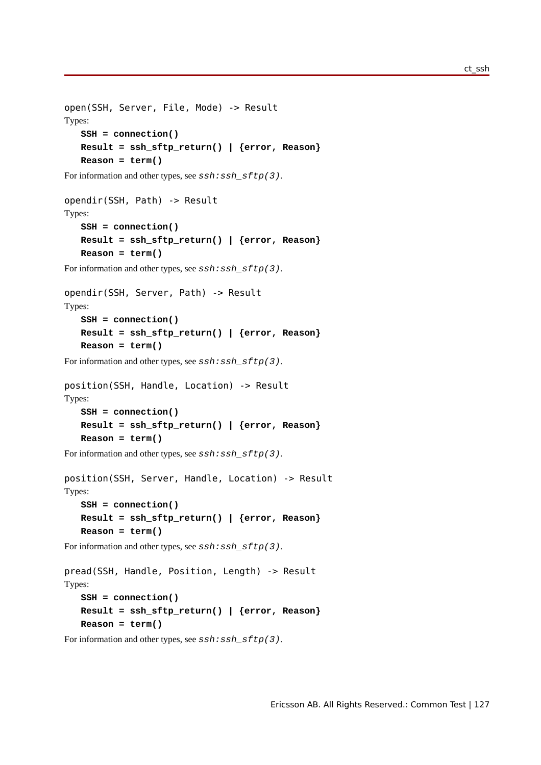```
open(SSH, Server, File, Mode) -> Result
Types:
   SSH = connection()
   Result = ssh_sftp_return() | {error, Reason}
   Reason = term()
For information and other types, see ssh:ssh\_sftp(3).
opendir(SSH, Path) -> Result
Types:
   SSH = connection()
   Result = ssh_sftp_return() | {error, Reason}
   Reason = term()
For information and other types, see ssh:ssh\_sftp(3).
opendir(SSH, Server, Path) -> Result
Types:
   SSH = connection()
   Result = ssh_sftp_return() | {error, Reason}
   Reason = term()
For information and other types, see ssh:ssh\_sftp(3).
position(SSH, Handle, Location) -> Result
Types:
   SSH = connection()
   Result = ssh_sftp_return() | {error, Reason}
   Reason = term()
For information and other types, see ssh:ssh\_sfttp(3).
position(SSH, Server, Handle, Location) -> Result
Types:
   SSH = connection()
   Result = ssh_sftp_return() | {error, Reason}
   Reason = term()
For information and other types, see ssh:ssh\_sftp(3).
pread(SSH, Handle, Position, Length) -> Result
Types:
   SSH = connection()
```
**Reason = term()**

**Result = ssh\_sftp\_return() | {error, Reason}**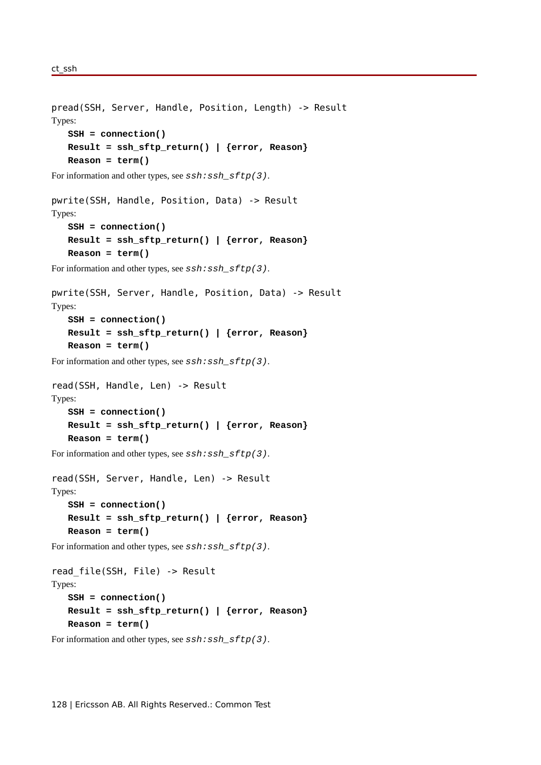```
pread(SSH, Server, Handle, Position, Length) -> Result
Types:
   SSH = connection()
   Result = ssh_sftp_return() | {error, Reason}
   Reason = term()
For information and other types, see ssh:ssh\_sftp(3).
pwrite(SSH, Handle, Position, Data) -> Result
Types:
   SSH = connection()
   Result = ssh_sftp_return() | {error, Reason}
   Reason = term()
For information and other types, see ssh:ssh\_sftp(3).
pwrite(SSH, Server, Handle, Position, Data) -> Result
Types:
   SSH = connection()
   Result = ssh_sftp_return() | {error, Reason}
   Reason = term()
For information and other types, see ssh:ssh\_sftp(3).
read(SSH, Handle, Len) -> Result
Types:
   SSH = connection()
   Result = ssh_sftp_return() | {error, Reason}
   Reason = term()
For information and other types, see ssh:ssh\_sftp(3).
read(SSH, Server, Handle, Len) -> Result
Types:
   SSH = connection()
   Result = ssh_sftp_return() | {error, Reason}
   Reason = term()
For information and other types, see ssh:ssh\_sftp(3).
read file(SSH, File) -> Result
Types:
   SSH = connection()
   Result = ssh_sftp_return() | {error, Reason}
   Reason = term()
For information and other types, see ssh:ssh\_sftp(3).
```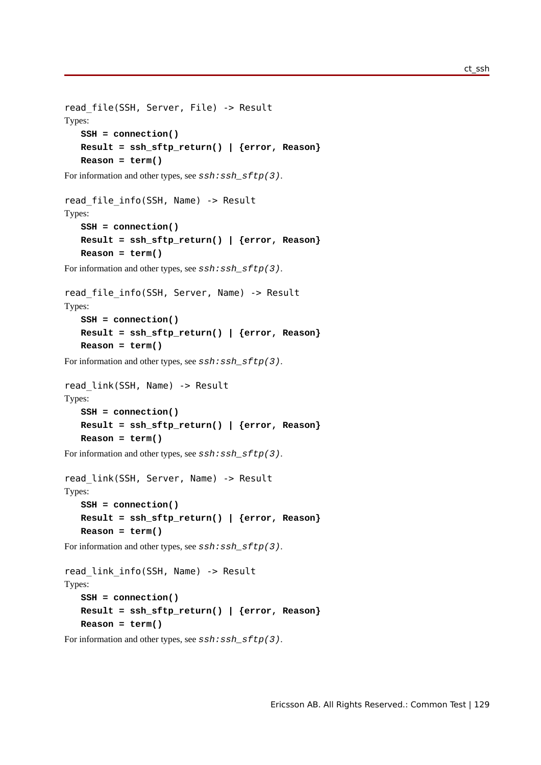```
read file(SSH, Server, File) -> Result
Types:
  SSH = connection()
  Result = ssh_sftp_return() | {error, Reason}
  Reason = term()
```

```
read file info(SSH, Name) -> Result
Types:
   SSH = connection()
   Result = ssh_sftp_return() | {error, Reason}
   Reason = term()
```
For information and other types, see  $ssh:ssh\_sftp(3)$ .

```
read file info(SSH, Server, Name) -> Result
Types:
   SSH = connection()
   Result = ssh_sftp_return() | {error, Reason}
   Reason = term()
```
For information and other types, see  $ssh:ssh\_sftp(3)$ .

```
read link(SSH, Name) -> Result
Types:
   SSH = connection()
   Result = ssh_sftp_return() | {error, Reason}
   Reason = term()
```
For information and other types, see  $ssh:ssh\_sfttp(3)$ .

```
read link(SSH, Server, Name) -> Result
Types:
   SSH = connection()
   Result = ssh_sftp_return() | {error, Reason}
   Reason = term()
```
For information and other types, see  $ssh:ssh\_sftp(3)$ .

```
read link info(SSH, Name) -> Result
Types:
   SSH = connection()
   Result = ssh_sftp_return() | {error, Reason}
   Reason = term()
```
For information and other types, see  $ssh:ssh\_sftp(3)$ .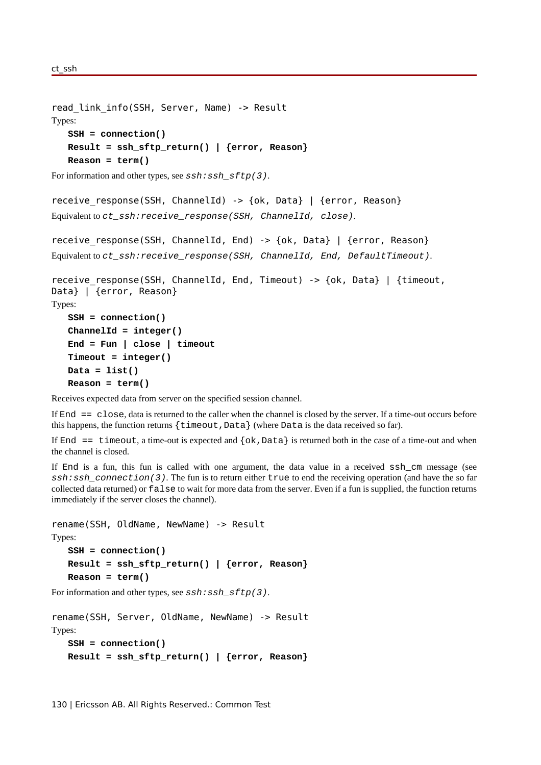```
ct_ssh
```

```
read link info(SSH, Server, Name) -> Result
Types:
   SSH = connection()
   Result = ssh_sftp_return() | {error, Reason}
   Reason = term()
```

```
receive_response(SSH, ChannelId) -> {ok, Data} | {error, Reason}
Equivalent to ct_ssh:receive_response(SSH, ChannelId, close).
```

```
receive response(SSH, ChannelId, End) -> {ok, Data} | {error, Reason}
Equivalent to ct_ssh:receive_response(SSH, ChannelId, End, DefaultTimeout).
```

```
receive response(SSH, ChannelId, End, Timeout) -> \{ok, Data\} | \{timeout,Data} | {error, Reason}
Types:
```

```
SSH = connection()
ChannelId = integer()
End = Fun | close | timeout
Timeout = integer()
Data = list()
Reason = term()
```
Receives expected data from server on the specified session channel.

If End == close, data is returned to the caller when the channel is closed by the server. If a time-out occurs before this happens, the function returns  $\{\text{timeout},\text{Data}\}$  (where Data is the data received so far).

If End  $=$  timeout, a time-out is expected and  $\{\circ\mathbf{k},\mathbf{Data}\}\$  is returned both in the case of a time-out and when the channel is closed.

If End is a fun, this fun is called with one argument, the data value in a received ssh\_cm message (see ssh:ssh\_connection(3). The fun is to return either true to end the receiving operation (and have the so far collected data returned) or false to wait for more data from the server. Even if a fun is supplied, the function returns immediately if the server closes the channel).

```
rename(SSH, OldName, NewName) -> Result
Types:
   SSH = connection()
   Result = ssh_sftp_return() | {error, Reason}
   Reason = term()
```
For information and other types, see  $ssh:ssh\_sftp(3)$ .

```
rename(SSH, Server, OldName, NewName) -> Result
Types:
   SSH = connection()
   Result = ssh_sftp_return() | {error, Reason}
```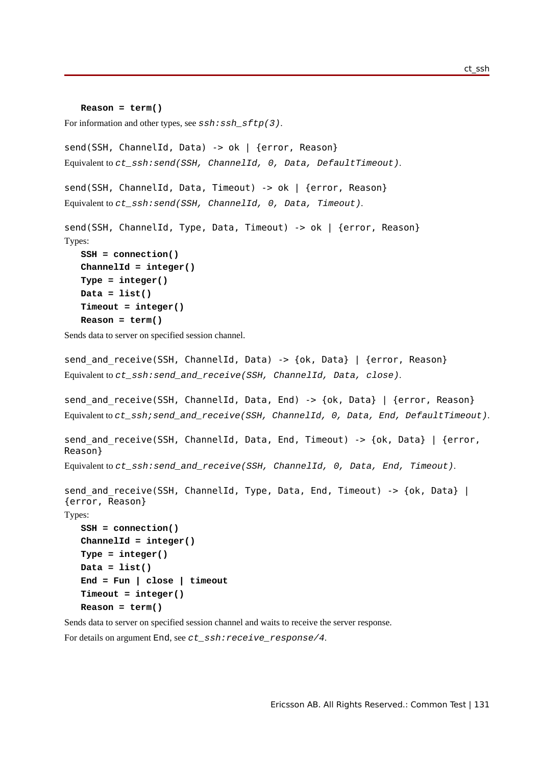```
Reason = term()
For information and other types, see ssh:ssh\_sftp(3).
send(SSH, ChannelId, Data) -> ok | {error, Reason}
Equivalent to ct_ssh:send(SSH, ChannelId, 0, Data, DefaultTimeout).
send(SSH, ChannelId, Data, Timeout) -> ok | {error, Reason}
Equivalent to ct_ssh:send(SSH, ChannelId, 0, Data, Timeout).
send(SSH, ChannelId, Type, Data, Timeout) -> ok | {error, Reason}
Types:
   SSH = connection()
   ChannelId = integer()
   Type = integer()
   Data = list()
   Timeout = integer()
   Reason = term()
Sends data to server on specified session channel.
send_and_receive(SSH, ChannelId, Data) -> {ok, Data} | {error, Reason}
Equivalent to ct_ssh:send_and_receive(SSH, ChannelId, Data, close).
send and receive(SSH, ChannelId, Data, End) -> {ok, Data} | {error, Reason}
Equivalent to ct_ssh;send_and_receive(SSH, ChannelId, 0, Data, End, DefaultTimeout).
send and receive(SSH, ChannelId, Data, End, Timeout) -> {ok, Data} | {error,
Reason}
Equivalent to ct_ssh:send_and_receive(SSH, ChannelId, 0, Data, End, Timeout).
send_and_receive(SSH, ChannelId, Type, Data, End, Timeout) -> {ok, Data} |
{error, Reason}
Types:
   SSH = connection()
   ChannelId = integer()
   Type = integer()
   Data = list()
   End = Fun | close | timeout
   Timeout = integer()
   Reason = term()
```
Sends data to server on specified session channel and waits to receive the server response.

For details on argument End, see  $ct\_ssh:receive\_response/4.$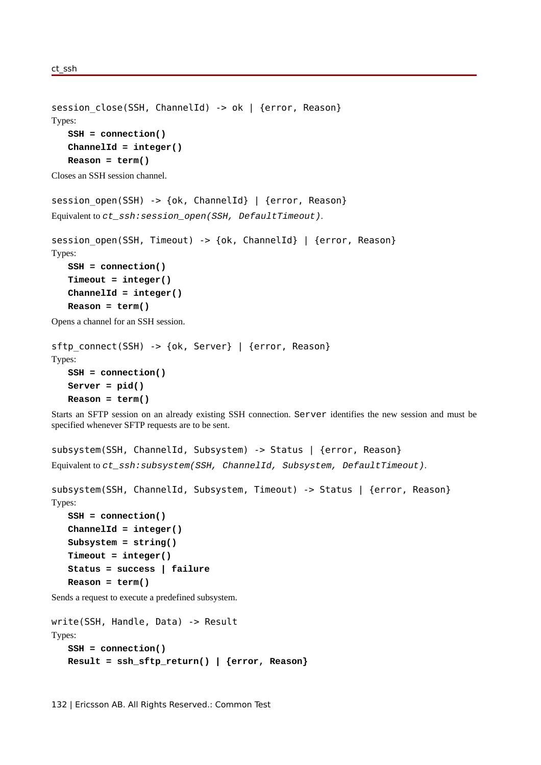ct\_ssh

```
session close(SSH, ChannelId) -> ok | {error, Reason}
Types:
   SSH = connection()
   ChannelId = integer()
   Reason = term()
Closes an SSH session channel.
```

```
session open(SSH) -> {ok, ChannelId} | {error, Reason}
Equivalent to ct_ssh:session_open(SSH, DefaultTimeout).
```

```
session_open(SSH, Timeout) -> {ok, ChannelId} | {error, Reason}
Types:
   SSH = connection()
   Timeout = integer()
   ChannelId = integer()
   Reason = term()
```
Opens a channel for an SSH session.

```
sftp connect(SSH) -> {ok, Server} | {error, Reason}
Types:
   SSH = connection()
   Server = pid()
   Reason = term()
```
Starts an SFTP session on an already existing SSH connection. Server identifies the new session and must be specified whenever SFTP requests are to be sent.

```
subsystem(SSH, ChannelId, Subsystem) -> Status | {error, Reason}
Equivalent to ct_ssh:subsystem(SSH, ChannelId, Subsystem, DefaultTimeout).
```

```
subsystem(SSH, ChannelId, Subsystem, Timeout) -> Status | {error, Reason}
Types:
   SSH = connection()
   ChannelId = integer()
   Subsystem = string()
   Timeout = integer()
   Status = success | failure
```

```
Reason = term()
```
Sends a request to execute a predefined subsystem.

```
write(SSH, Handle, Data) -> Result
Types:
   SSH = connection()
   Result = ssh_sftp_return() | {error, Reason}
```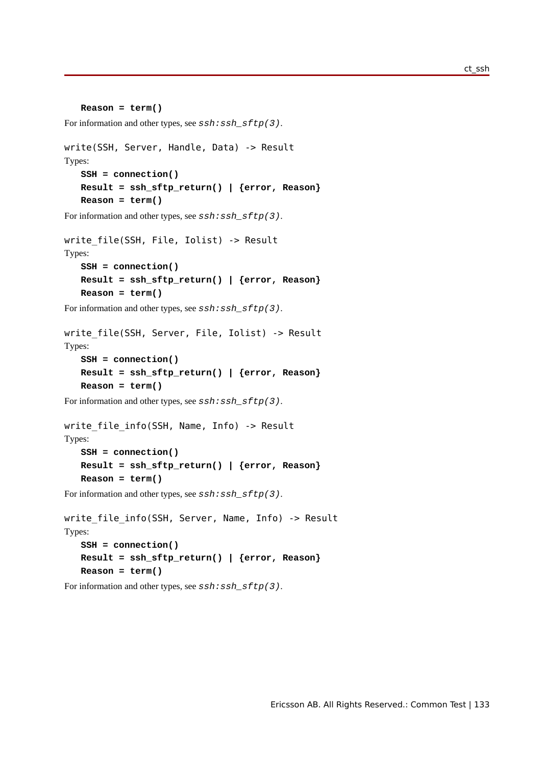```
Reason = term()
For information and other types, see ssh:ssh\_sftp(3).
write(SSH, Server, Handle, Data) -> Result
Types:
   SSH = connection()
   Result = ssh_sftp_return() | {error, Reason}
   Reason = term()
```

```
write_file(SSH, File, Iolist) -> Result
Types:
   SSH = connection()
   Result = ssh_sftp_return() | {error, Reason}
   Reason = term()
```
For information and other types, see  $ssh:ssh\_sftp(3)$ .

```
write file(SSH, Server, File, Iolist) -> Result
Types:
   SSH = connection()
   Result = ssh_sftp_return() | {error, Reason}
   Reason = term()
```
For information and other types, see  $ssh:ssh\_sftp(3)$ .

```
write_file_info(SSH, Name, Info) -> Result
Types:
   SSH = connection()
   Result = ssh_sftp_return() | {error, Reason}
   Reason = term()
```
For information and other types, see  $\sinh$ :  $\sinh$   $\sinh$   $\sinh$ .

```
write_file_info(SSH, Server, Name, Info) -> Result
Types:
   SSH = connection()
   Result = ssh_sftp_return() | {error, Reason}
   Reason = term()
```
For information and other types, see  $\sinh$ :  $\sinh$   $\sinh$   $\sinh$ .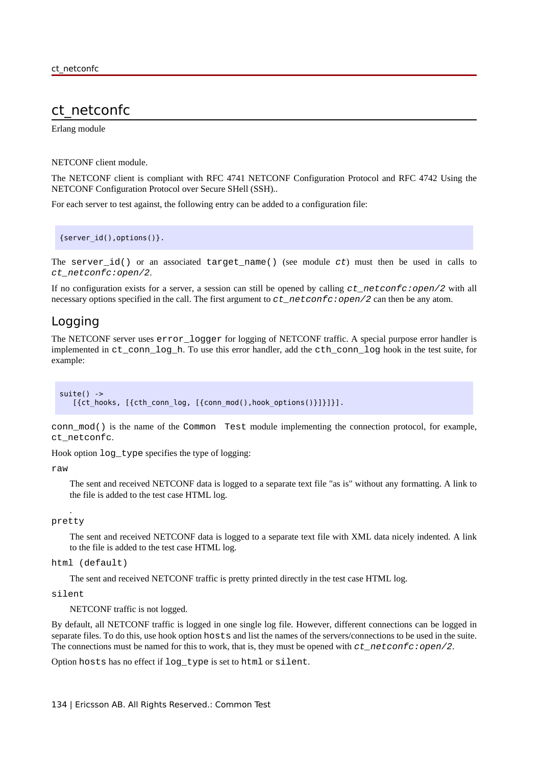## ct\_netconfc

Erlang module

NETCONF client module.

The NETCONF client is compliant with RFC 4741 NETCONF Configuration Protocol and RFC 4742 Using the NETCONF Configuration Protocol over Secure SHell (SSH)..

For each server to test against, the following entry can be added to a configuration file:

```
 {server_id(),options()}.
```
The server\_id() or an associated target\_name() (see module  $ct$ ) must then be used in calls to ct\_netconfc:open/2.

If no configuration exists for a server, a session can still be opened by calling  $ct$  netconfc:open/2 with all necessary options specified in the call. The first argument to  $ct$  netconfc:open/2 can then be any atom.

### Logging

The NETCONF server uses error logger for logging of NETCONF traffic. A special purpose error handler is implemented in ct\_conn\_log\_h. To use this error handler, add the cth\_conn\_log hook in the test suite, for example:

```
suit() ->
    [{ct_hooks, [{cth_conn_log, [{conn_mod(),hook_options()}]}]}].
```
conn\_mod() is the name of the Common Test module implementing the connection protocol, for example, ct\_netconfc.

Hook option  $log$  type specifies the type of logging:

raw

The sent and received NETCONF data is logged to a separate text file "as is" without any formatting. A link to the file is added to the test case HTML log.

. pretty

> The sent and received NETCONF data is logged to a separate text file with XML data nicely indented. A link to the file is added to the test case HTML log.

```
html (default)
```
The sent and received NETCONF traffic is pretty printed directly in the test case HTML log.

silent

NETCONF traffic is not logged.

By default, all NETCONF traffic is logged in one single log file. However, different connections can be logged in separate files. To do this, use hook option hosts and list the names of the servers/connections to be used in the suite. The connections must be named for this to work, that is, they must be opened with  $ct\_netconfc:open/2$ .

Option hosts has no effect if log\_type is set to html or silent.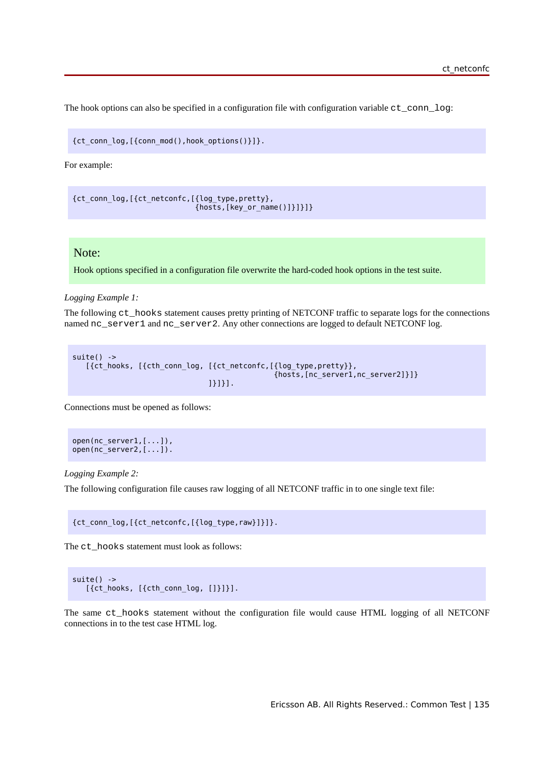The hook options can also be specified in a configuration file with configuration variable  $ct$  conn  $log$ :

```
 {ct_conn_log,[{conn_mod(),hook_options()}]}.
```
For example:

```
 {ct_conn_log,[{ct_netconfc,[{log_type,pretty},
                              {hosts,[key_or_name()]}]}]}
```
### Note:

Hook options specified in a configuration file overwrite the hard-coded hook options in the test suite.

#### *Logging Example 1:*

The following ct\_hooks statement causes pretty printing of NETCONF traffic to separate logs for the connections named nc\_server1 and nc\_server2. Any other connections are logged to default NETCONF log.

```
suit() ->
    [{ct_hooks, [{cth_conn_log, [{ct_netconfc,[{log_type,pretty}},
                                                 {hosts,[nc_server1,nc_server2]}]}
                                 ]}]}].
```
Connections must be opened as follows:

```
open(nc_server1,[...]),
 open(nc_server2,[...]).
```
*Logging Example 2:*

The following configuration file causes raw logging of all NETCONF traffic in to one single text file:

{ct\_conn\_log,[{ct\_netconfc,[{log\_type,raw}]}]}.

The ct\_hooks statement must look as follows:

```
suite() -> [{ct_hooks, [{cth_conn_log, []}]}].
```
The same ct\_hooks statement without the configuration file would cause HTML logging of all NETCONF connections in to the test case HTML log.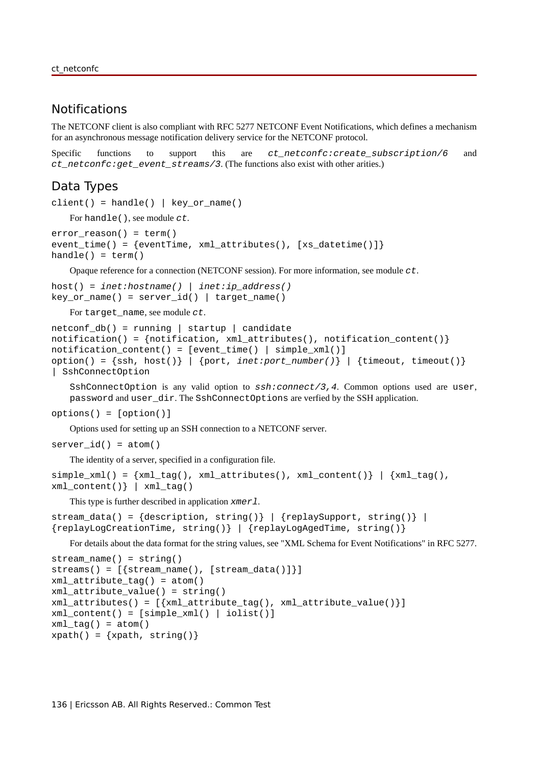# Notifications

The NETCONF client is also compliant with RFC 5277 NETCONF Event Notifications, which defines a mechanism for an asynchronous message notification delivery service for the NETCONF protocol.

Specific functions to support this are  $ct\_netconfc:create\_subscription/6$  and ct\_netconfc:get\_event\_streams/3. (The functions also exist with other arities.)

## Data Types

```
client() = handle() | key_or_name()
```
For handle( ), see module  $\verb|ct|.$ 

```
error reason() = term()event_time() = {eventTime, xml_attribute, sml_}handle() = term()
```
Opaque reference for a connection (NETCONF session). For more information, see module ct.

```
host() = inct:hostname() | inct:ip\_address()key\_or\_name() = server\_id() | target_name()
```
For target\_name, see module ct.

```
netconf_db() = running | startup | candidatenotification() = {notification, xml_attribute(s(), notification_content()})notification_content() = [event_time() | simple_xml()]
option() = {ssh, host()} | {port, inet:port_number()} | {timeout, timeout()}
| SshConnectOption
```
SshConnectOption is any valid option to  $ssh:connect/3, 4$ . Common options used are user, password and user\_dir. The SshConnectOptions are verfied by the SSH application.

```
options() = [option()]
```
Options used for setting up an SSH connection to a NETCONF server.

```
server_id() = atom()
```
The identity of a server, specified in a configuration file.

```
simple\_xml() = \{xml\_tag(), xml\_attributes(), xml\_content() \} | \{xml\_tag(),xml_content()} | xml_tag()
```
This type is further described in application  $xmer1$ .

```
stream data() = {description, string()} | {replaySupport, string()} |
{replayLogCreationTime, string()} | {replayLogAgedTime, string()}
```
For details about the data format for the string values, see "XML Schema for Event Notifications" in RFC 5277.

```
stream_name() = string()
streams() = [{stream_name(), [stream_data()]}]
xml_attribute_tag() = atom()
xml_attribute_value() = string()
xml\_attributes() = [{xml\_attribute\_tag(), xml\_attribute\_value()}]xml_count() = [simple.xml() | iolist()]xmltag() = atom()xpath() = {xpath, string()}
```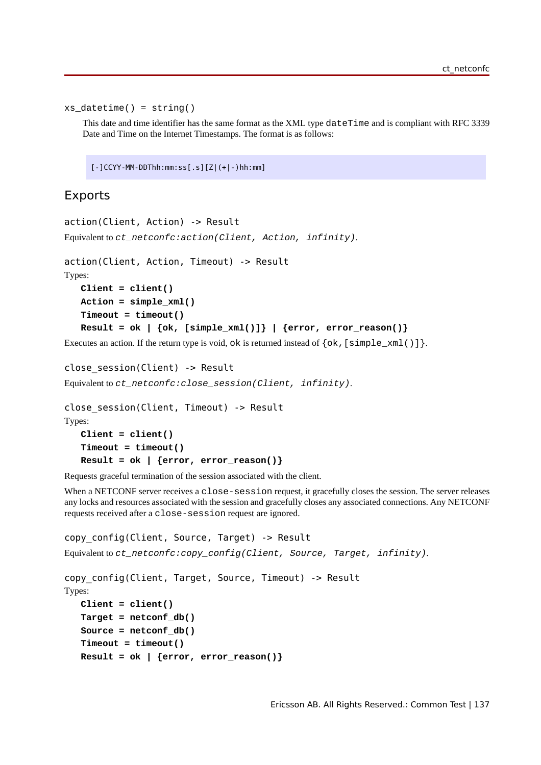$xs$  datetime() = string()

This date and time identifier has the same format as the XML type dateTime and is compliant with RFC 3339 Date and Time on the Internet Timestamps. The format is as follows:

[-]CCYY-MM-DDThh:mm:ss[.s][Z|(+|-)hh:mm]

## Exports

```
action(Client, Action) -> Result
Equivalent to ct_netconfc:action(Client, Action, infinity).
```
action(Client, Action, Timeout) -> Result

Types:

```
Client = client()
Action = simple_xml()
Timeout = timeout()
Result = ok \mid \{ok, [simple\_xml()]\} \mid \{error, error\_reason() \}
```
Executes an action. If the return type is void,  $\alpha k$  is returned instead of  $\{\alpha k, [\text{simple xml(})]\}.$ 

```
close_session(Client) -> Result
```
Equivalent to ct\_netconfc:close\_session(Client, infinity).

```
close_session(Client, Timeout) -> Result
Types:
  Client = client()
   Timeout = timeout()
   Result = ok | {error, error_reason()}
```
Requests graceful termination of the session associated with the client.

When a NETCONF server receives a close-session request, it gracefully closes the session. The server releases any locks and resources associated with the session and gracefully closes any associated connections. Any NETCONF requests received after a close-session request are ignored.

```
copy_config(Client, Source, Target) -> Result
```
Equivalent to ct\_netconfc:copy\_config(Client, Source, Target, infinity).

```
copy_config(Client, Target, Source, Timeout) -> Result
Types:
   Client = client()
   Target = netconf_db()
   Source = netconf_db()
   Timeout = timeout()
   Result = ok | {error, error_reason()}
```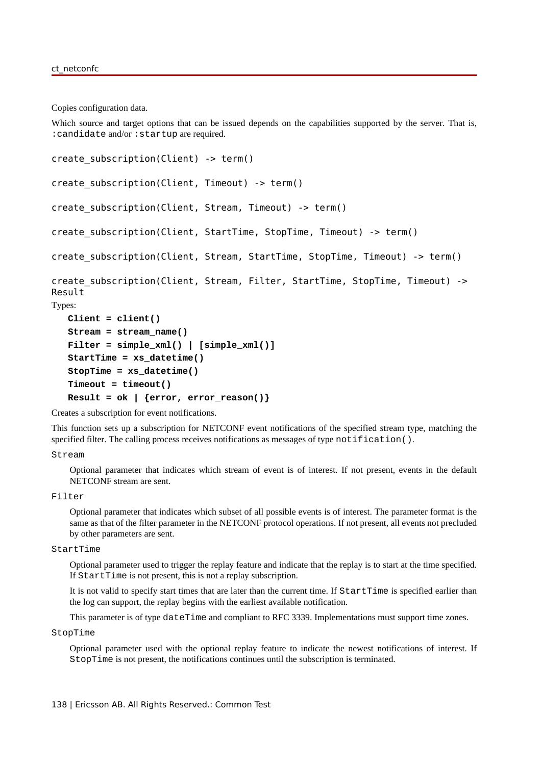Copies configuration data.

Which source and target options that can be issued depends on the capabilities supported by the server. That is, :candidate and/or :startup are required.

```
create subscription(Client) -> term()
create subscription(Client, Timeout) -> term()
create_subscription(Client, Stream, Timeout) -> term()
create_subscription(Client, StartTime, StopTime, Timeout) -> term()
create_subscription(Client, Stream, StartTime, StopTime, Timeout) -> term()
create subscription(Client, Stream, Filter, StartTime, StopTime, Timeout) ->
Result
Types:
   Client = client()
   Stream = stream_name()
   Filter = simple_xml() | [simple_xml()]
   StartTime = xs_datetime()
   StopTime = xs_datetime()
   Timeout = timeout()
   Result = ok | {error, error_reason()}
```
Creates a subscription for event notifications.

This function sets up a subscription for NETCONF event notifications of the specified stream type, matching the specified filter. The calling process receives notifications as messages of type notification().

#### Stream

Optional parameter that indicates which stream of event is of interest. If not present, events in the default NETCONF stream are sent.

#### Filter

Optional parameter that indicates which subset of all possible events is of interest. The parameter format is the same as that of the filter parameter in the NETCONF protocol operations. If not present, all events not precluded by other parameters are sent.

#### StartTime

Optional parameter used to trigger the replay feature and indicate that the replay is to start at the time specified. If StartTime is not present, this is not a replay subscription.

It is not valid to specify start times that are later than the current time. If StartTime is specified earlier than the log can support, the replay begins with the earliest available notification.

This parameter is of type dateTime and compliant to RFC 3339. Implementations must support time zones.

#### StopTime

Optional parameter used with the optional replay feature to indicate the newest notifications of interest. If StopTime is not present, the notifications continues until the subscription is terminated.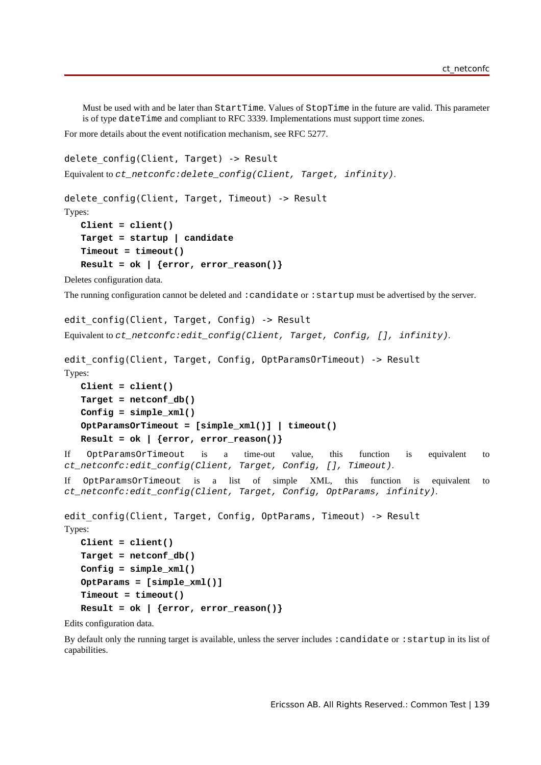Must be used with and be later than StartTime. Values of StopTime in the future are valid. This parameter is of type dateTime and compliant to RFC 3339. Implementations must support time zones.

For more details about the event notification mechanism, see RFC 5277.

```
delete config(Client, Target) -> Result
```
Equivalent to ct\_netconfc:delete\_config(Client, Target, infinity).

```
delete config(Client, Target, Timeout) -> Result
Types:
   Client = client()
   Target = startup | candidate
   Timeout = timeout()
   Result = ok | {error, error_reason()}
```
Deletes configuration data.

The running configuration cannot be deleted and : candidate or : startup must be advertised by the server.

```
edit config(Client, Target, Config) -> Result
```
Equivalent to ct\_netconfc:edit\_config(Client, Target, Config, [], infinity).

```
edit config(Client, Target, Config, OptParamsOrTimeout) -> Result
Types:
```

```
Client = client()
Target = netconf_db()
Config = simple_xml()
OptParamsOrTimeout = [simple_xml()] | timeout()
Result = ok | {error, error_reason()}
```
If OptParamsOrTimeout is a time-out value, this function is equivalent to ct\_netconfc:edit\_config(Client, Target, Config, [], Timeout).

If OptParamsOrTimeout is a list of simple XML, this function is equivalent to ct\_netconfc:edit\_config(Client, Target, Config, OptParams, infinity).

```
edit config(Client, Target, Config, OptParams, Timeout) -> Result
Types:
   Client = client()
   Target = netconf_db()
   Config = simple_xml()
   OptParams = [simple_xml()]
   Timeout = timeout()
  Result = ok | {error, error_reason()}
```
Edits configuration data.

By default only the running target is available, unless the server includes :candidate or :startup in its list of capabilities.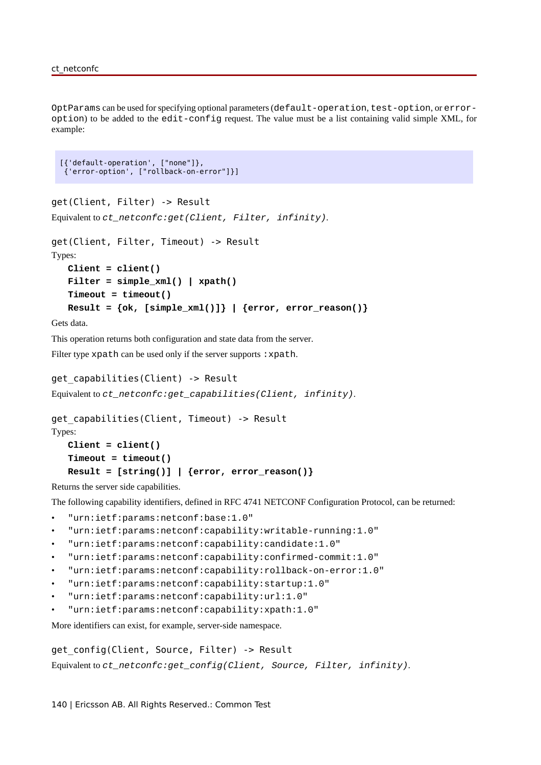OptParams can be used for specifying optional parameters (default-operation, test-option, or erroroption) to be added to the edit-config request. The value must be a list containing valid simple XML, for example:

```
 [{'default-operation', ["none"]},
 {'error-option', ["rollback-on-error"]}]
```
#### get(Client, Filter) -> Result

```
Equivalent to ct_netconfc:get(Client, Filter, infinity).
```

```
get(Client, Filter, Timeout) -> Result
Types:
   Client = client()
   Filter = simple_xml() | xpath()
   Timeout = timeout()
   Result = \{ok, [\text{simple xml}()]\} | \{error, error reason()\}
```
Gets data.

This operation returns both configuration and state data from the server.

Filter type xpath can be used only if the server supports  $:xpath$ .

```
get_capabilities(Client) -> Result
```
Equivalent to ct\_netconfc:get\_capabilities(Client, infinity).

get\_capabilities(Client, Timeout) -> Result

```
Types:
```

```
Client = client()
Timeout = timeout()
Result = [string()] | {error, error_reason()}
```
Returns the server side capabilities.

The following capability identifiers, defined in RFC 4741 NETCONF Configuration Protocol, can be returned:

- "urn:ietf:params:netconf:base:1.0"
- "urn:ietf:params:netconf:capability:writable-running:1.0"
- "urn:ietf:params:netconf:capability:candidate:1.0"
- "urn:ietf:params:netconf:capability:confirmed-commit:1.0"
- "urn:ietf:params:netconf:capability:rollback-on-error:1.0"
- "urn:ietf:params:netconf:capability:startup:1.0"
- "urn:ietf:params:netconf:capability:url:1.0"
- "urn:ietf:params:netconf:capability:xpath:1.0"

More identifiers can exist, for example, server-side namespace.

### get config(Client, Source, Filter) -> Result

Equivalent to ct\_netconfc:get\_config(Client, Source, Filter, infinity).

140 | Ericsson AB. All Rights Reserved.: Common Test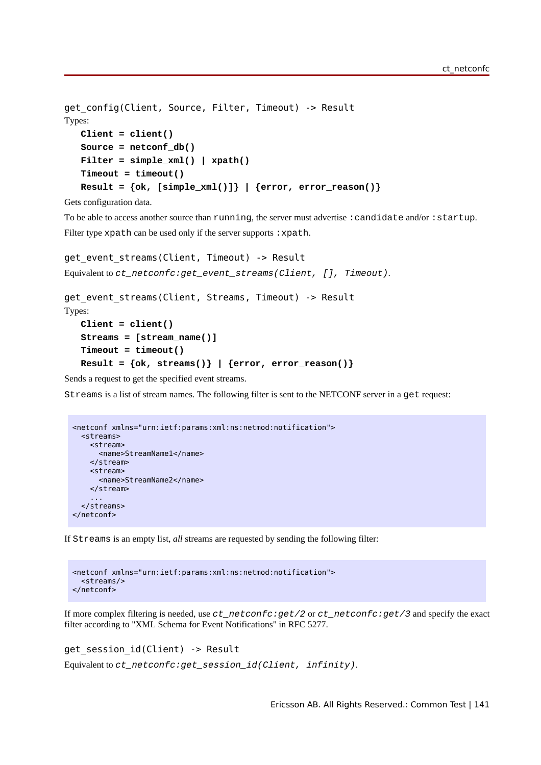```
get config(Client, Source, Filter, Timeout) -> Result
Types:
  Client = client()
   Source = netconf_db()
  Filter = simple_xml() | xpath()
   Timeout = timeout()
  Result = {ok, [simple\_xml()]} | {error, error\_reason()}
```
Gets configuration data.

To be able to access another source than running, the server must advertise :candidate and/or :startup. Filter type xpath can be used only if the server supports : xpath.

```
get event streams(Client, Timeout) -> Result
Equivalent to ct_netconfc:get_event_streams(Client, [], Timeout).
get event streams(Client, Streams, Timeout) -> Result
Types:
   Client = client()
   Streams = [stream_name()]
   Timeout = timeout()
   Result = \{ok, streams() \} \{error, error\_reason() \}
```
Sends a request to get the specified event streams.

Streams is a list of stream names. The following filter is sent to the NETCONF server in a get request:

```
 <netconf xmlns="urn:ietf:params:xml:ns:netmod:notification">
   <streams>
     <stream>
       <name>StreamName1</name>
     </stream>
     <stream>
       <name>StreamName2</name>
     </stream>
 ...
   </streams>
 </netconf>
```
If Streams is an empty list, *all* streams are requested by sending the following filter:

```
 <netconf xmlns="urn:ietf:params:xml:ns:netmod:notification">
  <streams/>
 </netconf>
```
If more complex filtering is needed, use  $ct\_netconfc:get/2$  or  $ct\_netconfc:get/3$  and specify the exact filter according to "XML Schema for Event Notifications" in RFC 5277.

### get session id(Client) -> Result

Equivalent to ct\_netconfc:get\_session\_id(Client, infinity).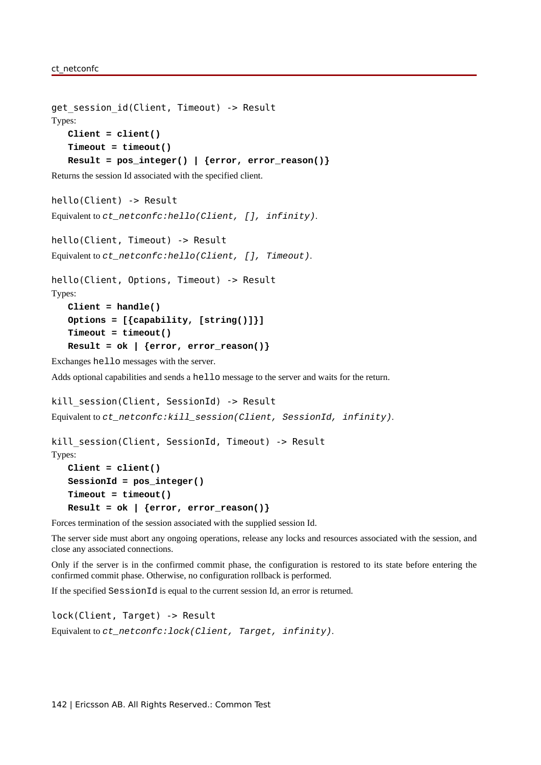```
get session id(Client, Timeout) -> Result
Types:
   Client = client()
   Timeout = timeout()
   Result = pos_integer() | {error, error_reason()}
Returns the session Id associated with the specified client.
hello(Client) -> Result
Equivalent to ct_netconfc:hello(Client, [], infinity).
hello(Client, Timeout) -> Result
Equivalent to ct_netconfc:hello(Client, [], Timeout).
hello(Client, Options, Timeout) -> Result
Types:
   Client = handle()
   Options = [{capability, [string()]}]
   Timeout = timeout()
   Result = ok | {error, error_reason()}
Exchanges hello messages with the server.
Adds optional capabilities and sends a hello message to the server and waits for the return.
```
kill session(Client, SessionId) -> Result Equivalent to ct\_netconfc:kill\_session(Client, SessionId, infinity). kill\_session(Client, SessionId, Timeout) -> Result Types: **Client = client() SessionId = pos\_integer() Timeout = timeout() Result = ok | {error, error\_reason()}**

Forces termination of the session associated with the supplied session Id.

The server side must abort any ongoing operations, release any locks and resources associated with the session, and close any associated connections.

Only if the server is in the confirmed commit phase, the configuration is restored to its state before entering the confirmed commit phase. Otherwise, no configuration rollback is performed.

If the specified SessionId is equal to the current session Id, an error is returned.

### lock(Client, Target) -> Result

Equivalent to ct\_netconfc:lock(Client, Target, infinity).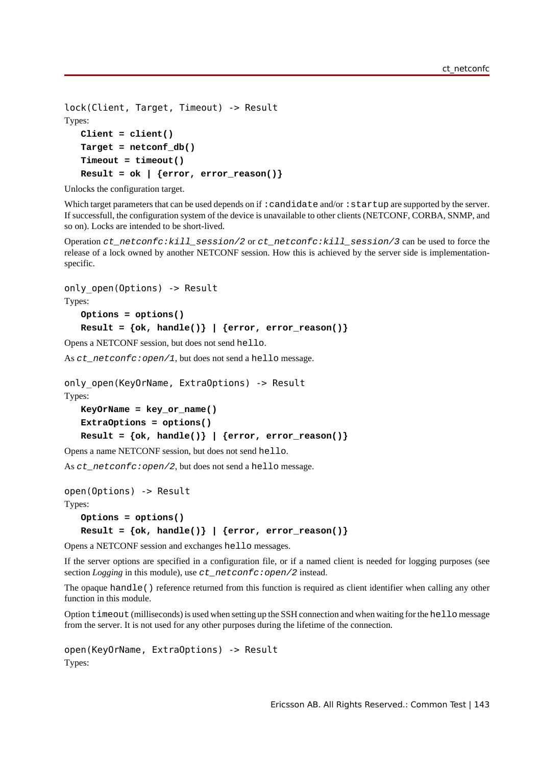```
lock(Client, Target, Timeout) -> Result
Types:
   Client = client()
   Target = netconf_db()
   Timeout = timeout()
   Result = ok | {error, error_reason()}
```
Unlocks the configuration target.

Which target parameters that can be used depends on if : candidate and/or : startup are supported by the server. If successfull, the configuration system of the device is unavailable to other clients (NETCONF, CORBA, SNMP, and so on). Locks are intended to be short-lived.

Operation ct\_netconfc:kill\_session/2 or ct\_netconfc:kill\_session/3 can be used to force the release of a lock owned by another NETCONF session. How this is achieved by the server side is implementationspecific.

```
only open(Options) -> Result
Types:
   Options = options()
   Result = {ok, handle() } | {error, error reason()}
```
Opens a NETCONF session, but does not send hello.

As ct\_netconfc:open/1, but does not send a hello message.

```
only open(KeyOrName, ExtraOptions) -> Result
Types:
  KeyOrName = key_or_name()
   ExtraOptions = options()
   Result = {ok, handle() } | {error, error\_reason() }
```
Opens a name NETCONF session, but does not send hello.

As ct\_netconfc:open/2, but does not send a hello message.

```
open(Options) -> Result
Types:
   Options = options()
   Result = {ok, handle() } | {error, error\_reason() }
```
Opens a NETCONF session and exchanges hello messages.

If the server options are specified in a configuration file, or if a named client is needed for logging purposes (see section *Logging* in this module), use  $ct\_netconfc:open/2$  instead.

The opaque handle() reference returned from this function is required as client identifier when calling any other function in this module.

Option timeout (milliseconds) is used when setting up the SSH connection and when waiting for the hello message from the server. It is not used for any other purposes during the lifetime of the connection.

```
open(KeyOrName, ExtraOptions) -> Result
Types:
```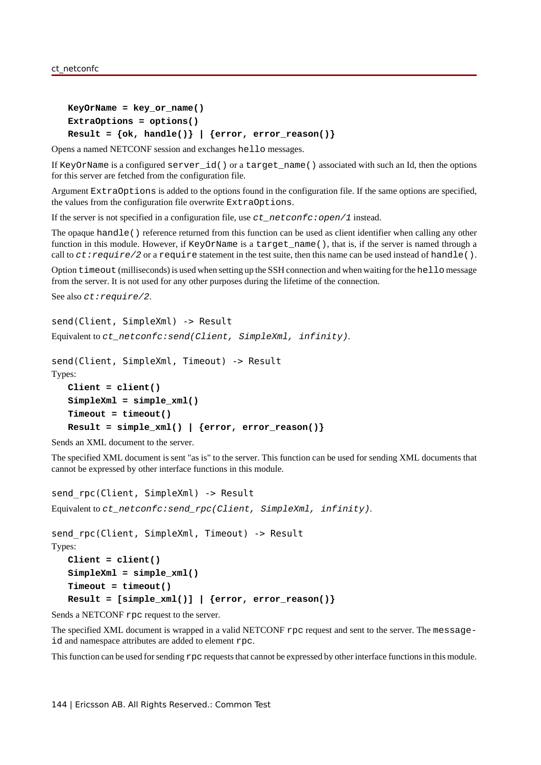```
KeyOrName = key_or_name()
ExtraOptions = options()
Result = {ok, handle() } | {error, error\_reason() }
```
Opens a named NETCONF session and exchanges hello messages.

If KeyOrName is a configured server  $id()$  or a target name() associated with such an Id, then the options for this server are fetched from the configuration file.

Argument ExtraOptions is added to the options found in the configuration file. If the same options are specified, the values from the configuration file overwrite ExtraOptions.

If the server is not specified in a configuration file, use  $ct\_netconfc:open/1$  instead.

The opaque handle() reference returned from this function can be used as client identifier when calling any other function in this module. However, if KeyOrName is a target name(), that is, if the server is named through a call to  $ct:require/2$  or a require statement in the test suite, then this name can be used instead of handle().

Option timeout (milliseconds) is used when setting up the SSH connection and when waiting for the hello message from the server. It is not used for any other purposes during the lifetime of the connection.

See also ct:require/2.

```
send(Client, SimpleXml) -> Result
```
Equivalent to ct\_netconfc:send(Client, SimpleXml, infinity).

```
send(Client, SimpleXml, Timeout) -> Result
Types:
   Client = client()
   SimpleXml = simple_xml()
   Timeout = timeout()
```

```
Result = simple xml() {error, error reason()}
```
Sends an XML document to the server.

The specified XML document is sent "as is" to the server. This function can be used for sending XML documents that cannot be expressed by other interface functions in this module.

```
send rpc(Client, SimpleXml) -> Result
Equivalent to ct_netconfc: send_rpc(Client, SimpleXml, infinity).
send_rpc(Client, SimpleXml, Timeout) -> Result
Types:
   Client = client()
```

```
SimpleXml = simple_xml()
Timeout = timeout()
Result = [simple_xml()] | {error, error_reason()}
```
Sends a NETCONF rpc request to the server.

The specified XML document is wrapped in a valid NETCONF rpc request and sent to the server. The messageid and namespace attributes are added to element rpc.

This function can be used for sending rpc requests that cannot be expressed by other interface functions in this module.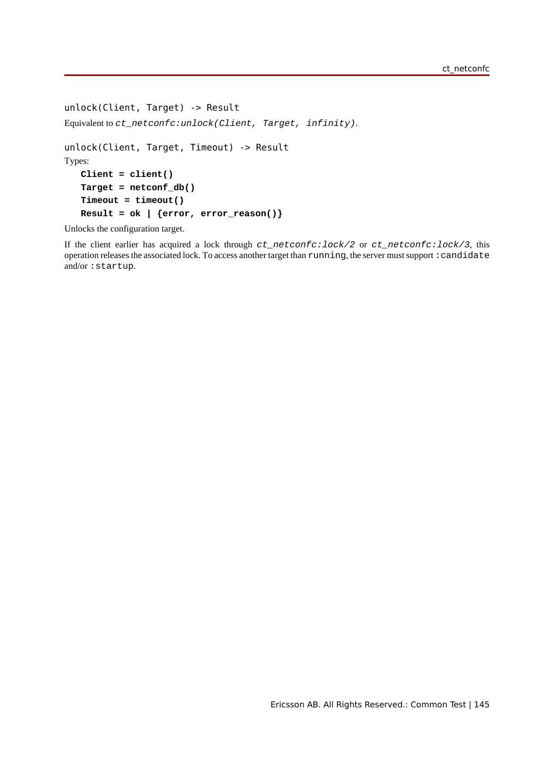```
unlock(Client, Target) -> Result
Equivalent to ct_netconfc:unlock(Client, Target, infinity).
unlock(Client, Target, Timeout) -> Result
Types:
   Client = client()
   Target = netconf_db()
   Timeout = timeout()
   Result = ok | {error, error_reason()}
```
Unlocks the configuration target.

If the client earlier has acquired a lock through ct\_netconfc:lock/2 or ct\_netconfc:lock/3, this operation releases the associated lock. To access another target than running, the server must support :candidate and/or :startup.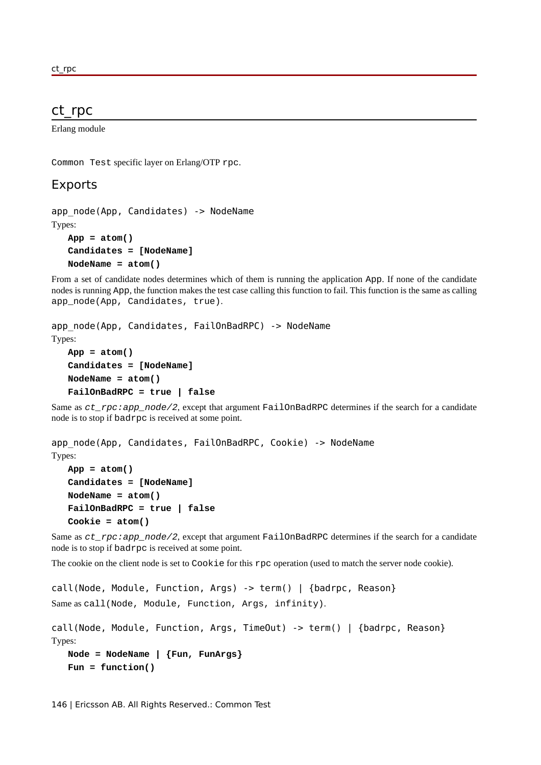```
ct_rpc
```
Erlang module

Common Test specific layer on Erlang/OTP rpc.

## Exports

```
app_node(App, Candidates) -> NodeName
Types:
   App = atom()Candidates = [NodeName]
   NodeName = atom()
```
From a set of candidate nodes determines which of them is running the application App. If none of the candidate nodes is running App, the function makes the test case calling this function to fail. This function is the same as calling app\_node(App, Candidates, true).

```
app_node(App, Candidates, FailOnBadRPC) -> NodeName
Types:
   App = atom()
   Candidates = [NodeName]
   NodeName = atom()
```

```
FailOnBadRPC = true | false
```
Same as  $ct\_rpc:app\_node/2$ , except that argument FailOnBadRPC determines if the search for a candidate node is to stop if badrpc is received at some point.

```
app_node(App, Candidates, FailOnBadRPC, Cookie) -> NodeName
Types:
   App = atom()
   Candidates = [NodeName]
```

```
NodeName = atom()
FailOnBadRPC = true | false
Cookie = atom()
```
Same as  $ct\_rpc:app\_node/2$ , except that argument FailOnBadRPC determines if the search for a candidate node is to stop if badrpc is received at some point.

The cookie on the client node is set to Cookie for this rpc operation (used to match the server node cookie).

```
call(Node, Module, Function, Args) -> term() | {badrpc, Reason}
Same as call(Node, Module, Function, Args, infinity).
```

```
call(Node, Module, Function, Args, TimeOut) -> term() | {badrpc, Reason}
Types:
   Node = NodeName | {Fun, FunArgs}
```

```
Fun = function()
```
146 | Ericsson AB. All Rights Reserved.: Common Test

```
ct_rpc
```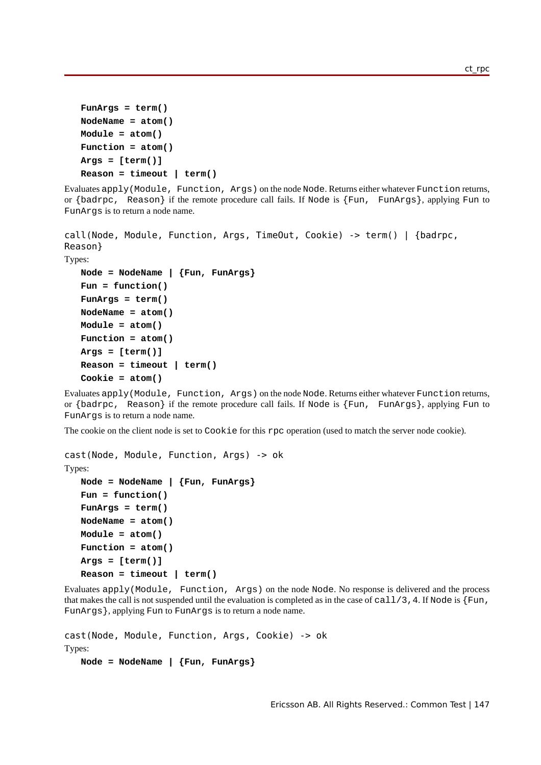```
FunArgs = term()
NodeName = atom()
Module = atom()
Function = atom()
Args = [term()]
Reason = timeout | term()
```
Evaluates apply(Module, Function, Args) on the node Node. Returns either whatever Function returns, or  $\{badrpc, Reason\}$  if the remote procedure call fails. If Node is  $\{Fun, FunArgs\}$ , applying Fun to FunArgs is to return a node name.

```
call(Node, Module, Function, Args, TimeOut, Cookie) -> term() | {badrpc,
Reason}
```
Types:

```
Node = NodeName | {Fun, FunArgs}
Fun = function()
FunArgs = term()
NodeName = atom()
Module = atom()
Function = atom()
Args = [term()]
Reason = timeout | term()
Cookie = atom()
```
Evaluates apply(Module, Function, Args) on the node Node. Returns either whatever Function returns, or  $\{badrpc, Reason\}$  if the remote procedure call fails. If Node is  $\{Fun, FunArgs\}$ , applying Fun to FunArgs is to return a node name.

The cookie on the client node is set to Cookie for this rpc operation (used to match the server node cookie).

```
cast(Node, Module, Function, Args) -> ok
Types:
  Node = NodeName | {Fun, FunArgs}
  Fun = function()
  FunArgs = term()
  NodeName = atom()
  Module = atom()
   Function = atom()
  Args = [term()]
  Reason = timeout | term()
```
Evaluates apply(Module, Function, Args) on the node Node. No response is delivered and the process that makes the call is not suspended until the evaluation is completed as in the case of call/3,4. If Node is  $\{Fun$ , FunArgs}, applying Fun to FunArgs is to return a node name.

```
cast(Node, Module, Function, Args, Cookie) -> ok
Types:
   Node = NodeName | {Fun, FunArgs}
```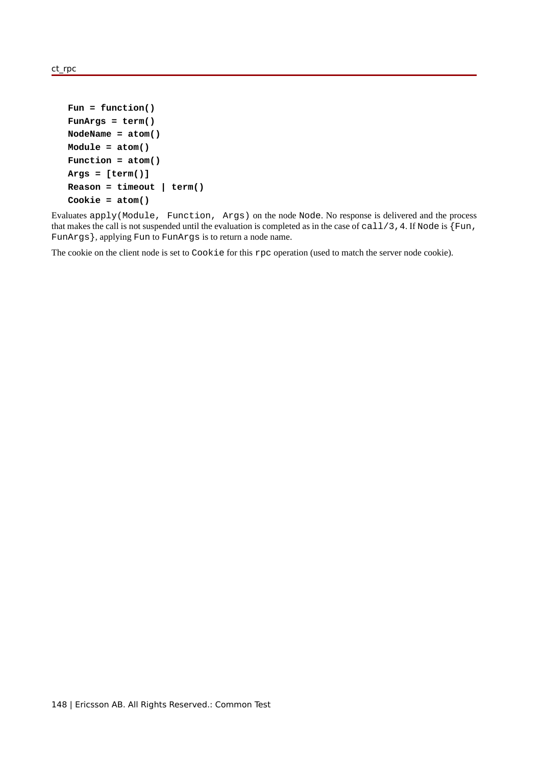```
Fun = function()
FunArgs = term()
NodeName = atom()
Module = atom()
Function = atom()
Args = [term()]
Reason = timeout | term()
Cookie = atom()
```
Evaluates apply(Module, Function, Args) on the node Node. No response is delivered and the process that makes the call is not suspended until the evaluation is completed as in the case of call/3,4. If Node is {Fun, FunArgs}, applying Fun to FunArgs is to return a node name.

The cookie on the client node is set to Cookie for this rpc operation (used to match the server node cookie).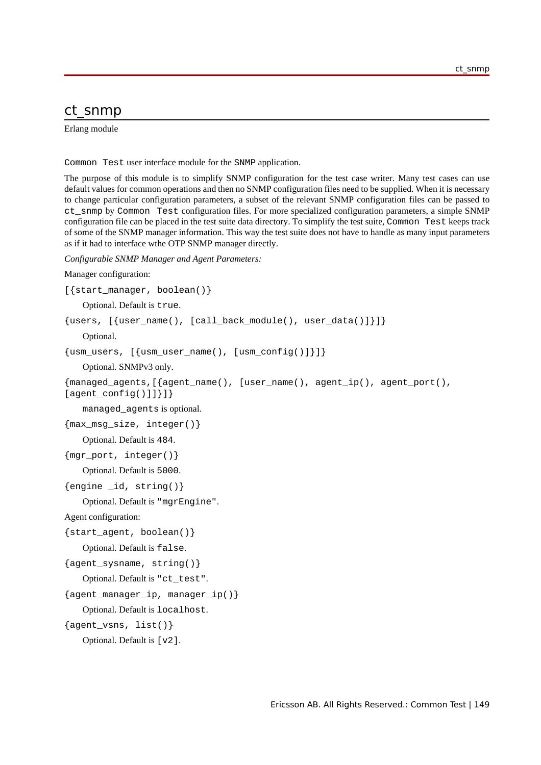## ct\_snmp

Erlang module

Common Test user interface module for the SNMP application.

The purpose of this module is to simplify SNMP configuration for the test case writer. Many test cases can use default values for common operations and then no SNMP configuration files need to be supplied. When it is necessary to change particular configuration parameters, a subset of the relevant SNMP configuration files can be passed to ct\_snmp by Common Test configuration files. For more specialized configuration parameters, a simple SNMP configuration file can be placed in the test suite data directory. To simplify the test suite, Common Test keeps track of some of the SNMP manager information. This way the test suite does not have to handle as many input parameters as if it had to interface wthe OTP SNMP manager directly.

*Configurable SNMP Manager and Agent Parameters:*

```
Manager configuration:
```

```
[{start_manager, boolean()}
```
Optional. Default is true.

```
\{users, [\{user_name() \}, [call-back_model() \}, use_data()]\}]
```
Optional.

```
{usm_users, [{usm_user_name(), [usm_config()]}]}
```
Optional. SNMPv3 only.

```
{managed_agents,[{agent_name(), [user_name(), agent_ip(), agent_port(),
[agent_config()]]}]}
```
managed\_agents is optional.

```
\{\max \text{ msg size, integer}()\}
```
Optional. Default is 484.

{mgr\_port, integer()}

Optional. Default is 5000.

```
{engine_id, string()}
```
Optional. Default is "mgrEngine".

```
Agent configuration:
```

```
{start_agent, boolean()}
```
Optional. Default is false.

```
{agent} sysname, string()}
```
Optional. Default is "ct\_test".

```
{agent_manager_ip, manager_ip()}
```
Optional. Default is localhost.

```
{agent_vsns, list()}
```
Optional. Default is [v2].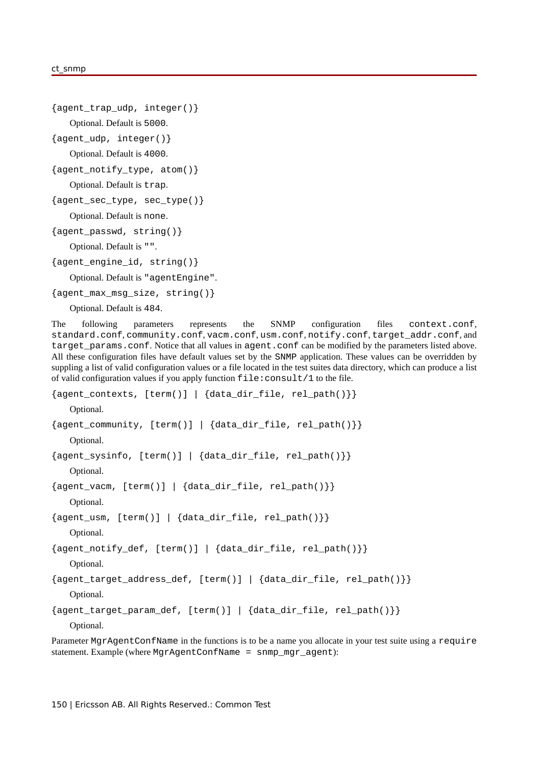```
{agent trap udp, integer()}
```
Optional. Default is 5000.

```
{agent_udp, integer()}
```
Optional. Default is 4000.

```
{agent_notify_type, atom()}
```
Optional. Default is trap.

```
{agent_sec_type, sec_type()}
```
Optional. Default is none.

```
{agent_passwd, string()}
```
Optional. Default is "".

```
{agent_engine_id, string()}
```
Optional. Default is "agentEngine".

```
{agent_max_msg_size, string()}
```
Optional. Default is 484.

The following parameters represents the SNMP configuration files context.conf, standard.conf, community.conf, vacm.conf, usm.conf, notify.conf, target\_addr.conf, and target\_params.conf. Notice that all values in agent.conf can be modified by the parameters listed above. All these configuration files have default values set by the SNMP application. These values can be overridden by suppling a list of valid configuration values or a file located in the test suites data directory, which can produce a list of valid configuration values if you apply function file:consult/1 to the file.

```
{agent\_contents, [term()]} {data\_dir\_file, rel\_path()}Optional.
{agent\_community, [term()]} {data\_dir\_file, rel\_path()}Optional.
{agent sysinfo, [term()] | {data dir file, rel path()}}
   Optional.
{agent\_vacm, [term()]} | {data\_dir\_file, rel\_path() }Optional.
{agent\_usm, [term()]} {data\_dir\_file, rel\_path()}Optional.
{agent_notify_def, [term()] | {data_dir_file, rel_path()}}
   Optional.
{agent_target_address_def, [term()] | {data_dir_file, rel_path()}}
   Optional.
{agent_target_param_def, [term()] | {data_dir_file, rel_path()}}
   Optional.
```
Parameter MgrAgentConfName in the functions is to be a name you allocate in your test suite using a require statement. Example (where MgrAgentConfName = snmp mgr\_agent):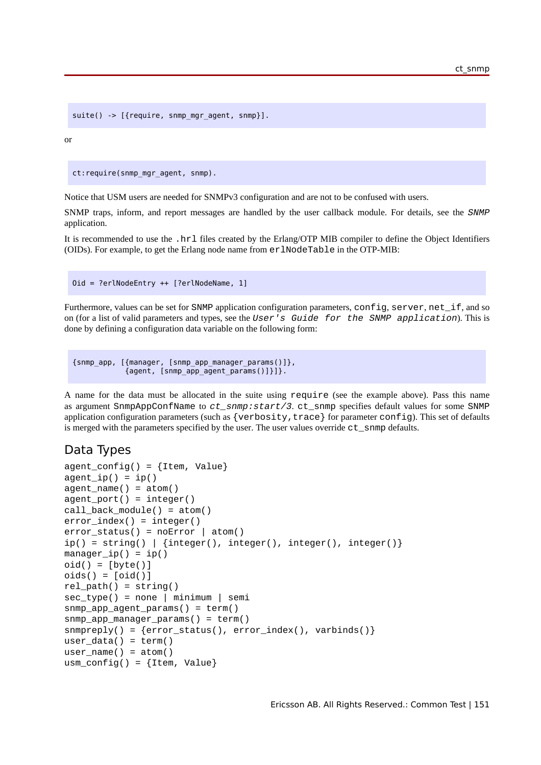```
suite() -> [{require, snmp mgr agent, snmp}].
```
or

```
 ct:require(snmp_mgr_agent, snmp).
```
Notice that USM users are needed for SNMPv3 configuration and are not to be confused with users.

SNMP traps, inform, and report messages are handled by the user callback module. For details, see the SNMP application.

It is recommended to use the .hrl files created by the Erlang/OTP MIB compiler to define the Object Identifiers (OIDs). For example, to get the Erlang node name from erlNodeTable in the OTP-MIB:

```
 Oid = ?erlNodeEntry ++ [?erlNodeName, 1]
```
Furthermore, values can be set for SNMP application configuration parameters, config, server, net if, and so on (for a list of valid parameters and types, see the User's Guide for the SNMP application). This is done by defining a configuration data variable on the following form:

 {snmp\_app, [{manager, [snmp\_app\_manager\_params()]}, {agent, [snmp\_app\_agent\_params()]}]}.

A name for the data must be allocated in the suite using require (see the example above). Pass this name as argument SnmpAppConfName to  $ct$  snmp:start/3. ct snmp specifies default values for some SNMP application configuration parameters (such as  $\{verboxity, trace\}$  for parameter config). This set of defaults is merged with the parameters specified by the user. The user values override  $ct$  snmp defaults.

## Data Types

```
agent config() = \{Item, Value\}agent\_ip() = ip()agent name() = atom()agent port() = integer()call_back_module() = atom()
error_index() = integer()
error status() = noError | atom()
ip() = string() | {integer(), integer(), integer(), integer()}
manager ip() = ip()oid() = [byte() ]oids() = [oid()]rel\_path() = string()sec_type() = none | minimum | semi
snmp_app_agent_params() = term()
snmp app manager params() = term()smmpreply() = {error_status(), error_index(), variable{x()}}user\_data() = term()user name() = atom()usm config() = \{Item, Value\}
```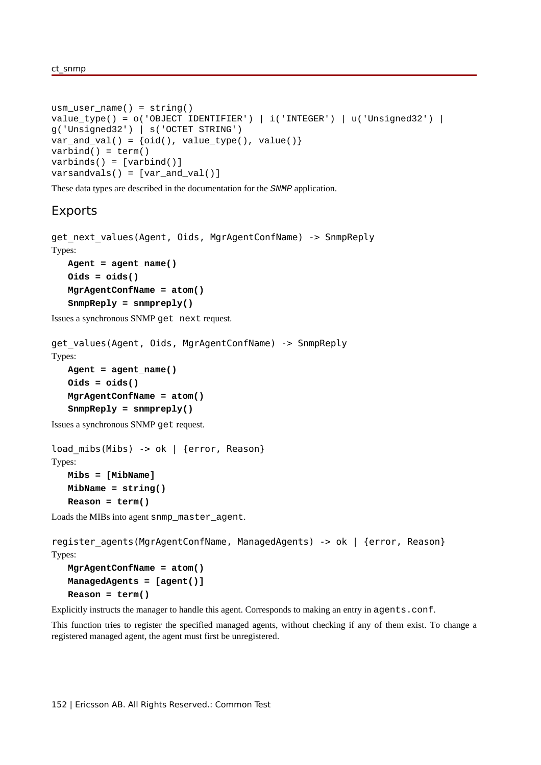```
ct_snmp
```

```
usm user name() = string()value type() = o('OBJECT IDENTIFFIER') | i('INTER') | u('Unsigned32') |g('Unsigned32') | s('OCTET STRING')
var_and_val() = {oid(), value_type(), value()}variable() = term()varbinds() = [varbind()]
varsandvals() = [var_and_val()]
```
These data types are described in the documentation for the SNMP application.

## Exports

```
get next values(Agent, Oids, MgrAgentConfName) -> SnmpReply
Types:
   Agent = agent_name()
   Oids = oids()
   MgrAgentConfName = atom()
   SnmpReply = snmpreply()
```
Issues a synchronous SNMP get next request.

```
get_values(Agent, Oids, MgrAgentConfName) -> SnmpReply
Types:
   Agent = agent_name()
   Oids = oids()
   MgrAgentConfName = atom()
   SnmpReply = snmpreply()
```
Issues a synchronous SNMP get request.

```
load_mibs(Mibs) -> ok | {error, Reason}
Types:
   Mibs = [MibName]
   MibName = string()
   Reason = term()
```
Loads the MIBs into agent snmp\_master\_agent.

```
register agents(MgrAgentConfName, ManagedAgents) -> ok | {error, Reason}
Types:
   MgrAgentConfName = atom()
```

```
ManagedAgents = [agent()]
Reason = term()
```
Explicitly instructs the manager to handle this agent. Corresponds to making an entry in agents.conf.

This function tries to register the specified managed agents, without checking if any of them exist. To change a registered managed agent, the agent must first be unregistered.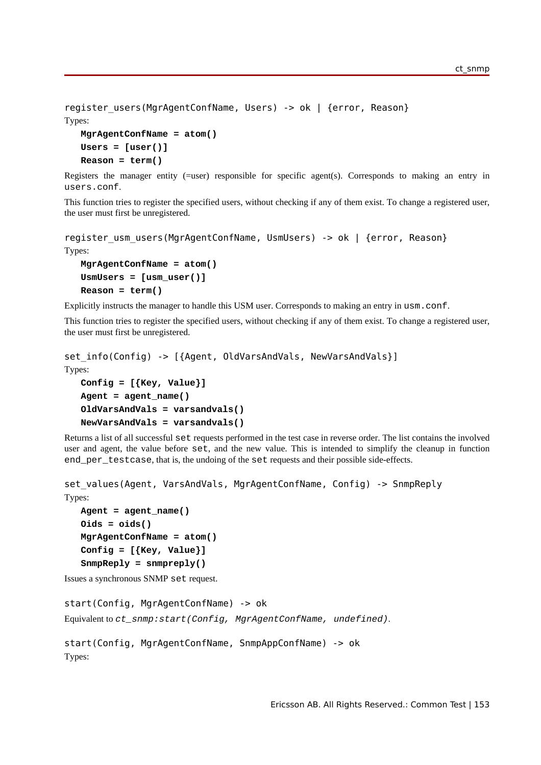```
register users(MgrAgentConfName, Users) -> ok | {error, Reason}
Types:
  MgrAgentConfName = atom()
```
**Users = [user()]**

```
Reason = term()
```
Registers the manager entity (=user) responsible for specific agent(s). Corresponds to making an entry in users.conf.

This function tries to register the specified users, without checking if any of them exist. To change a registered user, the user must first be unregistered.

```
register usm users(MgrAgentConfName, UsmUsers) -> ok | {error, Reason}
```
Types:

```
MgrAgentConfName = atom()
UsmUsers = [usm_user()]
Reason = term()
```
Explicitly instructs the manager to handle this USM user. Corresponds to making an entry in usm.conf.

This function tries to register the specified users, without checking if any of them exist. To change a registered user, the user must first be unregistered.

```
set info(Config) -> [{Agent, OldVarsAndVals, NewVarsAndVals}]
Types:
   Config = [{Key, Value}]
   Agent = agent_name()
   OldVarsAndVals = varsandvals()
```

```
NewVarsAndVals = varsandvals()
```
Returns a list of all successful set requests performed in the test case in reverse order. The list contains the involved user and agent, the value before set, and the new value. This is intended to simplify the cleanup in function end per testcase, that is, the undoing of the set requests and their possible side-effects.

```
set values(Agent, VarsAndVals, MgrAgentConfName, Config) -> SnmpReply
Types:
```

```
Agent = agent_name()
Oids = oids()
MgrAgentConfName = atom()
Config = [{Key, Value}]
SnmpReply = snmpreply()
```
Issues a synchronous SNMP set request.

```
start(Config, MgrAgentConfName) -> ok
```
Equivalent to ct\_snmp:start(Config, MgrAgentConfName, undefined).

```
start(Config, MgrAgentConfName, SnmpAppConfName) -> ok
Types:
```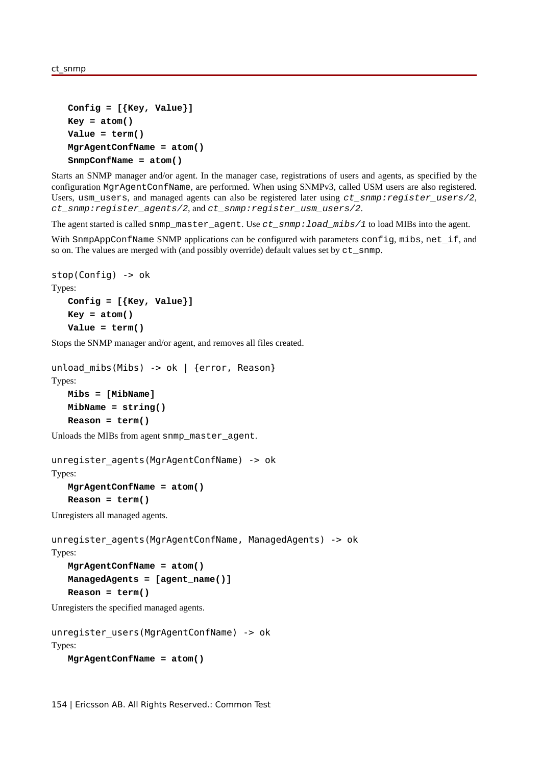```
Config = [{Key, Value}]
Key = atom()
Value = term()
MgrAgentConfName = atom()
SnmpConfName = atom()
```
Starts an SNMP manager and/or agent. In the manager case, registrations of users and agents, as specified by the configuration MgrAgentConfName, are performed. When using SNMPv3, called USM users are also registered. Users, usm\_users, and managed agents can also be registered later using  $ct$ \_snmp:register\_users/2, ct\_snmp:register\_agents/2, and ct\_snmp:register\_usm\_users/2.

The agent started is called snmp\_master\_agent. Use  $ct\_s$ nmp:  $load\_mibs/1$  to load MIBs into the agent.

With SnmpAppConfName SNMP applications can be configured with parameters config, mibs, net\_if, and so on. The values are merged with (and possibly override) default values set by ct\_snmp.

```
stop(Config) -> ok
Types:
   Config = [{Key, Value}]
   Key = atom()
   Value = term()
```
Stops the SNMP manager and/or agent, and removes all files created.

```
unload mibs(Mibs) -> ok | {error, Reason}
Types:
```

```
Mibs = [MibName]
MibName = string()
Reason = term()
```
Unloads the MIBs from agent snmp\_master\_agent.

```
unregister agents(MgrAgentConfName) -> ok
Types:
```

```
MgrAgentConfName = atom()
Reason = term()
```
Unregisters all managed agents.

```
unregister agents(MgrAgentConfName, ManagedAgents) -> ok
Types:
```

```
MgrAgentConfName = atom()
ManagedAgents = [agent_name()]
Reason = term()
```
Unregisters the specified managed agents.

```
unregister users(MgrAgentConfName) -> ok
```
Types:

```
MgrAgentConfName = atom()
```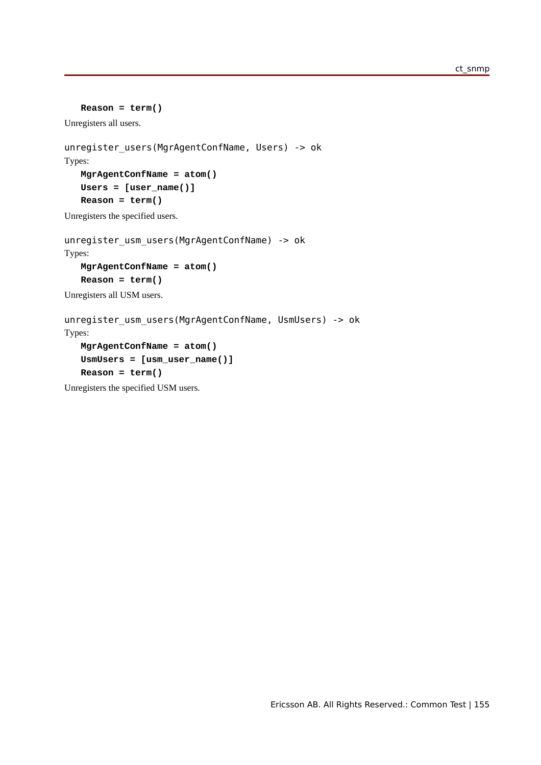```
Reason = term()
Unregisters all users.
unregister_users(MgrAgentConfName, Users) -> ok
Types:
   MgrAgentConfName = atom()
   Users = [user_name()]
   Reason = term()
Unregisters the specified users.
unregister_usm_users(MgrAgentConfName) -> ok
Types:
   MgrAgentConfName = atom()
   Reason = term()
Unregisters all USM users.
unregister usm users(MgrAgentConfName, UsmUsers) -> ok
Types:
   MgrAgentConfName = atom()
   UsmUsers = [usm_user_name()]
   Reason = term()
Unregisters the specified USM users.
```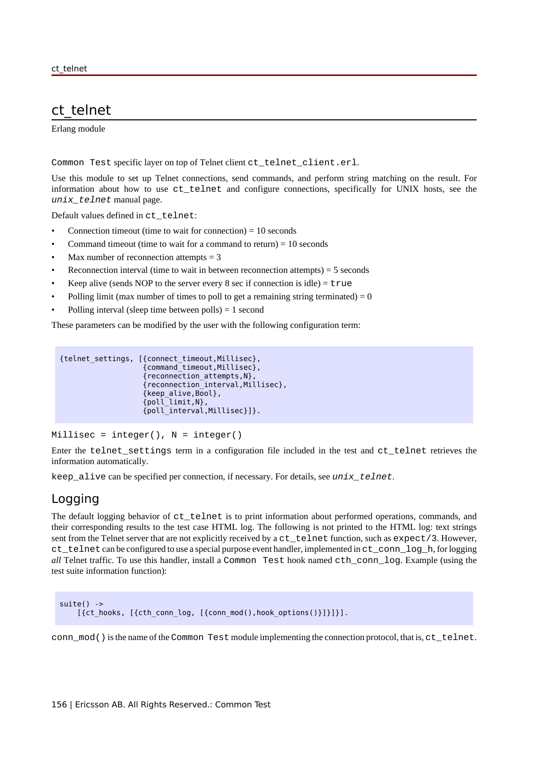# ct\_telnet

Erlang module

Common Test specific layer on top of Telnet client ct\_telnet\_client.erl.

Use this module to set up Telnet connections, send commands, and perform string matching on the result. For information about how to use ct\_telnet and configure connections, specifically for UNIX hosts, see the unix\_telnet manual page.

Default values defined in ct\_telnet:

- Connection timeout (time to wait for connection)  $= 10$  seconds
- Command timeout (time to wait for a command to return)  $= 10$  seconds
- Max number of reconnection attempts  $= 3$
- Reconnection interval (time to wait in between reconnection attempts)  $=$  5 seconds
- Keep alive (sends NOP to the server every 8 sec if connection is idle) =  $true$
- Polling limit (max number of times to poll to get a remaining string terminated) =  $0$
- Polling interval (sleep time between polls) = 1 second

These parameters can be modified by the user with the following configuration term:

```
 {telnet_settings, [{connect_timeout,Millisec},
                     {command_timeout,Millisec},
                     {reconnection_attempts,N},
                     {reconnection_interval,Millisec},
                     {keep_alive,Bool},
                    {poli limit, N},
                     {poll_interval,Millisec}]}.
```

```
Millisec = integer(), N = integer()
```
Enter the telnet\_settings term in a configuration file included in the test and ct\_telnet retrieves the information automatically.

keep alive can be specified per connection, if necessary. For details, see unix telnet.

## Logging

The default logging behavior of  $ct$ <sub></sub> $tet$ net is to print information about performed operations, commands, and their corresponding results to the test case HTML log. The following is not printed to the HTML log: text strings sent from the Telnet server that are not explicitly received by a ct\_telnet function, such as expect/3. However, ct\_telnet can be configured to use a special purpose event handler, implemented in ct\_conn\_log\_h, for logging *all* Telnet traffic. To use this handler, install a Common Test hook named cth\_conn\_log. Example (using the test suite information function):

```
 suite() ->
    [{ct_hooks, [{cth_conn_log, [{conn_mod(),hook_options()}]}]}].
```
conn\_mod() is the name of the Common Test module implementing the connection protocol, that is, ct\_telnet.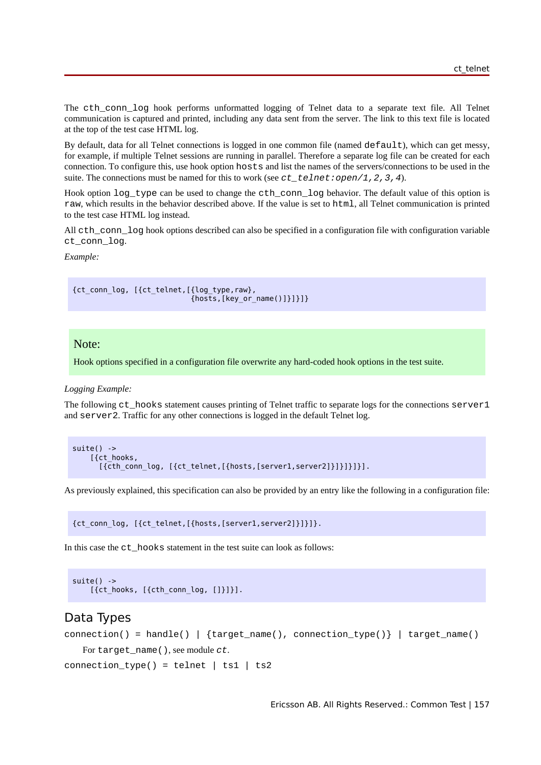The cth conn log hook performs unformatted logging of Telnet data to a separate text file. All Telnet communication is captured and printed, including any data sent from the server. The link to this text file is located at the top of the test case HTML log.

By default, data for all Telnet connections is logged in one common file (named default), which can get messy, for example, if multiple Telnet sessions are running in parallel. Therefore a separate log file can be created for each connection. To configure this, use hook option hosts and list the names of the servers/connections to be used in the suite. The connections must be named for this to work (see  $ct\_telnet:open/1,2,3,4$ ).

Hook option log\_type can be used to change the cth\_conn\_log behavior. The default value of this option is raw, which results in the behavior described above. If the value is set to html, all Telnet communication is printed to the test case HTML log instead.

All cth\_conn\_log hook options described can also be specified in a configuration file with configuration variable ct\_conn\_log.

*Example:*

{ct\_conn\_log, [{ct\_telnet, [{log\_type,raw},  $\{hosts, [key or name()]]\}$ 

#### Note:

Hook options specified in a configuration file overwrite any hard-coded hook options in the test suite.

#### *Logging Example:*

The following  $ct$  hooks statement causes printing of Telnet traffic to separate logs for the connections server1 and server2. Traffic for any other connections is logged in the default Telnet log.

```
suit() ->
    [{ct_hooks.
      [{cth conn log, [{ct telnet,[{hosts,[server1,server2]}]}]}])].
```
As previously explained, this specification can also be provided by an entry like the following in a configuration file:

{ct\_conn\_log, [{ct\_telnet,[{hosts,[server1,server2]}]}]}.

In this case the ct\_hooks statement in the test suite can look as follows:

```
suit() ->
     [{ct_hooks, [{cth_conn_log, []}]}].
```
## Data Types

```
connection() = handle() | {target_name(), connection_type()} | target_name()
   For target name(), see module ct.
connection_type() = telnet | ts1 | ts2
```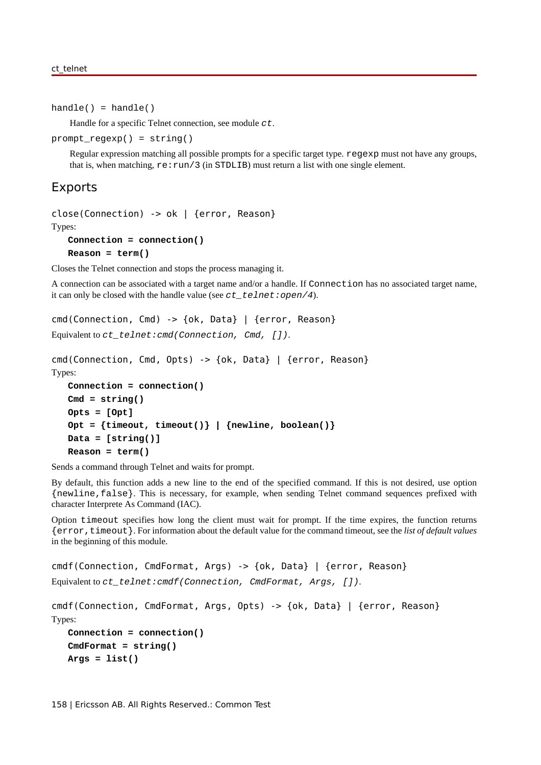```
handle() = handle()
```
Handle for a specific Telnet connection, see module  $ct$ .

prompt\_regexp() = string()

Regular expression matching all possible prompts for a specific target type. regexp must not have any groups, that is, when matching,  $re:run/3$  (in STDLIB) must return a list with one single element.

### Exports

```
close(Connection) -> ok | {error, Reason}
```
Types:

```
Connection = connection()
Reason = term()
```
Closes the Telnet connection and stops the process managing it.

A connection can be associated with a target name and/or a handle. If Connection has no associated target name, it can only be closed with the handle value (see  $ct$   $t$ elnet:open/4).

```
cmd(Connection, Cmd) -> {ok, Data} | {error, Reason}
```

```
Equivalent to ct telnet: cmd(Connection, Cmd, []).
```

```
cmd(Connection, Cmd, Opts) -> {ok, Data} | {error, Reason}
Types:
   Connection = connection()
   Cmd = string()
   Opts = [Opt]
   Opt = {timeout, timeout()} | {newline, boolean()}
   Data = [string()]
   Reason = term()
```
Sends a command through Telnet and waits for prompt.

By default, this function adds a new line to the end of the specified command. If this is not desired, use option {newline,false}. This is necessary, for example, when sending Telnet command sequences prefixed with character Interprete As Command (IAC).

Option timeout specifies how long the client must wait for prompt. If the time expires, the function returns {error,timeout}. For information about the default value for the command timeout, see the *list of default values* in the beginning of this module.

```
cmdf(Connection, CmdFormat, Args) -> {ok, Data} | {error, Reason}
Equivalent to ct_telnet:cmdf(Connection, CmdFormat, Args, []).
```

```
cmdf(Connection, CmdFormat, Args, Opts) -> {ok, Data} | {error, Reason}
Types:
  Connection = connection()
  CmdFormat = string()
  Args = list()
```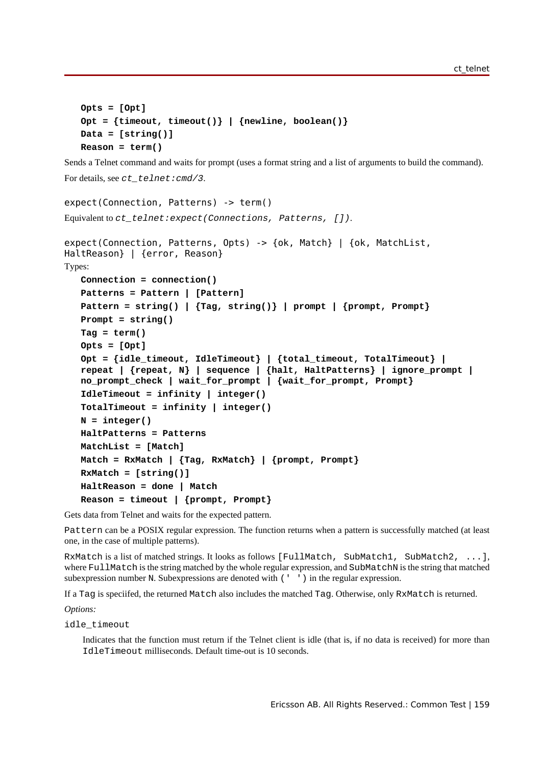```
Opts = [Opt]
Opt = {timeout, timeout()} | {newline, boolean()}
Data = [string()]
Reason = term()
```
Sends a Telnet command and waits for prompt (uses a format string and a list of arguments to build the command). For details, see ct\_telnet: cmd/3.

```
expect(Connection, Patterns) -> term()
Equivalent to ct_telnet:expect(Connections, Patterns, []).
expect(Connection, Patterns, Opts) -> {ok, Match} | {ok, MatchList,
HaltReason} | {error, Reason}
Types:
   Connection = connection()
   Patterns = Pattern | [Pattern]
   Pattern = string() | {Tag, string()} | prompt | {prompt, Prompt}
  Prompt = string()
   Tag = term()
   Opts = [Opt]
   Opt = {idle_timeout, IdleTimeout} | {total_timeout, TotalTimeout} |
   repeat | {repeat, N} | sequence | {halt, HaltPatterns} | ignore_prompt |
  no_prompt_check | wait_for_prompt | {wait_for_prompt, Prompt}
   IdleTimeout = infinity | integer()
   TotalTimeout = infinity | integer()
  N = integer()
   HaltPatterns = Patterns
  MatchList = [Match]
  Match = RxMatch | {Tag, RxMatch} | {prompt, Prompt}
  RxMatch = [string()]
  HaltReason = done | Match
   Reason = timeout | {prompt, Prompt}
```
Gets data from Telnet and waits for the expected pattern.

Pattern can be a POSIX regular expression. The function returns when a pattern is successfully matched (at least one, in the case of multiple patterns).

RxMatch is a list of matched strings. It looks as follows [FullMatch, SubMatch1, SubMatch2, ...], where FullMatch is the string matched by the whole regular expression, and SubMatchN is the string that matched subexpression number N. Subexpressions are denoted with  $(1 \cdot 1)$  in the regular expression.

If a Tag is speciifed, the returned Match also includes the matched Tag. Otherwise, only RxMatch is returned.

*Options:*

idle\_timeout

Indicates that the function must return if the Telnet client is idle (that is, if no data is received) for more than IdleTimeout milliseconds. Default time-out is 10 seconds.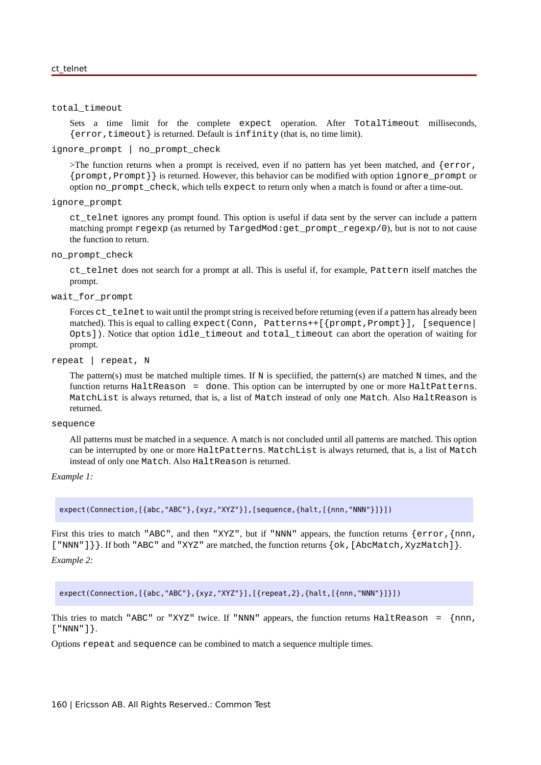total\_timeout

Sets a time limit for the complete expect operation. After TotalTimeout milliseconds, {error,timeout} is returned. Default is infinity (that is, no time limit).

ignore\_prompt | no\_prompt\_check

 $>$ The function returns when a prompt is received, even if no pattern has yet been matched, and  $\{error,$ {prompt,Prompt}} is returned. However, this behavior can be modified with option ignore\_prompt or option no\_prompt\_check, which tells expect to return only when a match is found or after a time-out.

ignore\_prompt

ct\_telnet ignores any prompt found. This option is useful if data sent by the server can include a pattern matching prompt regexp (as returned by TargedMod:get\_prompt\_regexp/0), but is not to not cause the function to return.

no\_prompt\_check

ct\_telnet does not search for a prompt at all. This is useful if, for example, Pattern itself matches the prompt.

wait\_for\_prompt

Forces ct\_telnet to wait until the prompt string is received before returning (even if a pattern has already been matched). This is equal to calling expect (Conn, Patterns++[{prompt,Prompt}], [sequence] Opts]). Notice that option idle\_timeout and total\_timeout can abort the operation of waiting for prompt.

repeat | repeat, N

The pattern(s) must be matched multiple times. If  $N$  is specified, the pattern(s) are matched  $N$  times, and the function returns HaltReason = done. This option can be interrupted by one or more HaltPatterns. MatchList is always returned, that is, a list of Match instead of only one Match. Also HaltReason is returned.

#### sequence

All patterns must be matched in a sequence. A match is not concluded until all patterns are matched. This option can be interrupted by one or more HaltPatterns. MatchList is always returned, that is, a list of Match instead of only one Match. Also HaltReason is returned.

*Example 1:*

expect(Connection,[{abc,"ABC"},{xyz,"XYZ"}],[sequence,{halt,[{nnn,"NNN"}]}])

First this tries to match "ABC", and then "XYZ", but if "NNN" appears, the function returns  $\{error, \{nnn, \}$ ["NNN"]}}. If both "ABC" and "XYZ" are matched, the function returns {ok,[AbcMatch,XyzMatch]}.

*Example 2:*

expect(Connection,[{abc,"ABC"},{xyz,"XYZ"}],[{repeat,2},{halt,[{nnn,"NNN"}]}])

This tries to match "ABC" or "XYZ" twice. If "NNN" appears, the function returns HaltReason =  $\{nnn,$ ["NNN"]}.

Options repeat and sequence can be combined to match a sequence multiple times.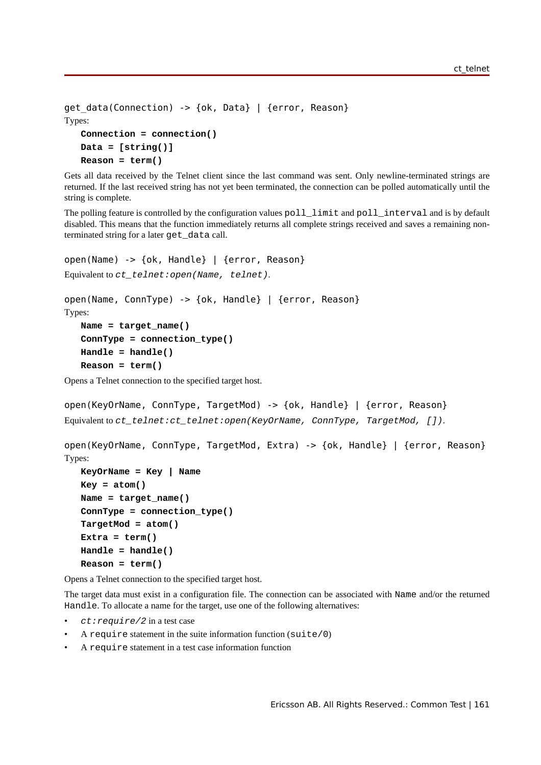```
get data(Connection) -> {ok, Data} | {error, Reason}
Types:
   Connection = connection()
   Data = [string()]
   Reason = term()
```
Gets all data received by the Telnet client since the last command was sent. Only newline-terminated strings are returned. If the last received string has not yet been terminated, the connection can be polled automatically until the string is complete.

The polling feature is controlled by the configuration values  $\text{poll\_limit}$  and  $\text{poll\_interval}$  and is by default disabled. This means that the function immediately returns all complete strings received and saves a remaining nonterminated string for a later get data call.

```
open(Name) -> {ok, Handle} | {error, Reason}
Equivalent to ct_telnet: open(Name, telnet).
open(Name, ConnType) -> {ok, Handle} | {error, Reason}
Types:
   Name = target_name()
   ConnType = connection_type()
   Handle = handle()
   Reason = term()
Opens a Telnet connection to the specified target host.
open(KeyOrName, ConnType, TargetMod) -> {ok, Handle} | {error, Reason}
```
Equivalent to ct\_telnet:ct\_telnet:open(KeyOrName, ConnType, TargetMod, []).

open(KeyOrName, ConnType, TargetMod, Extra) -> {ok, Handle} | {error, Reason} Types:

```
KeyOrName = Key | Name
Key = atom()
Name = target_name()
ConnType = connection_type()
TargetMod = atom()
Extra = term()
Handle = handle()
Reason = term()
```
Opens a Telnet connection to the specified target host.

The target data must exist in a configuration file. The connection can be associated with Name and/or the returned Handle. To allocate a name for the target, use one of the following alternatives:

- $ct:require/2$  in a test case
- A require statement in the suite information function  $(suite/0)$
- A require statement in a test case information function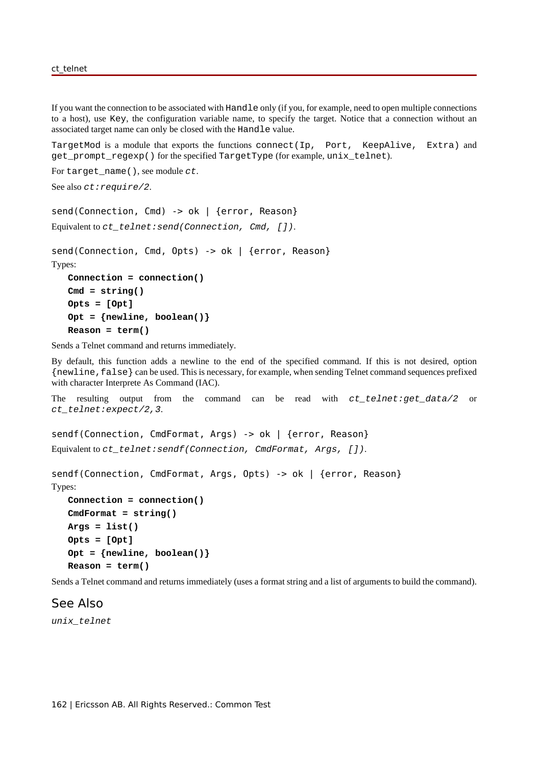If you want the connection to be associated with Handle only (if you, for example, need to open multiple connections to a host), use Key, the configuration variable name, to specify the target. Notice that a connection without an associated target name can only be closed with the Handle value.

TargetMod is a module that exports the functions connect(Ip, Port, KeepAlive, Extra) and get\_prompt\_regexp() for the specified TargetType (for example, unix\_telnet).

For target\_name(), see module ct.

```
See also ct:require/2.
```
send(Connection, Cmd) -> ok | {error, Reason}

Equivalent to ct\_telnet:send(Connection, Cmd, []).

```
send(Connection, Cmd, Opts) -> ok | {error, Reason}
Types:
   Connection = connection()
   Cmd = string()
   Opts = [Opt]
   Opt = {newline, boolean()}
   Reason = term()
```
Sends a Telnet command and returns immediately.

By default, this function adds a newline to the end of the specified command. If this is not desired, option {newline,false} can be used. This is necessary, for example, when sending Telnet command sequences prefixed with character Interprete As Command (IAC).

```
The resulting output from the command can be read with ct telnet: get data/2 or
ct_telnet:expect/2,3.
```

```
sendf(Connection, CmdFormat, Args) -> ok | {error, Reason}
Equivalent to ct_telnet:sendf(Connection, CmdFormat, Args, []).
```

```
sendf(Connection, CmdFormat, Args, Opts) -> ok | {error, Reason}
Types:
  Connection = connection()
  CmdFormat = string()
  Args = list()
  Opts = [Opt]
  Opt = {newline, boolean()}
  Reason = term()
```
Sends a Telnet command and returns immediately (uses a format string and a list of arguments to build the command).

### See Also

unix\_telnet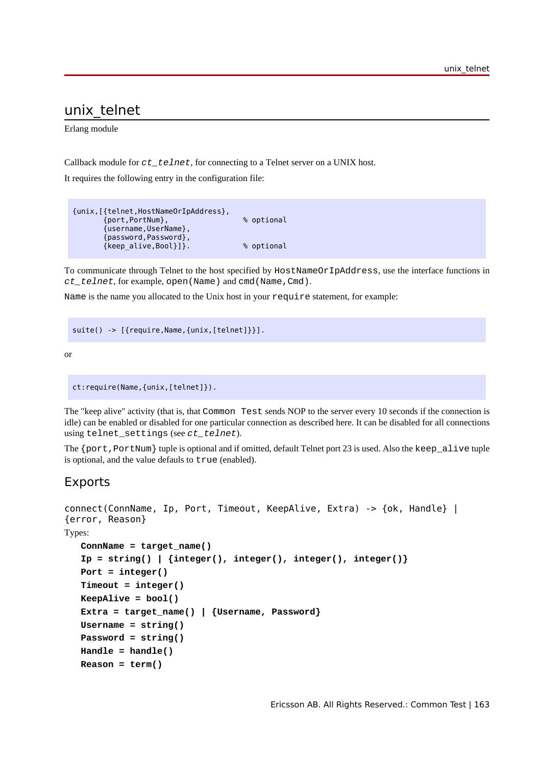# unix\_telnet

Erlang module

Callback module for  $ct\_te$  lnet, for connecting to a Telnet server on a UNIX host.

It requires the following entry in the configuration file:

```
 {unix,[{telnet,HostNameOrIpAddress},
       {port,PortNum}, % optional
       {username,UserName},
       {password,Password},
       {keep_alive,Bool}]}. % optional
```
To communicate through Telnet to the host specified by HostNameOrIpAddress, use the interface functions in ct\_telnet, for example, open(Name) and cmd(Name,Cmd).

Name is the name you allocated to the Unix host in your require statement, for example:

```
suite() -> [{require, Name, {unix, [telnet]}}].
```
or

```
 ct:require(Name,{unix,[telnet]}).
```
The "keep alive" activity (that is, that Common Test sends NOP to the server every 10 seconds if the connection is idle) can be enabled or disabled for one particular connection as described here. It can be disabled for all connections using telnet\_settings (see ct\_telnet).

The  $\{port,PortNum\}$  tuple is optional and if omitted, default Telnet port 23 is used. Also the keep alive tuple is optional, and the value defauls to true (enabled).

## Exports

```
connect(ConnName, Ip, Port, Timeout, KeepAlive, Extra) -> {ok, Handle} |
{error, Reason}
Types:
   ConnName = target_name()
   Ip = string() | {integer(), integer(), integer(), integer()}
  Port = integer()
   Timeout = integer()
  KeepAlive = bool()
   Extra = target_name() | {Username, Password}
  Username = string()
   Password = string()
  Handle = handle()
  Reason = term()
```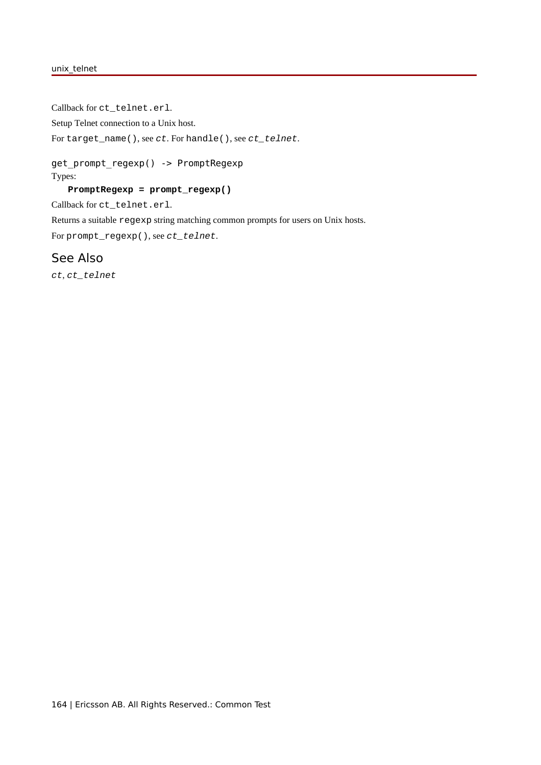Callback for ct\_telnet.erl. Setup Telnet connection to a Unix host. For target\_name(), see ct. For handle(), see ct\_telnet.

get\_prompt\_regexp() -> PromptRegexp Types:

**PromptRegexp = prompt\_regexp()**

Callback for ct\_telnet.erl.

Returns a suitable regexp string matching common prompts for users on Unix hosts.

For prompt\_regexp(), see ct\_telnet.

# See Also

ct, ct\_telnet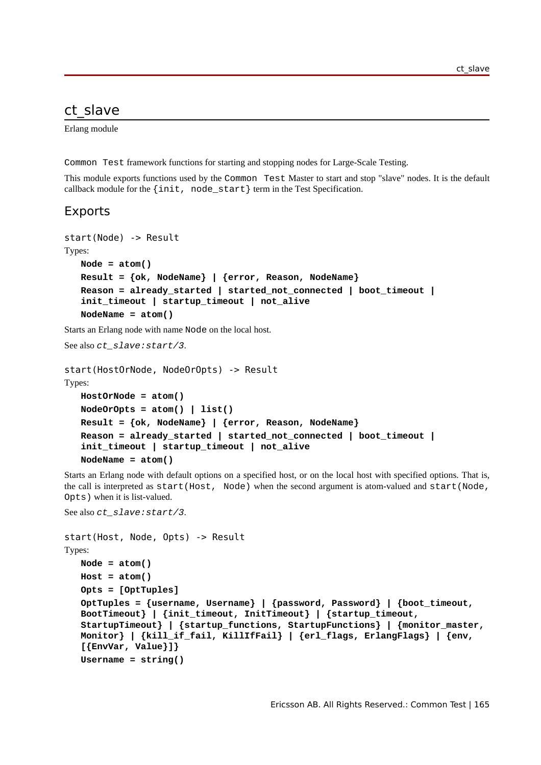## ct\_slave

Erlang module

Common Test framework functions for starting and stopping nodes for Large-Scale Testing.

This module exports functions used by the Common Test Master to start and stop "slave" nodes. It is the default callback module for the {init, node\_start} term in the Test Specification.

### Exports

```
start(Node) -> Result
Types:
   Node = atom()
   Result = {ok, NodeName} | {error, Reason, NodeName}
   Reason = already_started | started_not_connected | boot_timeout |
   init_timeout | startup_timeout | not_alive
   NodeName = atom()
```
Starts an Erlang node with name Node on the local host.

```
See also ct slave: start/3.
```

```
start(HostOrNode, NodeOrOpts) -> Result
```
Types:

```
HostOrNode = atom()
NodeOrOpts = atom() | list()
Result = {ok, NodeName} | {error, Reason, NodeName}
Reason = already_started | started_not_connected | boot_timeout |
init_timeout | startup_timeout | not_alive
NodeName = atom()
```
Starts an Erlang node with default options on a specified host, or on the local host with specified options. That is, the call is interpreted as start(Host, Node) when the second argument is atom-valued and start(Node, Opts) when it is list-valued.

```
See also ct slave: start/3.
```

```
start(Host, Node, Opts) -> Result
Types:
  Node = atom()
  Host = atom()
  Opts = [OptTuples]
   OptTuples = {username, Username} | {password, Password} | {boot_timeout,
   BootTimeout} | {init_timeout, InitTimeout} | {startup_timeout,
   StartupTimeout} | {startup_functions, StartupFunctions} | {monitor_master,
  Monitor} | {kill_if_fail, KillIfFail} | {erl_flags, ErlangFlags} | {env,
   [{EnvVar, Value}]}
   Username = string()
```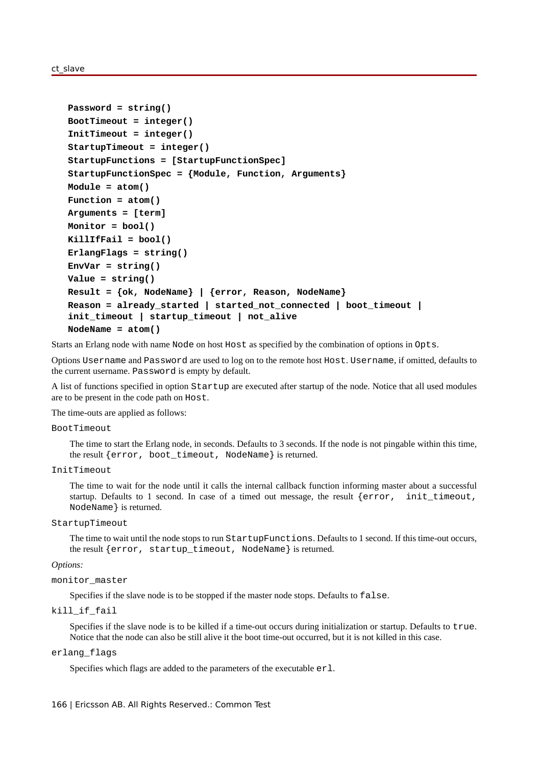ct\_slave

```
Password = string()
BootTimeout = integer()
InitTimeout = integer()
StartupTimeout = integer()
StartupFunctions = [StartupFunctionSpec]
StartupFunctionSpec = {Module, Function, Arguments}
Module = atom()
Function = atom()
Arguments = [term]
Monitor = bool()
KillIfFail = bool()
ErlangFlags = string()
EnvVar = string()
Value = string()
Result = {ok, NodeName} | {error, Reason, NodeName}
Reason = already_started | started_not_connected | boot_timeout |
init_timeout | startup_timeout | not_alive
NodeName = atom()
```
Starts an Erlang node with name Node on host Host as specified by the combination of options in Opts.

Options Username and Password are used to log on to the remote host Host. Username, if omitted, defaults to the current username. Password is empty by default.

A list of functions specified in option Startup are executed after startup of the node. Notice that all used modules are to be present in the code path on Host.

The time-outs are applied as follows:

BootTimeout

The time to start the Erlang node, in seconds. Defaults to 3 seconds. If the node is not pingable within this time, the result {error, boot\_timeout, NodeName} is returned.

InitTimeout

The time to wait for the node until it calls the internal callback function informing master about a successful startup. Defaults to 1 second. In case of a timed out message, the result  $\{error, \text{init timeout}, \text{init time} \}$ NodeName} is returned.

StartupTimeout

The time to wait until the node stops to run StartupFunctions. Defaults to 1 second. If this time-out occurs, the result {error, startup\_timeout, NodeName} is returned.

*Options:*

```
monitor_master
```
Specifies if the slave node is to be stopped if the master node stops. Defaults to false.

```
kill if fail
```
Specifies if the slave node is to be killed if a time-out occurs during initialization or startup. Defaults to true. Notice that the node can also be still alive it the boot time-out occurred, but it is not killed in this case.

erlang\_flags

Specifies which flags are added to the parameters of the executable  $er1$ .

166 | Ericsson AB. All Rights Reserved.: Common Test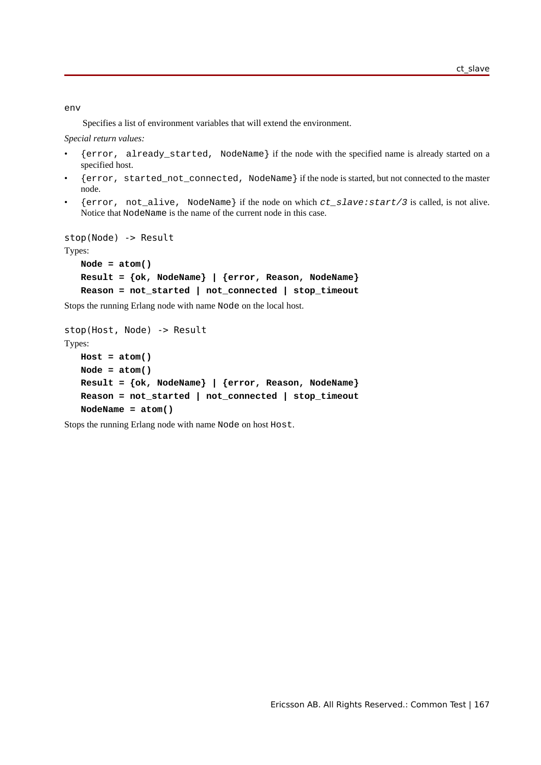env

Specifies a list of environment variables that will extend the environment.

*Special return values:*

- {error, already\_started, NodeName} if the node with the specified name is already started on a specified host.
- {error, started\_not\_connected, NodeName} if the node is started, but not connected to the master node.
- $\{error, not\_alive, NodeName\}$  if the node on which  $ct\_slave:start/3$  is called, is not alive. Notice that NodeName is the name of the current node in this case.

```
stop(Node) -> Result
Types:
   Node = atom()
   Result = {ok, NodeName} | {error, Reason, NodeName}
   Reason = not_started | not_connected | stop_timeout
```
Stops the running Erlang node with name Node on the local host.

```
stop(Host, Node) -> Result
Types:
   Host = atom()
   Node = atom()
   Result = {ok, NodeName} | {error, Reason, NodeName}
   Reason = not_started | not_connected | stop_timeout
   NodeName = atom()
```
Stops the running Erlang node with name Node on host Host.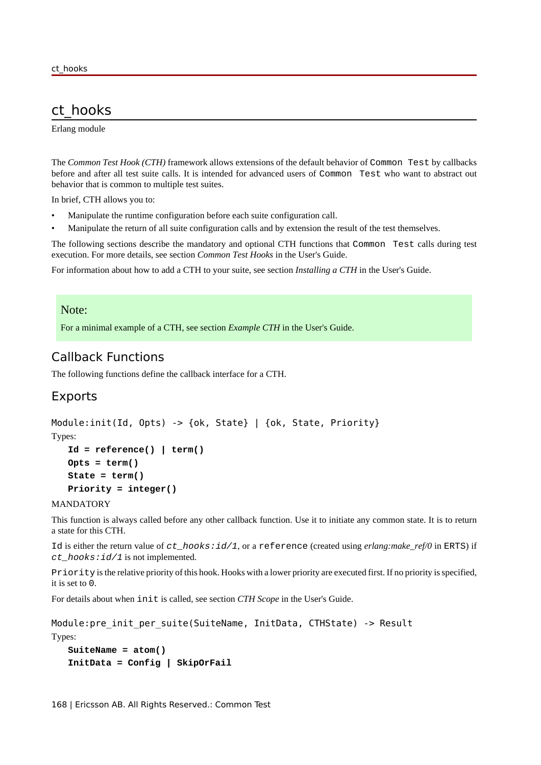# ct\_hooks

Erlang module

The *Common Test Hook (CTH)* framework allows extensions of the default behavior of Common Test by callbacks before and after all test suite calls. It is intended for advanced users of Common Test who want to abstract out behavior that is common to multiple test suites.

In brief, CTH allows you to:

- Manipulate the runtime configuration before each suite configuration call.
- Manipulate the return of all suite configuration calls and by extension the result of the test themselves.

The following sections describe the mandatory and optional CTH functions that Common Test calls during test execution. For more details, see section *Common Test Hooks* in the User's Guide.

For information about how to add a CTH to your suite, see section *Installing a CTH* in the User's Guide.

### Note:

For a minimal example of a CTH, see section *Example CTH* in the User's Guide.

## Callback Functions

The following functions define the callback interface for a CTH.

## Exports

```
Module:init(Id, Opts) -> {ok, State} | {ok, State, Priority}
Types:
   Id = reference() | term()
   Opts = term()
   State = term()
   Priority = integer()
```
#### MANDATORY

This function is always called before any other callback function. Use it to initiate any common state. It is to return a state for this CTH.

Id is either the return value of ct\_hooks:id/1, or a reference (created using *erlang:make\_ref/0* in ERTS) if  $ct\_hook$ :  $id/1$  is not implemented.

Priority is the relative priority of this hook. Hooks with a lower priority are executed first. If no priority is specified, it is set to 0.

For details about when init is called, see section *CTH Scope* in the User's Guide.

```
Module: pre init per suite(SuiteName, InitData, CTHState) -> Result
Types:
```

```
SuiteName = atom()
InitData = Config | SkipOrFail
```
168 | Ericsson AB. All Rights Reserved.: Common Test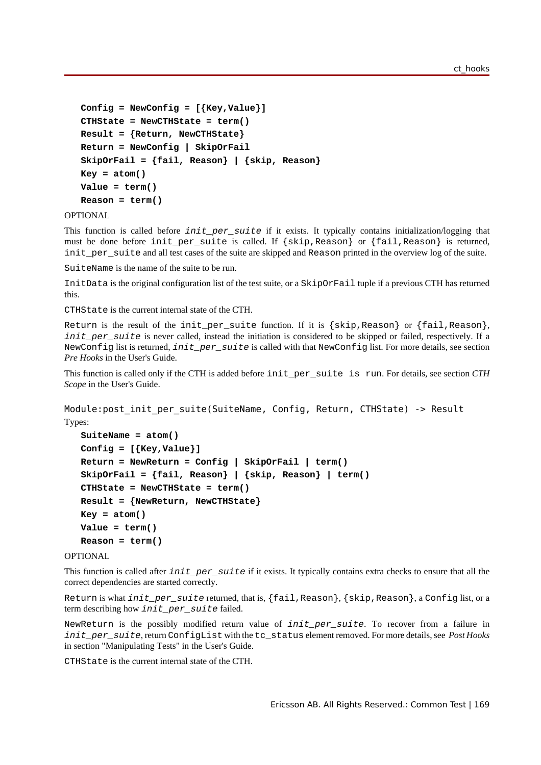```
Config = NewConfig = [{Key,Value}]
CTHState = NewCTHState = term()
Result = {Return, NewCTHState}
Return = NewConfig | SkipOrFail
SkipOrFail = {fail, Reason} | {skip, Reason}
Key = atom()
Value = term()
Reason = term()
```
This function is called before *init\_per\_suite* if it exists. It typically contains initialization/logging that must be done before init\_per\_suite is called. If  $\{skip,$   $\{skip,$   $\}$ , Reason $\}$  or  $\{fail$ , Reason $\}$  is returned, init\_per\_suite and all test cases of the suite are skipped and Reason printed in the overview log of the suite.

SuiteName is the name of the suite to be run.

InitData is the original configuration list of the test suite, or a SkipOrFail tuple if a previous CTH has returned this.

CTHState is the current internal state of the CTH.

Return is the result of the init\_per\_suite function. If it is  $\{skip,right}$ , Reason $\}$  or  $\{fail, Reason\}$ , init per suite is never called, instead the initiation is considered to be skipped or failed, respectively. If a NewConfig list is returned, init\_per\_suite is called with that NewConfig list. For more details, see section *Pre Hooks* in the User's Guide.

This function is called only if the CTH is added before init\_per\_suite is run. For details, see section *CTH Scope* in the User's Guide.

Module: post init per suite(SuiteName, Config, Return, CTHState) -> Result Types:

```
SuiteName = atom()
Config = [{Key,Value}]
Return = NewReturn = Config | SkipOrFail | term()
SkipOrFail = {fail, Reason} | {skip, Reason} | term()
CTHState = NewCTHState = term()
Result = {NewReturn, NewCTHState}
Key = atom()
Value = term()
Reason = term()
```
**OPTIONAL** 

This function is called after *init* per suite if it exists. It typically contains extra checks to ensure that all the correct dependencies are started correctly.

Return is what  $init\_per\_suit$  returned, that is,  $\{fail, Reason\}$ ,  $\{skip,Reson\}$ , Reason $\}$ , a Config list, or a term describing how init\_per\_suite failed.

NewReturn is the possibly modified return value of *init\_per\_suite*. To recover from a failure in init\_per\_suite, return ConfigList with the tc\_status element removed. For more details, see *Post Hooks* in section "Manipulating Tests" in the User's Guide.

CTHState is the current internal state of the CTH.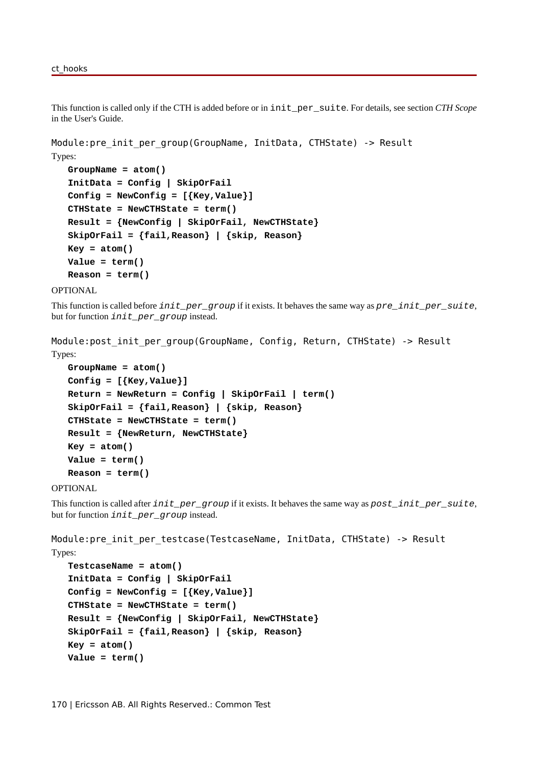This function is called only if the CTH is added before or in init\_per\_suite. For details, see section *CTH Scope* in the User's Guide.

```
Module:pre init per group(GroupName, InitData, CTHState) -> Result
Types:
   GroupName = atom()
```

```
InitData = Config | SkipOrFail
Config = NewConfig = [{Key,Value}]
CTHState = NewCTHState = term()
Result = {NewConfig | SkipOrFail, NewCTHState}
SkipOrFail = {fail,Reason} | {skip, Reason}
Key = atom()
Value = term()
Reason = term()
```
#### OPTIONAL

This function is called before *init* per group if it exists. It behaves the same way as pre *init* per suite, but for function init\_per\_group instead.

Module: post init per group(GroupName, Config, Return, CTHState) -> Result

### Types:

```
GroupName = atom()
Config = [{Key,Value}]
Return = NewReturn = Config | SkipOrFail | term()
SkipOrFail = {fail,Reason} | {skip, Reason}
CTHState = NewCTHState = term()
Result = {NewReturn, NewCTHState}
Key = atom()
Value = term()
Reason = term()
```
### OPTIONAL

This function is called after init\_per\_group if it exists. It behaves the same way as post\_init\_per\_suite, but for function *init* per group instead.

```
Module:pre_init_per_testcase(TestcaseName, InitData, CTHState) -> Result
Types:
```

```
TestcaseName = atom()
InitData = Config | SkipOrFail
Config = NewConfig = [{Key,Value}]
CTHState = NewCTHState = term()
Result = {NewConfig | SkipOrFail, NewCTHState}
SkipOrFail = {fail,Reason} | {skip, Reason}
Key = atom()Value = term()
```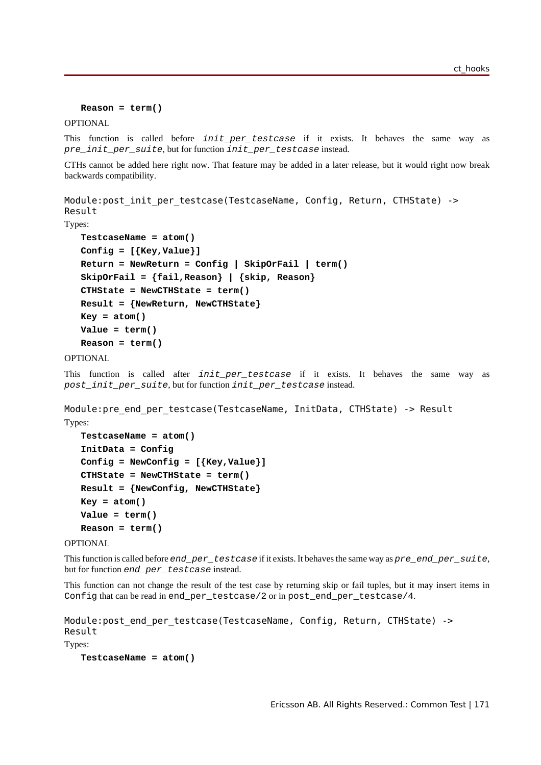```
Reason = term()
```
This function is called before *init\_per\_testcase* if it exists. It behaves the same way as pre\_init\_per\_suite, but for function init\_per\_testcase instead.

CTHs cannot be added here right now. That feature may be added in a later release, but it would right now break backwards compatibility.

```
Module:post init per testcase(TestcaseName, Config, Return, CTHState) ->
Result
```
Types:

```
TestcaseName = atom()
Config = [{Key,Value}]
Return = NewReturn = Config | SkipOrFail | term()
SkipOrFail = {fail,Reason} | {skip, Reason}
CTHState = NewCTHState = term()
Result = {NewReturn, NewCTHState}
Key = atom()
Value = term()
Reason = term()
```
#### OPTIONAL

This function is called after *init\_per\_testcase* if it exists. It behaves the same way as post init per suite, but for function init per testcase instead.

Module:pre end per testcase(TestcaseName, InitData, CTHState) -> Result Types:

```
TestcaseName = atom()
InitData = Config
Config = NewConfig = [{Key,Value}]
CTHState = NewCTHState = term()
Result = {NewConfig, NewCTHState}
Key = atom()
Value = term()
Reason = term()
```
#### **OPTIONAL**

This function is called before end\_per\_testcase if it exists. It behaves the same way as pre\_end\_per\_suite, but for function end\_per\_testcase instead.

This function can not change the result of the test case by returning skip or fail tuples, but it may insert items in Config that can be read in end per testcase/2 or in post end per testcase/4.

```
Module: post end per testcase(TestcaseName, Config, Return, CTHState) ->
Result
```
Types:

**TestcaseName = atom()**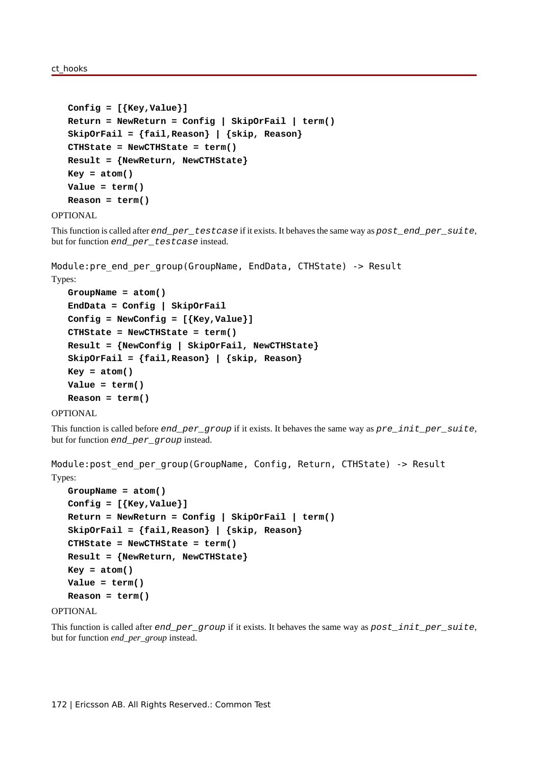```
Config = [{Key,Value}]
Return = NewReturn = Config | SkipOrFail | term()
SkipOrFail = {fail,Reason} | {skip, Reason}
CTHState = NewCTHState = term()
Result = {NewReturn, NewCTHState}
Key = atom()
Value = term()
Reason = term()
```
This function is called after end\_per\_testcase if it exists. It behaves the same way as post\_end\_per\_suite, but for function end\_per\_testcase instead.

Module:pre end per group(GroupName, EndData, CTHState) -> Result

```
Types:
```

```
GroupName = atom()
EndData = Config | SkipOrFail
Config = NewConfig = [{Key,Value}]
CTHState = NewCTHState = term()
Result = {NewConfig | SkipOrFail, NewCTHState}
SkipOrFail = {fail,Reason} | {skip, Reason}
Key = atom()
Value = term()
Reason = term()
```
### **OPTIONAL**

This function is called before end\_per\_group if it exists. It behaves the same way as pre\_init\_per\_suite, but for function end\_per\_group instead.

```
Module: post end per group(GroupName, Config, Return, CTHState) -> Result
Types:
```

```
GroupName = atom()
Config = [{Key,Value}]
Return = NewReturn = Config | SkipOrFail | term()
SkipOrFail = {fail,Reason} | {skip, Reason}
CTHState = NewCTHState = term()
Result = {NewReturn, NewCTHState}
Key = atom()
Value = term()
Reason = term()
```
### **OPTIONAL**

This function is called after end\_per\_group if it exists. It behaves the same way as post\_init\_per\_suite, but for function *end\_per\_group* instead.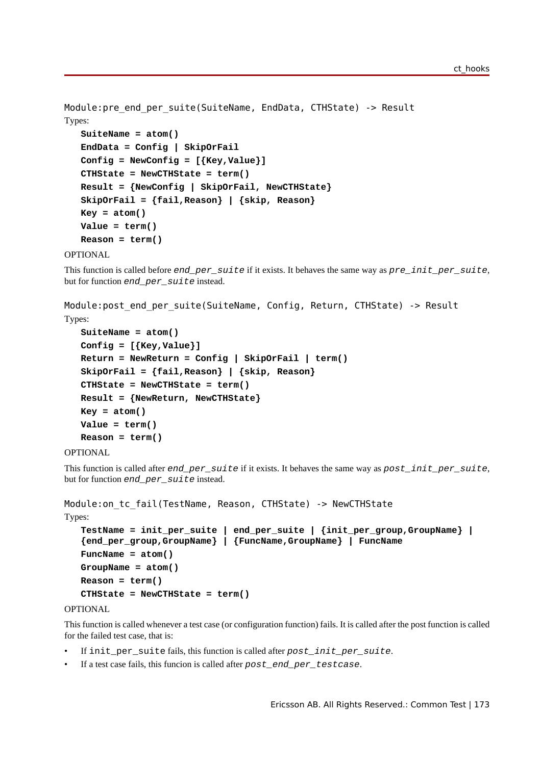```
Module:pre end per suite(SuiteName, EndData, CTHState) -> Result
Types:
   SuiteName = atom()
   EndData = Config | SkipOrFail
   Config = NewConfig = [{Key,Value}]
   CTHState = NewCTHState = term()
   Result = {NewConfig | SkipOrFail, NewCTHState}
   SkipOrFail = {fail,Reason} | {skip, Reason}
   Key = atom()
   Value = term()
   Reason = term()
```
This function is called before end\_per\_suite if it exists. It behaves the same way as  $pre\_init\_per\_suit$ , but for function end\_per\_suite instead.

```
Module: post end per suite(SuiteName, Config, Return, CTHState) -> Result
Types:
```

```
SuiteName = atom()
Config = [{Key,Value}]
Return = NewReturn = Config | SkipOrFail | term()
SkipOrFail = {fail,Reason} | {skip, Reason}
CTHState = NewCTHState = term()
Result = {NewReturn, NewCTHState}
Key = atom()
Value = term()
Reason = term()
```
### OPTIONAL

This function is called after end\_per\_suite if it exists. It behaves the same way as post\_init\_per\_suite, but for function end\_per\_suite instead.

```
Module: on tc fail(TestName, Reason, CTHState) -> NewCTHState
```

```
Types:
```

```
TestName = init_per_suite | end_per_suite | {init_per_group,GroupName} |
{end_per_group,GroupName} | {FuncName,GroupName} | FuncName
FuncName = atom()
GroupName = atom()
Reason = term()
CTHState = NewCTHState = term()
```
#### OPTIONAL

This function is called whenever a test case (or configuration function) fails. It is called after the post function is called for the failed test case, that is:

- If init\_per\_suite fails, this function is called after post\_init\_per\_suite.
- If a test case fails, this funcion is called after post end per testcase.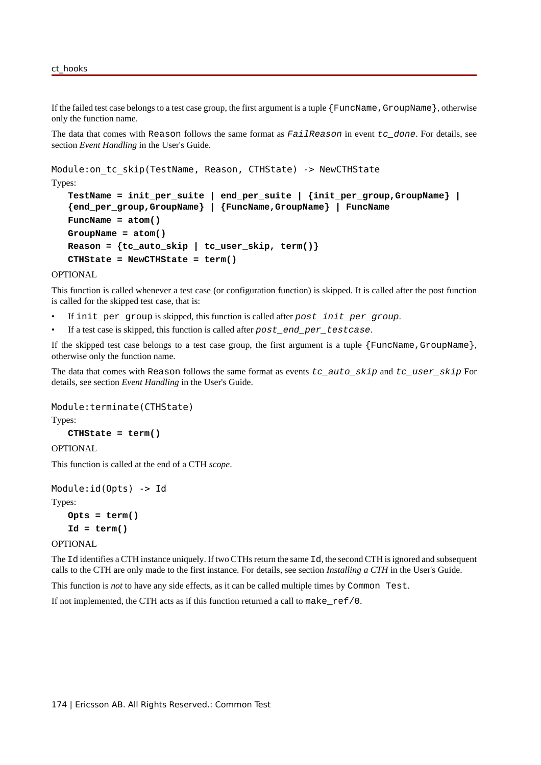If the failed test case belongs to a test case group, the first argument is a tuple  $\{$  FuncName, GroupName $\}$ , otherwise only the function name.

The data that comes with Reason follows the same format as  $FailReason$  in event  $tc\_done$ . For details, see section *Event Handling* in the User's Guide.

```
Module: on tc skip(TestName, Reason, CTHState) -> NewCTHState
Types:
   TestName = init_per_suite | end_per_suite | {init_per_group,GroupName} |
   {end_per_group,GroupName} | {FuncName,GroupName} | FuncName
   FuncName = atom()
   GroupName = atom()
   Reason = {tc_auto_skip | tc_user_skip, term()}
   CTHState = NewCTHState = term()
```
#### **OPTIONAL**

This function is called whenever a test case (or configuration function) is skipped. It is called after the post function is called for the skipped test case, that is:

- If init\_per\_group is skipped, this function is called after post\_init\_per\_group.
- If a test case is skipped, this function is called after post\_end\_per\_testcase.

If the skipped test case belongs to a test case group, the first argument is a tuple  $\{FuncName\}$ , otherwise only the function name.

The data that comes with Reason follows the same format as events  $tc_auto\_skip$  and  $tc_user\_skip$  For details, see section *Event Handling* in the User's Guide.

```
Module:terminate(CTHState)
Types:
   CTHState = term()
OPTIONAL
This function is called at the end of a CTH scope.
```

```
Module:id(Opts) -> Id
Types:
   Opts = term()
   Id = term()
```
#### OPTIONAL

The Id identifies a CTH instance uniquely. If two CTHs return the same Id, the second CTH is ignored and subsequent calls to the CTH are only made to the first instance. For details, see section *Installing a CTH* in the User's Guide.

This function is *not* to have any side effects, as it can be called multiple times by Common Test.

If not implemented, the CTH acts as if this function returned a call to make  $\text{ref}/0$ .